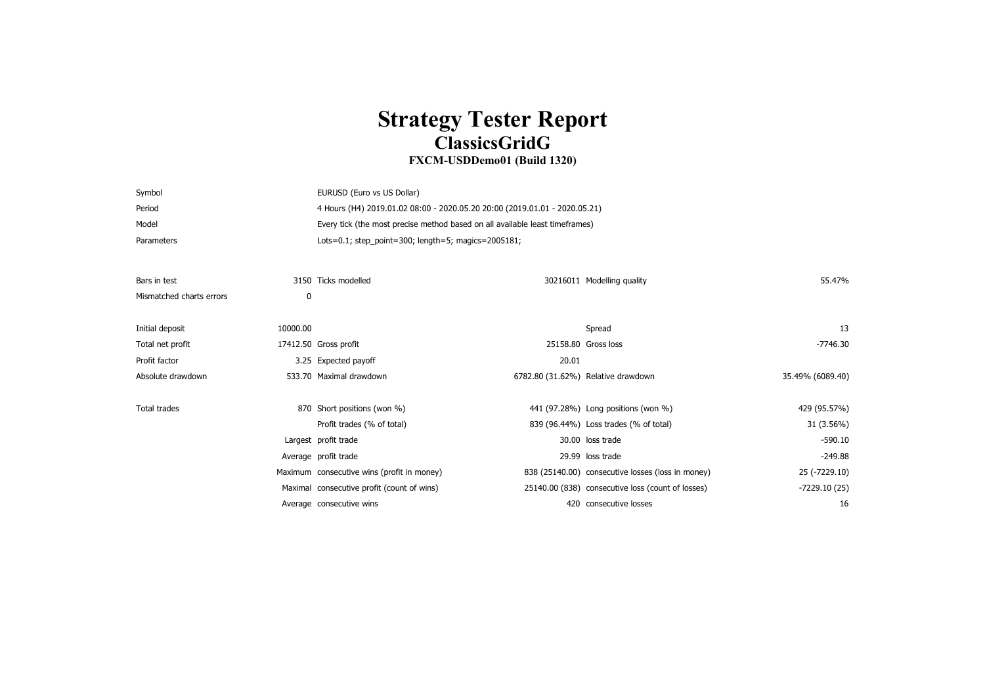## **Strategy Tester Report ClassicsGridG**

## **FXCM-USDDemo01 (Build 1320)**

| Symbol                   |          | EURUSD (Euro vs US Dollar)                                                   |                                    |                                                   |                  |  |
|--------------------------|----------|------------------------------------------------------------------------------|------------------------------------|---------------------------------------------------|------------------|--|
| Period                   |          | 4 Hours (H4) 2019.01.02 08:00 - 2020.05.20 20:00 (2019.01.01 - 2020.05.21)   |                                    |                                                   |                  |  |
| Model                    |          | Every tick (the most precise method based on all available least timeframes) |                                    |                                                   |                  |  |
| Parameters               |          | Lots=0.1; step_point=300; length=5; magics=2005181;                          |                                    |                                                   |                  |  |
|                          |          |                                                                              |                                    |                                                   |                  |  |
| Bars in test             |          | 3150 Ticks modelled                                                          |                                    | 30216011 Modelling quality                        | 55.47%           |  |
| Mismatched charts errors | 0        |                                                                              |                                    |                                                   |                  |  |
|                          |          |                                                                              |                                    |                                                   |                  |  |
| Initial deposit          | 10000.00 |                                                                              |                                    | Spread                                            | 13               |  |
| Total net profit         |          | 17412.50 Gross profit                                                        | 25158.80 Gross loss                |                                                   | $-7746.30$       |  |
| Profit factor            |          | 3.25 Expected payoff                                                         | 20.01                              |                                                   |                  |  |
| Absolute drawdown        |          | 533.70 Maximal drawdown                                                      | 6782.80 (31.62%) Relative drawdown |                                                   | 35.49% (6089.40) |  |
|                          |          |                                                                              |                                    |                                                   |                  |  |
| Total trades             |          | 870 Short positions (won %)                                                  |                                    | 441 (97.28%) Long positions (won %)               | 429 (95.57%)     |  |
|                          |          | Profit trades (% of total)                                                   |                                    | 839 (96.44%) Loss trades (% of total)             | 31 (3.56%)       |  |
|                          |          | Largest profit trade                                                         |                                    | 30.00 loss trade                                  | $-590.10$        |  |
|                          |          | Average profit trade                                                         |                                    | 29.99 loss trade                                  | $-249.88$        |  |
|                          |          | Maximum consecutive wins (profit in money)                                   |                                    | 838 (25140.00) consecutive losses (loss in money) | 25 (-7229.10)    |  |
|                          |          | Maximal consecutive profit (count of wins)                                   |                                    | 25140.00 (838) consecutive loss (count of losses) | -7229.10 (25)    |  |
|                          |          | Average consecutive wins                                                     |                                    | 420 consecutive losses                            | 16               |  |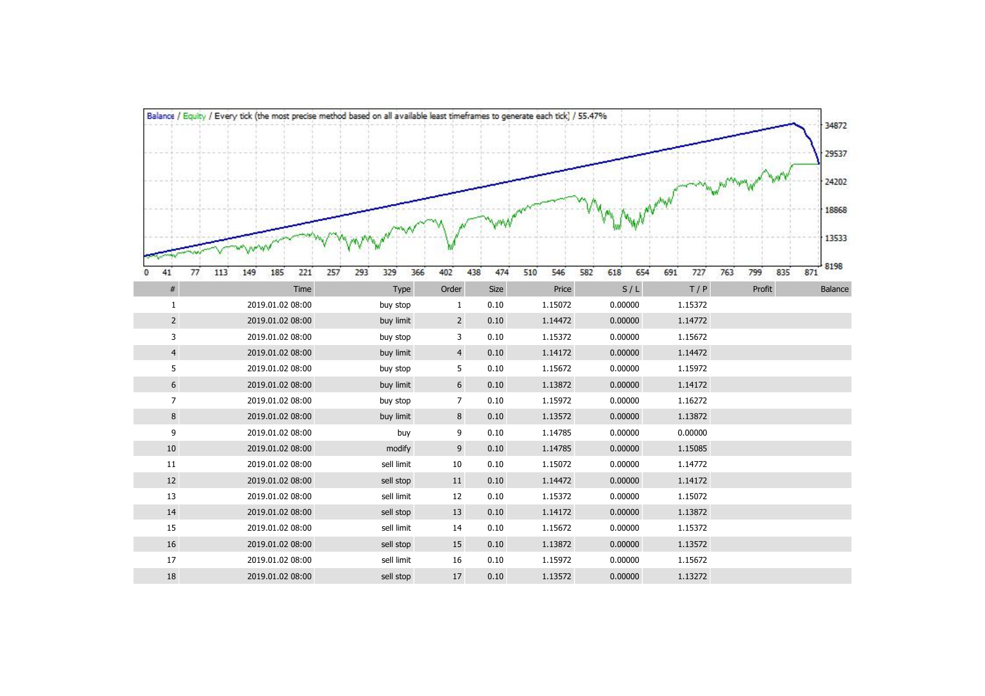|                | Balance / Equity / Every tick (the most precise method based on all available least timeframes to generate each tick) / 55.47% |                   |                |      |            |     |            |            |     |        |     | 34872       |
|----------------|--------------------------------------------------------------------------------------------------------------------------------|-------------------|----------------|------|------------|-----|------------|------------|-----|--------|-----|-------------|
|                |                                                                                                                                |                   |                |      |            |     |            |            |     |        |     | 29537       |
|                |                                                                                                                                |                   |                |      |            |     |            |            |     |        |     | 24202       |
|                |                                                                                                                                |                   |                |      |            |     |            |            |     |        |     | 18868       |
|                |                                                                                                                                |                   |                |      |            |     |            |            |     |        |     | 13533       |
| 41<br>77<br>0  | 185<br>221<br>257<br>113<br>149                                                                                                | 293<br>366<br>329 | 402<br>438     | 474  | 510<br>546 | 582 | 618<br>654 | 691<br>727 | 763 | 799    | 835 | 8198<br>871 |
| $\#$           | Time                                                                                                                           | Type              | Order          | Size | Price      |     | S/L        | T/P        |     | Profit |     | Balance     |
| $1\,$          | 2019.01.02 08:00                                                                                                               | buy stop          | $\mathbf{1}$   | 0.10 | 1.15072    |     | 0.00000    | 1.15372    |     |        |     |             |
| $\overline{2}$ | 2019.01.02 08:00                                                                                                               | buy limit         | $\overline{2}$ | 0.10 | 1.14472    |     | 0.00000    | 1.14772    |     |        |     |             |
| 3              | 2019.01.02 08:00                                                                                                               | buy stop          | 3              | 0.10 | 1.15372    |     | 0.00000    | 1.15672    |     |        |     |             |
| $\overline{4}$ | 2019.01.02 08:00                                                                                                               | buy limit         | $\overline{4}$ | 0.10 | 1.14172    |     | 0.00000    | 1.14472    |     |        |     |             |
| 5              | 2019.01.02 08:00                                                                                                               | buy stop          | 5              | 0.10 | 1.15672    |     | 0.00000    | 1.15972    |     |        |     |             |
| 6              | 2019.01.02 08:00                                                                                                               | buy limit         | 6              | 0.10 | 1.13872    |     | 0.00000    | 1.14172    |     |        |     |             |
| $\overline{7}$ | 2019.01.02 08:00                                                                                                               | buy stop          | $\overline{7}$ | 0.10 | 1.15972    |     | 0.00000    | 1.16272    |     |        |     |             |
| 8              | 2019.01.02 08:00                                                                                                               | buy limit         | $\bf 8$        | 0.10 | 1.13572    |     | 0.00000    | 1.13872    |     |        |     |             |
| 9              | 2019.01.02 08:00                                                                                                               | buy               | 9              | 0.10 | 1.14785    |     | 0.00000    | 0.00000    |     |        |     |             |
| 10             | 2019.01.02 08:00                                                                                                               | modify            | 9              | 0.10 | 1.14785    |     | 0.00000    | 1.15085    |     |        |     |             |
| 11             | 2019.01.02 08:00                                                                                                               | sell limit        | 10             | 0.10 | 1.15072    |     | 0.00000    | 1.14772    |     |        |     |             |
| 12             | 2019.01.02 08:00                                                                                                               | sell stop         | 11             | 0.10 | 1.14472    |     | 0.00000    | 1.14172    |     |        |     |             |
| 13             | 2019.01.02 08:00                                                                                                               | sell limit        | 12             | 0.10 | 1.15372    |     | 0.00000    | 1.15072    |     |        |     |             |
| 14             | 2019.01.02 08:00                                                                                                               | sell stop         | 13             | 0.10 | 1.14172    |     | 0.00000    | 1.13872    |     |        |     |             |
| 15             | 2019.01.02 08:00                                                                                                               | sell limit        | 14             | 0.10 | 1.15672    |     | 0.00000    | 1.15372    |     |        |     |             |
| 16             | 2019.01.02 08:00                                                                                                               | sell stop         | 15             | 0.10 | 1.13872    |     | 0.00000    | 1.13572    |     |        |     |             |
| $17\,$         | 2019.01.02 08:00                                                                                                               | sell limit        | 16             | 0.10 | 1.15972    |     | 0.00000    | 1.15672    |     |        |     |             |
| 18             | 2019.01.02 08:00                                                                                                               | sell stop         | 17             | 0.10 | 1.13572    |     | 0.00000    | 1.13272    |     |        |     |             |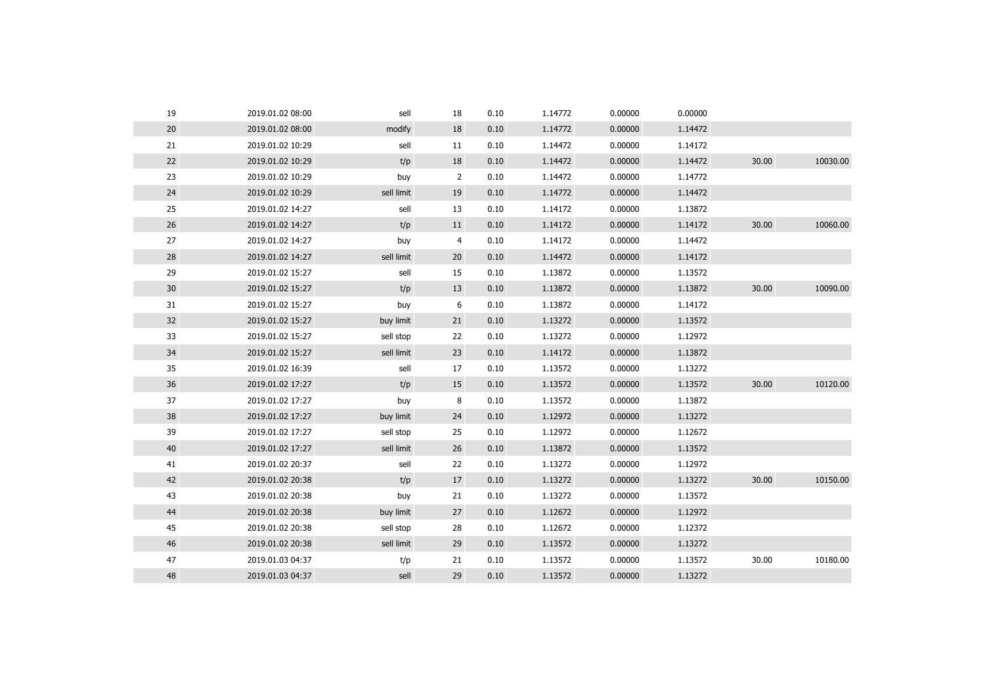| 19 | 2019.01.02 08:00 | sell       | 18             | 0.10 | 1.14772 | 0.00000 | 0.00000 |       |          |
|----|------------------|------------|----------------|------|---------|---------|---------|-------|----------|
| 20 | 2019.01.02 08:00 | modify     | 18             | 0.10 | 1.14772 | 0.00000 | 1.14472 |       |          |
| 21 | 2019.01.02 10:29 | sell       | 11             | 0.10 | 1.14472 | 0.00000 | 1.14172 |       |          |
| 22 | 2019.01.02 10:29 | t/p        | 18             | 0.10 | 1.14472 | 0.00000 | 1.14472 | 30.00 | 10030.00 |
| 23 | 2019.01.02 10:29 | buy        | $\overline{2}$ | 0.10 | 1.14472 | 0.00000 | 1.14772 |       |          |
| 24 | 2019.01.02 10:29 | sell limit | 19             | 0.10 | 1.14772 | 0.00000 | 1.14472 |       |          |
| 25 | 2019.01.02 14:27 | sell       | 13             | 0.10 | 1.14172 | 0.00000 | 1.13872 |       |          |
| 26 | 2019.01.02 14:27 | t/p        | 11             | 0.10 | 1.14172 | 0.00000 | 1.14172 | 30.00 | 10060.00 |
| 27 | 2019.01.02 14:27 | buy        | 4              | 0.10 | 1.14172 | 0.00000 | 1.14472 |       |          |
| 28 | 2019.01.02 14:27 | sell limit | 20             | 0.10 | 1.14472 | 0.00000 | 1.14172 |       |          |
| 29 | 2019.01.02 15:27 | sell       | 15             | 0.10 | 1.13872 | 0.00000 | 1.13572 |       |          |
| 30 | 2019.01.02 15:27 | t/p        | 13             | 0.10 | 1.13872 | 0.00000 | 1.13872 | 30.00 | 10090.00 |
| 31 | 2019.01.02 15:27 | buy        | 6              | 0.10 | 1.13872 | 0.00000 | 1.14172 |       |          |
| 32 | 2019.01.02 15:27 | buy limit  | 21             | 0.10 | 1.13272 | 0.00000 | 1.13572 |       |          |
| 33 | 2019.01.02 15:27 | sell stop  | 22             | 0.10 | 1.13272 | 0.00000 | 1.12972 |       |          |
| 34 | 2019.01.02 15:27 | sell limit | 23             | 0.10 | 1.14172 | 0.00000 | 1.13872 |       |          |
| 35 | 2019.01.02 16:39 | sell       | 17             | 0.10 | 1.13572 | 0.00000 | 1.13272 |       |          |
| 36 | 2019.01.02 17:27 | t/p        | 15             | 0.10 | 1.13572 | 0.00000 | 1.13572 | 30.00 | 10120.00 |
| 37 | 2019.01.02 17:27 | buy        | 8              | 0.10 | 1.13572 | 0.00000 | 1.13872 |       |          |
| 38 | 2019.01.02 17:27 | buy limit  | 24             | 0.10 | 1.12972 | 0.00000 | 1.13272 |       |          |
| 39 | 2019.01.02 17:27 | sell stop  | 25             | 0.10 | 1.12972 | 0.00000 | 1.12672 |       |          |
| 40 | 2019.01.02 17:27 | sell limit | 26             | 0.10 | 1.13872 | 0.00000 | 1.13572 |       |          |
| 41 | 2019.01.02 20:37 | sell       | 22             | 0.10 | 1.13272 | 0.00000 | 1.12972 |       |          |
| 42 | 2019.01.02 20:38 | t/p        | 17             | 0.10 | 1.13272 | 0.00000 | 1.13272 | 30.00 | 10150.00 |
| 43 | 2019.01.02 20:38 | buy        | 21             | 0.10 | 1.13272 | 0.00000 | 1.13572 |       |          |
| 44 | 2019.01.02 20:38 | buy limit  | 27             | 0.10 | 1.12672 | 0.00000 | 1.12972 |       |          |
| 45 | 2019.01.02 20:38 | sell stop  | 28             | 0.10 | 1.12672 | 0.00000 | 1.12372 |       |          |
| 46 | 2019.01.02 20:38 | sell limit | 29             | 0.10 | 1.13572 | 0.00000 | 1.13272 |       |          |
| 47 | 2019.01.03 04:37 | t/p        | 21             | 0.10 | 1.13572 | 0.00000 | 1.13572 | 30.00 | 10180.00 |
| 48 | 2019.01.03 04:37 | sell       | 29             | 0.10 | 1.13572 | 0.00000 | 1.13272 |       |          |
|    |                  |            |                |      |         |         |         |       |          |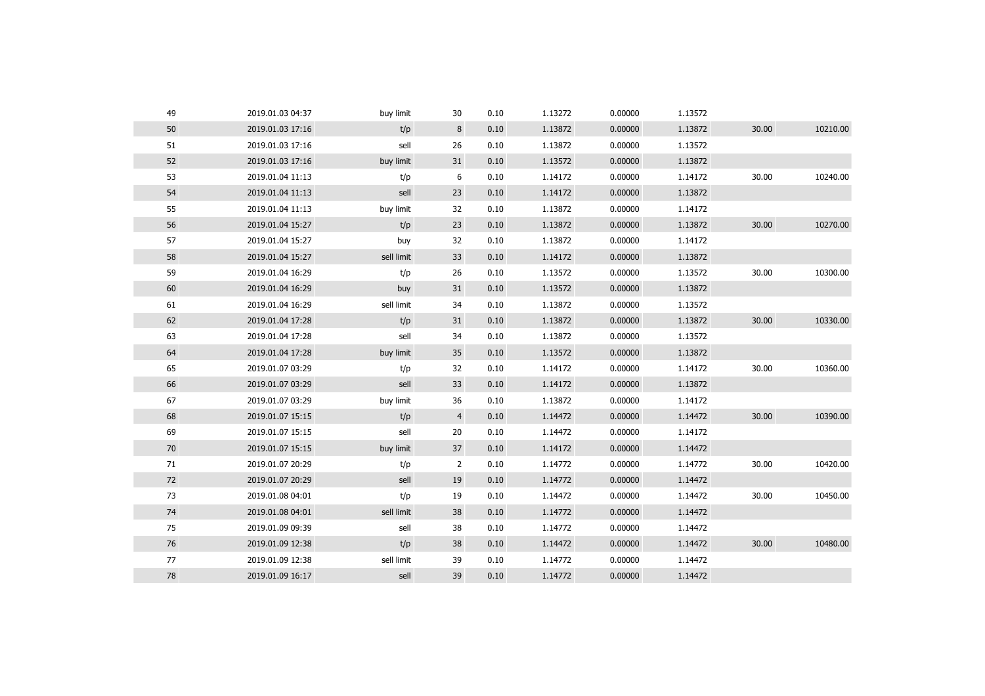| 49     | 2019.01.03 04:37 | buy limit  | 30             | 0.10 | 1.13272 | 0.00000 | 1.13572 |       |          |
|--------|------------------|------------|----------------|------|---------|---------|---------|-------|----------|
| $50\,$ | 2019.01.03 17:16 | t/p        | 8              | 0.10 | 1.13872 | 0.00000 | 1.13872 | 30.00 | 10210.00 |
| 51     | 2019.01.03 17:16 | sell       | 26             | 0.10 | 1.13872 | 0.00000 | 1.13572 |       |          |
| 52     | 2019.01.03 17:16 | buy limit  | 31             | 0.10 | 1.13572 | 0.00000 | 1.13872 |       |          |
| 53     | 2019.01.04 11:13 | t/p        | 6              | 0.10 | 1.14172 | 0.00000 | 1.14172 | 30.00 | 10240.00 |
| 54     | 2019.01.04 11:13 | sell       | 23             | 0.10 | 1.14172 | 0.00000 | 1.13872 |       |          |
| 55     | 2019.01.04 11:13 | buy limit  | 32             | 0.10 | 1.13872 | 0.00000 | 1.14172 |       |          |
| 56     | 2019.01.04 15:27 | t/p        | 23             | 0.10 | 1.13872 | 0.00000 | 1.13872 | 30.00 | 10270.00 |
| 57     | 2019.01.04 15:27 | buy        | 32             | 0.10 | 1.13872 | 0.00000 | 1.14172 |       |          |
| 58     | 2019.01.04 15:27 | sell limit | 33             | 0.10 | 1.14172 | 0.00000 | 1.13872 |       |          |
| 59     | 2019.01.04 16:29 | t/p        | 26             | 0.10 | 1.13572 | 0.00000 | 1.13572 | 30.00 | 10300.00 |
| 60     | 2019.01.04 16:29 | buy        | 31             | 0.10 | 1.13572 | 0.00000 | 1.13872 |       |          |
| 61     | 2019.01.04 16:29 | sell limit | 34             | 0.10 | 1.13872 | 0.00000 | 1.13572 |       |          |
| 62     | 2019.01.04 17:28 | t/p        | 31             | 0.10 | 1.13872 | 0.00000 | 1.13872 | 30.00 | 10330.00 |
| 63     | 2019.01.04 17:28 | sell       | 34             | 0.10 | 1.13872 | 0.00000 | 1.13572 |       |          |
| 64     | 2019.01.04 17:28 | buy limit  | 35             | 0.10 | 1.13572 | 0.00000 | 1.13872 |       |          |
| 65     | 2019.01.07 03:29 | t/p        | 32             | 0.10 | 1.14172 | 0.00000 | 1.14172 | 30.00 | 10360.00 |
| 66     | 2019.01.07 03:29 | sell       | 33             | 0.10 | 1.14172 | 0.00000 | 1.13872 |       |          |
| 67     | 2019.01.07 03:29 | buy limit  | 36             | 0.10 | 1.13872 | 0.00000 | 1.14172 |       |          |
| 68     | 2019.01.07 15:15 | t/p        | $\overline{4}$ | 0.10 | 1.14472 | 0.00000 | 1.14472 | 30.00 | 10390.00 |
| 69     | 2019.01.07 15:15 | sell       | 20             | 0.10 | 1.14472 | 0.00000 | 1.14172 |       |          |
| 70     | 2019.01.07 15:15 | buy limit  | 37             | 0.10 | 1.14172 | 0.00000 | 1.14472 |       |          |
| 71     | 2019.01.07 20:29 | t/p        | $\overline{2}$ | 0.10 | 1.14772 | 0.00000 | 1.14772 | 30.00 | 10420.00 |
| 72     | 2019.01.07 20:29 | sell       | 19             | 0.10 | 1.14772 | 0.00000 | 1.14472 |       |          |
| 73     | 2019.01.08 04:01 | t/p        | 19             | 0.10 | 1.14472 | 0.00000 | 1.14472 | 30.00 | 10450.00 |
| 74     | 2019.01.08 04:01 | sell limit | 38             | 0.10 | 1.14772 | 0.00000 | 1.14472 |       |          |
| 75     | 2019.01.09 09:39 | sell       | 38             | 0.10 | 1.14772 | 0.00000 | 1.14472 |       |          |
| 76     | 2019.01.09 12:38 | t/p        | 38             | 0.10 | 1.14472 | 0.00000 | 1.14472 | 30.00 | 10480.00 |
| 77     | 2019.01.09 12:38 | sell limit | 39             | 0.10 | 1.14772 | 0.00000 | 1.14472 |       |          |
| 78     | 2019.01.09 16:17 | sell       | 39             | 0.10 | 1.14772 | 0.00000 | 1.14472 |       |          |
|        |                  |            |                |      |         |         |         |       |          |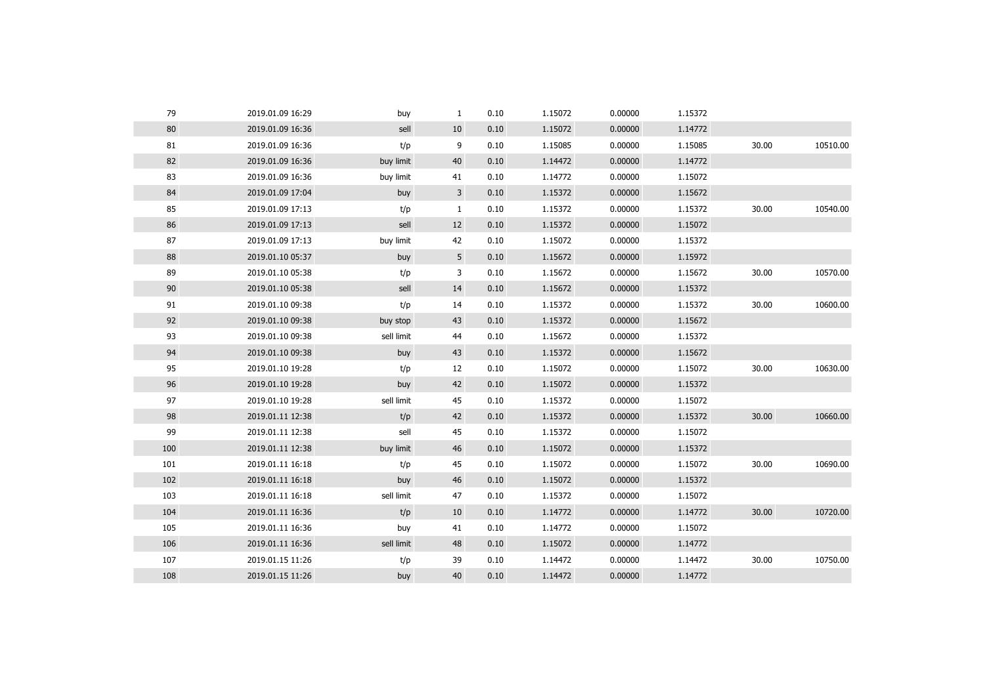| 79  | 2019.01.09 16:29 | buy        | $\mathbf{1}$ | 0.10 | 1.15072 | 0.00000 | 1.15372 |       |          |
|-----|------------------|------------|--------------|------|---------|---------|---------|-------|----------|
| 80  | 2019.01.09 16:36 | sell       | 10           | 0.10 | 1.15072 | 0.00000 | 1.14772 |       |          |
| 81  | 2019.01.09 16:36 | t/p        | 9            | 0.10 | 1.15085 | 0.00000 | 1.15085 | 30.00 | 10510.00 |
| 82  | 2019.01.09 16:36 | buy limit  | 40           | 0.10 | 1.14472 | 0.00000 | 1.14772 |       |          |
| 83  | 2019.01.09 16:36 | buy limit  | 41           | 0.10 | 1.14772 | 0.00000 | 1.15072 |       |          |
| 84  | 2019.01.09 17:04 | buy        | 3            | 0.10 | 1.15372 | 0.00000 | 1.15672 |       |          |
| 85  | 2019.01.09 17:13 | t/p        | $\mathbf{1}$ | 0.10 | 1.15372 | 0.00000 | 1.15372 | 30.00 | 10540.00 |
| 86  | 2019.01.09 17:13 | sell       | 12           | 0.10 | 1.15372 | 0.00000 | 1.15072 |       |          |
| 87  | 2019.01.09 17:13 | buy limit  | 42           | 0.10 | 1.15072 | 0.00000 | 1.15372 |       |          |
| 88  | 2019.01.10 05:37 | buy        | 5            | 0.10 | 1.15672 | 0.00000 | 1.15972 |       |          |
| 89  | 2019.01.10 05:38 | t/p        | 3            | 0.10 | 1.15672 | 0.00000 | 1.15672 | 30.00 | 10570.00 |
| 90  | 2019.01.10 05:38 | sell       | 14           | 0.10 | 1.15672 | 0.00000 | 1.15372 |       |          |
| 91  | 2019.01.10 09:38 | t/p        | 14           | 0.10 | 1.15372 | 0.00000 | 1.15372 | 30.00 | 10600.00 |
| 92  | 2019.01.10 09:38 | buy stop   | 43           | 0.10 | 1.15372 | 0.00000 | 1.15672 |       |          |
| 93  | 2019.01.10 09:38 | sell limit | 44           | 0.10 | 1.15672 | 0.00000 | 1.15372 |       |          |
| 94  | 2019.01.10 09:38 | buy        | 43           | 0.10 | 1.15372 | 0.00000 | 1.15672 |       |          |
| 95  | 2019.01.10 19:28 | t/p        | 12           | 0.10 | 1.15072 | 0.00000 | 1.15072 | 30.00 | 10630.00 |
| 96  | 2019.01.10 19:28 | buy        | 42           | 0.10 | 1.15072 | 0.00000 | 1.15372 |       |          |
| 97  | 2019.01.10 19:28 | sell limit | 45           | 0.10 | 1.15372 | 0.00000 | 1.15072 |       |          |
| 98  | 2019.01.11 12:38 | t/p        | 42           | 0.10 | 1.15372 | 0.00000 | 1.15372 | 30.00 | 10660.00 |
| 99  | 2019.01.11 12:38 | sell       | 45           | 0.10 | 1.15372 | 0.00000 | 1.15072 |       |          |
| 100 | 2019.01.11 12:38 | buy limit  | 46           | 0.10 | 1.15072 | 0.00000 | 1.15372 |       |          |
| 101 | 2019.01.11 16:18 | t/p        | 45           | 0.10 | 1.15072 | 0.00000 | 1.15072 | 30.00 | 10690.00 |
| 102 | 2019.01.11 16:18 | buy        | 46           | 0.10 | 1.15072 | 0.00000 | 1.15372 |       |          |
| 103 | 2019.01.11 16:18 | sell limit | 47           | 0.10 | 1.15372 | 0.00000 | 1.15072 |       |          |
| 104 | 2019.01.11 16:36 | t/p        | 10           | 0.10 | 1.14772 | 0.00000 | 1.14772 | 30.00 | 10720.00 |
| 105 | 2019.01.11 16:36 | buy        | 41           | 0.10 | 1.14772 | 0.00000 | 1.15072 |       |          |
| 106 | 2019.01.11 16:36 | sell limit | 48           | 0.10 | 1.15072 | 0.00000 | 1.14772 |       |          |
| 107 | 2019.01.15 11:26 | t/p        | 39           | 0.10 | 1.14472 | 0.00000 | 1.14472 | 30.00 | 10750.00 |
| 108 | 2019.01.15 11:26 | buy        | 40           | 0.10 | 1.14472 | 0.00000 | 1.14772 |       |          |
|     |                  |            |              |      |         |         |         |       |          |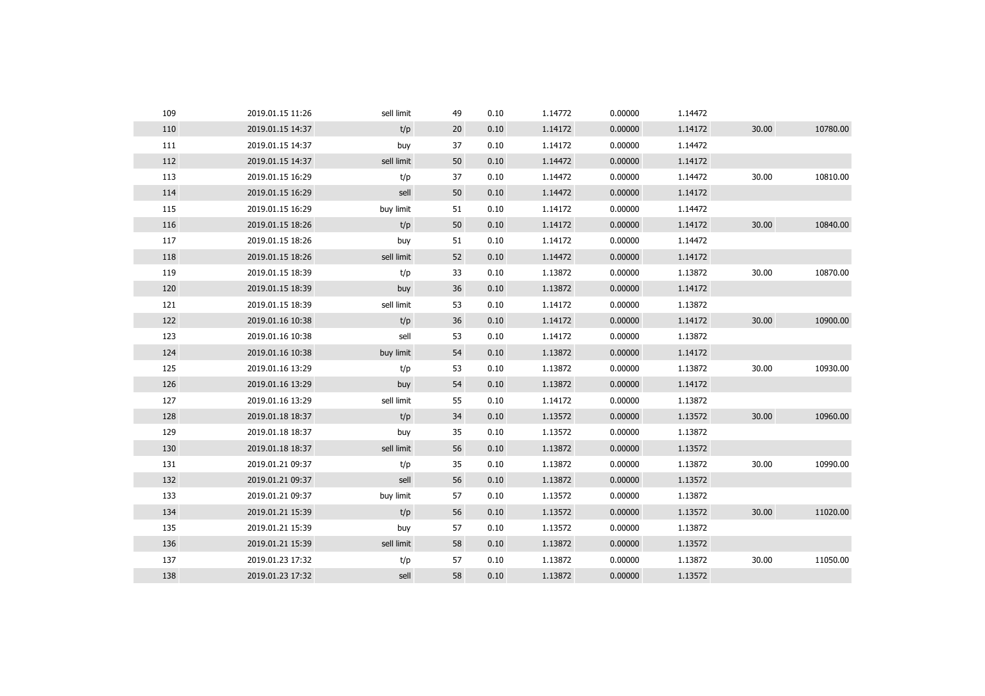| 109 | 2019.01.15 11:26 | sell limit | 49 | 0.10 | 1.14772 | 0.00000 | 1.14472 |       |          |
|-----|------------------|------------|----|------|---------|---------|---------|-------|----------|
| 110 | 2019.01.15 14:37 | t/p        | 20 | 0.10 | 1.14172 | 0.00000 | 1.14172 | 30.00 | 10780.00 |
| 111 | 2019.01.15 14:37 | buy        | 37 | 0.10 | 1.14172 | 0.00000 | 1.14472 |       |          |
| 112 | 2019.01.15 14:37 | sell limit | 50 | 0.10 | 1.14472 | 0.00000 | 1.14172 |       |          |
| 113 | 2019.01.15 16:29 | t/p        | 37 | 0.10 | 1.14472 | 0.00000 | 1.14472 | 30.00 | 10810.00 |
| 114 | 2019.01.15 16:29 | sell       | 50 | 0.10 | 1.14472 | 0.00000 | 1.14172 |       |          |
| 115 | 2019.01.15 16:29 | buy limit  | 51 | 0.10 | 1.14172 | 0.00000 | 1.14472 |       |          |
| 116 | 2019.01.15 18:26 | t/p        | 50 | 0.10 | 1.14172 | 0.00000 | 1.14172 | 30.00 | 10840.00 |
| 117 | 2019.01.15 18:26 | buy        | 51 | 0.10 | 1.14172 | 0.00000 | 1.14472 |       |          |
| 118 | 2019.01.15 18:26 | sell limit | 52 | 0.10 | 1.14472 | 0.00000 | 1.14172 |       |          |
| 119 | 2019.01.15 18:39 | t/p        | 33 | 0.10 | 1.13872 | 0.00000 | 1.13872 | 30.00 | 10870.00 |
| 120 | 2019.01.15 18:39 | buy        | 36 | 0.10 | 1.13872 | 0.00000 | 1.14172 |       |          |
| 121 | 2019.01.15 18:39 | sell limit | 53 | 0.10 | 1.14172 | 0.00000 | 1.13872 |       |          |
| 122 | 2019.01.16 10:38 | t/p        | 36 | 0.10 | 1.14172 | 0.00000 | 1.14172 | 30.00 | 10900.00 |
| 123 | 2019.01.16 10:38 | sell       | 53 | 0.10 | 1.14172 | 0.00000 | 1.13872 |       |          |
| 124 | 2019.01.16 10:38 | buy limit  | 54 | 0.10 | 1.13872 | 0.00000 | 1.14172 |       |          |
| 125 | 2019.01.16 13:29 | t/p        | 53 | 0.10 | 1.13872 | 0.00000 | 1.13872 | 30.00 | 10930.00 |
| 126 | 2019.01.16 13:29 | buy        | 54 | 0.10 | 1.13872 | 0.00000 | 1.14172 |       |          |
| 127 | 2019.01.16 13:29 | sell limit | 55 | 0.10 | 1.14172 | 0.00000 | 1.13872 |       |          |
| 128 | 2019.01.18 18:37 | t/p        | 34 | 0.10 | 1.13572 | 0.00000 | 1.13572 | 30.00 | 10960.00 |
| 129 | 2019.01.18 18:37 | buy        | 35 | 0.10 | 1.13572 | 0.00000 | 1.13872 |       |          |
| 130 | 2019.01.18 18:37 | sell limit | 56 | 0.10 | 1.13872 | 0.00000 | 1.13572 |       |          |
| 131 | 2019.01.21 09:37 | t/p        | 35 | 0.10 | 1.13872 | 0.00000 | 1.13872 | 30.00 | 10990.00 |
| 132 | 2019.01.21 09:37 | sell       | 56 | 0.10 | 1.13872 | 0.00000 | 1.13572 |       |          |
| 133 | 2019.01.21 09:37 | buy limit  | 57 | 0.10 | 1.13572 | 0.00000 | 1.13872 |       |          |
| 134 | 2019.01.21 15:39 | t/p        | 56 | 0.10 | 1.13572 | 0.00000 | 1.13572 | 30.00 | 11020.00 |
| 135 | 2019.01.21 15:39 | buy        | 57 | 0.10 | 1.13572 | 0.00000 | 1.13872 |       |          |
| 136 | 2019.01.21 15:39 | sell limit | 58 | 0.10 | 1.13872 | 0.00000 | 1.13572 |       |          |
| 137 | 2019.01.23 17:32 | t/p        | 57 | 0.10 | 1.13872 | 0.00000 | 1.13872 | 30.00 | 11050.00 |
| 138 | 2019.01.23 17:32 | sell       | 58 | 0.10 | 1.13872 | 0.00000 | 1.13572 |       |          |
|     |                  |            |    |      |         |         |         |       |          |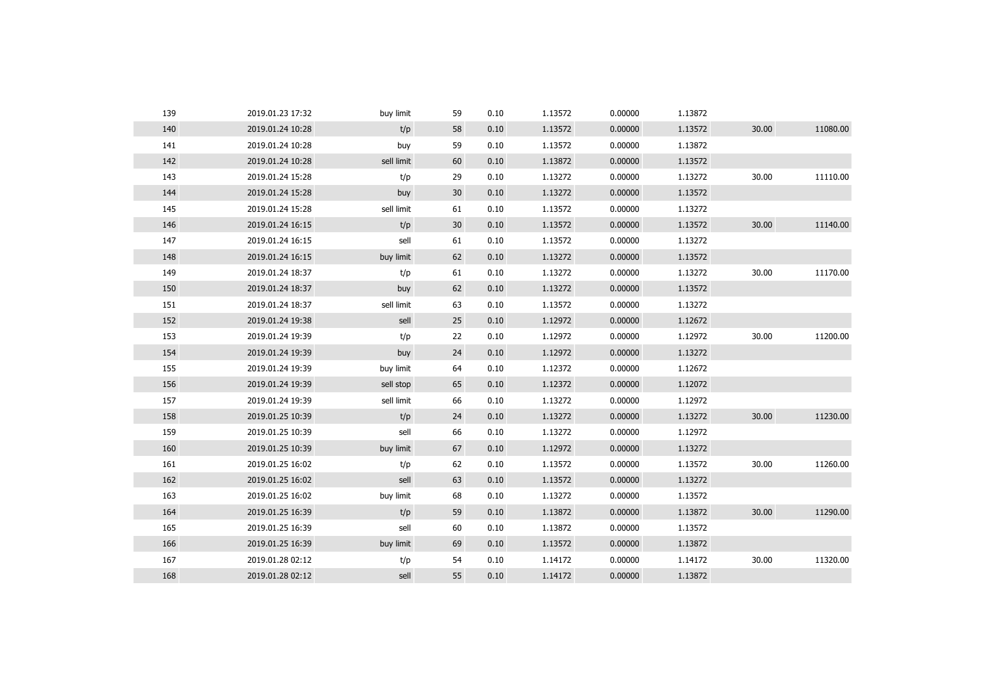| 139 | 2019.01.23 17:32 | buy limit  | 59 | 0.10 | 1.13572 | 0.00000 | 1.13872 |       |          |
|-----|------------------|------------|----|------|---------|---------|---------|-------|----------|
| 140 | 2019.01.24 10:28 | t/p        | 58 | 0.10 | 1.13572 | 0.00000 | 1.13572 | 30.00 | 11080.00 |
| 141 | 2019.01.24 10:28 | buy        | 59 | 0.10 | 1.13572 | 0.00000 | 1.13872 |       |          |
| 142 | 2019.01.24 10:28 | sell limit | 60 | 0.10 | 1.13872 | 0.00000 | 1.13572 |       |          |
| 143 | 2019.01.24 15:28 | t/p        | 29 | 0.10 | 1.13272 | 0.00000 | 1.13272 | 30.00 | 11110.00 |
| 144 | 2019.01.24 15:28 | buy        | 30 | 0.10 | 1.13272 | 0.00000 | 1.13572 |       |          |
| 145 | 2019.01.24 15:28 | sell limit | 61 | 0.10 | 1.13572 | 0.00000 | 1.13272 |       |          |
| 146 | 2019.01.24 16:15 | t/p        | 30 | 0.10 | 1.13572 | 0.00000 | 1.13572 | 30.00 | 11140.00 |
| 147 | 2019.01.24 16:15 | sell       | 61 | 0.10 | 1.13572 | 0.00000 | 1.13272 |       |          |
| 148 | 2019.01.24 16:15 | buy limit  | 62 | 0.10 | 1.13272 | 0.00000 | 1.13572 |       |          |
| 149 | 2019.01.24 18:37 | t/p        | 61 | 0.10 | 1.13272 | 0.00000 | 1.13272 | 30.00 | 11170.00 |
| 150 | 2019.01.24 18:37 | buy        | 62 | 0.10 | 1.13272 | 0.00000 | 1.13572 |       |          |
| 151 | 2019.01.24 18:37 | sell limit | 63 | 0.10 | 1.13572 | 0.00000 | 1.13272 |       |          |
| 152 | 2019.01.24 19:38 | sell       | 25 | 0.10 | 1.12972 | 0.00000 | 1.12672 |       |          |
| 153 | 2019.01.24 19:39 | t/p        | 22 | 0.10 | 1.12972 | 0.00000 | 1.12972 | 30.00 | 11200.00 |
| 154 | 2019.01.24 19:39 | buy        | 24 | 0.10 | 1.12972 | 0.00000 | 1.13272 |       |          |
| 155 | 2019.01.24 19:39 | buy limit  | 64 | 0.10 | 1.12372 | 0.00000 | 1.12672 |       |          |
| 156 | 2019.01.24 19:39 | sell stop  | 65 | 0.10 | 1.12372 | 0.00000 | 1.12072 |       |          |
| 157 | 2019.01.24 19:39 | sell limit | 66 | 0.10 | 1.13272 | 0.00000 | 1.12972 |       |          |
| 158 | 2019.01.25 10:39 | t/p        | 24 | 0.10 | 1.13272 | 0.00000 | 1.13272 | 30.00 | 11230.00 |
| 159 | 2019.01.25 10:39 | sell       | 66 | 0.10 | 1.13272 | 0.00000 | 1.12972 |       |          |
| 160 | 2019.01.25 10:39 | buy limit  | 67 | 0.10 | 1.12972 | 0.00000 | 1.13272 |       |          |
| 161 | 2019.01.25 16:02 | t/p        | 62 | 0.10 | 1.13572 | 0.00000 | 1.13572 | 30.00 | 11260.00 |
| 162 | 2019.01.25 16:02 | sell       | 63 | 0.10 | 1.13572 | 0.00000 | 1.13272 |       |          |
| 163 | 2019.01.25 16:02 | buy limit  | 68 | 0.10 | 1.13272 | 0.00000 | 1.13572 |       |          |
| 164 | 2019.01.25 16:39 | t/p        | 59 | 0.10 | 1.13872 | 0.00000 | 1.13872 | 30.00 | 11290.00 |
| 165 | 2019.01.25 16:39 | sell       | 60 | 0.10 | 1.13872 | 0.00000 | 1.13572 |       |          |
| 166 | 2019.01.25 16:39 | buy limit  | 69 | 0.10 | 1.13572 | 0.00000 | 1.13872 |       |          |
| 167 | 2019.01.28 02:12 | t/p        | 54 | 0.10 | 1.14172 | 0.00000 | 1.14172 | 30.00 | 11320.00 |
| 168 | 2019.01.28 02:12 | sell       | 55 | 0.10 | 1.14172 | 0.00000 | 1.13872 |       |          |
|     |                  |            |    |      |         |         |         |       |          |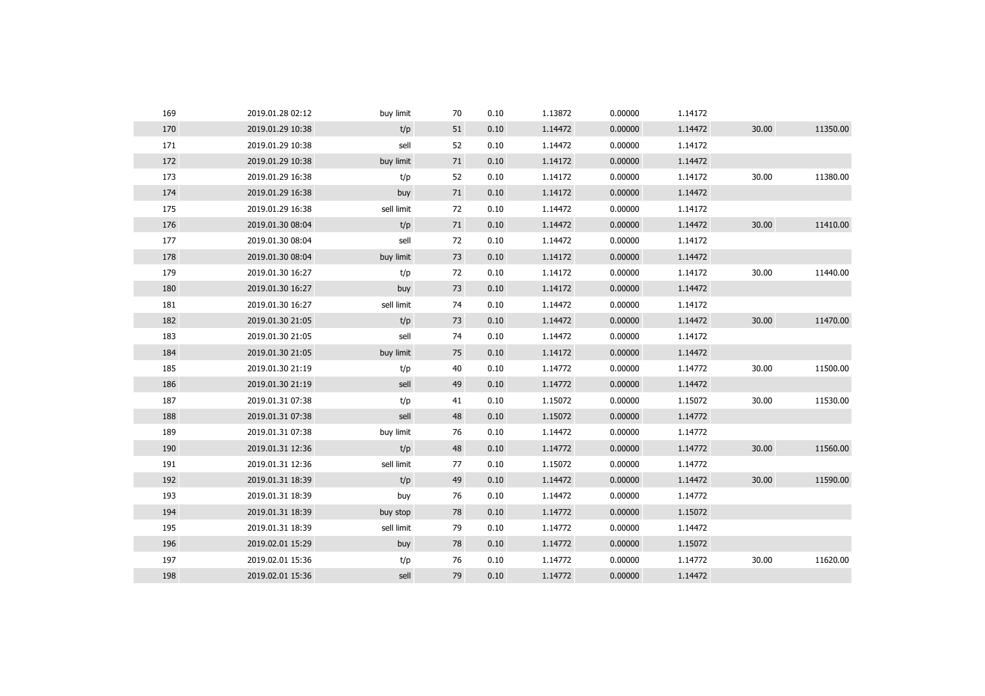| 169 | 2019.01.28 02:12 | buy limit  | 70 | 0.10 | 1.13872 | 0.00000 | 1.14172 |       |          |
|-----|------------------|------------|----|------|---------|---------|---------|-------|----------|
| 170 | 2019.01.29 10:38 | t/p        | 51 | 0.10 | 1.14472 | 0.00000 | 1.14472 | 30.00 | 11350.00 |
| 171 | 2019.01.29 10:38 | sell       | 52 | 0.10 | 1.14472 | 0.00000 | 1.14172 |       |          |
| 172 | 2019.01.29 10:38 | buy limit  | 71 | 0.10 | 1.14172 | 0.00000 | 1.14472 |       |          |
| 173 | 2019.01.29 16:38 | t/p        | 52 | 0.10 | 1.14172 | 0.00000 | 1.14172 | 30.00 | 11380.00 |
| 174 | 2019.01.29 16:38 | buy        | 71 | 0.10 | 1.14172 | 0.00000 | 1.14472 |       |          |
| 175 | 2019.01.29 16:38 | sell limit | 72 | 0.10 | 1.14472 | 0.00000 | 1.14172 |       |          |
| 176 | 2019.01.30 08:04 | t/p        | 71 | 0.10 | 1.14472 | 0.00000 | 1.14472 | 30.00 | 11410.00 |
| 177 | 2019.01.30 08:04 | sell       | 72 | 0.10 | 1.14472 | 0.00000 | 1.14172 |       |          |
| 178 | 2019.01.30 08:04 | buy limit  | 73 | 0.10 | 1.14172 | 0.00000 | 1.14472 |       |          |
| 179 | 2019.01.30 16:27 | t/p        | 72 | 0.10 | 1.14172 | 0.00000 | 1.14172 | 30.00 | 11440.00 |
| 180 | 2019.01.30 16:27 | buy        | 73 | 0.10 | 1.14172 | 0.00000 | 1.14472 |       |          |
| 181 | 2019.01.30 16:27 | sell limit | 74 | 0.10 | 1.14472 | 0.00000 | 1.14172 |       |          |
| 182 | 2019.01.30 21:05 | t/p        | 73 | 0.10 | 1.14472 | 0.00000 | 1.14472 | 30.00 | 11470.00 |
| 183 | 2019.01.30 21:05 | sell       | 74 | 0.10 | 1.14472 | 0.00000 | 1.14172 |       |          |
| 184 | 2019.01.30 21:05 | buy limit  | 75 | 0.10 | 1.14172 | 0.00000 | 1.14472 |       |          |
| 185 | 2019.01.30 21:19 | t/p        | 40 | 0.10 | 1.14772 | 0.00000 | 1.14772 | 30.00 | 11500.00 |
| 186 | 2019.01.30 21:19 | sell       | 49 | 0.10 | 1.14772 | 0.00000 | 1.14472 |       |          |
| 187 | 2019.01.31 07:38 | t/p        | 41 | 0.10 | 1.15072 | 0.00000 | 1.15072 | 30.00 | 11530.00 |
| 188 | 2019.01.31 07:38 | sell       | 48 | 0.10 | 1.15072 | 0.00000 | 1.14772 |       |          |
| 189 | 2019.01.31 07:38 | buy limit  | 76 | 0.10 | 1.14472 | 0.00000 | 1.14772 |       |          |
| 190 | 2019.01.31 12:36 | t/p        | 48 | 0.10 | 1.14772 | 0.00000 | 1.14772 | 30.00 | 11560.00 |
| 191 | 2019.01.31 12:36 | sell limit | 77 | 0.10 | 1.15072 | 0.00000 | 1.14772 |       |          |
| 192 | 2019.01.31 18:39 | t/p        | 49 | 0.10 | 1.14472 | 0.00000 | 1.14472 | 30.00 | 11590.00 |
| 193 | 2019.01.31 18:39 | buy        | 76 | 0.10 | 1.14472 | 0.00000 | 1.14772 |       |          |
| 194 | 2019.01.31 18:39 | buy stop   | 78 | 0.10 | 1.14772 | 0.00000 | 1.15072 |       |          |
| 195 | 2019.01.31 18:39 | sell limit | 79 | 0.10 | 1.14772 | 0.00000 | 1.14472 |       |          |
| 196 | 2019.02.01 15:29 | buy        | 78 | 0.10 | 1.14772 | 0.00000 | 1.15072 |       |          |
| 197 | 2019.02.01 15:36 | t/p        | 76 | 0.10 | 1.14772 | 0.00000 | 1.14772 | 30.00 | 11620.00 |
| 198 | 2019.02.01 15:36 | sell       | 79 | 0.10 | 1.14772 | 0.00000 | 1.14472 |       |          |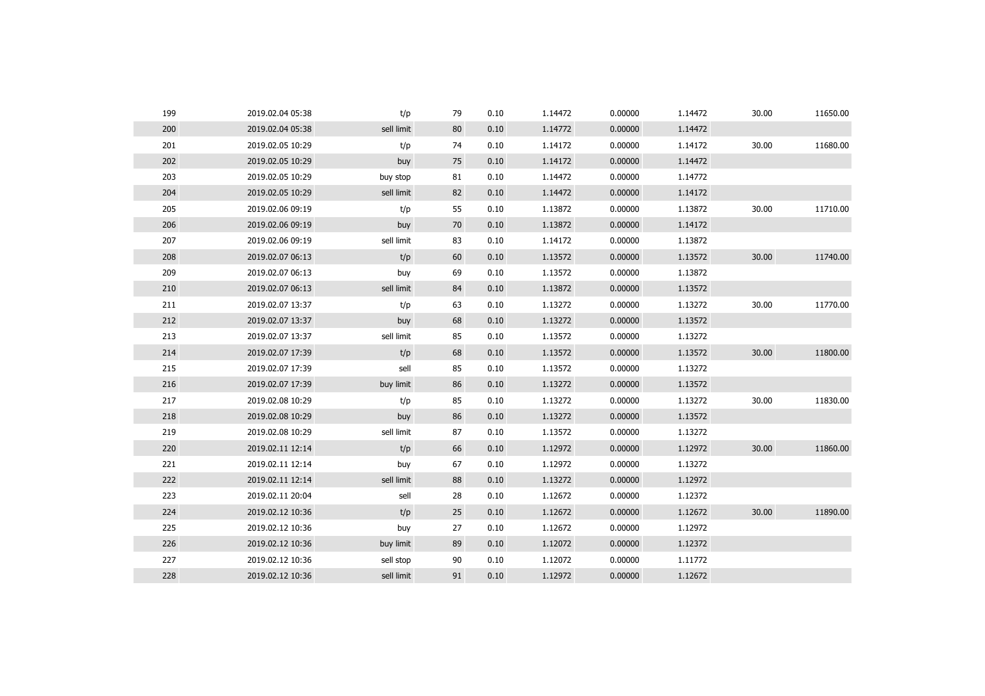| 199 | 2019.02.04 05:38 | t/p        | 79 | 0.10 | 1.14472 | 0.00000 | 1.14472 | 30.00 | 11650.00 |
|-----|------------------|------------|----|------|---------|---------|---------|-------|----------|
| 200 | 2019.02.04 05:38 | sell limit | 80 | 0.10 | 1.14772 | 0.00000 | 1.14472 |       |          |
| 201 | 2019.02.05 10:29 | t/p        | 74 | 0.10 | 1.14172 | 0.00000 | 1.14172 | 30.00 | 11680.00 |
| 202 | 2019.02.05 10:29 | buy        | 75 | 0.10 | 1.14172 | 0.00000 | 1.14472 |       |          |
| 203 | 2019.02.05 10:29 | buy stop   | 81 | 0.10 | 1.14472 | 0.00000 | 1.14772 |       |          |
| 204 | 2019.02.05 10:29 | sell limit | 82 | 0.10 | 1.14472 | 0.00000 | 1.14172 |       |          |
| 205 | 2019.02.06 09:19 | t/p        | 55 | 0.10 | 1.13872 | 0.00000 | 1.13872 | 30.00 | 11710.00 |
| 206 | 2019.02.06 09:19 | buy        | 70 | 0.10 | 1.13872 | 0.00000 | 1.14172 |       |          |
| 207 | 2019.02.06 09:19 | sell limit | 83 | 0.10 | 1.14172 | 0.00000 | 1.13872 |       |          |
| 208 | 2019.02.07 06:13 | t/p        | 60 | 0.10 | 1.13572 | 0.00000 | 1.13572 | 30.00 | 11740.00 |
| 209 | 2019.02.07 06:13 | buy        | 69 | 0.10 | 1.13572 | 0.00000 | 1.13872 |       |          |
| 210 | 2019.02.07 06:13 | sell limit | 84 | 0.10 | 1.13872 | 0.00000 | 1.13572 |       |          |
| 211 | 2019.02.07 13:37 | t/p        | 63 | 0.10 | 1.13272 | 0.00000 | 1.13272 | 30.00 | 11770.00 |
| 212 | 2019.02.07 13:37 | buy        | 68 | 0.10 | 1.13272 | 0.00000 | 1.13572 |       |          |
| 213 | 2019.02.07 13:37 | sell limit | 85 | 0.10 | 1.13572 | 0.00000 | 1.13272 |       |          |
| 214 | 2019.02.07 17:39 | t/p        | 68 | 0.10 | 1.13572 | 0.00000 | 1.13572 | 30.00 | 11800.00 |
| 215 | 2019.02.07 17:39 | sell       | 85 | 0.10 | 1.13572 | 0.00000 | 1.13272 |       |          |
| 216 | 2019.02.07 17:39 | buy limit  | 86 | 0.10 | 1.13272 | 0.00000 | 1.13572 |       |          |
| 217 | 2019.02.08 10:29 | t/p        | 85 | 0.10 | 1.13272 | 0.00000 | 1.13272 | 30.00 | 11830.00 |
| 218 | 2019.02.08 10:29 | buy        | 86 | 0.10 | 1.13272 | 0.00000 | 1.13572 |       |          |
| 219 | 2019.02.08 10:29 | sell limit | 87 | 0.10 | 1.13572 | 0.00000 | 1.13272 |       |          |
| 220 | 2019.02.11 12:14 | t/p        | 66 | 0.10 | 1.12972 | 0.00000 | 1.12972 | 30.00 | 11860.00 |
| 221 | 2019.02.11 12:14 | buy        | 67 | 0.10 | 1.12972 | 0.00000 | 1.13272 |       |          |
| 222 | 2019.02.11 12:14 | sell limit | 88 | 0.10 | 1.13272 | 0.00000 | 1.12972 |       |          |
| 223 | 2019.02.11 20:04 | sell       | 28 | 0.10 | 1.12672 | 0.00000 | 1.12372 |       |          |
| 224 | 2019.02.12 10:36 | t/p        | 25 | 0.10 | 1.12672 | 0.00000 | 1.12672 | 30.00 | 11890.00 |
| 225 | 2019.02.12 10:36 | buy        | 27 | 0.10 | 1.12672 | 0.00000 | 1.12972 |       |          |
| 226 | 2019.02.12 10:36 | buy limit  | 89 | 0.10 | 1.12072 | 0.00000 | 1.12372 |       |          |
| 227 | 2019.02.12 10:36 | sell stop  | 90 | 0.10 | 1.12072 | 0.00000 | 1.11772 |       |          |
|     |                  |            |    |      |         |         |         |       |          |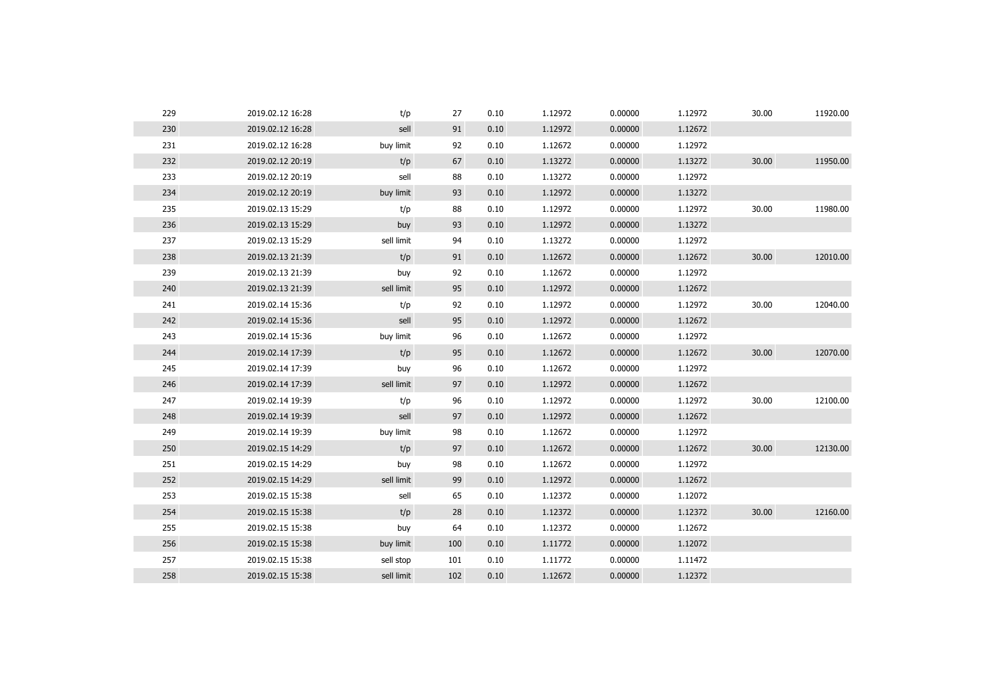| 229 | 2019.02.12 16:28 | t/p        | 27  | 0.10 | 1.12972 | 0.00000 | 1.12972 | 30.00 | 11920.00 |
|-----|------------------|------------|-----|------|---------|---------|---------|-------|----------|
| 230 | 2019.02.12 16:28 | sell       | 91  | 0.10 | 1.12972 | 0.00000 | 1.12672 |       |          |
| 231 | 2019.02.12 16:28 | buy limit  | 92  | 0.10 | 1.12672 | 0.00000 | 1.12972 |       |          |
| 232 | 2019.02.12 20:19 | t/p        | 67  | 0.10 | 1.13272 | 0.00000 | 1.13272 | 30.00 | 11950.00 |
| 233 | 2019.02.12 20:19 | sell       | 88  | 0.10 | 1.13272 | 0.00000 | 1.12972 |       |          |
| 234 | 2019.02.12 20:19 | buy limit  | 93  | 0.10 | 1.12972 | 0.00000 | 1.13272 |       |          |
| 235 | 2019.02.13 15:29 | t/p        | 88  | 0.10 | 1.12972 | 0.00000 | 1.12972 | 30.00 | 11980.00 |
| 236 | 2019.02.13 15:29 | buy        | 93  | 0.10 | 1.12972 | 0.00000 | 1.13272 |       |          |
| 237 | 2019.02.13 15:29 | sell limit | 94  | 0.10 | 1.13272 | 0.00000 | 1.12972 |       |          |
| 238 | 2019.02.13 21:39 | t/p        | 91  | 0.10 | 1.12672 | 0.00000 | 1.12672 | 30.00 | 12010.00 |
| 239 | 2019.02.13 21:39 | buy        | 92  | 0.10 | 1.12672 | 0.00000 | 1.12972 |       |          |
| 240 | 2019.02.13 21:39 | sell limit | 95  | 0.10 | 1.12972 | 0.00000 | 1.12672 |       |          |
| 241 | 2019.02.14 15:36 | t/p        | 92  | 0.10 | 1.12972 | 0.00000 | 1.12972 | 30.00 | 12040.00 |
| 242 | 2019.02.14 15:36 | sell       | 95  | 0.10 | 1.12972 | 0.00000 | 1.12672 |       |          |
| 243 | 2019.02.14 15:36 | buy limit  | 96  | 0.10 | 1.12672 | 0.00000 | 1.12972 |       |          |
| 244 | 2019.02.14 17:39 | t/p        | 95  | 0.10 | 1.12672 | 0.00000 | 1.12672 | 30.00 | 12070.00 |
| 245 | 2019.02.14 17:39 | buy        | 96  | 0.10 | 1.12672 | 0.00000 | 1.12972 |       |          |
| 246 | 2019.02.14 17:39 | sell limit | 97  | 0.10 | 1.12972 | 0.00000 | 1.12672 |       |          |
| 247 | 2019.02.14 19:39 | t/p        | 96  | 0.10 | 1.12972 | 0.00000 | 1.12972 | 30.00 | 12100.00 |
| 248 | 2019.02.14 19:39 | sell       | 97  | 0.10 | 1.12972 | 0.00000 | 1.12672 |       |          |
| 249 | 2019.02.14 19:39 | buy limit  | 98  | 0.10 | 1.12672 | 0.00000 | 1.12972 |       |          |
| 250 | 2019.02.15 14:29 | t/p        | 97  | 0.10 | 1.12672 | 0.00000 | 1.12672 | 30.00 | 12130.00 |
| 251 | 2019.02.15 14:29 | buy        | 98  | 0.10 | 1.12672 | 0.00000 | 1.12972 |       |          |
| 252 | 2019.02.15 14:29 | sell limit | 99  | 0.10 | 1.12972 | 0.00000 | 1.12672 |       |          |
| 253 | 2019.02.15 15:38 | sell       | 65  | 0.10 | 1.12372 | 0.00000 | 1.12072 |       |          |
| 254 | 2019.02.15 15:38 | t/p        | 28  | 0.10 | 1.12372 | 0.00000 | 1.12372 | 30.00 | 12160.00 |
| 255 | 2019.02.15 15:38 | buy        | 64  | 0.10 | 1.12372 | 0.00000 | 1.12672 |       |          |
| 256 | 2019.02.15 15:38 | buy limit  | 100 | 0.10 | 1.11772 | 0.00000 | 1.12072 |       |          |
| 257 | 2019.02.15 15:38 | sell stop  | 101 | 0.10 | 1.11772 | 0.00000 | 1.11472 |       |          |
| 258 | 2019.02.15 15:38 | sell limit | 102 | 0.10 | 1.12672 | 0.00000 | 1.12372 |       |          |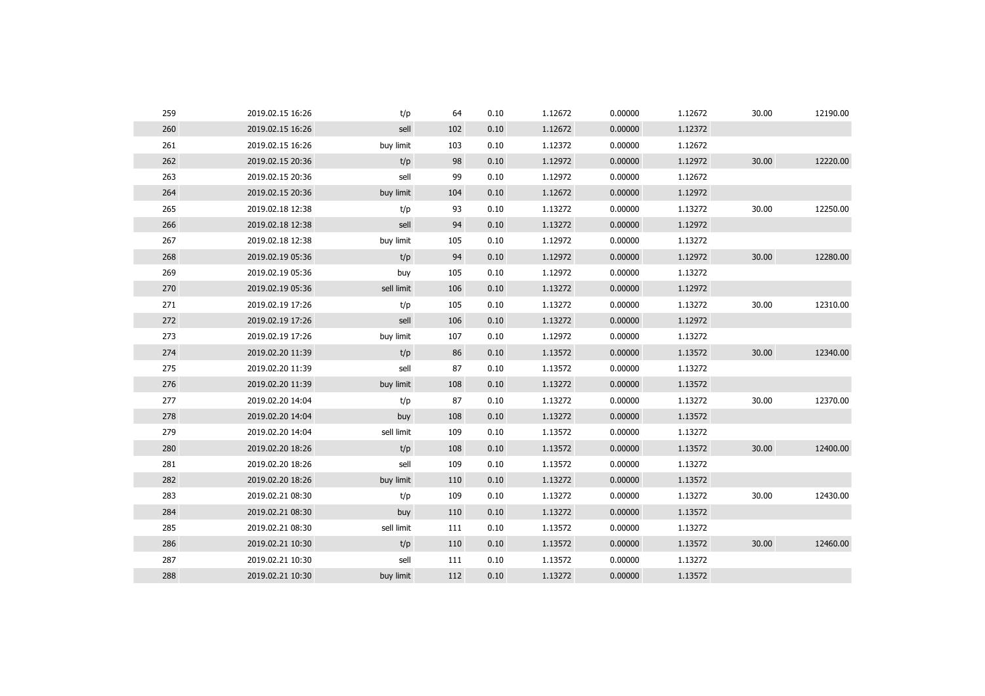| 259 | 2019.02.15 16:26 | t/p        | 64  | 0.10 | 1.12672 | 0.00000 | 1.12672 | 30.00 | 12190.00 |
|-----|------------------|------------|-----|------|---------|---------|---------|-------|----------|
| 260 | 2019.02.15 16:26 | sell       | 102 | 0.10 | 1.12672 | 0.00000 | 1.12372 |       |          |
| 261 | 2019.02.15 16:26 | buy limit  | 103 | 0.10 | 1.12372 | 0.00000 | 1.12672 |       |          |
| 262 | 2019.02.15 20:36 | t/p        | 98  | 0.10 | 1.12972 | 0.00000 | 1.12972 | 30.00 | 12220.00 |
| 263 | 2019.02.15 20:36 | sell       | 99  | 0.10 | 1.12972 | 0.00000 | 1.12672 |       |          |
| 264 | 2019.02.15 20:36 | buy limit  | 104 | 0.10 | 1.12672 | 0.00000 | 1.12972 |       |          |
| 265 | 2019.02.18 12:38 | t/p        | 93  | 0.10 | 1.13272 | 0.00000 | 1.13272 | 30.00 | 12250.00 |
| 266 | 2019.02.18 12:38 | sell       | 94  | 0.10 | 1.13272 | 0.00000 | 1.12972 |       |          |
| 267 | 2019.02.18 12:38 | buy limit  | 105 | 0.10 | 1.12972 | 0.00000 | 1.13272 |       |          |
| 268 | 2019.02.19 05:36 | t/p        | 94  | 0.10 | 1.12972 | 0.00000 | 1.12972 | 30.00 | 12280.00 |
| 269 | 2019.02.19 05:36 | buy        | 105 | 0.10 | 1.12972 | 0.00000 | 1.13272 |       |          |
| 270 | 2019.02.19 05:36 | sell limit | 106 | 0.10 | 1.13272 | 0.00000 | 1.12972 |       |          |
| 271 | 2019.02.19 17:26 | t/p        | 105 | 0.10 | 1.13272 | 0.00000 | 1.13272 | 30.00 | 12310.00 |
| 272 | 2019.02.19 17:26 | sell       | 106 | 0.10 | 1.13272 | 0.00000 | 1.12972 |       |          |
| 273 | 2019.02.19 17:26 | buy limit  | 107 | 0.10 | 1.12972 | 0.00000 | 1.13272 |       |          |
| 274 | 2019.02.20 11:39 | t/p        | 86  | 0.10 | 1.13572 | 0.00000 | 1.13572 | 30.00 | 12340.00 |
| 275 | 2019.02.20 11:39 | sell       | 87  | 0.10 | 1.13572 | 0.00000 | 1.13272 |       |          |
| 276 | 2019.02.20 11:39 | buy limit  | 108 | 0.10 | 1.13272 | 0.00000 | 1.13572 |       |          |
| 277 | 2019.02.20 14:04 | t/p        | 87  | 0.10 | 1.13272 | 0.00000 | 1.13272 | 30.00 | 12370.00 |
| 278 | 2019.02.20 14:04 | buy        | 108 | 0.10 | 1.13272 | 0.00000 | 1.13572 |       |          |
| 279 | 2019.02.20 14:04 | sell limit | 109 | 0.10 | 1.13572 | 0.00000 | 1.13272 |       |          |
| 280 | 2019.02.20 18:26 | t/p        | 108 | 0.10 | 1.13572 | 0.00000 | 1.13572 | 30.00 | 12400.00 |
| 281 | 2019.02.20 18:26 | sell       | 109 | 0.10 | 1.13572 | 0.00000 | 1.13272 |       |          |
| 282 | 2019.02.20 18:26 | buy limit  | 110 | 0.10 | 1.13272 | 0.00000 | 1.13572 |       |          |
| 283 | 2019.02.21 08:30 | t/p        | 109 | 0.10 | 1.13272 | 0.00000 | 1.13272 | 30.00 | 12430.00 |
| 284 | 2019.02.21 08:30 | buy        | 110 | 0.10 | 1.13272 | 0.00000 | 1.13572 |       |          |
| 285 | 2019.02.21 08:30 | sell limit | 111 | 0.10 | 1.13572 | 0.00000 | 1.13272 |       |          |
| 286 | 2019.02.21 10:30 | t/p        | 110 | 0.10 | 1.13572 | 0.00000 | 1.13572 | 30.00 | 12460.00 |
| 287 | 2019.02.21 10:30 | sell       | 111 | 0.10 | 1.13572 | 0.00000 | 1.13272 |       |          |
| 288 | 2019.02.21 10:30 | buy limit  | 112 | 0.10 | 1.13272 | 0.00000 | 1.13572 |       |          |
|     |                  |            |     |      |         |         |         |       |          |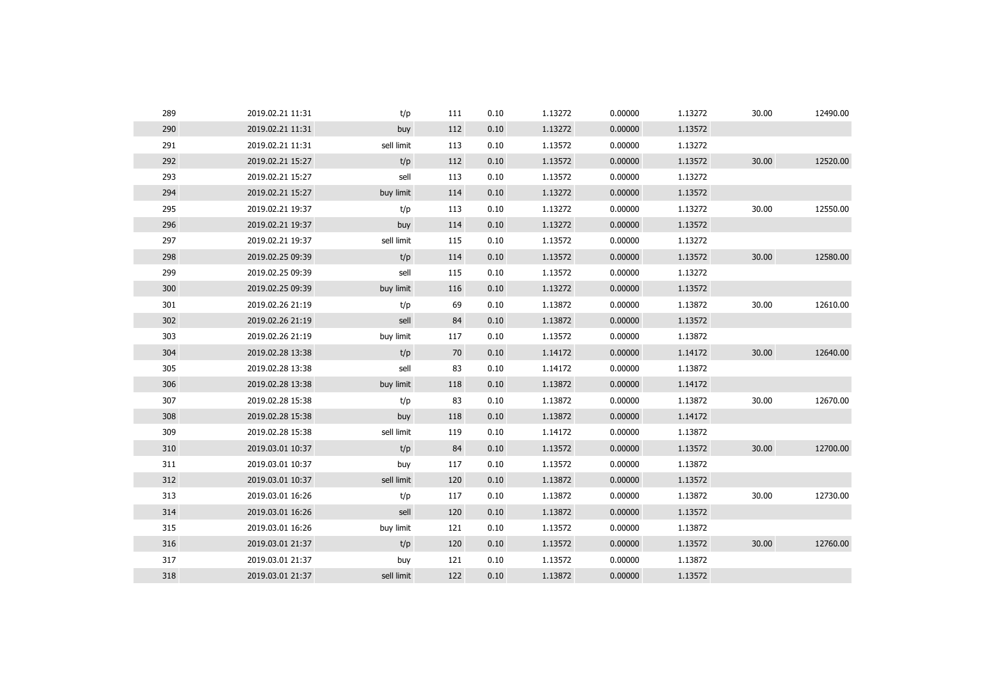| 289 | 2019.02.21 11:31 | t/p        | 111 | 0.10 | 1.13272 | 0.00000 | 1.13272 | 30.00 | 12490.00 |
|-----|------------------|------------|-----|------|---------|---------|---------|-------|----------|
| 290 | 2019.02.21 11:31 | buy        | 112 | 0.10 | 1.13272 | 0.00000 | 1.13572 |       |          |
| 291 | 2019.02.21 11:31 | sell limit | 113 | 0.10 | 1.13572 | 0.00000 | 1.13272 |       |          |
| 292 | 2019.02.21 15:27 | t/p        | 112 | 0.10 | 1.13572 | 0.00000 | 1.13572 | 30.00 | 12520.00 |
| 293 | 2019.02.21 15:27 | sell       | 113 | 0.10 | 1.13572 | 0.00000 | 1.13272 |       |          |
| 294 | 2019.02.21 15:27 | buy limit  | 114 | 0.10 | 1.13272 | 0.00000 | 1.13572 |       |          |
| 295 | 2019.02.21 19:37 | t/p        | 113 | 0.10 | 1.13272 | 0.00000 | 1.13272 | 30.00 | 12550.00 |
| 296 | 2019.02.21 19:37 | buy        | 114 | 0.10 | 1.13272 | 0.00000 | 1.13572 |       |          |
| 297 | 2019.02.21 19:37 | sell limit | 115 | 0.10 | 1.13572 | 0.00000 | 1.13272 |       |          |
| 298 | 2019.02.25 09:39 | t/p        | 114 | 0.10 | 1.13572 | 0.00000 | 1.13572 | 30.00 | 12580.00 |
| 299 | 2019.02.25 09:39 | sell       | 115 | 0.10 | 1.13572 | 0.00000 | 1.13272 |       |          |
| 300 | 2019.02.25 09:39 | buy limit  | 116 | 0.10 | 1.13272 | 0.00000 | 1.13572 |       |          |
| 301 | 2019.02.26 21:19 | t/p        | 69  | 0.10 | 1.13872 | 0.00000 | 1.13872 | 30.00 | 12610.00 |
| 302 | 2019.02.26 21:19 | sell       | 84  | 0.10 | 1.13872 | 0.00000 | 1.13572 |       |          |
| 303 | 2019.02.26 21:19 | buy limit  | 117 | 0.10 | 1.13572 | 0.00000 | 1.13872 |       |          |
| 304 | 2019.02.28 13:38 | t/p        | 70  | 0.10 | 1.14172 | 0.00000 | 1.14172 | 30.00 | 12640.00 |
| 305 | 2019.02.28 13:38 | sell       | 83  | 0.10 | 1.14172 | 0.00000 | 1.13872 |       |          |
| 306 | 2019.02.28 13:38 | buy limit  | 118 | 0.10 | 1.13872 | 0.00000 | 1.14172 |       |          |
| 307 | 2019.02.28 15:38 | t/p        | 83  | 0.10 | 1.13872 | 0.00000 | 1.13872 | 30.00 | 12670.00 |
| 308 | 2019.02.28 15:38 | buy        | 118 | 0.10 | 1.13872 | 0.00000 | 1.14172 |       |          |
| 309 | 2019.02.28 15:38 | sell limit | 119 | 0.10 | 1.14172 | 0.00000 | 1.13872 |       |          |
| 310 | 2019.03.01 10:37 | t/p        | 84  | 0.10 | 1.13572 | 0.00000 | 1.13572 | 30.00 | 12700.00 |
| 311 | 2019.03.01 10:37 | buy        | 117 | 0.10 | 1.13572 | 0.00000 | 1.13872 |       |          |
| 312 | 2019.03.01 10:37 | sell limit | 120 | 0.10 | 1.13872 | 0.00000 | 1.13572 |       |          |
| 313 | 2019.03.01 16:26 | t/p        | 117 | 0.10 | 1.13872 | 0.00000 | 1.13872 | 30.00 | 12730.00 |
| 314 | 2019.03.01 16:26 | sell       | 120 | 0.10 | 1.13872 | 0.00000 | 1.13572 |       |          |
| 315 | 2019.03.01 16:26 | buy limit  | 121 | 0.10 | 1.13572 | 0.00000 | 1.13872 |       |          |
| 316 | 2019.03.01 21:37 | t/p        | 120 | 0.10 | 1.13572 | 0.00000 | 1.13572 | 30.00 | 12760.00 |
| 317 | 2019.03.01 21:37 | buy        | 121 | 0.10 | 1.13572 | 0.00000 | 1.13872 |       |          |
| 318 | 2019.03.01 21:37 | sell limit | 122 | 0.10 | 1.13872 | 0.00000 | 1.13572 |       |          |
|     |                  |            |     |      |         |         |         |       |          |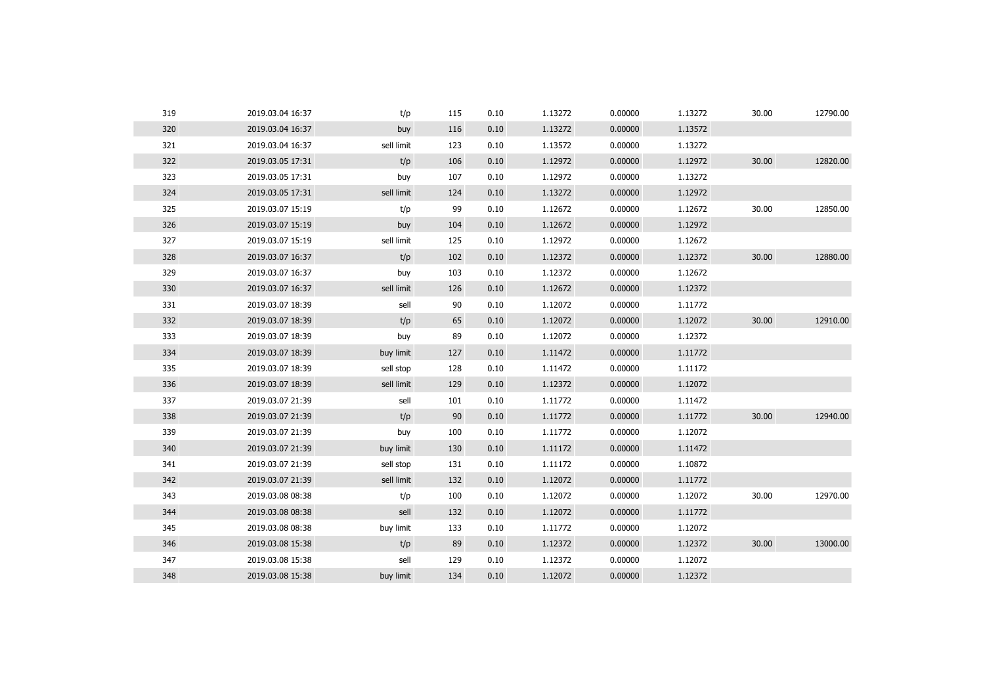| 319 | 2019.03.04 16:37 | t/p        | 115 | 0.10 | 1.13272 | 0.00000 | 1.13272 | 30.00 | 12790.00 |
|-----|------------------|------------|-----|------|---------|---------|---------|-------|----------|
| 320 | 2019.03.04 16:37 | buy        | 116 | 0.10 | 1.13272 | 0.00000 | 1.13572 |       |          |
| 321 | 2019.03.04 16:37 | sell limit | 123 | 0.10 | 1.13572 | 0.00000 | 1.13272 |       |          |
| 322 | 2019.03.05 17:31 | t/p        | 106 | 0.10 | 1.12972 | 0.00000 | 1.12972 | 30.00 | 12820.00 |
| 323 | 2019.03.05 17:31 | buy        | 107 | 0.10 | 1.12972 | 0.00000 | 1.13272 |       |          |
| 324 | 2019.03.05 17:31 | sell limit | 124 | 0.10 | 1.13272 | 0.00000 | 1.12972 |       |          |
| 325 | 2019.03.07 15:19 | t/p        | 99  | 0.10 | 1.12672 | 0.00000 | 1.12672 | 30.00 | 12850.00 |
| 326 | 2019.03.07 15:19 | buy        | 104 | 0.10 | 1.12672 | 0.00000 | 1.12972 |       |          |
| 327 | 2019.03.07 15:19 | sell limit | 125 | 0.10 | 1.12972 | 0.00000 | 1.12672 |       |          |
| 328 | 2019.03.07 16:37 | t/p        | 102 | 0.10 | 1.12372 | 0.00000 | 1.12372 | 30.00 | 12880.00 |
| 329 | 2019.03.07 16:37 | buy        | 103 | 0.10 | 1.12372 | 0.00000 | 1.12672 |       |          |
| 330 | 2019.03.07 16:37 | sell limit | 126 | 0.10 | 1.12672 | 0.00000 | 1.12372 |       |          |
| 331 | 2019.03.07 18:39 | sell       | 90  | 0.10 | 1.12072 | 0.00000 | 1.11772 |       |          |
| 332 | 2019.03.07 18:39 | t/p        | 65  | 0.10 | 1.12072 | 0.00000 | 1.12072 | 30.00 | 12910.00 |
| 333 | 2019.03.07 18:39 | buy        | 89  | 0.10 | 1.12072 | 0.00000 | 1.12372 |       |          |
| 334 | 2019.03.07 18:39 | buy limit  | 127 | 0.10 | 1.11472 | 0.00000 | 1.11772 |       |          |
| 335 | 2019.03.07 18:39 | sell stop  | 128 | 0.10 | 1.11472 | 0.00000 | 1.11172 |       |          |
| 336 | 2019.03.07 18:39 | sell limit | 129 | 0.10 | 1.12372 | 0.00000 | 1.12072 |       |          |
| 337 | 2019.03.07 21:39 | sell       | 101 | 0.10 | 1.11772 | 0.00000 | 1.11472 |       |          |
| 338 | 2019.03.07 21:39 | t/p        | 90  | 0.10 | 1.11772 | 0.00000 | 1.11772 | 30.00 | 12940.00 |
| 339 | 2019.03.07 21:39 | buy        | 100 | 0.10 | 1.11772 | 0.00000 | 1.12072 |       |          |
| 340 | 2019.03.07 21:39 | buy limit  | 130 | 0.10 | 1.11172 | 0.00000 | 1.11472 |       |          |
| 341 | 2019.03.07 21:39 | sell stop  | 131 | 0.10 | 1.11172 | 0.00000 | 1.10872 |       |          |
| 342 | 2019.03.07 21:39 | sell limit | 132 | 0.10 | 1.12072 | 0.00000 | 1.11772 |       |          |
| 343 | 2019.03.08 08:38 | t/p        | 100 | 0.10 | 1.12072 | 0.00000 | 1.12072 | 30.00 | 12970.00 |
| 344 | 2019.03.08 08:38 | sell       | 132 | 0.10 | 1.12072 | 0.00000 | 1.11772 |       |          |
| 345 | 2019.03.08 08:38 | buy limit  | 133 | 0.10 | 1.11772 | 0.00000 | 1.12072 |       |          |
| 346 | 2019.03.08 15:38 | t/p        | 89  | 0.10 | 1.12372 | 0.00000 | 1.12372 | 30.00 | 13000.00 |
| 347 | 2019.03.08 15:38 | sell       | 129 | 0.10 | 1.12372 | 0.00000 | 1.12072 |       |          |
| 348 | 2019.03.08 15:38 | buy limit  | 134 | 0.10 | 1.12072 | 0.00000 | 1.12372 |       |          |
|     |                  |            |     |      |         |         |         |       |          |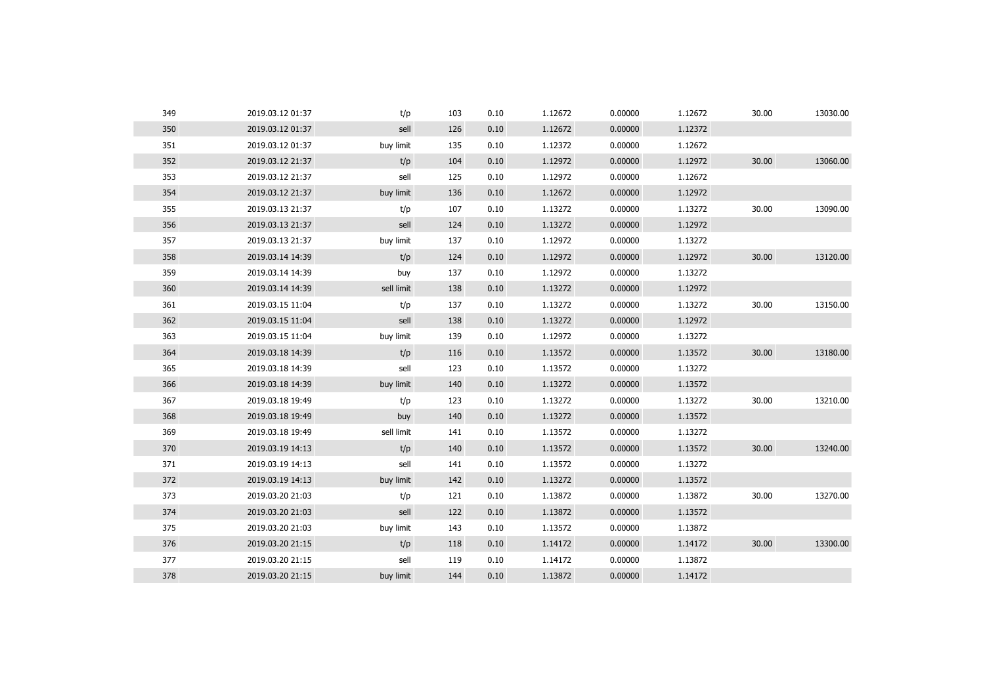| 349 | 2019.03.12 01:37 | t/p        | 103 | 0.10 | 1.12672 | 0.00000 | 1.12672 | 30.00 | 13030.00 |
|-----|------------------|------------|-----|------|---------|---------|---------|-------|----------|
| 350 | 2019.03.12 01:37 | sell       | 126 | 0.10 | 1.12672 | 0.00000 | 1.12372 |       |          |
| 351 | 2019.03.12 01:37 | buy limit  | 135 | 0.10 | 1.12372 | 0.00000 | 1.12672 |       |          |
| 352 | 2019.03.12 21:37 | t/p        | 104 | 0.10 | 1.12972 | 0.00000 | 1.12972 | 30.00 | 13060.00 |
| 353 | 2019.03.12 21:37 | sell       | 125 | 0.10 | 1.12972 | 0.00000 | 1.12672 |       |          |
| 354 | 2019.03.12 21:37 | buy limit  | 136 | 0.10 | 1.12672 | 0.00000 | 1.12972 |       |          |
| 355 | 2019.03.13 21:37 | t/p        | 107 | 0.10 | 1.13272 | 0.00000 | 1.13272 | 30.00 | 13090.00 |
| 356 | 2019.03.13 21:37 | sell       | 124 | 0.10 | 1.13272 | 0.00000 | 1.12972 |       |          |
| 357 | 2019.03.13 21:37 | buy limit  | 137 | 0.10 | 1.12972 | 0.00000 | 1.13272 |       |          |
| 358 | 2019.03.14 14:39 | t/p        | 124 | 0.10 | 1.12972 | 0.00000 | 1.12972 | 30.00 | 13120.00 |
| 359 | 2019.03.14 14:39 | buy        | 137 | 0.10 | 1.12972 | 0.00000 | 1.13272 |       |          |
| 360 | 2019.03.14 14:39 | sell limit | 138 | 0.10 | 1.13272 | 0.00000 | 1.12972 |       |          |
| 361 | 2019.03.15 11:04 | t/p        | 137 | 0.10 | 1.13272 | 0.00000 | 1.13272 | 30.00 | 13150.00 |
| 362 | 2019.03.15 11:04 | sell       | 138 | 0.10 | 1.13272 | 0.00000 | 1.12972 |       |          |
| 363 | 2019.03.15 11:04 | buy limit  | 139 | 0.10 | 1.12972 | 0.00000 | 1.13272 |       |          |
| 364 | 2019.03.18 14:39 | t/p        | 116 | 0.10 | 1.13572 | 0.00000 | 1.13572 | 30.00 | 13180.00 |
| 365 | 2019.03.18 14:39 | sell       | 123 | 0.10 | 1.13572 | 0.00000 | 1.13272 |       |          |
| 366 | 2019.03.18 14:39 | buy limit  | 140 | 0.10 | 1.13272 | 0.00000 | 1.13572 |       |          |
| 367 | 2019.03.18 19:49 | t/p        | 123 | 0.10 | 1.13272 | 0.00000 | 1.13272 | 30.00 | 13210.00 |
| 368 | 2019.03.18 19:49 | buy        | 140 | 0.10 | 1.13272 | 0.00000 | 1.13572 |       |          |
| 369 | 2019.03.18 19:49 | sell limit | 141 | 0.10 | 1.13572 | 0.00000 | 1.13272 |       |          |
| 370 | 2019.03.19 14:13 | t/p        | 140 | 0.10 | 1.13572 | 0.00000 | 1.13572 | 30.00 | 13240.00 |
| 371 | 2019.03.19 14:13 | sell       | 141 | 0.10 | 1.13572 | 0.00000 | 1.13272 |       |          |
| 372 | 2019.03.19 14:13 | buy limit  | 142 | 0.10 | 1.13272 | 0.00000 | 1.13572 |       |          |
| 373 | 2019.03.20 21:03 | t/p        | 121 | 0.10 | 1.13872 | 0.00000 | 1.13872 | 30.00 | 13270.00 |
| 374 | 2019.03.20 21:03 | sell       | 122 | 0.10 | 1.13872 | 0.00000 | 1.13572 |       |          |
| 375 | 2019.03.20 21:03 | buy limit  | 143 | 0.10 | 1.13572 | 0.00000 | 1.13872 |       |          |
| 376 | 2019.03.20 21:15 | t/p        | 118 | 0.10 | 1.14172 | 0.00000 | 1.14172 | 30.00 | 13300.00 |
| 377 | 2019.03.20 21:15 | sell       | 119 | 0.10 | 1.14172 | 0.00000 | 1.13872 |       |          |
| 378 | 2019.03.20 21:15 | buy limit  | 144 | 0.10 | 1.13872 | 0.00000 | 1.14172 |       |          |
|     |                  |            |     |      |         |         |         |       |          |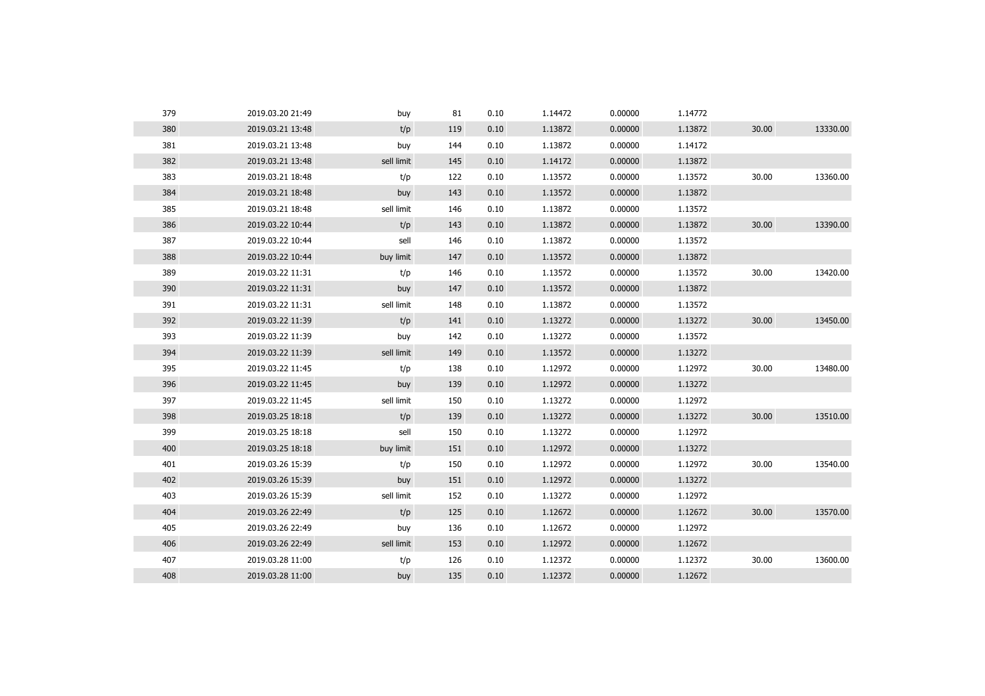| 379 | 2019.03.20 21:49 | buy        | 81  | 0.10 | 1.14472 | 0.00000 | 1.14772 |       |          |
|-----|------------------|------------|-----|------|---------|---------|---------|-------|----------|
| 380 | 2019.03.21 13:48 | t/p        | 119 | 0.10 | 1.13872 | 0.00000 | 1.13872 | 30.00 | 13330.00 |
| 381 | 2019.03.21 13:48 | buy        | 144 | 0.10 | 1.13872 | 0.00000 | 1.14172 |       |          |
| 382 | 2019.03.21 13:48 | sell limit | 145 | 0.10 | 1.14172 | 0.00000 | 1.13872 |       |          |
| 383 | 2019.03.21 18:48 | t/p        | 122 | 0.10 | 1.13572 | 0.00000 | 1.13572 | 30.00 | 13360.00 |
| 384 | 2019.03.21 18:48 | buy        | 143 | 0.10 | 1.13572 | 0.00000 | 1.13872 |       |          |
| 385 | 2019.03.21 18:48 | sell limit | 146 | 0.10 | 1.13872 | 0.00000 | 1.13572 |       |          |
| 386 | 2019.03.22 10:44 | t/p        | 143 | 0.10 | 1.13872 | 0.00000 | 1.13872 | 30.00 | 13390.00 |
| 387 | 2019.03.22 10:44 | sell       | 146 | 0.10 | 1.13872 | 0.00000 | 1.13572 |       |          |
| 388 | 2019.03.22 10:44 | buy limit  | 147 | 0.10 | 1.13572 | 0.00000 | 1.13872 |       |          |
| 389 | 2019.03.22 11:31 | t/p        | 146 | 0.10 | 1.13572 | 0.00000 | 1.13572 | 30.00 | 13420.00 |
| 390 | 2019.03.22 11:31 | buy        | 147 | 0.10 | 1.13572 | 0.00000 | 1.13872 |       |          |
| 391 | 2019.03.22 11:31 | sell limit | 148 | 0.10 | 1.13872 | 0.00000 | 1.13572 |       |          |
| 392 | 2019.03.22 11:39 | t/p        | 141 | 0.10 | 1.13272 | 0.00000 | 1.13272 | 30.00 | 13450.00 |
| 393 | 2019.03.22 11:39 | buy        | 142 | 0.10 | 1.13272 | 0.00000 | 1.13572 |       |          |
| 394 | 2019.03.22 11:39 | sell limit | 149 | 0.10 | 1.13572 | 0.00000 | 1.13272 |       |          |
| 395 | 2019.03.22 11:45 | t/p        | 138 | 0.10 | 1.12972 | 0.00000 | 1.12972 | 30.00 | 13480.00 |
| 396 | 2019.03.22 11:45 | buy        | 139 | 0.10 | 1.12972 | 0.00000 | 1.13272 |       |          |
| 397 | 2019.03.22 11:45 | sell limit | 150 | 0.10 | 1.13272 | 0.00000 | 1.12972 |       |          |
| 398 | 2019.03.25 18:18 | t/p        | 139 | 0.10 | 1.13272 | 0.00000 | 1.13272 | 30.00 | 13510.00 |
| 399 | 2019.03.25 18:18 | sell       | 150 | 0.10 | 1.13272 | 0.00000 | 1.12972 |       |          |
| 400 | 2019.03.25 18:18 | buy limit  | 151 | 0.10 | 1.12972 | 0.00000 | 1.13272 |       |          |
| 401 | 2019.03.26 15:39 | t/p        | 150 | 0.10 | 1.12972 | 0.00000 | 1.12972 | 30.00 | 13540.00 |
| 402 | 2019.03.26 15:39 | buy        | 151 | 0.10 | 1.12972 | 0.00000 | 1.13272 |       |          |
| 403 | 2019.03.26 15:39 | sell limit | 152 | 0.10 | 1.13272 | 0.00000 | 1.12972 |       |          |
| 404 | 2019.03.26 22:49 | t/p        | 125 | 0.10 | 1.12672 | 0.00000 | 1.12672 | 30.00 | 13570.00 |
| 405 | 2019.03.26 22:49 | buy        | 136 | 0.10 | 1.12672 | 0.00000 | 1.12972 |       |          |
| 406 | 2019.03.26 22:49 | sell limit | 153 | 0.10 | 1.12972 | 0.00000 | 1.12672 |       |          |
| 407 | 2019.03.28 11:00 | t/p        | 126 | 0.10 | 1.12372 | 0.00000 | 1.12372 | 30.00 | 13600.00 |
| 408 | 2019.03.28 11:00 | buy        | 135 | 0.10 | 1.12372 | 0.00000 | 1.12672 |       |          |
|     |                  |            |     |      |         |         |         |       |          |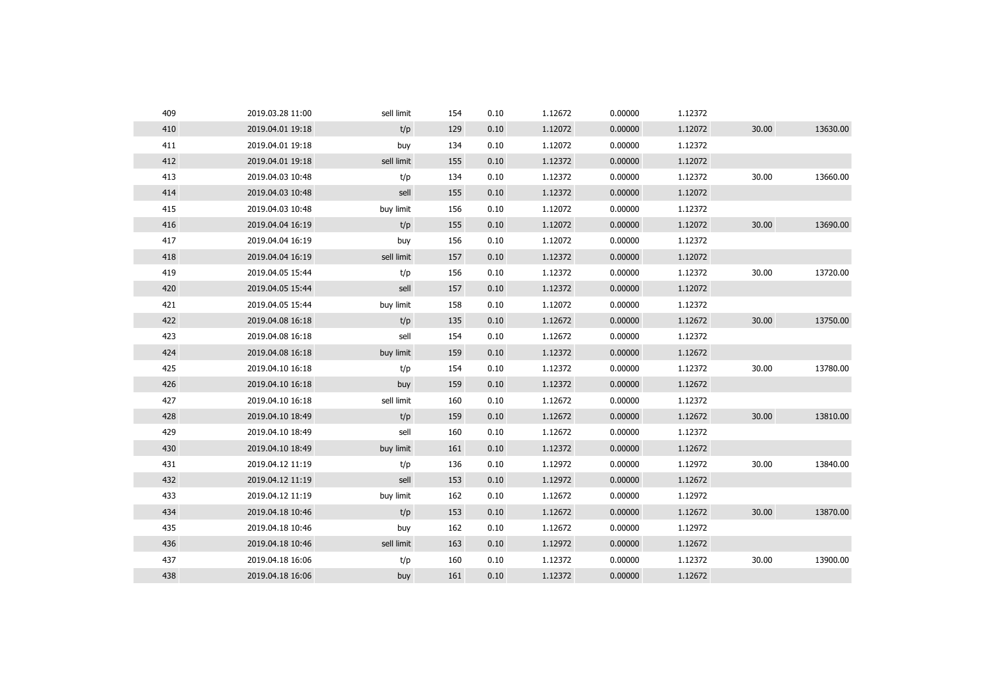| 409 | 2019.03.28 11:00 | sell limit | 154 | 0.10 | 1.12672 | 0.00000 | 1.12372 |       |          |
|-----|------------------|------------|-----|------|---------|---------|---------|-------|----------|
| 410 | 2019.04.01 19:18 | t/p        | 129 | 0.10 | 1.12072 | 0.00000 | 1.12072 | 30.00 | 13630.00 |
| 411 | 2019.04.01 19:18 | buy        | 134 | 0.10 | 1.12072 | 0.00000 | 1.12372 |       |          |
| 412 | 2019.04.01 19:18 | sell limit | 155 | 0.10 | 1.12372 | 0.00000 | 1.12072 |       |          |
| 413 | 2019.04.03 10:48 | t/p        | 134 | 0.10 | 1.12372 | 0.00000 | 1.12372 | 30.00 | 13660.00 |
| 414 | 2019.04.03 10:48 | sell       | 155 | 0.10 | 1.12372 | 0.00000 | 1.12072 |       |          |
| 415 | 2019.04.03 10:48 | buy limit  | 156 | 0.10 | 1.12072 | 0.00000 | 1.12372 |       |          |
| 416 | 2019.04.04 16:19 | t/p        | 155 | 0.10 | 1.12072 | 0.00000 | 1.12072 | 30.00 | 13690.00 |
| 417 | 2019.04.04 16:19 | buy        | 156 | 0.10 | 1.12072 | 0.00000 | 1.12372 |       |          |
| 418 | 2019.04.04 16:19 | sell limit | 157 | 0.10 | 1.12372 | 0.00000 | 1.12072 |       |          |
| 419 | 2019.04.05 15:44 | t/p        | 156 | 0.10 | 1.12372 | 0.00000 | 1.12372 | 30.00 | 13720.00 |
| 420 | 2019.04.05 15:44 | sell       | 157 | 0.10 | 1.12372 | 0.00000 | 1.12072 |       |          |
| 421 | 2019.04.05 15:44 | buy limit  | 158 | 0.10 | 1.12072 | 0.00000 | 1.12372 |       |          |
| 422 | 2019.04.08 16:18 | t/p        | 135 | 0.10 | 1.12672 | 0.00000 | 1.12672 | 30.00 | 13750.00 |
| 423 | 2019.04.08 16:18 | sell       | 154 | 0.10 | 1.12672 | 0.00000 | 1.12372 |       |          |
| 424 | 2019.04.08 16:18 | buy limit  | 159 | 0.10 | 1.12372 | 0.00000 | 1.12672 |       |          |
| 425 | 2019.04.10 16:18 | t/p        | 154 | 0.10 | 1.12372 | 0.00000 | 1.12372 | 30.00 | 13780.00 |
| 426 | 2019.04.10 16:18 | buy        | 159 | 0.10 | 1.12372 | 0.00000 | 1.12672 |       |          |
| 427 | 2019.04.10 16:18 | sell limit | 160 | 0.10 | 1.12672 | 0.00000 | 1.12372 |       |          |
| 428 | 2019.04.10 18:49 | t/p        | 159 | 0.10 | 1.12672 | 0.00000 | 1.12672 | 30.00 | 13810.00 |
| 429 | 2019.04.10 18:49 | sell       | 160 | 0.10 | 1.12672 | 0.00000 | 1.12372 |       |          |
| 430 | 2019.04.10 18:49 | buy limit  | 161 | 0.10 | 1.12372 | 0.00000 | 1.12672 |       |          |
| 431 | 2019.04.12 11:19 | t/p        | 136 | 0.10 | 1.12972 | 0.00000 | 1.12972 | 30.00 | 13840.00 |
| 432 | 2019.04.12 11:19 | sell       | 153 | 0.10 | 1.12972 | 0.00000 | 1.12672 |       |          |
| 433 | 2019.04.12 11:19 | buy limit  | 162 | 0.10 | 1.12672 | 0.00000 | 1.12972 |       |          |
| 434 | 2019.04.18 10:46 | t/p        | 153 | 0.10 | 1.12672 | 0.00000 | 1.12672 | 30.00 | 13870.00 |
| 435 | 2019.04.18 10:46 | buy        | 162 | 0.10 | 1.12672 | 0.00000 | 1.12972 |       |          |
| 436 | 2019.04.18 10:46 | sell limit | 163 | 0.10 | 1.12972 | 0.00000 | 1.12672 |       |          |
| 437 | 2019.04.18 16:06 | t/p        | 160 | 0.10 | 1.12372 | 0.00000 | 1.12372 | 30.00 | 13900.00 |
| 438 | 2019.04.18 16:06 | buy        | 161 | 0.10 | 1.12372 | 0.00000 | 1.12672 |       |          |
|     |                  |            |     |      |         |         |         |       |          |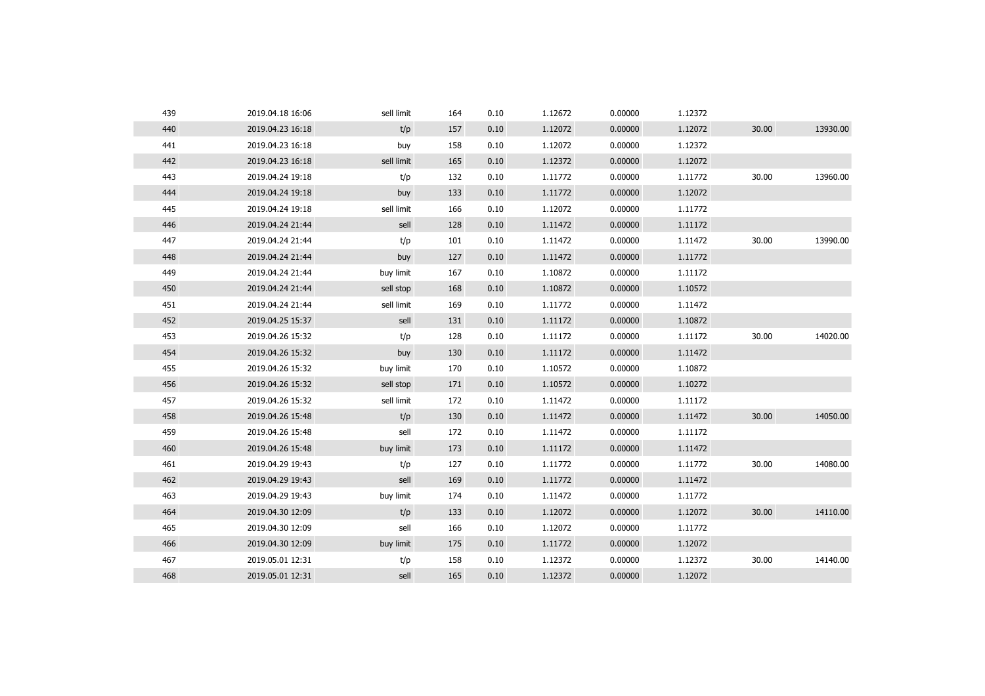| 439 | 2019.04.18 16:06 | sell limit | 164 | 0.10 | 1.12672 | 0.00000 | 1.12372 |       |          |
|-----|------------------|------------|-----|------|---------|---------|---------|-------|----------|
| 440 | 2019.04.23 16:18 | t/p        | 157 | 0.10 | 1.12072 | 0.00000 | 1.12072 | 30.00 | 13930.00 |
| 441 | 2019.04.23 16:18 | buy        | 158 | 0.10 | 1.12072 | 0.00000 | 1.12372 |       |          |
| 442 | 2019.04.23 16:18 | sell limit | 165 | 0.10 | 1.12372 | 0.00000 | 1.12072 |       |          |
| 443 | 2019.04.24 19:18 | t/p        | 132 | 0.10 | 1.11772 | 0.00000 | 1.11772 | 30.00 | 13960.00 |
| 444 | 2019.04.24 19:18 | buy        | 133 | 0.10 | 1.11772 | 0.00000 | 1.12072 |       |          |
| 445 | 2019.04.24 19:18 | sell limit | 166 | 0.10 | 1.12072 | 0.00000 | 1.11772 |       |          |
| 446 | 2019.04.24 21:44 | sell       | 128 | 0.10 | 1.11472 | 0.00000 | 1.11172 |       |          |
| 447 | 2019.04.24 21:44 | t/p        | 101 | 0.10 | 1.11472 | 0.00000 | 1.11472 | 30.00 | 13990.00 |
| 448 | 2019.04.24 21:44 | buy        | 127 | 0.10 | 1.11472 | 0.00000 | 1.11772 |       |          |
| 449 | 2019.04.24 21:44 | buy limit  | 167 | 0.10 | 1.10872 | 0.00000 | 1.11172 |       |          |
| 450 | 2019.04.24 21:44 | sell stop  | 168 | 0.10 | 1.10872 | 0.00000 | 1.10572 |       |          |
| 451 | 2019.04.24 21:44 | sell limit | 169 | 0.10 | 1.11772 | 0.00000 | 1.11472 |       |          |
| 452 | 2019.04.25 15:37 | sell       | 131 | 0.10 | 1.11172 | 0.00000 | 1.10872 |       |          |
| 453 | 2019.04.26 15:32 | t/p        | 128 | 0.10 | 1.11172 | 0.00000 | 1.11172 | 30.00 | 14020.00 |
| 454 | 2019.04.26 15:32 | buy        | 130 | 0.10 | 1.11172 | 0.00000 | 1.11472 |       |          |
| 455 | 2019.04.26 15:32 | buy limit  | 170 | 0.10 | 1.10572 | 0.00000 | 1.10872 |       |          |
| 456 | 2019.04.26 15:32 | sell stop  | 171 | 0.10 | 1.10572 | 0.00000 | 1.10272 |       |          |
| 457 | 2019.04.26 15:32 | sell limit | 172 | 0.10 | 1.11472 | 0.00000 | 1.11172 |       |          |
| 458 | 2019.04.26 15:48 | t/p        | 130 | 0.10 | 1.11472 | 0.00000 | 1.11472 | 30.00 | 14050.00 |
| 459 | 2019.04.26 15:48 | sell       | 172 | 0.10 | 1.11472 | 0.00000 | 1.11172 |       |          |
| 460 | 2019.04.26 15:48 | buy limit  | 173 | 0.10 | 1.11172 | 0.00000 | 1.11472 |       |          |
| 461 | 2019.04.29 19:43 | t/p        | 127 | 0.10 | 1.11772 | 0.00000 | 1.11772 | 30.00 | 14080.00 |
| 462 | 2019.04.29 19:43 | sell       | 169 | 0.10 | 1.11772 | 0.00000 | 1.11472 |       |          |
| 463 | 2019.04.29 19:43 | buy limit  | 174 | 0.10 | 1.11472 | 0.00000 | 1.11772 |       |          |
| 464 | 2019.04.30 12:09 | t/p        | 133 | 0.10 | 1.12072 | 0.00000 | 1.12072 | 30.00 | 14110.00 |
| 465 | 2019.04.30 12:09 | sell       | 166 | 0.10 | 1.12072 | 0.00000 | 1.11772 |       |          |
| 466 | 2019.04.30 12:09 | buy limit  | 175 | 0.10 | 1.11772 | 0.00000 | 1.12072 |       |          |
| 467 | 2019.05.01 12:31 | t/p        | 158 | 0.10 | 1.12372 | 0.00000 | 1.12372 | 30.00 | 14140.00 |
| 468 | 2019.05.01 12:31 | sell       | 165 | 0.10 | 1.12372 | 0.00000 | 1.12072 |       |          |
|     |                  |            |     |      |         |         |         |       |          |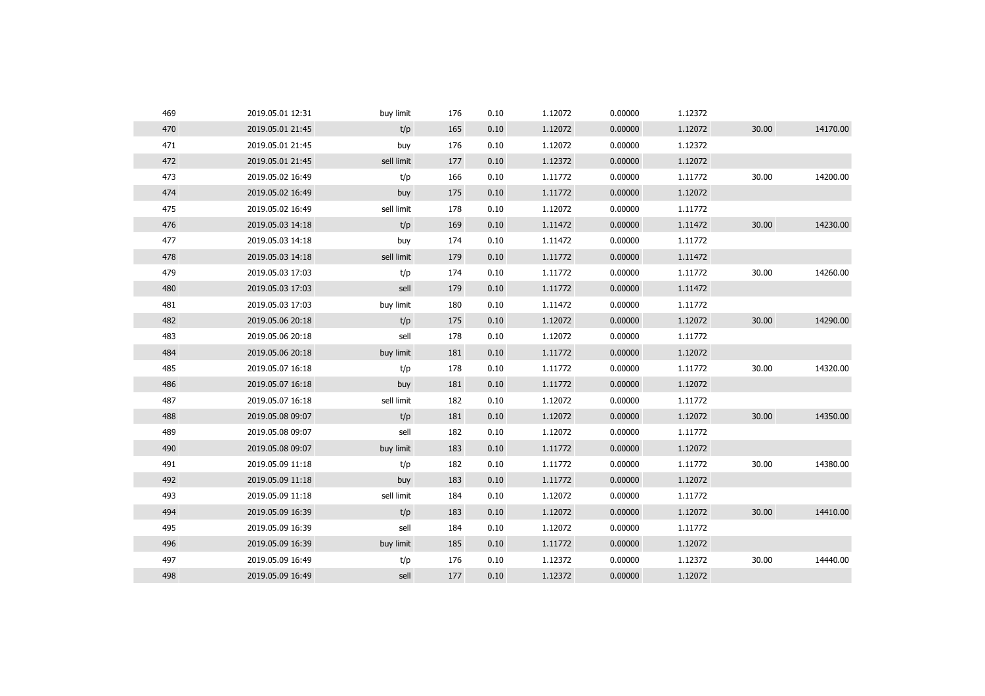| 469 | 2019.05.01 12:31 | buy limit  | 176 | 0.10 | 1.12072 | 0.00000 | 1.12372 |       |          |
|-----|------------------|------------|-----|------|---------|---------|---------|-------|----------|
| 470 | 2019.05.01 21:45 | t/p        | 165 | 0.10 | 1.12072 | 0.00000 | 1.12072 | 30.00 | 14170.00 |
| 471 | 2019.05.01 21:45 | buy        | 176 | 0.10 | 1.12072 | 0.00000 | 1.12372 |       |          |
| 472 | 2019.05.01 21:45 | sell limit | 177 | 0.10 | 1.12372 | 0.00000 | 1.12072 |       |          |
| 473 | 2019.05.02 16:49 | t/p        | 166 | 0.10 | 1.11772 | 0.00000 | 1.11772 | 30.00 | 14200.00 |
| 474 | 2019.05.02 16:49 | buy        | 175 | 0.10 | 1.11772 | 0.00000 | 1.12072 |       |          |
| 475 | 2019.05.02 16:49 | sell limit | 178 | 0.10 | 1.12072 | 0.00000 | 1.11772 |       |          |
| 476 | 2019.05.03 14:18 | t/p        | 169 | 0.10 | 1.11472 | 0.00000 | 1.11472 | 30.00 | 14230.00 |
| 477 | 2019.05.03 14:18 | buy        | 174 | 0.10 | 1.11472 | 0.00000 | 1.11772 |       |          |
| 478 | 2019.05.03 14:18 | sell limit | 179 | 0.10 | 1.11772 | 0.00000 | 1.11472 |       |          |
| 479 | 2019.05.03 17:03 | t/p        | 174 | 0.10 | 1.11772 | 0.00000 | 1.11772 | 30.00 | 14260.00 |
| 480 | 2019.05.03 17:03 | sell       | 179 | 0.10 | 1.11772 | 0.00000 | 1.11472 |       |          |
| 481 | 2019.05.03 17:03 | buy limit  | 180 | 0.10 | 1.11472 | 0.00000 | 1.11772 |       |          |
| 482 | 2019.05.06 20:18 | t/p        | 175 | 0.10 | 1.12072 | 0.00000 | 1.12072 | 30.00 | 14290.00 |
| 483 | 2019.05.06 20:18 | sell       | 178 | 0.10 | 1.12072 | 0.00000 | 1.11772 |       |          |
| 484 | 2019.05.06 20:18 | buy limit  | 181 | 0.10 | 1.11772 | 0.00000 | 1.12072 |       |          |
| 485 | 2019.05.07 16:18 | t/p        | 178 | 0.10 | 1.11772 | 0.00000 | 1.11772 | 30.00 | 14320.00 |
| 486 | 2019.05.07 16:18 | buy        | 181 | 0.10 | 1.11772 | 0.00000 | 1.12072 |       |          |
| 487 | 2019.05.07 16:18 | sell limit | 182 | 0.10 | 1.12072 | 0.00000 | 1.11772 |       |          |
| 488 | 2019.05.08 09:07 | t/p        | 181 | 0.10 | 1.12072 | 0.00000 | 1.12072 | 30.00 | 14350.00 |
| 489 | 2019.05.08 09:07 | sell       | 182 | 0.10 | 1.12072 | 0.00000 | 1.11772 |       |          |
| 490 | 2019.05.08 09:07 | buy limit  | 183 | 0.10 | 1.11772 | 0.00000 | 1.12072 |       |          |
| 491 | 2019.05.09 11:18 | t/p        | 182 | 0.10 | 1.11772 | 0.00000 | 1.11772 | 30.00 | 14380.00 |
| 492 | 2019.05.09 11:18 | buy        | 183 | 0.10 | 1.11772 | 0.00000 | 1.12072 |       |          |
| 493 | 2019.05.09 11:18 | sell limit | 184 | 0.10 | 1.12072 | 0.00000 | 1.11772 |       |          |
| 494 | 2019.05.09 16:39 | t/p        | 183 | 0.10 | 1.12072 | 0.00000 | 1.12072 | 30.00 | 14410.00 |
| 495 | 2019.05.09 16:39 | sell       | 184 | 0.10 | 1.12072 | 0.00000 | 1.11772 |       |          |
| 496 | 2019.05.09 16:39 | buy limit  | 185 | 0.10 | 1.11772 | 0.00000 | 1.12072 |       |          |
| 497 | 2019.05.09 16:49 | t/p        | 176 | 0.10 | 1.12372 | 0.00000 | 1.12372 | 30.00 | 14440.00 |
| 498 | 2019.05.09 16:49 | sell       | 177 | 0.10 | 1.12372 | 0.00000 | 1.12072 |       |          |
|     |                  |            |     |      |         |         |         |       |          |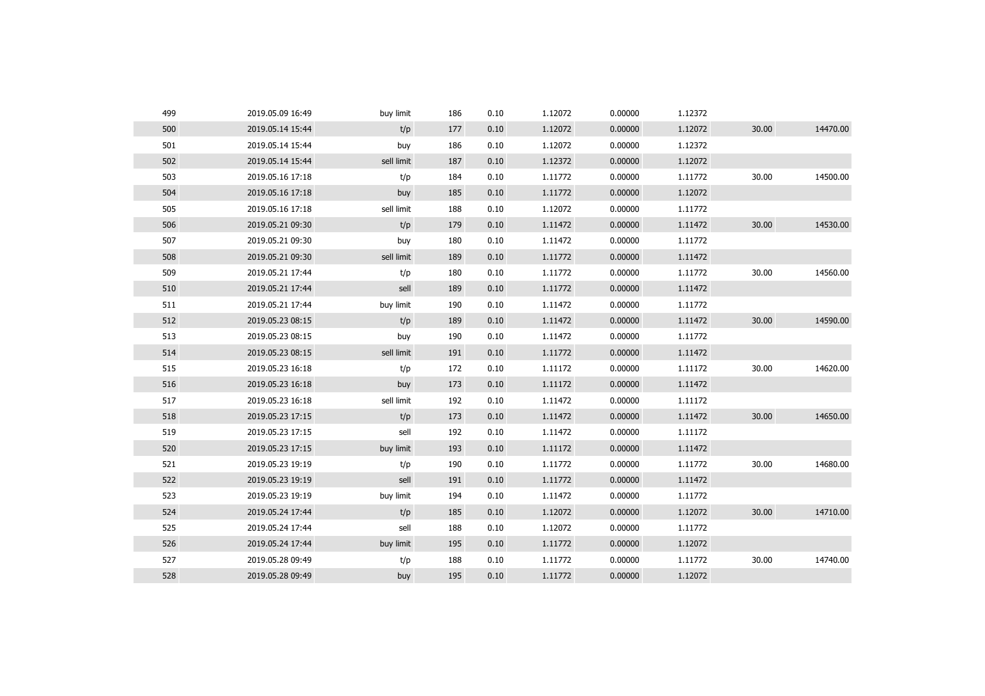| 499 | 2019.05.09 16:49 | buy limit  | 186 | 0.10 | 1.12072 | 0.00000 | 1.12372 |       |          |
|-----|------------------|------------|-----|------|---------|---------|---------|-------|----------|
| 500 | 2019.05.14 15:44 | t/p        | 177 | 0.10 | 1.12072 | 0.00000 | 1.12072 | 30.00 | 14470.00 |
| 501 | 2019.05.14 15:44 | buy        | 186 | 0.10 | 1.12072 | 0.00000 | 1.12372 |       |          |
| 502 | 2019.05.14 15:44 | sell limit | 187 | 0.10 | 1.12372 | 0.00000 | 1.12072 |       |          |
| 503 | 2019.05.16 17:18 | t/p        | 184 | 0.10 | 1.11772 | 0.00000 | 1.11772 | 30.00 | 14500.00 |
| 504 | 2019.05.16 17:18 | buy        | 185 | 0.10 | 1.11772 | 0.00000 | 1.12072 |       |          |
| 505 | 2019.05.16 17:18 | sell limit | 188 | 0.10 | 1.12072 | 0.00000 | 1.11772 |       |          |
| 506 | 2019.05.21 09:30 | t/p        | 179 | 0.10 | 1.11472 | 0.00000 | 1.11472 | 30.00 | 14530.00 |
| 507 | 2019.05.21 09:30 | buy        | 180 | 0.10 | 1.11472 | 0.00000 | 1.11772 |       |          |
| 508 | 2019.05.21 09:30 | sell limit | 189 | 0.10 | 1.11772 | 0.00000 | 1.11472 |       |          |
| 509 | 2019.05.21 17:44 | t/p        | 180 | 0.10 | 1.11772 | 0.00000 | 1.11772 | 30.00 | 14560.00 |
| 510 | 2019.05.21 17:44 | sell       | 189 | 0.10 | 1.11772 | 0.00000 | 1.11472 |       |          |
| 511 | 2019.05.21 17:44 | buy limit  | 190 | 0.10 | 1.11472 | 0.00000 | 1.11772 |       |          |
| 512 | 2019.05.23 08:15 | t/p        | 189 | 0.10 | 1.11472 | 0.00000 | 1.11472 | 30.00 | 14590.00 |
| 513 | 2019.05.23 08:15 | buy        | 190 | 0.10 | 1.11472 | 0.00000 | 1.11772 |       |          |
| 514 | 2019.05.23 08:15 | sell limit | 191 | 0.10 | 1.11772 | 0.00000 | 1.11472 |       |          |
| 515 | 2019.05.23 16:18 | t/p        | 172 | 0.10 | 1.11172 | 0.00000 | 1.11172 | 30.00 | 14620.00 |
| 516 | 2019.05.23 16:18 | buy        | 173 | 0.10 | 1.11172 | 0.00000 | 1.11472 |       |          |
| 517 | 2019.05.23 16:18 | sell limit | 192 | 0.10 | 1.11472 | 0.00000 | 1.11172 |       |          |
| 518 | 2019.05.23 17:15 | t/p        | 173 | 0.10 | 1.11472 | 0.00000 | 1.11472 | 30.00 | 14650.00 |
| 519 | 2019.05.23 17:15 | sell       | 192 | 0.10 | 1.11472 | 0.00000 | 1.11172 |       |          |
| 520 | 2019.05.23 17:15 | buy limit  | 193 | 0.10 | 1.11172 | 0.00000 | 1.11472 |       |          |
| 521 | 2019.05.23 19:19 | t/p        | 190 | 0.10 | 1.11772 | 0.00000 | 1.11772 | 30.00 | 14680.00 |
| 522 | 2019.05.23 19:19 | sell       | 191 | 0.10 | 1.11772 | 0.00000 | 1.11472 |       |          |
| 523 | 2019.05.23 19:19 | buy limit  | 194 | 0.10 | 1.11472 | 0.00000 | 1.11772 |       |          |
| 524 | 2019.05.24 17:44 | t/p        | 185 | 0.10 | 1.12072 | 0.00000 | 1.12072 | 30.00 | 14710.00 |
| 525 | 2019.05.24 17:44 | sell       | 188 | 0.10 | 1.12072 | 0.00000 | 1.11772 |       |          |
| 526 | 2019.05.24 17:44 | buy limit  | 195 | 0.10 | 1.11772 | 0.00000 | 1.12072 |       |          |
| 527 | 2019.05.28 09:49 | t/p        | 188 | 0.10 | 1.11772 | 0.00000 | 1.11772 | 30.00 | 14740.00 |
| 528 | 2019.05.28 09:49 | buy        | 195 | 0.10 | 1.11772 | 0.00000 | 1.12072 |       |          |
|     |                  |            |     |      |         |         |         |       |          |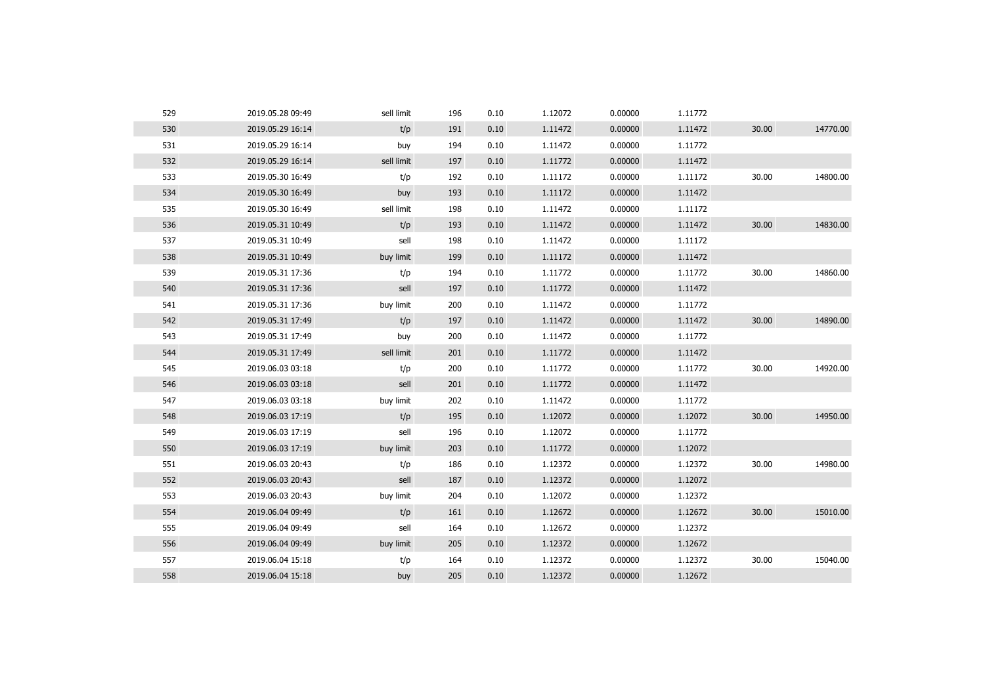| 529 | 2019.05.28 09:49 | sell limit | 196 | 0.10 | 1.12072 | 0.00000 | 1.11772 |       |          |
|-----|------------------|------------|-----|------|---------|---------|---------|-------|----------|
| 530 | 2019.05.29 16:14 | t/p        | 191 | 0.10 | 1.11472 | 0.00000 | 1.11472 | 30.00 | 14770.00 |
| 531 | 2019.05.29 16:14 | buy        | 194 | 0.10 | 1.11472 | 0.00000 | 1.11772 |       |          |
| 532 | 2019.05.29 16:14 | sell limit | 197 | 0.10 | 1.11772 | 0.00000 | 1.11472 |       |          |
| 533 | 2019.05.30 16:49 | t/p        | 192 | 0.10 | 1.11172 | 0.00000 | 1.11172 | 30.00 | 14800.00 |
| 534 | 2019.05.30 16:49 | buy        | 193 | 0.10 | 1.11172 | 0.00000 | 1.11472 |       |          |
| 535 | 2019.05.30 16:49 | sell limit | 198 | 0.10 | 1.11472 | 0.00000 | 1.11172 |       |          |
| 536 | 2019.05.31 10:49 | t/p        | 193 | 0.10 | 1.11472 | 0.00000 | 1.11472 | 30.00 | 14830.00 |
| 537 | 2019.05.31 10:49 | sell       | 198 | 0.10 | 1.11472 | 0.00000 | 1.11172 |       |          |
| 538 | 2019.05.31 10:49 | buy limit  | 199 | 0.10 | 1.11172 | 0.00000 | 1.11472 |       |          |
| 539 | 2019.05.31 17:36 | t/p        | 194 | 0.10 | 1.11772 | 0.00000 | 1.11772 | 30.00 | 14860.00 |
| 540 | 2019.05.31 17:36 | sell       | 197 | 0.10 | 1.11772 | 0.00000 | 1.11472 |       |          |
| 541 | 2019.05.31 17:36 | buy limit  | 200 | 0.10 | 1.11472 | 0.00000 | 1.11772 |       |          |
| 542 | 2019.05.31 17:49 | t/p        | 197 | 0.10 | 1.11472 | 0.00000 | 1.11472 | 30.00 | 14890.00 |
| 543 | 2019.05.31 17:49 | buy        | 200 | 0.10 | 1.11472 | 0.00000 | 1.11772 |       |          |
| 544 | 2019.05.31 17:49 | sell limit | 201 | 0.10 | 1.11772 | 0.00000 | 1.11472 |       |          |
| 545 | 2019.06.03 03:18 | t/p        | 200 | 0.10 | 1.11772 | 0.00000 | 1.11772 | 30.00 | 14920.00 |
| 546 | 2019.06.03 03:18 | sell       | 201 | 0.10 | 1.11772 | 0.00000 | 1.11472 |       |          |
| 547 | 2019.06.03 03:18 | buy limit  | 202 | 0.10 | 1.11472 | 0.00000 | 1.11772 |       |          |
| 548 | 2019.06.03 17:19 | t/p        | 195 | 0.10 | 1.12072 | 0.00000 | 1.12072 | 30.00 | 14950.00 |
| 549 | 2019.06.03 17:19 | sell       | 196 | 0.10 | 1.12072 | 0.00000 | 1.11772 |       |          |
| 550 | 2019.06.03 17:19 | buy limit  | 203 | 0.10 | 1.11772 | 0.00000 | 1.12072 |       |          |
| 551 | 2019.06.03 20:43 | t/p        | 186 | 0.10 | 1.12372 | 0.00000 | 1.12372 | 30.00 | 14980.00 |
| 552 | 2019.06.03 20:43 | sell       | 187 | 0.10 | 1.12372 | 0.00000 | 1.12072 |       |          |
| 553 | 2019.06.03 20:43 | buy limit  | 204 | 0.10 | 1.12072 | 0.00000 | 1.12372 |       |          |
| 554 | 2019.06.04 09:49 | t/p        | 161 | 0.10 | 1.12672 | 0.00000 | 1.12672 | 30.00 | 15010.00 |
| 555 | 2019.06.04 09:49 | sell       | 164 | 0.10 | 1.12672 | 0.00000 | 1.12372 |       |          |
| 556 | 2019.06.04 09:49 | buy limit  | 205 | 0.10 | 1.12372 | 0.00000 | 1.12672 |       |          |
| 557 | 2019.06.04 15:18 | t/p        | 164 | 0.10 | 1.12372 | 0.00000 | 1.12372 | 30.00 | 15040.00 |
| 558 | 2019.06.04 15:18 | buy        | 205 | 0.10 | 1.12372 | 0.00000 | 1.12672 |       |          |
|     |                  |            |     |      |         |         |         |       |          |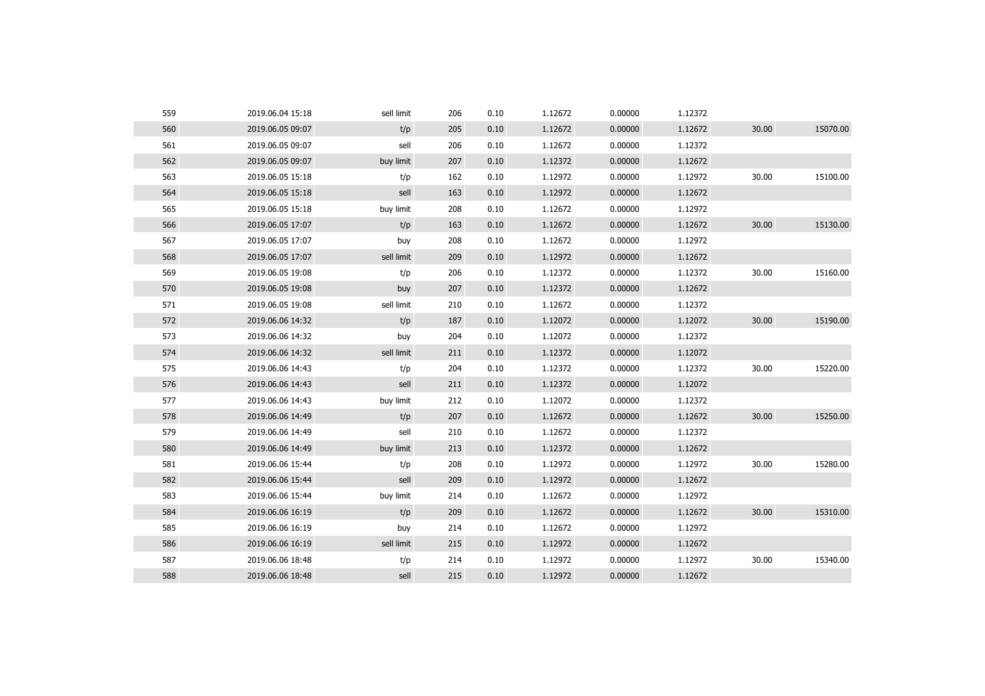| 560<br>t/p<br>30.00<br>2019.06.05 09:07<br>205<br>0.10<br>1.12672<br>0.00000<br>1.12672<br>561<br>2019.06.05 09:07<br>sell<br>206<br>0.10<br>1.12672<br>0.00000<br>1.12372<br>562<br>buy limit<br>0.10<br>1.12372<br>0.00000<br>1.12672<br>2019.06.05 09:07<br>207<br>563<br>30.00<br>2019.06.05 15:18<br>t/p<br>162<br>0.10<br>1.12972<br>0.00000<br>1.12972<br>564<br>sell<br>1.12972<br>0.00000<br>1.12672<br>2019.06.05 15:18<br>163<br>0.10<br>565<br>buy limit<br>2019.06.05 15:18<br>208<br>0.10<br>1.12672<br>0.00000<br>1.12972<br>566<br>t/p<br>0.00000<br>30.00<br>2019.06.05 17:07<br>0.10<br>1.12672<br>1.12672<br>163<br>567<br>208<br>0.10<br>1.12672<br>0.00000<br>1.12972<br>2019.06.05 17:07<br>buy<br>568<br>sell limit<br>2019.06.05 17:07<br>209<br>0.10<br>1.12972<br>0.00000<br>1.12672<br>569<br>t/p<br>0.10<br>1.12372<br>0.00000<br>1.12372<br>30.00<br>2019.06.05 19:08<br>206<br>570<br>0.00000<br>2019.06.05 19:08<br>207<br>0.10<br>1.12372<br>1.12672<br>buy<br>571<br>sell limit<br>0.10<br>1.12672<br>0.00000<br>1.12372<br>2019.06.05 19:08<br>210<br>572<br>t/p<br>30.00<br>2019.06.06 14:32<br>0.10<br>1.12072<br>0.00000<br>1.12072<br>187<br>573<br>2019.06.06 14:32<br>buy<br>204<br>0.10<br>1.12072<br>0.00000<br>1.12372<br>574<br>2019.06.06 14:32<br>sell limit<br>0.10<br>1.12372<br>0.00000<br>1.12072<br>211<br>575<br>30.00<br>2019.06.06 14:43<br>t/p<br>204<br>0.10<br>1.12372<br>0.00000<br>1.12372<br>576<br>2019.06.06 14:43<br>sell<br>211<br>0.10<br>1.12372<br>0.00000<br>1.12072<br>577<br>buy limit<br>2019.06.06 14:43<br>212<br>0.10<br>1.12072<br>0.00000<br>1.12372<br>30.00<br>578<br>t/p<br>0.10<br>1.12672<br>0.00000<br>1.12672<br>2019.06.06 14:49<br>207<br>579<br>2019.06.06 14:49<br>sell<br>210<br>0.10<br>1.12672<br>0.00000<br>1.12372<br>580<br>buy limit<br>0.10<br>1.12372<br>0.00000<br>1.12672<br>2019.06.06 14:49<br>213<br>581<br>2019.06.06 15:44<br>t/p<br>208<br>0.10<br>1.12972<br>0.00000<br>1.12972<br>30.00<br>582<br>sell<br>0.10<br>0.00000<br>2019.06.06 15:44<br>209<br>1.12972<br>1.12672<br>583<br>buy limit<br>0.10<br>1.12672<br>0.00000<br>1.12972<br>2019.06.06 15:44<br>214<br>584<br>t/p<br>0.00000<br>30.00<br>2019.06.06 16:19<br>209<br>0.10<br>1.12672<br>1.12672<br>585<br>0.10<br>1.12672<br>0.00000<br>1.12972<br>2019.06.06 16:19<br>buy<br>214<br>586<br>2019.06.06 16:19<br>sell limit<br>215<br>0.10<br>1.12972<br>0.00000<br>1.12672<br>587<br>1.12972<br>1.12972<br>30.00<br>2019.06.06 18:48<br>t/p<br>214<br>0.10<br>0.00000<br>588<br>2019.06.06 18:48<br>sell<br>215<br>0.10<br>1.12972<br>0.00000<br>1.12672 | 559 | 2019.06.04 15:18 | sell limit | 206 | 0.10 | 1.12672 | 0.00000 | 1.12372 |          |
|----------------------------------------------------------------------------------------------------------------------------------------------------------------------------------------------------------------------------------------------------------------------------------------------------------------------------------------------------------------------------------------------------------------------------------------------------------------------------------------------------------------------------------------------------------------------------------------------------------------------------------------------------------------------------------------------------------------------------------------------------------------------------------------------------------------------------------------------------------------------------------------------------------------------------------------------------------------------------------------------------------------------------------------------------------------------------------------------------------------------------------------------------------------------------------------------------------------------------------------------------------------------------------------------------------------------------------------------------------------------------------------------------------------------------------------------------------------------------------------------------------------------------------------------------------------------------------------------------------------------------------------------------------------------------------------------------------------------------------------------------------------------------------------------------------------------------------------------------------------------------------------------------------------------------------------------------------------------------------------------------------------------------------------------------------------------------------------------------------------------------------------------------------------------------------------------------------------------------------------------------------------------------------------------------------------------------------------------------------------------------------------------------------------------------------------------------------------------------------------------------------------------------------------------------------------------------------------------------------------------------------|-----|------------------|------------|-----|------|---------|---------|---------|----------|
|                                                                                                                                                                                                                                                                                                                                                                                                                                                                                                                                                                                                                                                                                                                                                                                                                                                                                                                                                                                                                                                                                                                                                                                                                                                                                                                                                                                                                                                                                                                                                                                                                                                                                                                                                                                                                                                                                                                                                                                                                                                                                                                                                                                                                                                                                                                                                                                                                                                                                                                                                                                                                                  |     |                  |            |     |      |         |         |         | 15070.00 |
|                                                                                                                                                                                                                                                                                                                                                                                                                                                                                                                                                                                                                                                                                                                                                                                                                                                                                                                                                                                                                                                                                                                                                                                                                                                                                                                                                                                                                                                                                                                                                                                                                                                                                                                                                                                                                                                                                                                                                                                                                                                                                                                                                                                                                                                                                                                                                                                                                                                                                                                                                                                                                                  |     |                  |            |     |      |         |         |         |          |
|                                                                                                                                                                                                                                                                                                                                                                                                                                                                                                                                                                                                                                                                                                                                                                                                                                                                                                                                                                                                                                                                                                                                                                                                                                                                                                                                                                                                                                                                                                                                                                                                                                                                                                                                                                                                                                                                                                                                                                                                                                                                                                                                                                                                                                                                                                                                                                                                                                                                                                                                                                                                                                  |     |                  |            |     |      |         |         |         |          |
|                                                                                                                                                                                                                                                                                                                                                                                                                                                                                                                                                                                                                                                                                                                                                                                                                                                                                                                                                                                                                                                                                                                                                                                                                                                                                                                                                                                                                                                                                                                                                                                                                                                                                                                                                                                                                                                                                                                                                                                                                                                                                                                                                                                                                                                                                                                                                                                                                                                                                                                                                                                                                                  |     |                  |            |     |      |         |         |         | 15100.00 |
|                                                                                                                                                                                                                                                                                                                                                                                                                                                                                                                                                                                                                                                                                                                                                                                                                                                                                                                                                                                                                                                                                                                                                                                                                                                                                                                                                                                                                                                                                                                                                                                                                                                                                                                                                                                                                                                                                                                                                                                                                                                                                                                                                                                                                                                                                                                                                                                                                                                                                                                                                                                                                                  |     |                  |            |     |      |         |         |         |          |
|                                                                                                                                                                                                                                                                                                                                                                                                                                                                                                                                                                                                                                                                                                                                                                                                                                                                                                                                                                                                                                                                                                                                                                                                                                                                                                                                                                                                                                                                                                                                                                                                                                                                                                                                                                                                                                                                                                                                                                                                                                                                                                                                                                                                                                                                                                                                                                                                                                                                                                                                                                                                                                  |     |                  |            |     |      |         |         |         |          |
|                                                                                                                                                                                                                                                                                                                                                                                                                                                                                                                                                                                                                                                                                                                                                                                                                                                                                                                                                                                                                                                                                                                                                                                                                                                                                                                                                                                                                                                                                                                                                                                                                                                                                                                                                                                                                                                                                                                                                                                                                                                                                                                                                                                                                                                                                                                                                                                                                                                                                                                                                                                                                                  |     |                  |            |     |      |         |         |         | 15130.00 |
|                                                                                                                                                                                                                                                                                                                                                                                                                                                                                                                                                                                                                                                                                                                                                                                                                                                                                                                                                                                                                                                                                                                                                                                                                                                                                                                                                                                                                                                                                                                                                                                                                                                                                                                                                                                                                                                                                                                                                                                                                                                                                                                                                                                                                                                                                                                                                                                                                                                                                                                                                                                                                                  |     |                  |            |     |      |         |         |         |          |
|                                                                                                                                                                                                                                                                                                                                                                                                                                                                                                                                                                                                                                                                                                                                                                                                                                                                                                                                                                                                                                                                                                                                                                                                                                                                                                                                                                                                                                                                                                                                                                                                                                                                                                                                                                                                                                                                                                                                                                                                                                                                                                                                                                                                                                                                                                                                                                                                                                                                                                                                                                                                                                  |     |                  |            |     |      |         |         |         |          |
|                                                                                                                                                                                                                                                                                                                                                                                                                                                                                                                                                                                                                                                                                                                                                                                                                                                                                                                                                                                                                                                                                                                                                                                                                                                                                                                                                                                                                                                                                                                                                                                                                                                                                                                                                                                                                                                                                                                                                                                                                                                                                                                                                                                                                                                                                                                                                                                                                                                                                                                                                                                                                                  |     |                  |            |     |      |         |         |         | 15160.00 |
|                                                                                                                                                                                                                                                                                                                                                                                                                                                                                                                                                                                                                                                                                                                                                                                                                                                                                                                                                                                                                                                                                                                                                                                                                                                                                                                                                                                                                                                                                                                                                                                                                                                                                                                                                                                                                                                                                                                                                                                                                                                                                                                                                                                                                                                                                                                                                                                                                                                                                                                                                                                                                                  |     |                  |            |     |      |         |         |         |          |
|                                                                                                                                                                                                                                                                                                                                                                                                                                                                                                                                                                                                                                                                                                                                                                                                                                                                                                                                                                                                                                                                                                                                                                                                                                                                                                                                                                                                                                                                                                                                                                                                                                                                                                                                                                                                                                                                                                                                                                                                                                                                                                                                                                                                                                                                                                                                                                                                                                                                                                                                                                                                                                  |     |                  |            |     |      |         |         |         |          |
|                                                                                                                                                                                                                                                                                                                                                                                                                                                                                                                                                                                                                                                                                                                                                                                                                                                                                                                                                                                                                                                                                                                                                                                                                                                                                                                                                                                                                                                                                                                                                                                                                                                                                                                                                                                                                                                                                                                                                                                                                                                                                                                                                                                                                                                                                                                                                                                                                                                                                                                                                                                                                                  |     |                  |            |     |      |         |         |         | 15190.00 |
|                                                                                                                                                                                                                                                                                                                                                                                                                                                                                                                                                                                                                                                                                                                                                                                                                                                                                                                                                                                                                                                                                                                                                                                                                                                                                                                                                                                                                                                                                                                                                                                                                                                                                                                                                                                                                                                                                                                                                                                                                                                                                                                                                                                                                                                                                                                                                                                                                                                                                                                                                                                                                                  |     |                  |            |     |      |         |         |         |          |
|                                                                                                                                                                                                                                                                                                                                                                                                                                                                                                                                                                                                                                                                                                                                                                                                                                                                                                                                                                                                                                                                                                                                                                                                                                                                                                                                                                                                                                                                                                                                                                                                                                                                                                                                                                                                                                                                                                                                                                                                                                                                                                                                                                                                                                                                                                                                                                                                                                                                                                                                                                                                                                  |     |                  |            |     |      |         |         |         |          |
|                                                                                                                                                                                                                                                                                                                                                                                                                                                                                                                                                                                                                                                                                                                                                                                                                                                                                                                                                                                                                                                                                                                                                                                                                                                                                                                                                                                                                                                                                                                                                                                                                                                                                                                                                                                                                                                                                                                                                                                                                                                                                                                                                                                                                                                                                                                                                                                                                                                                                                                                                                                                                                  |     |                  |            |     |      |         |         |         | 15220.00 |
|                                                                                                                                                                                                                                                                                                                                                                                                                                                                                                                                                                                                                                                                                                                                                                                                                                                                                                                                                                                                                                                                                                                                                                                                                                                                                                                                                                                                                                                                                                                                                                                                                                                                                                                                                                                                                                                                                                                                                                                                                                                                                                                                                                                                                                                                                                                                                                                                                                                                                                                                                                                                                                  |     |                  |            |     |      |         |         |         |          |
|                                                                                                                                                                                                                                                                                                                                                                                                                                                                                                                                                                                                                                                                                                                                                                                                                                                                                                                                                                                                                                                                                                                                                                                                                                                                                                                                                                                                                                                                                                                                                                                                                                                                                                                                                                                                                                                                                                                                                                                                                                                                                                                                                                                                                                                                                                                                                                                                                                                                                                                                                                                                                                  |     |                  |            |     |      |         |         |         |          |
|                                                                                                                                                                                                                                                                                                                                                                                                                                                                                                                                                                                                                                                                                                                                                                                                                                                                                                                                                                                                                                                                                                                                                                                                                                                                                                                                                                                                                                                                                                                                                                                                                                                                                                                                                                                                                                                                                                                                                                                                                                                                                                                                                                                                                                                                                                                                                                                                                                                                                                                                                                                                                                  |     |                  |            |     |      |         |         |         | 15250.00 |
|                                                                                                                                                                                                                                                                                                                                                                                                                                                                                                                                                                                                                                                                                                                                                                                                                                                                                                                                                                                                                                                                                                                                                                                                                                                                                                                                                                                                                                                                                                                                                                                                                                                                                                                                                                                                                                                                                                                                                                                                                                                                                                                                                                                                                                                                                                                                                                                                                                                                                                                                                                                                                                  |     |                  |            |     |      |         |         |         |          |
|                                                                                                                                                                                                                                                                                                                                                                                                                                                                                                                                                                                                                                                                                                                                                                                                                                                                                                                                                                                                                                                                                                                                                                                                                                                                                                                                                                                                                                                                                                                                                                                                                                                                                                                                                                                                                                                                                                                                                                                                                                                                                                                                                                                                                                                                                                                                                                                                                                                                                                                                                                                                                                  |     |                  |            |     |      |         |         |         |          |
|                                                                                                                                                                                                                                                                                                                                                                                                                                                                                                                                                                                                                                                                                                                                                                                                                                                                                                                                                                                                                                                                                                                                                                                                                                                                                                                                                                                                                                                                                                                                                                                                                                                                                                                                                                                                                                                                                                                                                                                                                                                                                                                                                                                                                                                                                                                                                                                                                                                                                                                                                                                                                                  |     |                  |            |     |      |         |         |         | 15280.00 |
|                                                                                                                                                                                                                                                                                                                                                                                                                                                                                                                                                                                                                                                                                                                                                                                                                                                                                                                                                                                                                                                                                                                                                                                                                                                                                                                                                                                                                                                                                                                                                                                                                                                                                                                                                                                                                                                                                                                                                                                                                                                                                                                                                                                                                                                                                                                                                                                                                                                                                                                                                                                                                                  |     |                  |            |     |      |         |         |         |          |
|                                                                                                                                                                                                                                                                                                                                                                                                                                                                                                                                                                                                                                                                                                                                                                                                                                                                                                                                                                                                                                                                                                                                                                                                                                                                                                                                                                                                                                                                                                                                                                                                                                                                                                                                                                                                                                                                                                                                                                                                                                                                                                                                                                                                                                                                                                                                                                                                                                                                                                                                                                                                                                  |     |                  |            |     |      |         |         |         |          |
|                                                                                                                                                                                                                                                                                                                                                                                                                                                                                                                                                                                                                                                                                                                                                                                                                                                                                                                                                                                                                                                                                                                                                                                                                                                                                                                                                                                                                                                                                                                                                                                                                                                                                                                                                                                                                                                                                                                                                                                                                                                                                                                                                                                                                                                                                                                                                                                                                                                                                                                                                                                                                                  |     |                  |            |     |      |         |         |         | 15310.00 |
|                                                                                                                                                                                                                                                                                                                                                                                                                                                                                                                                                                                                                                                                                                                                                                                                                                                                                                                                                                                                                                                                                                                                                                                                                                                                                                                                                                                                                                                                                                                                                                                                                                                                                                                                                                                                                                                                                                                                                                                                                                                                                                                                                                                                                                                                                                                                                                                                                                                                                                                                                                                                                                  |     |                  |            |     |      |         |         |         |          |
|                                                                                                                                                                                                                                                                                                                                                                                                                                                                                                                                                                                                                                                                                                                                                                                                                                                                                                                                                                                                                                                                                                                                                                                                                                                                                                                                                                                                                                                                                                                                                                                                                                                                                                                                                                                                                                                                                                                                                                                                                                                                                                                                                                                                                                                                                                                                                                                                                                                                                                                                                                                                                                  |     |                  |            |     |      |         |         |         |          |
|                                                                                                                                                                                                                                                                                                                                                                                                                                                                                                                                                                                                                                                                                                                                                                                                                                                                                                                                                                                                                                                                                                                                                                                                                                                                                                                                                                                                                                                                                                                                                                                                                                                                                                                                                                                                                                                                                                                                                                                                                                                                                                                                                                                                                                                                                                                                                                                                                                                                                                                                                                                                                                  |     |                  |            |     |      |         |         |         | 15340.00 |
|                                                                                                                                                                                                                                                                                                                                                                                                                                                                                                                                                                                                                                                                                                                                                                                                                                                                                                                                                                                                                                                                                                                                                                                                                                                                                                                                                                                                                                                                                                                                                                                                                                                                                                                                                                                                                                                                                                                                                                                                                                                                                                                                                                                                                                                                                                                                                                                                                                                                                                                                                                                                                                  |     |                  |            |     |      |         |         |         |          |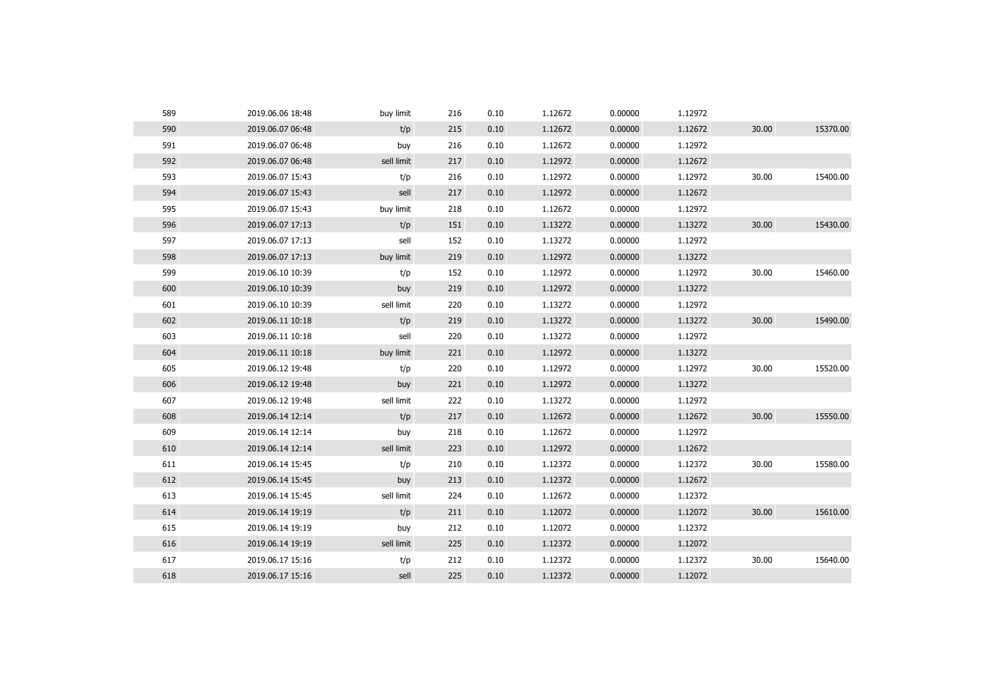| 589 | 2019.06.06 18:48 | buy limit  | 216 | 0.10 | 1.12672 | 0.00000 | 1.12972 |       |          |
|-----|------------------|------------|-----|------|---------|---------|---------|-------|----------|
| 590 | 2019.06.07 06:48 | t/p        | 215 | 0.10 | 1.12672 | 0.00000 | 1.12672 | 30.00 | 15370.00 |
| 591 | 2019.06.07 06:48 | buy        | 216 | 0.10 | 1.12672 | 0.00000 | 1.12972 |       |          |
| 592 | 2019.06.07 06:48 | sell limit | 217 | 0.10 | 1.12972 | 0.00000 | 1.12672 |       |          |
| 593 | 2019.06.07 15:43 | t/p        | 216 | 0.10 | 1.12972 | 0.00000 | 1.12972 | 30.00 | 15400.00 |
| 594 | 2019.06.07 15:43 | sell       | 217 | 0.10 | 1.12972 | 0.00000 | 1.12672 |       |          |
| 595 | 2019.06.07 15:43 | buy limit  | 218 | 0.10 | 1.12672 | 0.00000 | 1.12972 |       |          |
| 596 | 2019.06.07 17:13 | t/p        | 151 | 0.10 | 1.13272 | 0.00000 | 1.13272 | 30.00 | 15430.00 |
| 597 | 2019.06.07 17:13 | sell       | 152 | 0.10 | 1.13272 | 0.00000 | 1.12972 |       |          |
| 598 | 2019.06.07 17:13 | buy limit  | 219 | 0.10 | 1.12972 | 0.00000 | 1.13272 |       |          |
| 599 | 2019.06.10 10:39 | t/p        | 152 | 0.10 | 1.12972 | 0.00000 | 1.12972 | 30.00 | 15460.00 |
| 600 | 2019.06.10 10:39 | buy        | 219 | 0.10 | 1.12972 | 0.00000 | 1.13272 |       |          |
| 601 | 2019.06.10 10:39 | sell limit | 220 | 0.10 | 1.13272 | 0.00000 | 1.12972 |       |          |
| 602 | 2019.06.11 10:18 | t/p        | 219 | 0.10 | 1.13272 | 0.00000 | 1.13272 | 30.00 | 15490.00 |
| 603 | 2019.06.11 10:18 | sell       | 220 | 0.10 | 1.13272 | 0.00000 | 1.12972 |       |          |
| 604 | 2019.06.11 10:18 | buy limit  | 221 | 0.10 | 1.12972 | 0.00000 | 1.13272 |       |          |
| 605 | 2019.06.12 19:48 | t/p        | 220 | 0.10 | 1.12972 | 0.00000 | 1.12972 | 30.00 | 15520.00 |
| 606 | 2019.06.12 19:48 | buy        | 221 | 0.10 | 1.12972 | 0.00000 | 1.13272 |       |          |
| 607 | 2019.06.12 19:48 | sell limit | 222 | 0.10 | 1.13272 | 0.00000 | 1.12972 |       |          |
| 608 | 2019.06.14 12:14 | t/p        | 217 | 0.10 | 1.12672 | 0.00000 | 1.12672 | 30.00 | 15550.00 |
| 609 | 2019.06.14 12:14 | buy        | 218 | 0.10 | 1.12672 | 0.00000 | 1.12972 |       |          |
| 610 | 2019.06.14 12:14 | sell limit | 223 | 0.10 | 1.12972 | 0.00000 | 1.12672 |       |          |
| 611 | 2019.06.14 15:45 | t/p        | 210 | 0.10 | 1.12372 | 0.00000 | 1.12372 | 30.00 | 15580.00 |
| 612 | 2019.06.14 15:45 | buy        | 213 | 0.10 | 1.12372 | 0.00000 | 1.12672 |       |          |
| 613 | 2019.06.14 15:45 | sell limit | 224 | 0.10 | 1.12672 | 0.00000 | 1.12372 |       |          |
| 614 | 2019.06.14 19:19 | t/p        | 211 | 0.10 | 1.12072 | 0.00000 | 1.12072 | 30.00 | 15610.00 |
| 615 | 2019.06.14 19:19 | buy        | 212 | 0.10 | 1.12072 | 0.00000 | 1.12372 |       |          |
| 616 | 2019.06.14 19:19 | sell limit | 225 | 0.10 | 1.12372 | 0.00000 | 1.12072 |       |          |
| 617 | 2019.06.17 15:16 | t/p        | 212 | 0.10 | 1.12372 | 0.00000 | 1.12372 | 30.00 | 15640.00 |
| 618 | 2019.06.17 15:16 | sell       | 225 | 0.10 | 1.12372 | 0.00000 | 1.12072 |       |          |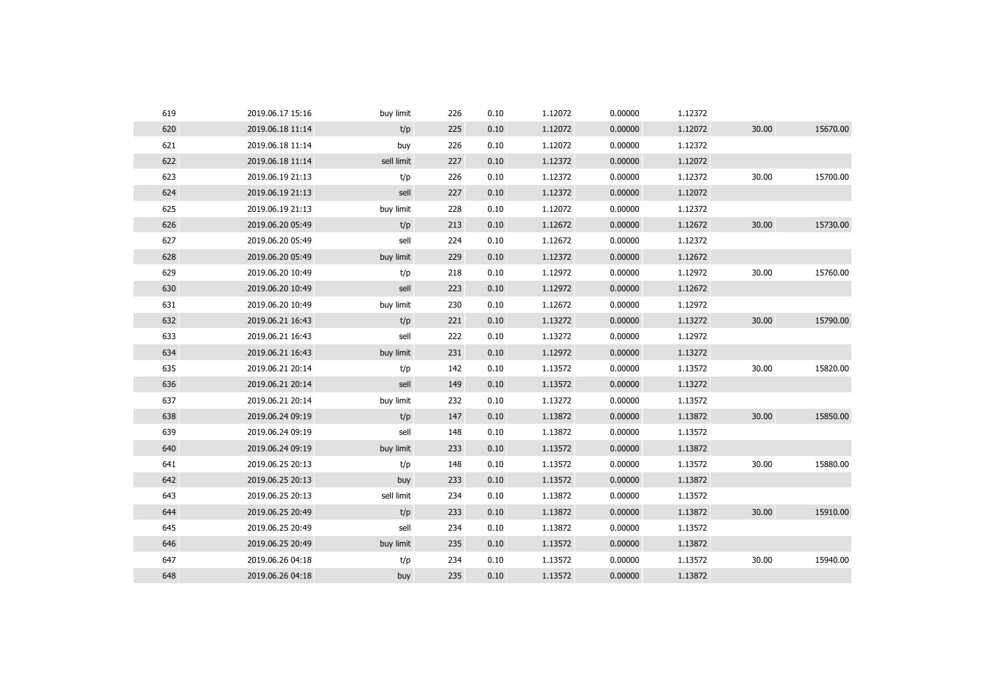| 619 | 2019.06.17 15:16 | buy limit  | 226 | 0.10 | 1.12072 | 0.00000 | 1.12372 |       |          |
|-----|------------------|------------|-----|------|---------|---------|---------|-------|----------|
| 620 | 2019.06.18 11:14 | t/p        | 225 | 0.10 | 1.12072 | 0.00000 | 1.12072 | 30.00 | 15670.00 |
| 621 | 2019.06.18 11:14 | buy        | 226 | 0.10 | 1.12072 | 0.00000 | 1.12372 |       |          |
| 622 | 2019.06.18 11:14 | sell limit | 227 | 0.10 | 1.12372 | 0.00000 | 1.12072 |       |          |
| 623 | 2019.06.19 21:13 | t/p        | 226 | 0.10 | 1.12372 | 0.00000 | 1.12372 | 30.00 | 15700.00 |
| 624 | 2019.06.19 21:13 | sell       | 227 | 0.10 | 1.12372 | 0.00000 | 1.12072 |       |          |
| 625 | 2019.06.19 21:13 | buy limit  | 228 | 0.10 | 1.12072 | 0.00000 | 1.12372 |       |          |
| 626 | 2019.06.20 05:49 | t/p        | 213 | 0.10 | 1.12672 | 0.00000 | 1.12672 | 30.00 | 15730.00 |
| 627 | 2019.06.20 05:49 | sell       | 224 | 0.10 | 1.12672 | 0.00000 | 1.12372 |       |          |
| 628 | 2019.06.20 05:49 | buy limit  | 229 | 0.10 | 1.12372 | 0.00000 | 1.12672 |       |          |
| 629 | 2019.06.20 10:49 | t/p        | 218 | 0.10 | 1.12972 | 0.00000 | 1.12972 | 30.00 | 15760.00 |
| 630 | 2019.06.20 10:49 | sell       | 223 | 0.10 | 1.12972 | 0.00000 | 1.12672 |       |          |
| 631 | 2019.06.20 10:49 | buy limit  | 230 | 0.10 | 1.12672 | 0.00000 | 1.12972 |       |          |
| 632 | 2019.06.21 16:43 | t/p        | 221 | 0.10 | 1.13272 | 0.00000 | 1.13272 | 30.00 | 15790.00 |
| 633 | 2019.06.21 16:43 | sell       | 222 | 0.10 | 1.13272 | 0.00000 | 1.12972 |       |          |
| 634 | 2019.06.21 16:43 | buy limit  | 231 | 0.10 | 1.12972 | 0.00000 | 1.13272 |       |          |
| 635 | 2019.06.21 20:14 | t/p        | 142 | 0.10 | 1.13572 | 0.00000 | 1.13572 | 30.00 | 15820.00 |
| 636 | 2019.06.21 20:14 | sell       | 149 | 0.10 | 1.13572 | 0.00000 | 1.13272 |       |          |
| 637 | 2019.06.21 20:14 | buy limit  | 232 | 0.10 | 1.13272 | 0.00000 | 1.13572 |       |          |
| 638 | 2019.06.24 09:19 | t/p        | 147 | 0.10 | 1.13872 | 0.00000 | 1.13872 | 30.00 | 15850.00 |
| 639 | 2019.06.24 09:19 | sell       | 148 | 0.10 | 1.13872 | 0.00000 | 1.13572 |       |          |
| 640 | 2019.06.24 09:19 | buy limit  | 233 | 0.10 | 1.13572 | 0.00000 | 1.13872 |       |          |
| 641 | 2019.06.25 20:13 | t/p        | 148 | 0.10 | 1.13572 | 0.00000 | 1.13572 | 30.00 | 15880.00 |
| 642 | 2019.06.25 20:13 | buy        | 233 | 0.10 | 1.13572 | 0.00000 | 1.13872 |       |          |
| 643 | 2019.06.25 20:13 | sell limit | 234 | 0.10 | 1.13872 | 0.00000 | 1.13572 |       |          |
| 644 | 2019.06.25 20:49 | t/p        | 233 | 0.10 | 1.13872 | 0.00000 | 1.13872 | 30.00 | 15910.00 |
| 645 | 2019.06.25 20:49 | sell       | 234 | 0.10 | 1.13872 | 0.00000 | 1.13572 |       |          |
| 646 | 2019.06.25 20:49 | buy limit  | 235 | 0.10 | 1.13572 | 0.00000 | 1.13872 |       |          |
| 647 | 2019.06.26 04:18 | t/p        | 234 | 0.10 | 1.13572 | 0.00000 | 1.13572 | 30.00 | 15940.00 |
| 648 | 2019.06.26 04:18 | buy        | 235 | 0.10 | 1.13572 | 0.00000 | 1.13872 |       |          |
|     |                  |            |     |      |         |         |         |       |          |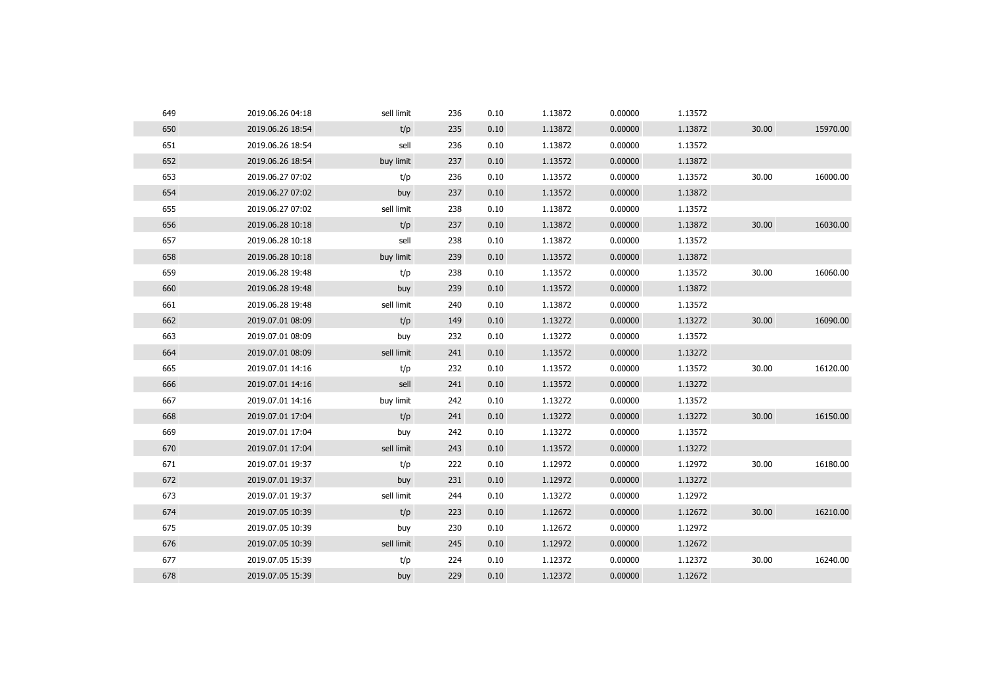| t/p<br>650<br>2019.06.26 18:54<br>1.13872<br>0.00000<br>1.13872<br>30.00<br>235<br>0.10<br>651<br>sell<br>236<br>0.10<br>1.13872<br>1.13572<br>2019.06.26 18:54<br>0.00000<br>652<br>2019.06.26 18:54<br>buy limit<br>0.10<br>1.13572<br>0.00000<br>1.13872<br>237<br>653<br>1.13572<br>30.00<br>2019.06.27 07:02<br>236<br>0.10<br>0.00000<br>1.13572<br>t/p<br>654<br>1.13572<br>0.00000<br>1.13872<br>2019.06.27 07:02<br>buy<br>237<br>0.10<br>655<br>sell limit<br>1.13872<br>238<br>0.10<br>0.00000<br>1.13572<br>2019.06.27 07:02<br>656<br>t/p<br>1.13872<br>0.00000<br>1.13872<br>30.00<br>2019.06.28 10:18<br>237<br>0.10<br>657<br>sell<br>238<br>1.13872<br>0.00000<br>1.13572<br>2019.06.28 10:18<br>0.10<br>658<br>1.13572<br>2019.06.28 10:18<br>buy limit<br>239<br>0.10<br>0.00000<br>1.13872<br>659<br>1.13572<br>30.00<br>2019.06.28 19:48<br>t/p<br>238<br>0.10<br>0.00000<br>1.13572<br>660<br>2019.06.28 19:48<br>239<br>0.10<br>1.13572<br>0.00000<br>1.13872<br>buy<br>661<br>sell limit<br>1.13872<br>1.13572<br>2019.06.28 19:48<br>240<br>0.10<br>0.00000<br>662<br>t/p<br>1.13272<br>0.00000<br>1.13272<br>30.00<br>2019.07.01 08:09<br>149<br>0.10<br>663<br>232<br>0.10<br>1.13272<br>0.00000<br>1.13572<br>2019.07.01 08:09<br>buy<br>664<br>sell limit<br>0.00000<br>2019.07.01 08:09<br>241<br>0.10<br>1.13572<br>1.13272<br>665<br>232<br>1.13572<br>1.13572<br>30.00<br>2019.07.01 14:16<br>t/p<br>0.10<br>0.00000<br>666<br>2019.07.01 14:16<br>sell<br>241<br>0.10<br>1.13572<br>0.00000<br>1.13272<br>667<br>2019.07.01 14:16<br>buy limit<br>242<br>0.10<br>1.13272<br>0.00000<br>1.13572<br>30.00<br>668<br>2019.07.01 17:04<br>t/p<br>1.13272<br>0.00000<br>1.13272<br>241<br>0.10<br>669<br>242<br>0.10<br>1.13272<br>0.00000<br>1.13572<br>2019.07.01 17:04<br>buy<br>670<br>sell limit<br>1.13572<br>0.00000<br>1.13272<br>2019.07.01 17:04<br>243<br>0.10<br>671<br>1.12972<br>1.12972<br>30.00<br>2019.07.01 19:37<br>t/p<br>222<br>0.10<br>0.00000<br>672<br>2019.07.01 19:37<br>231<br>0.10<br>1.12972<br>0.00000<br>1.13272<br>buy<br>673<br>sell limit<br>1.13272<br>1.12972<br>2019.07.01 19:37<br>244<br>0.10<br>0.00000<br>t/p<br>30.00<br>674<br>2019.07.05 10:39<br>0.10<br>1.12672<br>0.00000<br>1.12672<br>223<br>675<br>230<br>0.10<br>1.12672<br>0.00000<br>1.12972<br>2019.07.05 10:39<br>buy<br>676<br>sell limit<br>0.10<br>1.12972<br>0.00000<br>2019.07.05 10:39<br>245<br>1.12672<br>677<br>1.12372<br>1.12372<br>30.00<br>2019.07.05 15:39<br>t/p<br>224<br>0.10<br>0.00000<br>678<br>2019.07.05 15:39<br>buy<br>229<br>0.10<br>1.12372<br>0.00000<br>1.12672 | 649 | 2019.06.26 04:18 | sell limit | 236 | 0.10 | 1.13872 | 0.00000 | 1.13572 |          |
|---------------------------------------------------------------------------------------------------------------------------------------------------------------------------------------------------------------------------------------------------------------------------------------------------------------------------------------------------------------------------------------------------------------------------------------------------------------------------------------------------------------------------------------------------------------------------------------------------------------------------------------------------------------------------------------------------------------------------------------------------------------------------------------------------------------------------------------------------------------------------------------------------------------------------------------------------------------------------------------------------------------------------------------------------------------------------------------------------------------------------------------------------------------------------------------------------------------------------------------------------------------------------------------------------------------------------------------------------------------------------------------------------------------------------------------------------------------------------------------------------------------------------------------------------------------------------------------------------------------------------------------------------------------------------------------------------------------------------------------------------------------------------------------------------------------------------------------------------------------------------------------------------------------------------------------------------------------------------------------------------------------------------------------------------------------------------------------------------------------------------------------------------------------------------------------------------------------------------------------------------------------------------------------------------------------------------------------------------------------------------------------------------------------------------------------------------------------------------------------------------------------------------------------------------------------------------------------------------------------------------------|-----|------------------|------------|-----|------|---------|---------|---------|----------|
|                                                                                                                                                                                                                                                                                                                                                                                                                                                                                                                                                                                                                                                                                                                                                                                                                                                                                                                                                                                                                                                                                                                                                                                                                                                                                                                                                                                                                                                                                                                                                                                                                                                                                                                                                                                                                                                                                                                                                                                                                                                                                                                                                                                                                                                                                                                                                                                                                                                                                                                                                                                                                                 |     |                  |            |     |      |         |         |         | 15970.00 |
|                                                                                                                                                                                                                                                                                                                                                                                                                                                                                                                                                                                                                                                                                                                                                                                                                                                                                                                                                                                                                                                                                                                                                                                                                                                                                                                                                                                                                                                                                                                                                                                                                                                                                                                                                                                                                                                                                                                                                                                                                                                                                                                                                                                                                                                                                                                                                                                                                                                                                                                                                                                                                                 |     |                  |            |     |      |         |         |         |          |
|                                                                                                                                                                                                                                                                                                                                                                                                                                                                                                                                                                                                                                                                                                                                                                                                                                                                                                                                                                                                                                                                                                                                                                                                                                                                                                                                                                                                                                                                                                                                                                                                                                                                                                                                                                                                                                                                                                                                                                                                                                                                                                                                                                                                                                                                                                                                                                                                                                                                                                                                                                                                                                 |     |                  |            |     |      |         |         |         |          |
|                                                                                                                                                                                                                                                                                                                                                                                                                                                                                                                                                                                                                                                                                                                                                                                                                                                                                                                                                                                                                                                                                                                                                                                                                                                                                                                                                                                                                                                                                                                                                                                                                                                                                                                                                                                                                                                                                                                                                                                                                                                                                                                                                                                                                                                                                                                                                                                                                                                                                                                                                                                                                                 |     |                  |            |     |      |         |         |         | 16000.00 |
|                                                                                                                                                                                                                                                                                                                                                                                                                                                                                                                                                                                                                                                                                                                                                                                                                                                                                                                                                                                                                                                                                                                                                                                                                                                                                                                                                                                                                                                                                                                                                                                                                                                                                                                                                                                                                                                                                                                                                                                                                                                                                                                                                                                                                                                                                                                                                                                                                                                                                                                                                                                                                                 |     |                  |            |     |      |         |         |         |          |
|                                                                                                                                                                                                                                                                                                                                                                                                                                                                                                                                                                                                                                                                                                                                                                                                                                                                                                                                                                                                                                                                                                                                                                                                                                                                                                                                                                                                                                                                                                                                                                                                                                                                                                                                                                                                                                                                                                                                                                                                                                                                                                                                                                                                                                                                                                                                                                                                                                                                                                                                                                                                                                 |     |                  |            |     |      |         |         |         |          |
|                                                                                                                                                                                                                                                                                                                                                                                                                                                                                                                                                                                                                                                                                                                                                                                                                                                                                                                                                                                                                                                                                                                                                                                                                                                                                                                                                                                                                                                                                                                                                                                                                                                                                                                                                                                                                                                                                                                                                                                                                                                                                                                                                                                                                                                                                                                                                                                                                                                                                                                                                                                                                                 |     |                  |            |     |      |         |         |         | 16030.00 |
|                                                                                                                                                                                                                                                                                                                                                                                                                                                                                                                                                                                                                                                                                                                                                                                                                                                                                                                                                                                                                                                                                                                                                                                                                                                                                                                                                                                                                                                                                                                                                                                                                                                                                                                                                                                                                                                                                                                                                                                                                                                                                                                                                                                                                                                                                                                                                                                                                                                                                                                                                                                                                                 |     |                  |            |     |      |         |         |         |          |
|                                                                                                                                                                                                                                                                                                                                                                                                                                                                                                                                                                                                                                                                                                                                                                                                                                                                                                                                                                                                                                                                                                                                                                                                                                                                                                                                                                                                                                                                                                                                                                                                                                                                                                                                                                                                                                                                                                                                                                                                                                                                                                                                                                                                                                                                                                                                                                                                                                                                                                                                                                                                                                 |     |                  |            |     |      |         |         |         |          |
|                                                                                                                                                                                                                                                                                                                                                                                                                                                                                                                                                                                                                                                                                                                                                                                                                                                                                                                                                                                                                                                                                                                                                                                                                                                                                                                                                                                                                                                                                                                                                                                                                                                                                                                                                                                                                                                                                                                                                                                                                                                                                                                                                                                                                                                                                                                                                                                                                                                                                                                                                                                                                                 |     |                  |            |     |      |         |         |         | 16060.00 |
|                                                                                                                                                                                                                                                                                                                                                                                                                                                                                                                                                                                                                                                                                                                                                                                                                                                                                                                                                                                                                                                                                                                                                                                                                                                                                                                                                                                                                                                                                                                                                                                                                                                                                                                                                                                                                                                                                                                                                                                                                                                                                                                                                                                                                                                                                                                                                                                                                                                                                                                                                                                                                                 |     |                  |            |     |      |         |         |         |          |
|                                                                                                                                                                                                                                                                                                                                                                                                                                                                                                                                                                                                                                                                                                                                                                                                                                                                                                                                                                                                                                                                                                                                                                                                                                                                                                                                                                                                                                                                                                                                                                                                                                                                                                                                                                                                                                                                                                                                                                                                                                                                                                                                                                                                                                                                                                                                                                                                                                                                                                                                                                                                                                 |     |                  |            |     |      |         |         |         |          |
|                                                                                                                                                                                                                                                                                                                                                                                                                                                                                                                                                                                                                                                                                                                                                                                                                                                                                                                                                                                                                                                                                                                                                                                                                                                                                                                                                                                                                                                                                                                                                                                                                                                                                                                                                                                                                                                                                                                                                                                                                                                                                                                                                                                                                                                                                                                                                                                                                                                                                                                                                                                                                                 |     |                  |            |     |      |         |         |         | 16090.00 |
|                                                                                                                                                                                                                                                                                                                                                                                                                                                                                                                                                                                                                                                                                                                                                                                                                                                                                                                                                                                                                                                                                                                                                                                                                                                                                                                                                                                                                                                                                                                                                                                                                                                                                                                                                                                                                                                                                                                                                                                                                                                                                                                                                                                                                                                                                                                                                                                                                                                                                                                                                                                                                                 |     |                  |            |     |      |         |         |         |          |
|                                                                                                                                                                                                                                                                                                                                                                                                                                                                                                                                                                                                                                                                                                                                                                                                                                                                                                                                                                                                                                                                                                                                                                                                                                                                                                                                                                                                                                                                                                                                                                                                                                                                                                                                                                                                                                                                                                                                                                                                                                                                                                                                                                                                                                                                                                                                                                                                                                                                                                                                                                                                                                 |     |                  |            |     |      |         |         |         |          |
|                                                                                                                                                                                                                                                                                                                                                                                                                                                                                                                                                                                                                                                                                                                                                                                                                                                                                                                                                                                                                                                                                                                                                                                                                                                                                                                                                                                                                                                                                                                                                                                                                                                                                                                                                                                                                                                                                                                                                                                                                                                                                                                                                                                                                                                                                                                                                                                                                                                                                                                                                                                                                                 |     |                  |            |     |      |         |         |         | 16120.00 |
|                                                                                                                                                                                                                                                                                                                                                                                                                                                                                                                                                                                                                                                                                                                                                                                                                                                                                                                                                                                                                                                                                                                                                                                                                                                                                                                                                                                                                                                                                                                                                                                                                                                                                                                                                                                                                                                                                                                                                                                                                                                                                                                                                                                                                                                                                                                                                                                                                                                                                                                                                                                                                                 |     |                  |            |     |      |         |         |         |          |
|                                                                                                                                                                                                                                                                                                                                                                                                                                                                                                                                                                                                                                                                                                                                                                                                                                                                                                                                                                                                                                                                                                                                                                                                                                                                                                                                                                                                                                                                                                                                                                                                                                                                                                                                                                                                                                                                                                                                                                                                                                                                                                                                                                                                                                                                                                                                                                                                                                                                                                                                                                                                                                 |     |                  |            |     |      |         |         |         |          |
|                                                                                                                                                                                                                                                                                                                                                                                                                                                                                                                                                                                                                                                                                                                                                                                                                                                                                                                                                                                                                                                                                                                                                                                                                                                                                                                                                                                                                                                                                                                                                                                                                                                                                                                                                                                                                                                                                                                                                                                                                                                                                                                                                                                                                                                                                                                                                                                                                                                                                                                                                                                                                                 |     |                  |            |     |      |         |         |         | 16150.00 |
|                                                                                                                                                                                                                                                                                                                                                                                                                                                                                                                                                                                                                                                                                                                                                                                                                                                                                                                                                                                                                                                                                                                                                                                                                                                                                                                                                                                                                                                                                                                                                                                                                                                                                                                                                                                                                                                                                                                                                                                                                                                                                                                                                                                                                                                                                                                                                                                                                                                                                                                                                                                                                                 |     |                  |            |     |      |         |         |         |          |
|                                                                                                                                                                                                                                                                                                                                                                                                                                                                                                                                                                                                                                                                                                                                                                                                                                                                                                                                                                                                                                                                                                                                                                                                                                                                                                                                                                                                                                                                                                                                                                                                                                                                                                                                                                                                                                                                                                                                                                                                                                                                                                                                                                                                                                                                                                                                                                                                                                                                                                                                                                                                                                 |     |                  |            |     |      |         |         |         |          |
|                                                                                                                                                                                                                                                                                                                                                                                                                                                                                                                                                                                                                                                                                                                                                                                                                                                                                                                                                                                                                                                                                                                                                                                                                                                                                                                                                                                                                                                                                                                                                                                                                                                                                                                                                                                                                                                                                                                                                                                                                                                                                                                                                                                                                                                                                                                                                                                                                                                                                                                                                                                                                                 |     |                  |            |     |      |         |         |         | 16180.00 |
|                                                                                                                                                                                                                                                                                                                                                                                                                                                                                                                                                                                                                                                                                                                                                                                                                                                                                                                                                                                                                                                                                                                                                                                                                                                                                                                                                                                                                                                                                                                                                                                                                                                                                                                                                                                                                                                                                                                                                                                                                                                                                                                                                                                                                                                                                                                                                                                                                                                                                                                                                                                                                                 |     |                  |            |     |      |         |         |         |          |
|                                                                                                                                                                                                                                                                                                                                                                                                                                                                                                                                                                                                                                                                                                                                                                                                                                                                                                                                                                                                                                                                                                                                                                                                                                                                                                                                                                                                                                                                                                                                                                                                                                                                                                                                                                                                                                                                                                                                                                                                                                                                                                                                                                                                                                                                                                                                                                                                                                                                                                                                                                                                                                 |     |                  |            |     |      |         |         |         |          |
|                                                                                                                                                                                                                                                                                                                                                                                                                                                                                                                                                                                                                                                                                                                                                                                                                                                                                                                                                                                                                                                                                                                                                                                                                                                                                                                                                                                                                                                                                                                                                                                                                                                                                                                                                                                                                                                                                                                                                                                                                                                                                                                                                                                                                                                                                                                                                                                                                                                                                                                                                                                                                                 |     |                  |            |     |      |         |         |         | 16210.00 |
|                                                                                                                                                                                                                                                                                                                                                                                                                                                                                                                                                                                                                                                                                                                                                                                                                                                                                                                                                                                                                                                                                                                                                                                                                                                                                                                                                                                                                                                                                                                                                                                                                                                                                                                                                                                                                                                                                                                                                                                                                                                                                                                                                                                                                                                                                                                                                                                                                                                                                                                                                                                                                                 |     |                  |            |     |      |         |         |         |          |
|                                                                                                                                                                                                                                                                                                                                                                                                                                                                                                                                                                                                                                                                                                                                                                                                                                                                                                                                                                                                                                                                                                                                                                                                                                                                                                                                                                                                                                                                                                                                                                                                                                                                                                                                                                                                                                                                                                                                                                                                                                                                                                                                                                                                                                                                                                                                                                                                                                                                                                                                                                                                                                 |     |                  |            |     |      |         |         |         |          |
|                                                                                                                                                                                                                                                                                                                                                                                                                                                                                                                                                                                                                                                                                                                                                                                                                                                                                                                                                                                                                                                                                                                                                                                                                                                                                                                                                                                                                                                                                                                                                                                                                                                                                                                                                                                                                                                                                                                                                                                                                                                                                                                                                                                                                                                                                                                                                                                                                                                                                                                                                                                                                                 |     |                  |            |     |      |         |         |         | 16240.00 |
|                                                                                                                                                                                                                                                                                                                                                                                                                                                                                                                                                                                                                                                                                                                                                                                                                                                                                                                                                                                                                                                                                                                                                                                                                                                                                                                                                                                                                                                                                                                                                                                                                                                                                                                                                                                                                                                                                                                                                                                                                                                                                                                                                                                                                                                                                                                                                                                                                                                                                                                                                                                                                                 |     |                  |            |     |      |         |         |         |          |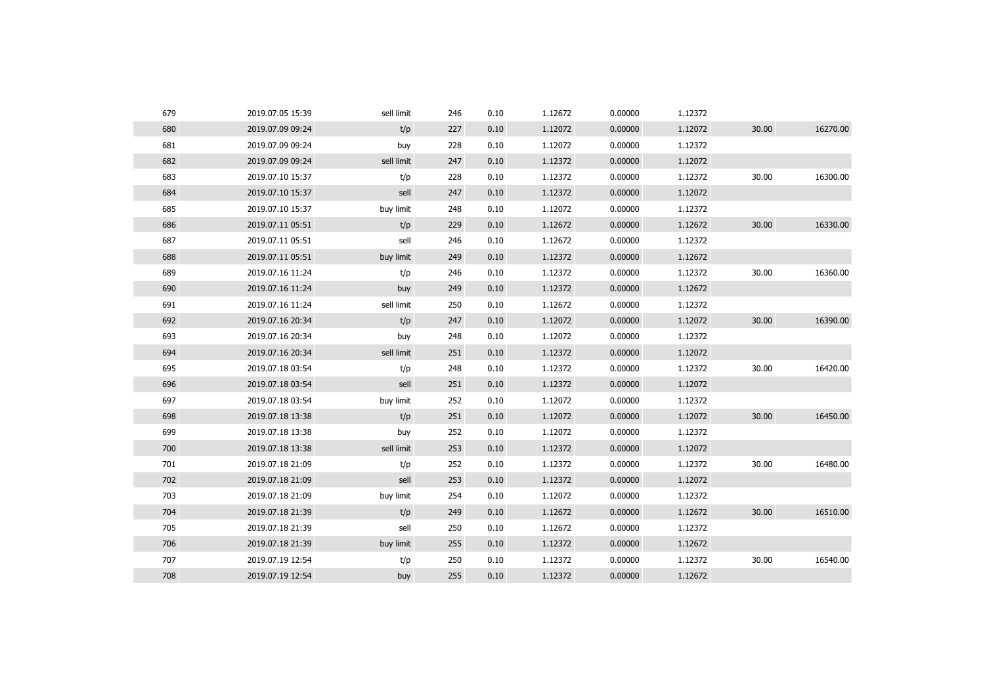| 679<br>2019.07.05 15:39 | sell limit | 246 | 0.10 | 1.12672 | 0.00000 | 1.12372 |       |          |
|-------------------------|------------|-----|------|---------|---------|---------|-------|----------|
| 680<br>2019.07.09 09:24 | t/p        | 227 | 0.10 | 1.12072 | 0.00000 | 1.12072 | 30.00 | 16270.00 |
| 681<br>2019.07.09 09:24 | buy        | 228 | 0.10 | 1.12072 | 0.00000 | 1.12372 |       |          |
| 682<br>2019.07.09 09:24 | sell limit | 247 | 0.10 | 1.12372 | 0.00000 | 1.12072 |       |          |
| 683<br>2019.07.10 15:37 | t/p        | 228 | 0.10 | 1.12372 | 0.00000 | 1.12372 | 30.00 | 16300.00 |
| 684<br>2019.07.10 15:37 | sell       | 247 | 0.10 | 1.12372 | 0.00000 | 1.12072 |       |          |
| 685<br>2019.07.10 15:37 | buy limit  | 248 | 0.10 | 1.12072 | 0.00000 | 1.12372 |       |          |
| 686<br>2019.07.11 05:51 | t/p        | 229 | 0.10 | 1.12672 | 0.00000 | 1.12672 | 30.00 | 16330.00 |
| 687<br>2019.07.11 05:51 | sell       | 246 | 0.10 | 1.12672 | 0.00000 | 1.12372 |       |          |
| 688<br>2019.07.11 05:51 | buy limit  | 249 | 0.10 | 1.12372 | 0.00000 | 1.12672 |       |          |
| 689<br>2019.07.16 11:24 | t/p        | 246 | 0.10 | 1.12372 | 0.00000 | 1.12372 | 30.00 | 16360.00 |
| 690<br>2019.07.16 11:24 | buy        | 249 | 0.10 | 1.12372 | 0.00000 | 1.12672 |       |          |
| 691<br>2019.07.16 11:24 | sell limit | 250 | 0.10 | 1.12672 | 0.00000 | 1.12372 |       |          |
| 692<br>2019.07.16 20:34 | t/p        | 247 | 0.10 | 1.12072 | 0.00000 | 1.12072 | 30.00 | 16390.00 |
| 693<br>2019.07.16 20:34 | buy        | 248 | 0.10 | 1.12072 | 0.00000 | 1.12372 |       |          |
| 694<br>2019.07.16 20:34 | sell limit | 251 | 0.10 | 1.12372 | 0.00000 | 1.12072 |       |          |
| 695<br>2019.07.18 03:54 | t/p        | 248 | 0.10 | 1.12372 | 0.00000 | 1.12372 | 30.00 | 16420.00 |
| 696<br>2019.07.18 03:54 | sell       | 251 | 0.10 | 1.12372 | 0.00000 | 1.12072 |       |          |
| 697<br>2019.07.18 03:54 | buy limit  | 252 | 0.10 | 1.12072 | 0.00000 | 1.12372 |       |          |
| 698<br>2019.07.18 13:38 | t/p        | 251 | 0.10 | 1.12072 | 0.00000 | 1.12072 | 30.00 | 16450.00 |
| 699<br>2019.07.18 13:38 | buy        | 252 | 0.10 | 1.12072 | 0.00000 | 1.12372 |       |          |
| 700<br>2019.07.18 13:38 | sell limit | 253 | 0.10 | 1.12372 | 0.00000 | 1.12072 |       |          |
| 701<br>2019.07.18 21:09 | t/p        | 252 | 0.10 | 1.12372 | 0.00000 | 1.12372 | 30.00 | 16480.00 |
| 702<br>2019.07.18 21:09 | sell       | 253 | 0.10 | 1.12372 | 0.00000 | 1.12072 |       |          |
| 703<br>2019.07.18 21:09 | buy limit  | 254 | 0.10 | 1.12072 | 0.00000 | 1.12372 |       |          |
| 704<br>2019.07.18 21:39 | t/p        | 249 | 0.10 | 1.12672 | 0.00000 | 1.12672 | 30.00 | 16510.00 |
| 705<br>2019.07.18 21:39 | sell       | 250 | 0.10 | 1.12672 | 0.00000 | 1.12372 |       |          |
| 706<br>2019.07.18 21:39 | buy limit  | 255 | 0.10 | 1.12372 | 0.00000 | 1.12672 |       |          |
| 707<br>2019.07.19 12:54 | t/p        | 250 | 0.10 | 1.12372 | 0.00000 | 1.12372 | 30.00 | 16540.00 |
| 708<br>2019.07.19 12:54 | buy        | 255 | 0.10 | 1.12372 | 0.00000 | 1.12672 |       |          |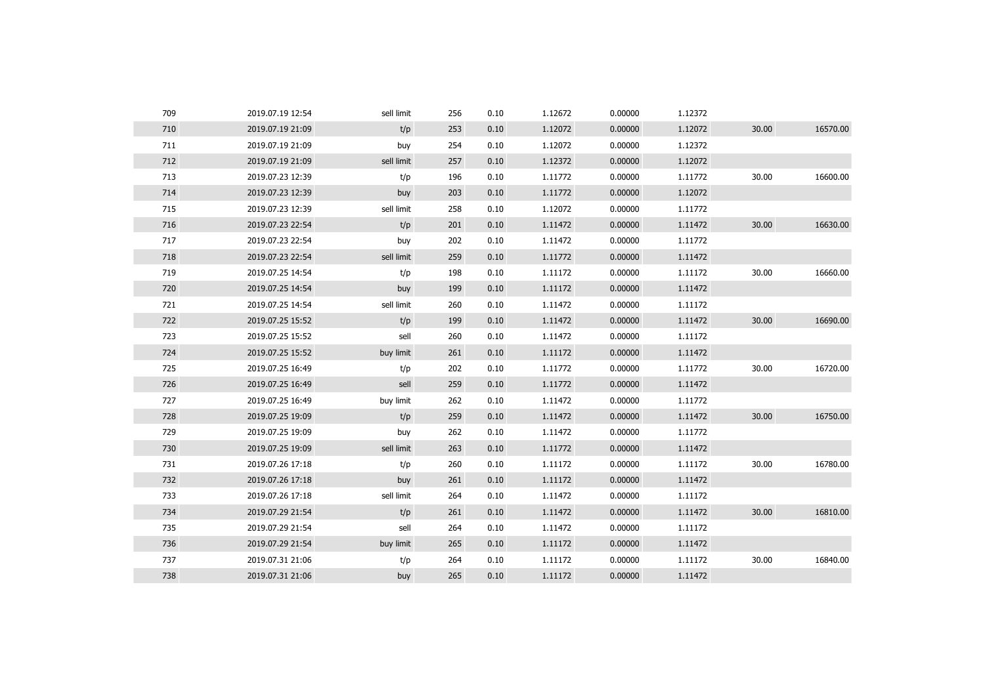| 709 | 2019.07.19 12:54 | sell limit | 256 | 0.10 | 1.12672 | 0.00000 | 1.12372 |       |          |
|-----|------------------|------------|-----|------|---------|---------|---------|-------|----------|
| 710 | 2019.07.19 21:09 | t/p        | 253 | 0.10 | 1.12072 | 0.00000 | 1.12072 | 30.00 | 16570.00 |
| 711 | 2019.07.19 21:09 | buy        | 254 | 0.10 | 1.12072 | 0.00000 | 1.12372 |       |          |
| 712 | 2019.07.19 21:09 | sell limit | 257 | 0.10 | 1.12372 | 0.00000 | 1.12072 |       |          |
| 713 | 2019.07.23 12:39 | t/p        | 196 | 0.10 | 1.11772 | 0.00000 | 1.11772 | 30.00 | 16600.00 |
| 714 | 2019.07.23 12:39 | buy        | 203 | 0.10 | 1.11772 | 0.00000 | 1.12072 |       |          |
| 715 | 2019.07.23 12:39 | sell limit | 258 | 0.10 | 1.12072 | 0.00000 | 1.11772 |       |          |
| 716 | 2019.07.23 22:54 | t/p        | 201 | 0.10 | 1.11472 | 0.00000 | 1.11472 | 30.00 | 16630.00 |
| 717 | 2019.07.23 22:54 | buy        | 202 | 0.10 | 1.11472 | 0.00000 | 1.11772 |       |          |
| 718 | 2019.07.23 22:54 | sell limit | 259 | 0.10 | 1.11772 | 0.00000 | 1.11472 |       |          |
| 719 | 2019.07.25 14:54 | t/p        | 198 | 0.10 | 1.11172 | 0.00000 | 1.11172 | 30.00 | 16660.00 |
| 720 | 2019.07.25 14:54 | buy        | 199 | 0.10 | 1.11172 | 0.00000 | 1.11472 |       |          |
| 721 | 2019.07.25 14:54 | sell limit | 260 | 0.10 | 1.11472 | 0.00000 | 1.11172 |       |          |
| 722 | 2019.07.25 15:52 | t/p        | 199 | 0.10 | 1.11472 | 0.00000 | 1.11472 | 30.00 | 16690.00 |
| 723 | 2019.07.25 15:52 | sell       | 260 | 0.10 | 1.11472 | 0.00000 | 1.11172 |       |          |
| 724 | 2019.07.25 15:52 | buy limit  | 261 | 0.10 | 1.11172 | 0.00000 | 1.11472 |       |          |
| 725 | 2019.07.25 16:49 | t/p        | 202 | 0.10 | 1.11772 | 0.00000 | 1.11772 | 30.00 | 16720.00 |
| 726 | 2019.07.25 16:49 | sell       | 259 | 0.10 | 1.11772 | 0.00000 | 1.11472 |       |          |
| 727 | 2019.07.25 16:49 | buy limit  | 262 | 0.10 | 1.11472 | 0.00000 | 1.11772 |       |          |
| 728 | 2019.07.25 19:09 | t/p        | 259 | 0.10 | 1.11472 | 0.00000 | 1.11472 | 30.00 | 16750.00 |
| 729 | 2019.07.25 19:09 | buy        | 262 | 0.10 | 1.11472 | 0.00000 | 1.11772 |       |          |
| 730 | 2019.07.25 19:09 | sell limit | 263 | 0.10 | 1.11772 | 0.00000 | 1.11472 |       |          |
| 731 | 2019.07.26 17:18 | t/p        | 260 | 0.10 | 1.11172 | 0.00000 | 1.11172 | 30.00 | 16780.00 |
| 732 | 2019.07.26 17:18 | buy        | 261 | 0.10 | 1.11172 | 0.00000 | 1.11472 |       |          |
| 733 | 2019.07.26 17:18 | sell limit | 264 | 0.10 | 1.11472 | 0.00000 | 1.11172 |       |          |
| 734 | 2019.07.29 21:54 | t/p        | 261 | 0.10 | 1.11472 | 0.00000 | 1.11472 | 30.00 | 16810.00 |
| 735 | 2019.07.29 21:54 | sell       | 264 | 0.10 | 1.11472 | 0.00000 | 1.11172 |       |          |
| 736 | 2019.07.29 21:54 | buy limit  | 265 | 0.10 | 1.11172 | 0.00000 | 1.11472 |       |          |
| 737 | 2019.07.31 21:06 | t/p        | 264 | 0.10 | 1.11172 | 0.00000 | 1.11172 | 30.00 | 16840.00 |
| 738 | 2019.07.31 21:06 | buy        | 265 | 0.10 | 1.11172 | 0.00000 | 1.11472 |       |          |
|     |                  |            |     |      |         |         |         |       |          |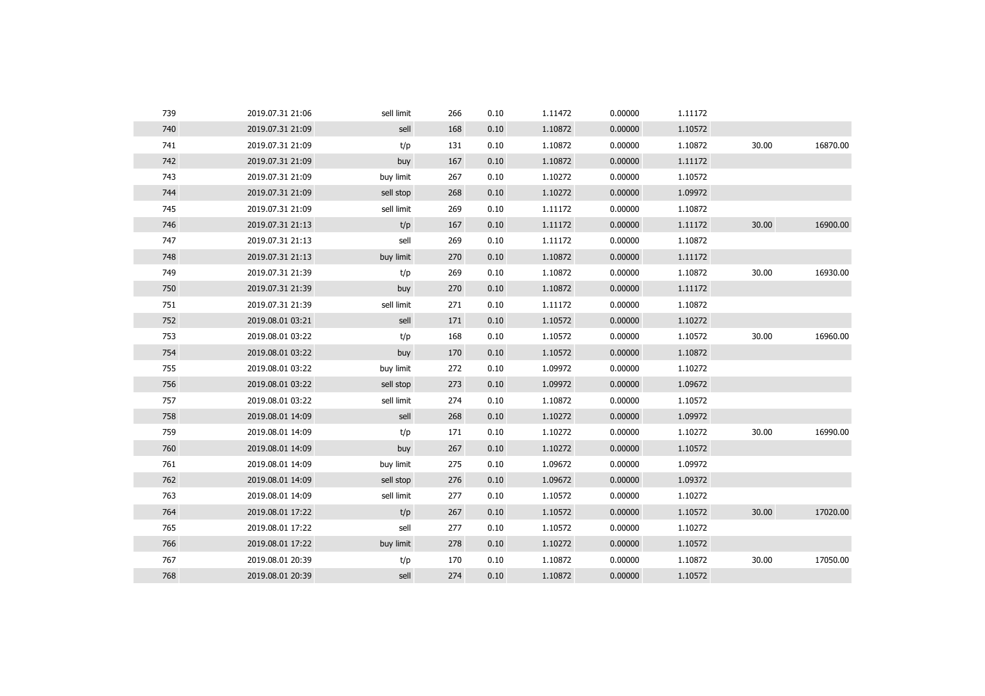| 739 | 2019.07.31 21:06 | sell limit | 266 | 0.10 | 1.11472 | 0.00000 | 1.11172 |       |          |
|-----|------------------|------------|-----|------|---------|---------|---------|-------|----------|
| 740 | 2019.07.31 21:09 | sell       | 168 | 0.10 | 1.10872 | 0.00000 | 1.10572 |       |          |
| 741 | 2019.07.31 21:09 | t/p        | 131 | 0.10 | 1.10872 | 0.00000 | 1.10872 | 30.00 | 16870.00 |
| 742 | 2019.07.31 21:09 | buy        | 167 | 0.10 | 1.10872 | 0.00000 | 1.11172 |       |          |
| 743 | 2019.07.31 21:09 | buy limit  | 267 | 0.10 | 1.10272 | 0.00000 | 1.10572 |       |          |
| 744 | 2019.07.31 21:09 | sell stop  | 268 | 0.10 | 1.10272 | 0.00000 | 1.09972 |       |          |
| 745 | 2019.07.31 21:09 | sell limit | 269 | 0.10 | 1.11172 | 0.00000 | 1.10872 |       |          |
| 746 | 2019.07.31 21:13 | t/p        | 167 | 0.10 | 1.11172 | 0.00000 | 1.11172 | 30.00 | 16900.00 |
| 747 | 2019.07.31 21:13 | sell       | 269 | 0.10 | 1.11172 | 0.00000 | 1.10872 |       |          |
| 748 | 2019.07.31 21:13 | buy limit  | 270 | 0.10 | 1.10872 | 0.00000 | 1.11172 |       |          |
| 749 | 2019.07.31 21:39 | t/p        | 269 | 0.10 | 1.10872 | 0.00000 | 1.10872 | 30.00 | 16930.00 |
| 750 | 2019.07.31 21:39 | buy        | 270 | 0.10 | 1.10872 | 0.00000 | 1.11172 |       |          |
| 751 | 2019.07.31 21:39 | sell limit | 271 | 0.10 | 1.11172 | 0.00000 | 1.10872 |       |          |
| 752 | 2019.08.01 03:21 | sell       | 171 | 0.10 | 1.10572 | 0.00000 | 1.10272 |       |          |
| 753 | 2019.08.01 03:22 | t/p        | 168 | 0.10 | 1.10572 | 0.00000 | 1.10572 | 30.00 | 16960.00 |
| 754 | 2019.08.01 03:22 | buy        | 170 | 0.10 | 1.10572 | 0.00000 | 1.10872 |       |          |
| 755 | 2019.08.01 03:22 | buy limit  | 272 | 0.10 | 1.09972 | 0.00000 | 1.10272 |       |          |
| 756 | 2019.08.01 03:22 | sell stop  | 273 | 0.10 | 1.09972 | 0.00000 | 1.09672 |       |          |
| 757 | 2019.08.01 03:22 | sell limit | 274 | 0.10 | 1.10872 | 0.00000 | 1.10572 |       |          |
| 758 | 2019.08.01 14:09 | sell       | 268 | 0.10 | 1.10272 | 0.00000 | 1.09972 |       |          |
| 759 | 2019.08.01 14:09 | t/p        | 171 | 0.10 | 1.10272 | 0.00000 | 1.10272 | 30.00 | 16990.00 |
| 760 | 2019.08.01 14:09 | buy        | 267 | 0.10 | 1.10272 | 0.00000 | 1.10572 |       |          |
| 761 | 2019.08.01 14:09 | buy limit  | 275 | 0.10 | 1.09672 | 0.00000 | 1.09972 |       |          |
| 762 | 2019.08.01 14:09 | sell stop  | 276 | 0.10 | 1.09672 | 0.00000 | 1.09372 |       |          |
| 763 | 2019.08.01 14:09 | sell limit | 277 | 0.10 | 1.10572 | 0.00000 | 1.10272 |       |          |
| 764 | 2019.08.01 17:22 | t/p        | 267 | 0.10 | 1.10572 | 0.00000 | 1.10572 | 30.00 | 17020.00 |
| 765 | 2019.08.01 17:22 | sell       | 277 | 0.10 | 1.10572 | 0.00000 | 1.10272 |       |          |
| 766 | 2019.08.01 17:22 | buy limit  | 278 | 0.10 | 1.10272 | 0.00000 | 1.10572 |       |          |
| 767 | 2019.08.01 20:39 | t/p        | 170 | 0.10 | 1.10872 | 0.00000 | 1.10872 | 30.00 | 17050.00 |
| 768 | 2019.08.01 20:39 | sell       | 274 | 0.10 | 1.10872 | 0.00000 | 1.10572 |       |          |
|     |                  |            |     |      |         |         |         |       |          |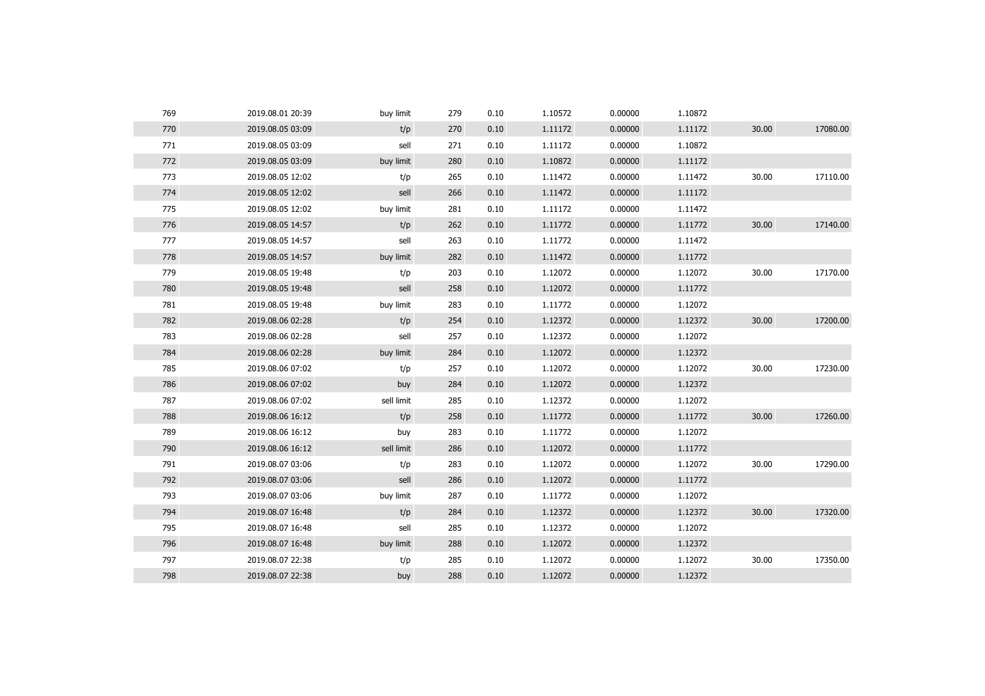| 770<br>t/p<br>0.00000<br>30.00<br>2019.08.05 03:09<br>270<br>0.10<br>1.11172<br>1.11172<br>771<br>sell<br>0.10<br>0.00000<br>1.10872<br>2019.08.05 03:09<br>271<br>1.11172<br>772<br>0.00000<br>buy limit<br>0.10<br>1.10872<br>1.11172<br>2019.08.05 03:09<br>280 | 17080.00 |
|--------------------------------------------------------------------------------------------------------------------------------------------------------------------------------------------------------------------------------------------------------------------|----------|
|                                                                                                                                                                                                                                                                    |          |
|                                                                                                                                                                                                                                                                    |          |
|                                                                                                                                                                                                                                                                    |          |
| 773<br>0.10<br>1.11472<br>0.00000<br>1.11472<br>30.00<br>2019.08.05 12:02<br>t/p<br>265                                                                                                                                                                            | 17110.00 |
| 774<br>sell<br>0.10<br>1.11472<br>0.00000<br>1.11172<br>2019.08.05 12:02<br>266                                                                                                                                                                                    |          |
| 775<br>buy limit<br>0.10<br>0.00000<br>1.11472<br>2019.08.05 12:02<br>281<br>1.11172                                                                                                                                                                               |          |
| 30.00<br>776<br>t/p<br>1.11772<br>2019.08.05 14:57<br>0.10<br>1.11772<br>0.00000<br>262                                                                                                                                                                            | 17140.00 |
| 777<br>sell<br>0.10<br>1.11772<br>0.00000<br>1.11472<br>2019.08.05 14:57<br>263                                                                                                                                                                                    |          |
| 778<br>2019.08.05 14:57<br>buy limit<br>282<br>0.10<br>1.11472<br>0.00000<br>1.11772                                                                                                                                                                               |          |
| 779<br>0.10<br>1.12072<br>0.00000<br>1.12072<br>2019.08.05 19:48<br>t/p<br>203<br>30.00                                                                                                                                                                            | 17170.00 |
| 780<br>sell<br>0.00000<br>1.11772<br>2019.08.05 19:48<br>258<br>0.10<br>1.12072                                                                                                                                                                                    |          |
| 781<br>buy limit<br>0.10<br>1.11772<br>0.00000<br>1.12072<br>2019.08.05 19:48<br>283                                                                                                                                                                               |          |
| 782<br>t/p<br>30.00<br>2019.08.06 02:28<br>254<br>0.10<br>1.12372<br>0.00000<br>1.12372                                                                                                                                                                            | 17200.00 |
| 783<br>sell<br>0.10<br>1.12372<br>0.00000<br>1.12072<br>2019.08.06 02:28<br>257                                                                                                                                                                                    |          |
| 784<br>0.00000<br>2019.08.06 02:28<br>buy limit<br>284<br>0.10<br>1.12072<br>1.12372                                                                                                                                                                               |          |
| 785<br>0.10<br>1.12072<br>0.00000<br>1.12072<br>30.00<br>2019.08.06 07:02<br>t/p<br>257                                                                                                                                                                            | 17230.00 |
| 786<br>0.00000<br>1.12372<br>2019.08.06 07:02<br>buy<br>284<br>0.10<br>1.12072                                                                                                                                                                                     |          |
| 787<br>sell limit<br>0.10<br>1.12372<br>0.00000<br>1.12072<br>2019.08.06 07:02<br>285                                                                                                                                                                              |          |
| 30.00<br>788<br>t/p<br>2019.08.06 16:12<br>258<br>0.10<br>1.11772<br>0.00000<br>1.11772                                                                                                                                                                            | 17260.00 |
| 789<br>0.10<br>1.11772<br>0.00000<br>1.12072<br>2019.08.06 16:12<br>buy<br>283                                                                                                                                                                                     |          |
| 790<br>0.00000<br>2019.08.06 16:12<br>sell limit<br>286<br>0.10<br>1.12072<br>1.11772                                                                                                                                                                              |          |
| 791<br>t/p<br>0.10<br>1.12072<br>0.00000<br>1.12072<br>30.00<br>2019.08.07 03:06<br>283                                                                                                                                                                            | 17290.00 |
| 792<br>sell<br>0.00000<br>2019.08.07 03:06<br>286<br>0.10<br>1.12072<br>1.11772                                                                                                                                                                                    |          |
| 793<br>buy limit<br>0.10<br>1.11772<br>0.00000<br>1.12072<br>2019.08.07 03:06<br>287                                                                                                                                                                               |          |
| 30.00<br>794<br>t/p<br>2019.08.07 16:48<br>284<br>0.10<br>1.12372<br>0.00000<br>1.12372                                                                                                                                                                            | 17320.00 |
| 795<br>sell<br>0.10<br>1.12372<br>0.00000<br>1.12072<br>2019.08.07 16:48<br>285                                                                                                                                                                                    |          |
| 796<br>0.00000<br>2019.08.07 16:48<br>buy limit<br>0.10<br>1.12072<br>1.12372<br>288                                                                                                                                                                               |          |
| 797<br>0.10<br>1.12072<br>0.00000<br>1.12072<br>30.00<br>2019.08.07 22:38<br>t/p<br>285                                                                                                                                                                            | 17350.00 |
| 798<br>1.12372<br>2019.08.07 22:38<br>buy<br>288<br>0.10<br>1.12072<br>0.00000                                                                                                                                                                                     |          |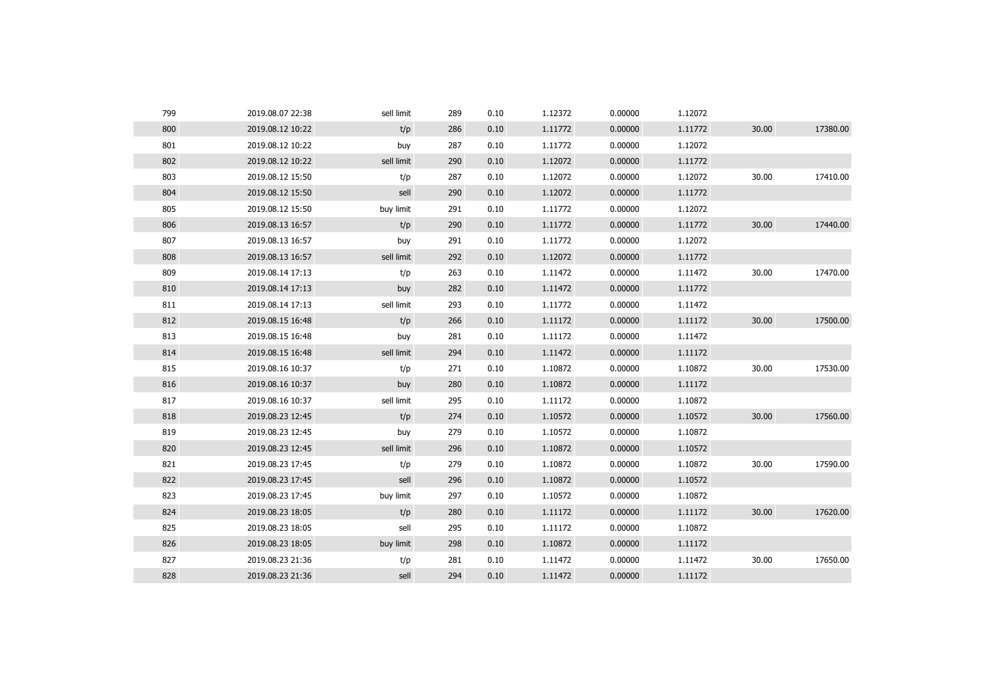| 799 | 2019.08.07 22:38 | sell limit | 289 | 0.10 | 1.12372 | 0.00000 | 1.12072 |       |          |
|-----|------------------|------------|-----|------|---------|---------|---------|-------|----------|
| 800 | 2019.08.12 10:22 | t/p        | 286 | 0.10 | 1.11772 | 0.00000 | 1.11772 | 30.00 | 17380.00 |
| 801 | 2019.08.12 10:22 | buy        | 287 | 0.10 | 1.11772 | 0.00000 | 1.12072 |       |          |
| 802 | 2019.08.12 10:22 | sell limit | 290 | 0.10 | 1.12072 | 0.00000 | 1.11772 |       |          |
| 803 | 2019.08.12 15:50 | t/p        | 287 | 0.10 | 1.12072 | 0.00000 | 1.12072 | 30.00 | 17410.00 |
| 804 | 2019.08.12 15:50 | sell       | 290 | 0.10 | 1.12072 | 0.00000 | 1.11772 |       |          |
| 805 | 2019.08.12 15:50 | buy limit  | 291 | 0.10 | 1.11772 | 0.00000 | 1.12072 |       |          |
| 806 | 2019.08.13 16:57 | t/p        | 290 | 0.10 | 1.11772 | 0.00000 | 1.11772 | 30.00 | 17440.00 |
| 807 | 2019.08.13 16:57 | buy        | 291 | 0.10 | 1.11772 | 0.00000 | 1.12072 |       |          |
| 808 | 2019.08.13 16:57 | sell limit | 292 | 0.10 | 1.12072 | 0.00000 | 1.11772 |       |          |
| 809 | 2019.08.14 17:13 | t/p        | 263 | 0.10 | 1.11472 | 0.00000 | 1.11472 | 30.00 | 17470.00 |
| 810 | 2019.08.14 17:13 | buy        | 282 | 0.10 | 1.11472 | 0.00000 | 1.11772 |       |          |
| 811 | 2019.08.14 17:13 | sell limit | 293 | 0.10 | 1.11772 | 0.00000 | 1.11472 |       |          |
| 812 | 2019.08.15 16:48 | t/p        | 266 | 0.10 | 1.11172 | 0.00000 | 1.11172 | 30.00 | 17500.00 |
| 813 | 2019.08.15 16:48 | buy        | 281 | 0.10 | 1.11172 | 0.00000 | 1.11472 |       |          |
| 814 | 2019.08.15 16:48 | sell limit | 294 | 0.10 | 1.11472 | 0.00000 | 1.11172 |       |          |
| 815 | 2019.08.16 10:37 | t/p        | 271 | 0.10 | 1.10872 | 0.00000 | 1.10872 | 30.00 | 17530.00 |
| 816 | 2019.08.16 10:37 | buy        | 280 | 0.10 | 1.10872 | 0.00000 | 1.11172 |       |          |
| 817 | 2019.08.16 10:37 | sell limit | 295 | 0.10 | 1.11172 | 0.00000 | 1.10872 |       |          |
| 818 | 2019.08.23 12:45 | t/p        | 274 | 0.10 | 1.10572 | 0.00000 | 1.10572 | 30.00 | 17560.00 |
| 819 | 2019.08.23 12:45 | buy        | 279 | 0.10 | 1.10572 | 0.00000 | 1.10872 |       |          |
| 820 | 2019.08.23 12:45 | sell limit | 296 | 0.10 | 1.10872 | 0.00000 | 1.10572 |       |          |
| 821 | 2019.08.23 17:45 | t/p        | 279 | 0.10 | 1.10872 | 0.00000 | 1.10872 | 30.00 | 17590.00 |
| 822 | 2019.08.23 17:45 | sell       | 296 | 0.10 | 1.10872 | 0.00000 | 1.10572 |       |          |
| 823 | 2019.08.23 17:45 | buy limit  | 297 | 0.10 | 1.10572 | 0.00000 | 1.10872 |       |          |
| 824 | 2019.08.23 18:05 | t/p        | 280 | 0.10 | 1.11172 | 0.00000 | 1.11172 | 30.00 | 17620.00 |
| 825 | 2019.08.23 18:05 | sell       | 295 | 0.10 | 1.11172 | 0.00000 | 1.10872 |       |          |
| 826 | 2019.08.23 18:05 | buy limit  | 298 | 0.10 | 1.10872 | 0.00000 | 1.11172 |       |          |
| 827 | 2019.08.23 21:36 | t/p        | 281 | 0.10 | 1.11472 | 0.00000 | 1.11472 | 30.00 | 17650.00 |
|     |                  |            |     |      |         |         |         |       |          |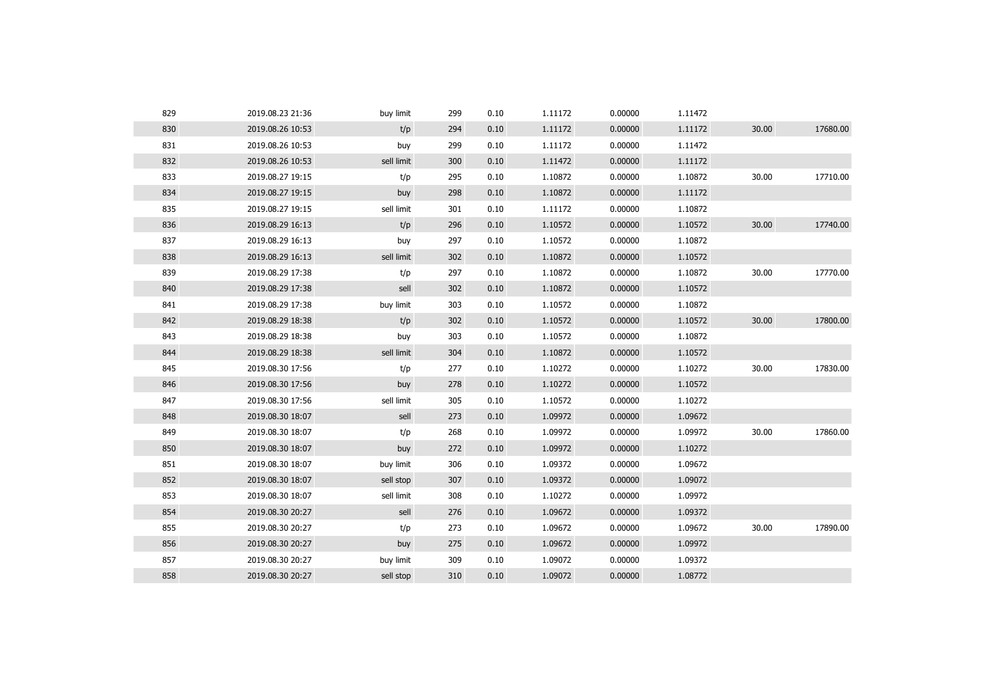| 829 | 2019.08.23 21:36 | buy limit  | 299 | 0.10 | 1.11172 | 0.00000 | 1.11472 |       |          |
|-----|------------------|------------|-----|------|---------|---------|---------|-------|----------|
| 830 | 2019.08.26 10:53 | t/p        | 294 | 0.10 | 1.11172 | 0.00000 | 1.11172 | 30.00 | 17680.00 |
| 831 | 2019.08.26 10:53 | buy        | 299 | 0.10 | 1.11172 | 0.00000 | 1.11472 |       |          |
| 832 | 2019.08.26 10:53 | sell limit | 300 | 0.10 | 1.11472 | 0.00000 | 1.11172 |       |          |
| 833 | 2019.08.27 19:15 | t/p        | 295 | 0.10 | 1.10872 | 0.00000 | 1.10872 | 30.00 | 17710.00 |
| 834 | 2019.08.27 19:15 | buy        | 298 | 0.10 | 1.10872 | 0.00000 | 1.11172 |       |          |
| 835 | 2019.08.27 19:15 | sell limit | 301 | 0.10 | 1.11172 | 0.00000 | 1.10872 |       |          |
| 836 | 2019.08.29 16:13 | t/p        | 296 | 0.10 | 1.10572 | 0.00000 | 1.10572 | 30.00 | 17740.00 |
| 837 | 2019.08.29 16:13 | buy        | 297 | 0.10 | 1.10572 | 0.00000 | 1.10872 |       |          |
| 838 | 2019.08.29 16:13 | sell limit | 302 | 0.10 | 1.10872 | 0.00000 | 1.10572 |       |          |
| 839 | 2019.08.29 17:38 | t/p        | 297 | 0.10 | 1.10872 | 0.00000 | 1.10872 | 30.00 | 17770.00 |
| 840 | 2019.08.29 17:38 | sell       | 302 | 0.10 | 1.10872 | 0.00000 | 1.10572 |       |          |
| 841 | 2019.08.29 17:38 | buy limit  | 303 | 0.10 | 1.10572 | 0.00000 | 1.10872 |       |          |
| 842 | 2019.08.29 18:38 | t/p        | 302 | 0.10 | 1.10572 | 0.00000 | 1.10572 | 30.00 | 17800.00 |
| 843 | 2019.08.29 18:38 | buy        | 303 | 0.10 | 1.10572 | 0.00000 | 1.10872 |       |          |
| 844 | 2019.08.29 18:38 | sell limit | 304 | 0.10 | 1.10872 | 0.00000 | 1.10572 |       |          |
| 845 | 2019.08.30 17:56 | t/p        | 277 | 0.10 | 1.10272 | 0.00000 | 1.10272 | 30.00 | 17830.00 |
| 846 | 2019.08.30 17:56 | buy        | 278 | 0.10 | 1.10272 | 0.00000 | 1.10572 |       |          |
| 847 | 2019.08.30 17:56 | sell limit | 305 | 0.10 | 1.10572 | 0.00000 | 1.10272 |       |          |
| 848 | 2019.08.30 18:07 | sell       | 273 | 0.10 | 1.09972 | 0.00000 | 1.09672 |       |          |
| 849 | 2019.08.30 18:07 | t/p        | 268 | 0.10 | 1.09972 | 0.00000 | 1.09972 | 30.00 | 17860.00 |
| 850 | 2019.08.30 18:07 | buy        | 272 | 0.10 | 1.09972 | 0.00000 | 1.10272 |       |          |
| 851 | 2019.08.30 18:07 | buy limit  | 306 | 0.10 | 1.09372 | 0.00000 | 1.09672 |       |          |
| 852 | 2019.08.30 18:07 | sell stop  | 307 | 0.10 | 1.09372 | 0.00000 | 1.09072 |       |          |
| 853 | 2019.08.30 18:07 | sell limit | 308 | 0.10 | 1.10272 | 0.00000 | 1.09972 |       |          |
| 854 | 2019.08.30 20:27 | sell       | 276 | 0.10 | 1.09672 | 0.00000 | 1.09372 |       |          |
| 855 | 2019.08.30 20:27 | t/p        | 273 | 0.10 | 1.09672 | 0.00000 | 1.09672 | 30.00 | 17890.00 |
| 856 | 2019.08.30 20:27 | buy        | 275 | 0.10 | 1.09672 | 0.00000 | 1.09972 |       |          |
| 857 | 2019.08.30 20:27 | buy limit  | 309 | 0.10 | 1.09072 | 0.00000 | 1.09372 |       |          |
| 858 | 2019.08.30 20:27 | sell stop  | 310 | 0.10 | 1.09072 | 0.00000 | 1.08772 |       |          |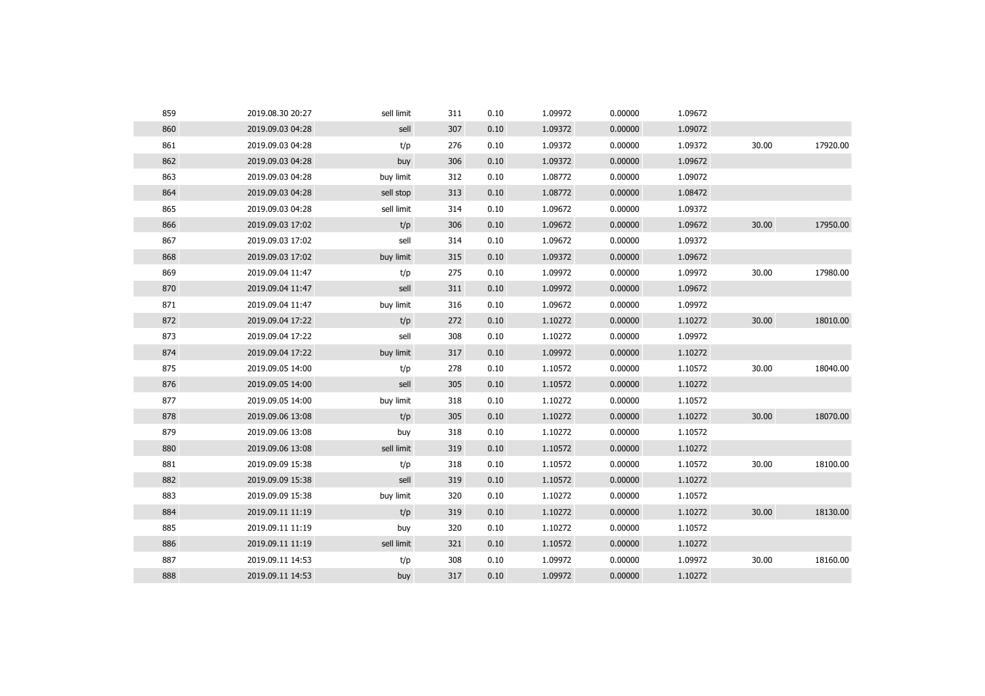| 859 | 2019.08.30 20:27 | sell limit | 311 | 0.10 | 1.09972 | 0.00000 | 1.09672 |       |          |
|-----|------------------|------------|-----|------|---------|---------|---------|-------|----------|
| 860 | 2019.09.03 04:28 | sell       | 307 | 0.10 | 1.09372 | 0.00000 | 1.09072 |       |          |
| 861 | 2019.09.03 04:28 | t/p        | 276 | 0.10 | 1.09372 | 0.00000 | 1.09372 | 30.00 | 17920.00 |
| 862 | 2019.09.03 04:28 | buy        | 306 | 0.10 | 1.09372 | 0.00000 | 1.09672 |       |          |
| 863 | 2019.09.03 04:28 | buy limit  | 312 | 0.10 | 1.08772 | 0.00000 | 1.09072 |       |          |
| 864 | 2019.09.03 04:28 | sell stop  | 313 | 0.10 | 1.08772 | 0.00000 | 1.08472 |       |          |
| 865 | 2019.09.03 04:28 | sell limit | 314 | 0.10 | 1.09672 | 0.00000 | 1.09372 |       |          |
| 866 | 2019.09.03 17:02 | t/p        | 306 | 0.10 | 1.09672 | 0.00000 | 1.09672 | 30.00 | 17950.00 |
| 867 | 2019.09.03 17:02 | sell       | 314 | 0.10 | 1.09672 | 0.00000 | 1.09372 |       |          |
| 868 | 2019.09.03 17:02 | buy limit  | 315 | 0.10 | 1.09372 | 0.00000 | 1.09672 |       |          |
| 869 | 2019.09.04 11:47 | t/p        | 275 | 0.10 | 1.09972 | 0.00000 | 1.09972 | 30.00 | 17980.00 |
| 870 | 2019.09.04 11:47 | sell       | 311 | 0.10 | 1.09972 | 0.00000 | 1.09672 |       |          |
| 871 | 2019.09.04 11:47 | buy limit  | 316 | 0.10 | 1.09672 | 0.00000 | 1.09972 |       |          |
| 872 | 2019.09.04 17:22 | t/p        | 272 | 0.10 | 1.10272 | 0.00000 | 1.10272 | 30.00 | 18010.00 |
| 873 | 2019.09.04 17:22 | sell       | 308 | 0.10 | 1.10272 | 0.00000 | 1.09972 |       |          |
| 874 | 2019.09.04 17:22 | buy limit  | 317 | 0.10 | 1.09972 | 0.00000 | 1.10272 |       |          |
| 875 | 2019.09.05 14:00 | t/p        | 278 | 0.10 | 1.10572 | 0.00000 | 1.10572 | 30.00 | 18040.00 |
| 876 | 2019.09.05 14:00 | sell       | 305 | 0.10 | 1.10572 | 0.00000 | 1.10272 |       |          |
| 877 | 2019.09.05 14:00 | buy limit  | 318 | 0.10 | 1.10272 | 0.00000 | 1.10572 |       |          |
| 878 | 2019.09.06 13:08 | t/p        | 305 | 0.10 | 1.10272 | 0.00000 | 1.10272 | 30.00 | 18070.00 |
| 879 | 2019.09.06 13:08 | buy        | 318 | 0.10 | 1.10272 | 0.00000 | 1.10572 |       |          |
| 880 | 2019.09.06 13:08 | sell limit | 319 | 0.10 | 1.10572 | 0.00000 | 1.10272 |       |          |
| 881 | 2019.09.09 15:38 | t/p        | 318 | 0.10 | 1.10572 | 0.00000 | 1.10572 | 30.00 | 18100.00 |
| 882 | 2019.09.09 15:38 | sell       | 319 | 0.10 | 1.10572 | 0.00000 | 1.10272 |       |          |
| 883 | 2019.09.09 15:38 | buy limit  | 320 | 0.10 | 1.10272 | 0.00000 | 1.10572 |       |          |
| 884 | 2019.09.11 11:19 | t/p        | 319 | 0.10 | 1.10272 | 0.00000 | 1.10272 | 30.00 | 18130.00 |
| 885 | 2019.09.11 11:19 | buy        | 320 | 0.10 | 1.10272 | 0.00000 | 1.10572 |       |          |
| 886 | 2019.09.11 11:19 | sell limit | 321 | 0.10 | 1.10572 | 0.00000 | 1.10272 |       |          |
| 887 | 2019.09.11 14:53 | t/p        | 308 | 0.10 | 1.09972 | 0.00000 | 1.09972 | 30.00 | 18160.00 |
| 888 | 2019.09.11 14:53 | buy        | 317 | 0.10 | 1.09972 | 0.00000 | 1.10272 |       |          |
|     |                  |            |     |      |         |         |         |       |          |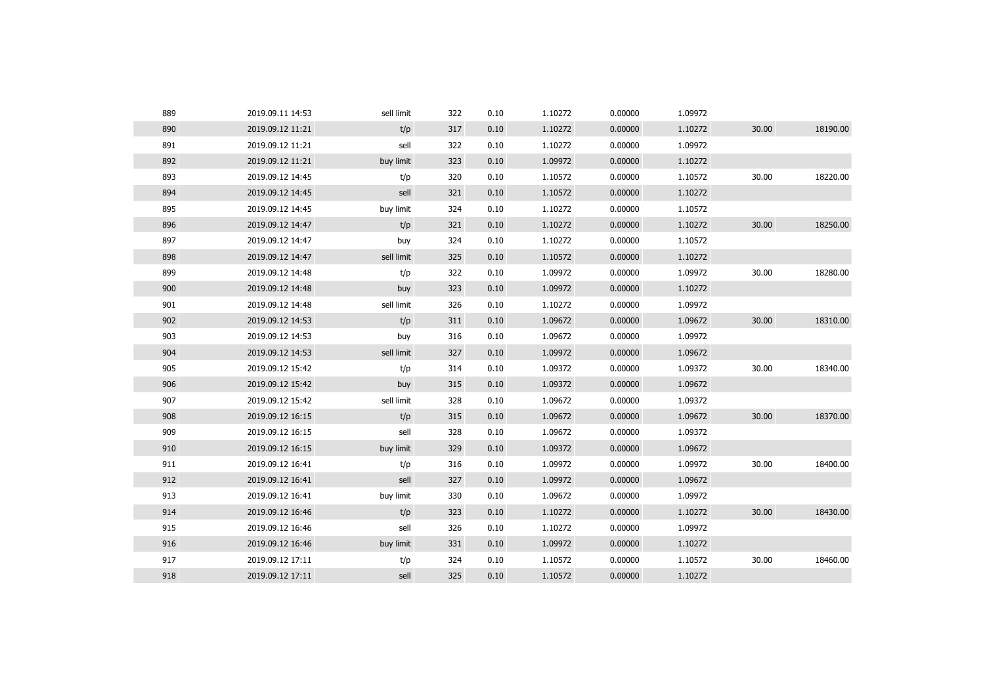| 889 | 2019.09.11 14:53 | sell limit | 322 | 0.10 | 1.10272 | 0.00000 | 1.09972 |       |          |
|-----|------------------|------------|-----|------|---------|---------|---------|-------|----------|
| 890 | 2019.09.12 11:21 | t/p        | 317 | 0.10 | 1.10272 | 0.00000 | 1.10272 | 30.00 | 18190.00 |
| 891 | 2019.09.12 11:21 | sell       | 322 | 0.10 | 1.10272 | 0.00000 | 1.09972 |       |          |
| 892 | 2019.09.12 11:21 | buy limit  | 323 | 0.10 | 1.09972 | 0.00000 | 1.10272 |       |          |
| 893 | 2019.09.12 14:45 | t/p        | 320 | 0.10 | 1.10572 | 0.00000 | 1.10572 | 30.00 | 18220.00 |
| 894 | 2019.09.12 14:45 | sell       | 321 | 0.10 | 1.10572 | 0.00000 | 1.10272 |       |          |
| 895 | 2019.09.12 14:45 | buy limit  | 324 | 0.10 | 1.10272 | 0.00000 | 1.10572 |       |          |
| 896 | 2019.09.12 14:47 | t/p        | 321 | 0.10 | 1.10272 | 0.00000 | 1.10272 | 30.00 | 18250.00 |
| 897 | 2019.09.12 14:47 | buy        | 324 | 0.10 | 1.10272 | 0.00000 | 1.10572 |       |          |
| 898 | 2019.09.12 14:47 | sell limit | 325 | 0.10 | 1.10572 | 0.00000 | 1.10272 |       |          |
| 899 | 2019.09.12 14:48 | t/p        | 322 | 0.10 | 1.09972 | 0.00000 | 1.09972 | 30.00 | 18280.00 |
| 900 | 2019.09.12 14:48 | buy        | 323 | 0.10 | 1.09972 | 0.00000 | 1.10272 |       |          |
| 901 | 2019.09.12 14:48 | sell limit | 326 | 0.10 | 1.10272 | 0.00000 | 1.09972 |       |          |
| 902 | 2019.09.12 14:53 | t/p        | 311 | 0.10 | 1.09672 | 0.00000 | 1.09672 | 30.00 | 18310.00 |
| 903 | 2019.09.12 14:53 | buy        | 316 | 0.10 | 1.09672 | 0.00000 | 1.09972 |       |          |
| 904 | 2019.09.12 14:53 | sell limit | 327 | 0.10 | 1.09972 | 0.00000 | 1.09672 |       |          |
| 905 | 2019.09.12 15:42 | t/p        | 314 | 0.10 | 1.09372 | 0.00000 | 1.09372 | 30.00 | 18340.00 |
| 906 | 2019.09.12 15:42 | buy        | 315 | 0.10 | 1.09372 | 0.00000 | 1.09672 |       |          |
| 907 | 2019.09.12 15:42 | sell limit | 328 | 0.10 | 1.09672 | 0.00000 | 1.09372 |       |          |
| 908 | 2019.09.12 16:15 | t/p        | 315 | 0.10 | 1.09672 | 0.00000 | 1.09672 | 30.00 | 18370.00 |
| 909 | 2019.09.12 16:15 | sell       | 328 | 0.10 | 1.09672 | 0.00000 | 1.09372 |       |          |
| 910 | 2019.09.12 16:15 | buy limit  | 329 | 0.10 | 1.09372 | 0.00000 | 1.09672 |       |          |
| 911 | 2019.09.12 16:41 | t/p        | 316 | 0.10 | 1.09972 | 0.00000 | 1.09972 | 30.00 | 18400.00 |
| 912 | 2019.09.12 16:41 | sell       | 327 | 0.10 | 1.09972 | 0.00000 | 1.09672 |       |          |
| 913 | 2019.09.12 16:41 | buy limit  | 330 | 0.10 | 1.09672 | 0.00000 | 1.09972 |       |          |
| 914 | 2019.09.12 16:46 | t/p        | 323 | 0.10 | 1.10272 | 0.00000 | 1.10272 | 30.00 | 18430.00 |
| 915 | 2019.09.12 16:46 | sell       | 326 | 0.10 | 1.10272 | 0.00000 | 1.09972 |       |          |
| 916 | 2019.09.12 16:46 | buy limit  | 331 | 0.10 | 1.09972 | 0.00000 | 1.10272 |       |          |
| 917 | 2019.09.12 17:11 | t/p        | 324 | 0.10 | 1.10572 | 0.00000 | 1.10572 | 30.00 | 18460.00 |
| 918 | 2019.09.12 17:11 | sell       | 325 | 0.10 | 1.10572 | 0.00000 | 1.10272 |       |          |
|     |                  |            |     |      |         |         |         |       |          |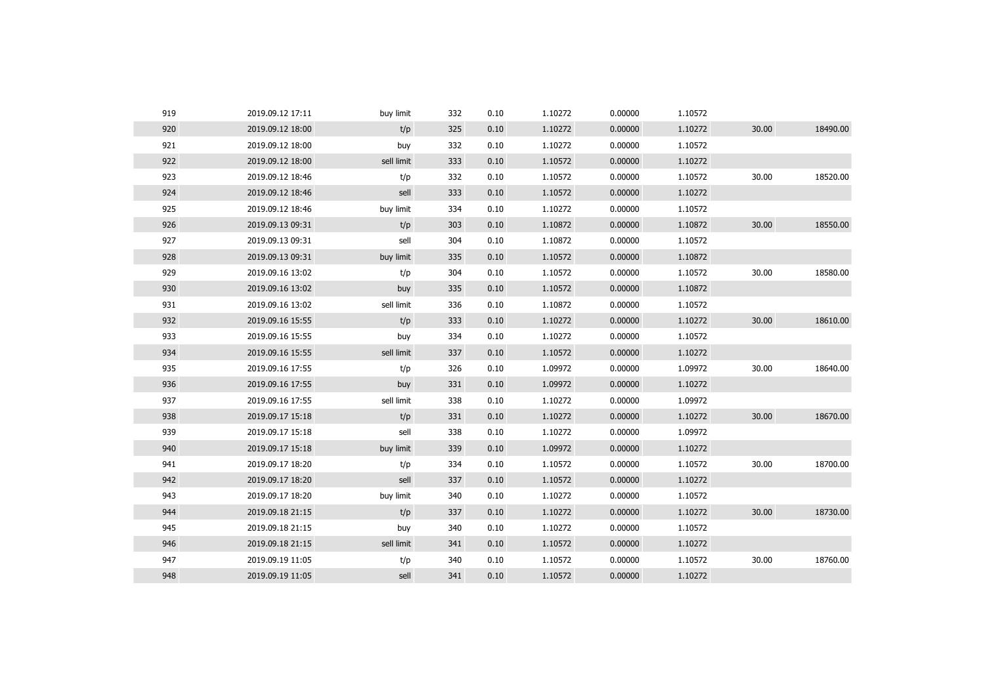| 919 | 2019.09.12 17:11 | buy limit  | 332 | 0.10 | 1.10272 | 0.00000 | 1.10572 |       |          |
|-----|------------------|------------|-----|------|---------|---------|---------|-------|----------|
| 920 | 2019.09.12 18:00 | t/p        | 325 | 0.10 | 1.10272 | 0.00000 | 1.10272 | 30.00 | 18490.00 |
| 921 | 2019.09.12 18:00 | buy        | 332 | 0.10 | 1.10272 | 0.00000 | 1.10572 |       |          |
| 922 | 2019.09.12 18:00 | sell limit | 333 | 0.10 | 1.10572 | 0.00000 | 1.10272 |       |          |
| 923 | 2019.09.12 18:46 | t/p        | 332 | 0.10 | 1.10572 | 0.00000 | 1.10572 | 30.00 | 18520.00 |
| 924 | 2019.09.12 18:46 | sell       | 333 | 0.10 | 1.10572 | 0.00000 | 1.10272 |       |          |
| 925 | 2019.09.12 18:46 | buy limit  | 334 | 0.10 | 1.10272 | 0.00000 | 1.10572 |       |          |
| 926 | 2019.09.13 09:31 | t/p        | 303 | 0.10 | 1.10872 | 0.00000 | 1.10872 | 30.00 | 18550.00 |
| 927 | 2019.09.13 09:31 | sell       | 304 | 0.10 | 1.10872 | 0.00000 | 1.10572 |       |          |
| 928 | 2019.09.13 09:31 | buy limit  | 335 | 0.10 | 1.10572 | 0.00000 | 1.10872 |       |          |
| 929 | 2019.09.16 13:02 | t/p        | 304 | 0.10 | 1.10572 | 0.00000 | 1.10572 | 30.00 | 18580.00 |
| 930 | 2019.09.16 13:02 | buy        | 335 | 0.10 | 1.10572 | 0.00000 | 1.10872 |       |          |
| 931 | 2019.09.16 13:02 | sell limit | 336 | 0.10 | 1.10872 | 0.00000 | 1.10572 |       |          |
| 932 | 2019.09.16 15:55 | t/p        | 333 | 0.10 | 1.10272 | 0.00000 | 1.10272 | 30.00 | 18610.00 |
| 933 | 2019.09.16 15:55 | buy        | 334 | 0.10 | 1.10272 | 0.00000 | 1.10572 |       |          |
| 934 | 2019.09.16 15:55 | sell limit | 337 | 0.10 | 1.10572 | 0.00000 | 1.10272 |       |          |
| 935 | 2019.09.16 17:55 | t/p        | 326 | 0.10 | 1.09972 | 0.00000 | 1.09972 | 30.00 | 18640.00 |
| 936 | 2019.09.16 17:55 | buy        | 331 | 0.10 | 1.09972 | 0.00000 | 1.10272 |       |          |
| 937 | 2019.09.16 17:55 | sell limit | 338 | 0.10 | 1.10272 | 0.00000 | 1.09972 |       |          |
| 938 | 2019.09.17 15:18 | t/p        | 331 | 0.10 | 1.10272 | 0.00000 | 1.10272 | 30.00 | 18670.00 |
| 939 | 2019.09.17 15:18 | sell       | 338 | 0.10 | 1.10272 | 0.00000 | 1.09972 |       |          |
| 940 | 2019.09.17 15:18 | buy limit  | 339 | 0.10 | 1.09972 | 0.00000 | 1.10272 |       |          |
| 941 | 2019.09.17 18:20 | t/p        | 334 | 0.10 | 1.10572 | 0.00000 | 1.10572 | 30.00 | 18700.00 |
| 942 | 2019.09.17 18:20 | sell       | 337 | 0.10 | 1.10572 | 0.00000 | 1.10272 |       |          |
| 943 | 2019.09.17 18:20 | buy limit  | 340 | 0.10 | 1.10272 | 0.00000 | 1.10572 |       |          |
| 944 | 2019.09.18 21:15 | t/p        | 337 | 0.10 | 1.10272 | 0.00000 | 1.10272 | 30.00 | 18730.00 |
| 945 | 2019.09.18 21:15 | buy        | 340 | 0.10 | 1.10272 | 0.00000 | 1.10572 |       |          |
| 946 | 2019.09.18 21:15 | sell limit | 341 | 0.10 | 1.10572 | 0.00000 | 1.10272 |       |          |
| 947 | 2019.09.19 11:05 | t/p        | 340 | 0.10 | 1.10572 | 0.00000 | 1.10572 | 30.00 | 18760.00 |
| 948 | 2019.09.19 11:05 | sell       | 341 | 0.10 | 1.10572 | 0.00000 | 1.10272 |       |          |
|     |                  |            |     |      |         |         |         |       |          |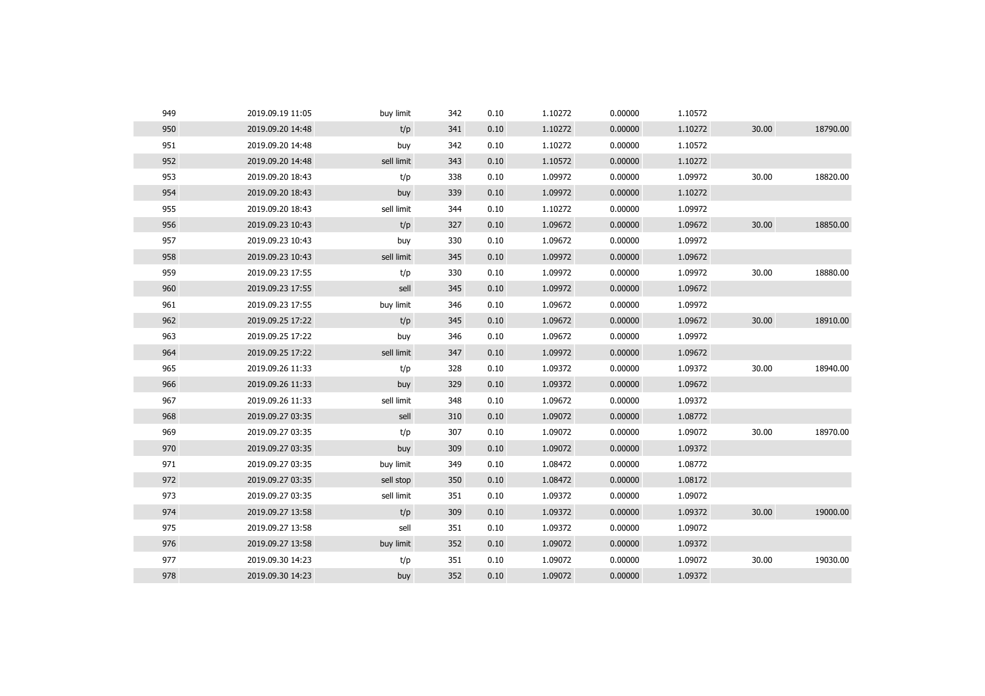| 950<br>t/p<br>1.10272<br>0.00000<br>1.10272<br>30.00<br>2019.09.20 14:48<br>341<br>0.10<br>951<br>1.10272<br>2019.09.20 14:48<br>342<br>0.10<br>0.00000<br>1.10572<br>buy<br>952<br>2019.09.20 14:48<br>sell limit<br>0.10<br>1.10572<br>0.00000<br>1.10272<br>343<br>953<br>30.00<br>2019.09.20 18:43<br>t/p<br>338<br>0.10<br>1.09972<br>0.00000<br>1.09972<br>954<br>1.09972<br>0.00000<br>1.10272<br>2019.09.20 18:43<br>buy<br>339<br>0.10<br>955<br>sell limit<br>1.10272<br>0.00000<br>1.09972<br>2019.09.20 18:43<br>344<br>0.10<br>956<br>t/p<br>1.09672<br>0.00000<br>1.09672<br>30.00<br>2019.09.23 10:43<br>327<br>0.10<br>957<br>330<br>1.09672<br>0.00000<br>1.09972<br>2019.09.23 10:43<br>buy<br>0.10<br>958<br>1.09972<br>2019.09.23 10:43<br>sell limit<br>345<br>0.10<br>0.00000<br>1.09672<br>959<br>2019.09.23 17:55<br>t/p<br>330<br>0.10<br>1.09972<br>0.00000<br>1.09972<br>30.00 | 18790.00<br>18820.00<br>18850.00 |
|-----------------------------------------------------------------------------------------------------------------------------------------------------------------------------------------------------------------------------------------------------------------------------------------------------------------------------------------------------------------------------------------------------------------------------------------------------------------------------------------------------------------------------------------------------------------------------------------------------------------------------------------------------------------------------------------------------------------------------------------------------------------------------------------------------------------------------------------------------------------------------------------------------------|----------------------------------|
|                                                                                                                                                                                                                                                                                                                                                                                                                                                                                                                                                                                                                                                                                                                                                                                                                                                                                                           |                                  |
|                                                                                                                                                                                                                                                                                                                                                                                                                                                                                                                                                                                                                                                                                                                                                                                                                                                                                                           |                                  |
|                                                                                                                                                                                                                                                                                                                                                                                                                                                                                                                                                                                                                                                                                                                                                                                                                                                                                                           |                                  |
|                                                                                                                                                                                                                                                                                                                                                                                                                                                                                                                                                                                                                                                                                                                                                                                                                                                                                                           |                                  |
|                                                                                                                                                                                                                                                                                                                                                                                                                                                                                                                                                                                                                                                                                                                                                                                                                                                                                                           |                                  |
|                                                                                                                                                                                                                                                                                                                                                                                                                                                                                                                                                                                                                                                                                                                                                                                                                                                                                                           |                                  |
|                                                                                                                                                                                                                                                                                                                                                                                                                                                                                                                                                                                                                                                                                                                                                                                                                                                                                                           |                                  |
|                                                                                                                                                                                                                                                                                                                                                                                                                                                                                                                                                                                                                                                                                                                                                                                                                                                                                                           |                                  |
|                                                                                                                                                                                                                                                                                                                                                                                                                                                                                                                                                                                                                                                                                                                                                                                                                                                                                                           |                                  |
|                                                                                                                                                                                                                                                                                                                                                                                                                                                                                                                                                                                                                                                                                                                                                                                                                                                                                                           | 18880.00                         |
| 960<br>2019.09.23 17:55<br>345<br>0.10<br>1.09972<br>0.00000<br>1.09672<br>sell                                                                                                                                                                                                                                                                                                                                                                                                                                                                                                                                                                                                                                                                                                                                                                                                                           |                                  |
| 961<br>346<br>1.09672<br>1.09972<br>2019.09.23 17:55<br>buy limit<br>0.10<br>0.00000                                                                                                                                                                                                                                                                                                                                                                                                                                                                                                                                                                                                                                                                                                                                                                                                                      |                                  |
| 962<br>30.00<br>2019.09.25 17:22<br>t/p<br>1.09672<br>0.00000<br>1.09672<br>345<br>0.10                                                                                                                                                                                                                                                                                                                                                                                                                                                                                                                                                                                                                                                                                                                                                                                                                   | 18910.00                         |
| 963<br>2019.09.25 17:22<br>346<br>0.10<br>1.09672<br>0.00000<br>1.09972<br>buy                                                                                                                                                                                                                                                                                                                                                                                                                                                                                                                                                                                                                                                                                                                                                                                                                            |                                  |
| 964<br>0.10<br>1.09972<br>0.00000<br>1.09672<br>2019.09.25 17:22<br>sell limit<br>347                                                                                                                                                                                                                                                                                                                                                                                                                                                                                                                                                                                                                                                                                                                                                                                                                     |                                  |
| 965<br>30.00<br>t/p<br>328<br>1.09372<br>0.00000<br>1.09372<br>2019.09.26 11:33<br>0.10                                                                                                                                                                                                                                                                                                                                                                                                                                                                                                                                                                                                                                                                                                                                                                                                                   | 18940.00                         |
| 966<br>0.00000<br>1.09672<br>2019.09.26 11:33<br>buy<br>329<br>0.10<br>1.09372                                                                                                                                                                                                                                                                                                                                                                                                                                                                                                                                                                                                                                                                                                                                                                                                                            |                                  |
| 967<br>sell limit<br>1.09672<br>0.00000<br>1.09372<br>2019.09.26 11:33<br>348<br>0.10                                                                                                                                                                                                                                                                                                                                                                                                                                                                                                                                                                                                                                                                                                                                                                                                                     |                                  |
| 968<br>1.09072<br>1.08772<br>2019.09.27 03:35<br>310<br>0.10<br>0.00000<br>sell                                                                                                                                                                                                                                                                                                                                                                                                                                                                                                                                                                                                                                                                                                                                                                                                                           |                                  |
| 969<br>1.09072<br>30.00<br>2019.09.27 03:35<br>t/p<br>307<br>0.10<br>0.00000<br>1.09072                                                                                                                                                                                                                                                                                                                                                                                                                                                                                                                                                                                                                                                                                                                                                                                                                   | 18970.00                         |
| 970<br>2019.09.27 03:35<br>0.10<br>1.09072<br>0.00000<br>1.09372<br>buy<br>309                                                                                                                                                                                                                                                                                                                                                                                                                                                                                                                                                                                                                                                                                                                                                                                                                            |                                  |
| 971<br>2019.09.27 03:35<br>buy limit<br>349<br>0.10<br>1.08472<br>0.00000<br>1.08772                                                                                                                                                                                                                                                                                                                                                                                                                                                                                                                                                                                                                                                                                                                                                                                                                      |                                  |
| 972<br>2019.09.27 03:35<br>sell stop<br>0.10<br>1.08472<br>0.00000<br>1.08172<br>350                                                                                                                                                                                                                                                                                                                                                                                                                                                                                                                                                                                                                                                                                                                                                                                                                      |                                  |
| 973<br>1.09072<br>2019.09.27 03:35<br>sell limit<br>351<br>0.10<br>1.09372<br>0.00000                                                                                                                                                                                                                                                                                                                                                                                                                                                                                                                                                                                                                                                                                                                                                                                                                     |                                  |
| 974<br>t/p<br>1.09372<br>0.00000<br>1.09372<br>30.00<br>2019.09.27 13:58<br>309<br>0.10                                                                                                                                                                                                                                                                                                                                                                                                                                                                                                                                                                                                                                                                                                                                                                                                                   | 19000.00                         |
|                                                                                                                                                                                                                                                                                                                                                                                                                                                                                                                                                                                                                                                                                                                                                                                                                                                                                                           |                                  |
| 975<br>sell<br>1.09372<br>0.00000<br>1.09072<br>2019.09.27 13:58<br>351<br>0.10                                                                                                                                                                                                                                                                                                                                                                                                                                                                                                                                                                                                                                                                                                                                                                                                                           |                                  |
| 976<br>2019.09.27 13:58<br>buy limit<br>352<br>0.10<br>1.09072<br>0.00000<br>1.09372                                                                                                                                                                                                                                                                                                                                                                                                                                                                                                                                                                                                                                                                                                                                                                                                                      |                                  |
| 977<br>1.09072<br>1.09072<br>30.00<br>2019.09.30 14:23<br>t/p<br>351<br>0.10<br>0.00000                                                                                                                                                                                                                                                                                                                                                                                                                                                                                                                                                                                                                                                                                                                                                                                                                   | 19030.00                         |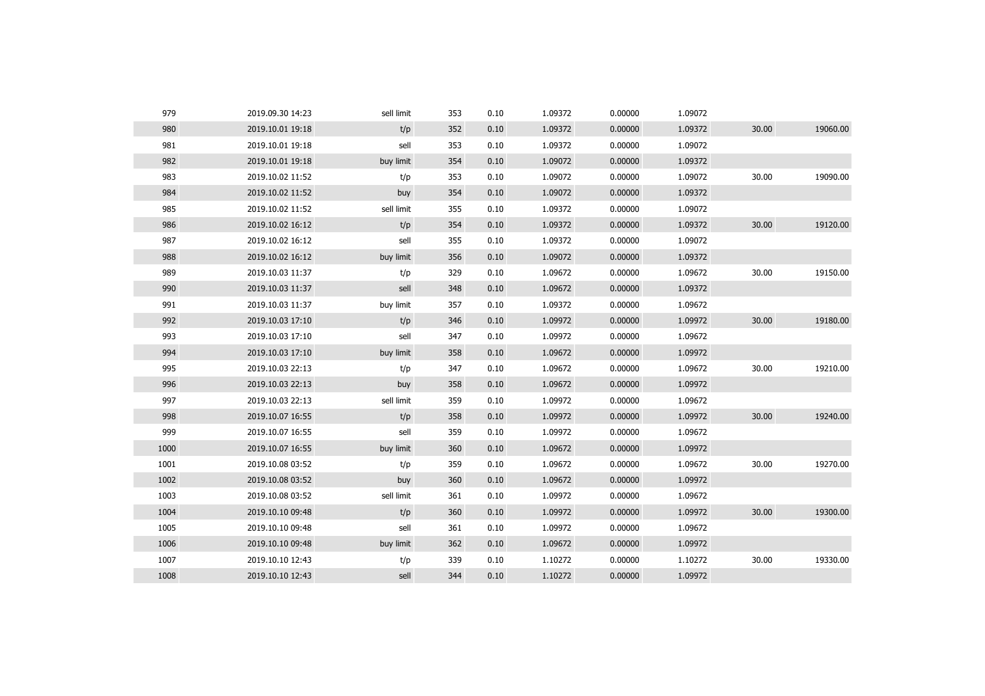| 979  | 2019.09.30 14:23 | sell limit | 353 | 0.10 | 1.09372 | 0.00000 | 1.09072 |       |          |
|------|------------------|------------|-----|------|---------|---------|---------|-------|----------|
| 980  | 2019.10.01 19:18 | t/p        | 352 | 0.10 | 1.09372 | 0.00000 | 1.09372 | 30.00 | 19060.00 |
| 981  | 2019.10.01 19:18 | sell       | 353 | 0.10 | 1.09372 | 0.00000 | 1.09072 |       |          |
| 982  | 2019.10.01 19:18 | buy limit  | 354 | 0.10 | 1.09072 | 0.00000 | 1.09372 |       |          |
| 983  | 2019.10.02 11:52 | t/p        | 353 | 0.10 | 1.09072 | 0.00000 | 1.09072 | 30.00 | 19090.00 |
| 984  | 2019.10.02 11:52 | buy        | 354 | 0.10 | 1.09072 | 0.00000 | 1.09372 |       |          |
| 985  | 2019.10.02 11:52 | sell limit | 355 | 0.10 | 1.09372 | 0.00000 | 1.09072 |       |          |
| 986  | 2019.10.02 16:12 | t/p        | 354 | 0.10 | 1.09372 | 0.00000 | 1.09372 | 30.00 | 19120.00 |
| 987  | 2019.10.02 16:12 | sell       | 355 | 0.10 | 1.09372 | 0.00000 | 1.09072 |       |          |
| 988  | 2019.10.02 16:12 | buy limit  | 356 | 0.10 | 1.09072 | 0.00000 | 1.09372 |       |          |
| 989  | 2019.10.03 11:37 | t/p        | 329 | 0.10 | 1.09672 | 0.00000 | 1.09672 | 30.00 | 19150.00 |
| 990  | 2019.10.03 11:37 | sell       | 348 | 0.10 | 1.09672 | 0.00000 | 1.09372 |       |          |
| 991  | 2019.10.03 11:37 | buy limit  | 357 | 0.10 | 1.09372 | 0.00000 | 1.09672 |       |          |
| 992  | 2019.10.03 17:10 | t/p        | 346 | 0.10 | 1.09972 | 0.00000 | 1.09972 | 30.00 | 19180.00 |
| 993  | 2019.10.03 17:10 | sell       | 347 | 0.10 | 1.09972 | 0.00000 | 1.09672 |       |          |
| 994  | 2019.10.03 17:10 | buy limit  | 358 | 0.10 | 1.09672 | 0.00000 | 1.09972 |       |          |
| 995  | 2019.10.03 22:13 | t/p        | 347 | 0.10 | 1.09672 | 0.00000 | 1.09672 | 30.00 | 19210.00 |
| 996  | 2019.10.03 22:13 | buy        | 358 | 0.10 | 1.09672 | 0.00000 | 1.09972 |       |          |
| 997  | 2019.10.03 22:13 | sell limit | 359 | 0.10 | 1.09972 | 0.00000 | 1.09672 |       |          |
| 998  | 2019.10.07 16:55 | t/p        | 358 | 0.10 | 1.09972 | 0.00000 | 1.09972 | 30.00 | 19240.00 |
| 999  | 2019.10.07 16:55 | sell       | 359 | 0.10 | 1.09972 | 0.00000 | 1.09672 |       |          |
| 1000 | 2019.10.07 16:55 | buy limit  | 360 | 0.10 | 1.09672 | 0.00000 | 1.09972 |       |          |
| 1001 | 2019.10.08 03:52 | t/p        | 359 | 0.10 | 1.09672 | 0.00000 | 1.09672 | 30.00 | 19270.00 |
| 1002 | 2019.10.08 03:52 | buy        | 360 | 0.10 | 1.09672 | 0.00000 | 1.09972 |       |          |
| 1003 | 2019.10.08 03:52 | sell limit | 361 | 0.10 | 1.09972 | 0.00000 | 1.09672 |       |          |
| 1004 | 2019.10.10 09:48 | t/p        | 360 | 0.10 | 1.09972 | 0.00000 | 1.09972 | 30.00 | 19300.00 |
| 1005 | 2019.10.10 09:48 | sell       | 361 | 0.10 | 1.09972 | 0.00000 | 1.09672 |       |          |
| 1006 | 2019.10.10 09:48 | buy limit  | 362 | 0.10 | 1.09672 | 0.00000 | 1.09972 |       |          |
| 1007 | 2019.10.10 12:43 | t/p        | 339 | 0.10 | 1.10272 | 0.00000 | 1.10272 | 30.00 | 19330.00 |
| 1008 | 2019.10.10 12:43 | sell       | 344 | 0.10 | 1.10272 | 0.00000 | 1.09972 |       |          |
|      |                  |            |     |      |         |         |         |       |          |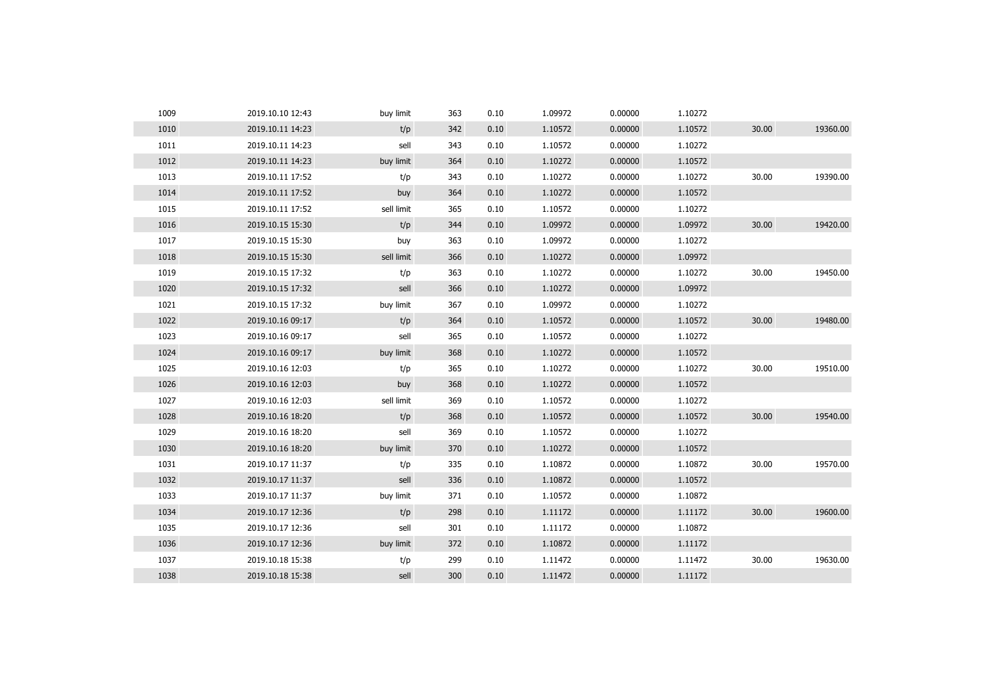| 1009 | 2019.10.10 12:43 | buy limit  | 363 | 0.10 | 1.09972 | 0.00000 | 1.10272 |       |          |
|------|------------------|------------|-----|------|---------|---------|---------|-------|----------|
| 1010 | 2019.10.11 14:23 | t/p        | 342 | 0.10 | 1.10572 | 0.00000 | 1.10572 | 30.00 | 19360.00 |
| 1011 | 2019.10.11 14:23 | sell       | 343 | 0.10 | 1.10572 | 0.00000 | 1.10272 |       |          |
| 1012 | 2019.10.11 14:23 | buy limit  | 364 | 0.10 | 1.10272 | 0.00000 | 1.10572 |       |          |
| 1013 | 2019.10.11 17:52 | t/p        | 343 | 0.10 | 1.10272 | 0.00000 | 1.10272 | 30.00 | 19390.00 |
| 1014 | 2019.10.11 17:52 | buy        | 364 | 0.10 | 1.10272 | 0.00000 | 1.10572 |       |          |
| 1015 | 2019.10.11 17:52 | sell limit | 365 | 0.10 | 1.10572 | 0.00000 | 1.10272 |       |          |
| 1016 | 2019.10.15 15:30 | t/p        | 344 | 0.10 | 1.09972 | 0.00000 | 1.09972 | 30.00 | 19420.00 |
| 1017 | 2019.10.15 15:30 | buy        | 363 | 0.10 | 1.09972 | 0.00000 | 1.10272 |       |          |
| 1018 | 2019.10.15 15:30 | sell limit | 366 | 0.10 | 1.10272 | 0.00000 | 1.09972 |       |          |
| 1019 | 2019.10.15 17:32 | t/p        | 363 | 0.10 | 1.10272 | 0.00000 | 1.10272 | 30.00 | 19450.00 |
| 1020 | 2019.10.15 17:32 | sell       | 366 | 0.10 | 1.10272 | 0.00000 | 1.09972 |       |          |
| 1021 | 2019.10.15 17:32 | buy limit  | 367 | 0.10 | 1.09972 | 0.00000 | 1.10272 |       |          |
| 1022 | 2019.10.16 09:17 | t/p        | 364 | 0.10 | 1.10572 | 0.00000 | 1.10572 | 30.00 | 19480.00 |
| 1023 | 2019.10.16 09:17 | sell       | 365 | 0.10 | 1.10572 | 0.00000 | 1.10272 |       |          |
| 1024 | 2019.10.16 09:17 | buy limit  | 368 | 0.10 | 1.10272 | 0.00000 | 1.10572 |       |          |
| 1025 | 2019.10.16 12:03 | t/p        | 365 | 0.10 | 1.10272 | 0.00000 | 1.10272 | 30.00 | 19510.00 |
| 1026 | 2019.10.16 12:03 | buy        | 368 | 0.10 | 1.10272 | 0.00000 | 1.10572 |       |          |
| 1027 | 2019.10.16 12:03 | sell limit | 369 | 0.10 | 1.10572 | 0.00000 | 1.10272 |       |          |
| 1028 | 2019.10.16 18:20 | t/p        | 368 | 0.10 | 1.10572 | 0.00000 | 1.10572 | 30.00 | 19540.00 |
| 1029 | 2019.10.16 18:20 | sell       | 369 | 0.10 | 1.10572 | 0.00000 | 1.10272 |       |          |
| 1030 | 2019.10.16 18:20 | buy limit  | 370 | 0.10 | 1.10272 | 0.00000 | 1.10572 |       |          |
| 1031 | 2019.10.17 11:37 | t/p        | 335 | 0.10 | 1.10872 | 0.00000 | 1.10872 | 30.00 | 19570.00 |
| 1032 | 2019.10.17 11:37 | sell       | 336 | 0.10 | 1.10872 | 0.00000 | 1.10572 |       |          |
| 1033 | 2019.10.17 11:37 | buy limit  | 371 | 0.10 | 1.10572 | 0.00000 | 1.10872 |       |          |
| 1034 | 2019.10.17 12:36 | t/p        | 298 | 0.10 | 1.11172 | 0.00000 | 1.11172 | 30.00 | 19600.00 |
| 1035 | 2019.10.17 12:36 | sell       | 301 | 0.10 | 1.11172 | 0.00000 | 1.10872 |       |          |
| 1036 | 2019.10.17 12:36 | buy limit  | 372 | 0.10 | 1.10872 | 0.00000 | 1.11172 |       |          |
| 1037 | 2019.10.18 15:38 | t/p        | 299 | 0.10 | 1.11472 | 0.00000 | 1.11472 | 30.00 | 19630.00 |
| 1038 | 2019.10.18 15:38 | sell       | 300 | 0.10 | 1.11472 | 0.00000 | 1.11172 |       |          |
|      |                  |            |     |      |         |         |         |       |          |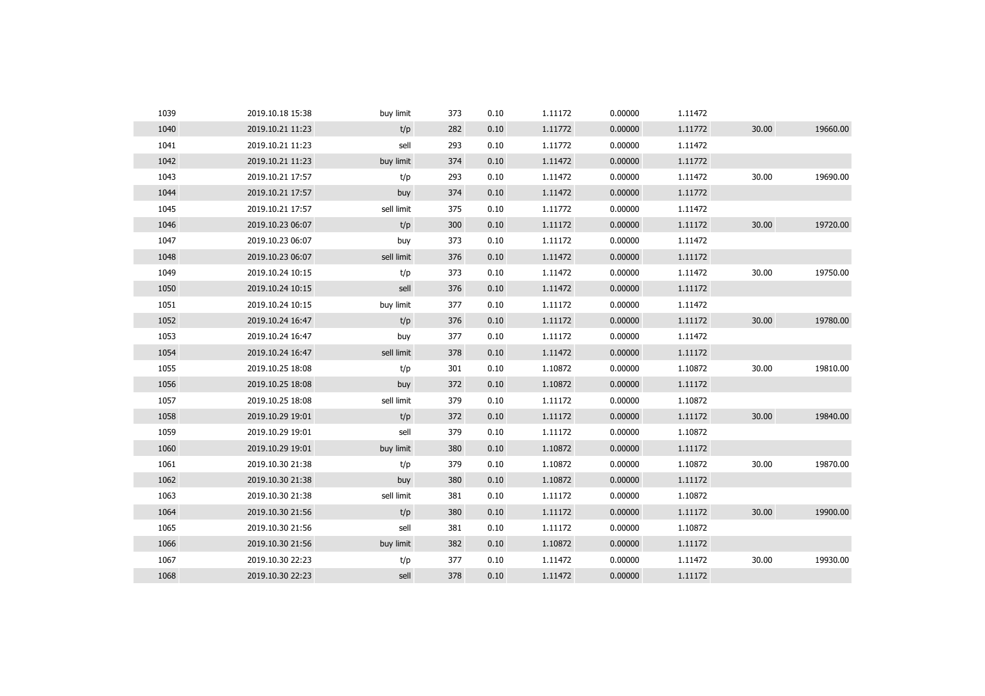| 1039 | 2019.10.18 15:38 | buy limit  | 373 | 0.10 | 1.11172 | 0.00000 | 1.11472 |       |          |
|------|------------------|------------|-----|------|---------|---------|---------|-------|----------|
| 1040 | 2019.10.21 11:23 | t/p        | 282 | 0.10 | 1.11772 | 0.00000 | 1.11772 | 30.00 | 19660.00 |
| 1041 | 2019.10.21 11:23 | sell       | 293 | 0.10 | 1.11772 | 0.00000 | 1.11472 |       |          |
| 1042 | 2019.10.21 11:23 | buy limit  | 374 | 0.10 | 1.11472 | 0.00000 | 1.11772 |       |          |
| 1043 | 2019.10.21 17:57 | t/p        | 293 | 0.10 | 1.11472 | 0.00000 | 1.11472 | 30.00 | 19690.00 |
| 1044 | 2019.10.21 17:57 | buy        | 374 | 0.10 | 1.11472 | 0.00000 | 1.11772 |       |          |
| 1045 | 2019.10.21 17:57 | sell limit | 375 | 0.10 | 1.11772 | 0.00000 | 1.11472 |       |          |
| 1046 | 2019.10.23 06:07 | t/p        | 300 | 0.10 | 1.11172 | 0.00000 | 1.11172 | 30.00 | 19720.00 |
| 1047 | 2019.10.23 06:07 | buy        | 373 | 0.10 | 1.11172 | 0.00000 | 1.11472 |       |          |
| 1048 | 2019.10.23 06:07 | sell limit | 376 | 0.10 | 1.11472 | 0.00000 | 1.11172 |       |          |
| 1049 | 2019.10.24 10:15 | t/p        | 373 | 0.10 | 1.11472 | 0.00000 | 1.11472 | 30.00 | 19750.00 |
| 1050 | 2019.10.24 10:15 | sell       | 376 | 0.10 | 1.11472 | 0.00000 | 1.11172 |       |          |
| 1051 | 2019.10.24 10:15 | buy limit  | 377 | 0.10 | 1.11172 | 0.00000 | 1.11472 |       |          |
| 1052 | 2019.10.24 16:47 | t/p        | 376 | 0.10 | 1.11172 | 0.00000 | 1.11172 | 30.00 | 19780.00 |
| 1053 | 2019.10.24 16:47 | buy        | 377 | 0.10 | 1.11172 | 0.00000 | 1.11472 |       |          |
| 1054 | 2019.10.24 16:47 | sell limit | 378 | 0.10 | 1.11472 | 0.00000 | 1.11172 |       |          |
| 1055 | 2019.10.25 18:08 | t/p        | 301 | 0.10 | 1.10872 | 0.00000 | 1.10872 | 30.00 | 19810.00 |
| 1056 | 2019.10.25 18:08 | buy        | 372 | 0.10 | 1.10872 | 0.00000 | 1.11172 |       |          |
| 1057 | 2019.10.25 18:08 | sell limit | 379 | 0.10 | 1.11172 | 0.00000 | 1.10872 |       |          |
| 1058 | 2019.10.29 19:01 | t/p        | 372 | 0.10 | 1.11172 | 0.00000 | 1.11172 | 30.00 | 19840.00 |
| 1059 | 2019.10.29 19:01 | sell       | 379 | 0.10 | 1.11172 | 0.00000 | 1.10872 |       |          |
| 1060 | 2019.10.29 19:01 | buy limit  | 380 | 0.10 | 1.10872 | 0.00000 | 1.11172 |       |          |
| 1061 | 2019.10.30 21:38 | t/p        | 379 | 0.10 | 1.10872 | 0.00000 | 1.10872 | 30.00 | 19870.00 |
| 1062 | 2019.10.30 21:38 | buy        | 380 | 0.10 | 1.10872 | 0.00000 | 1.11172 |       |          |
| 1063 | 2019.10.30 21:38 | sell limit | 381 | 0.10 | 1.11172 | 0.00000 | 1.10872 |       |          |
| 1064 | 2019.10.30 21:56 | t/p        | 380 | 0.10 | 1.11172 | 0.00000 | 1.11172 | 30.00 | 19900.00 |
| 1065 | 2019.10.30 21:56 | sell       | 381 | 0.10 | 1.11172 | 0.00000 | 1.10872 |       |          |
| 1066 | 2019.10.30 21:56 | buy limit  | 382 | 0.10 | 1.10872 | 0.00000 | 1.11172 |       |          |
| 1067 | 2019.10.30 22:23 | t/p        | 377 | 0.10 | 1.11472 | 0.00000 | 1.11472 | 30.00 | 19930.00 |
| 1068 | 2019.10.30 22:23 | sell       | 378 | 0.10 | 1.11472 | 0.00000 | 1.11172 |       |          |
|      |                  |            |     |      |         |         |         |       |          |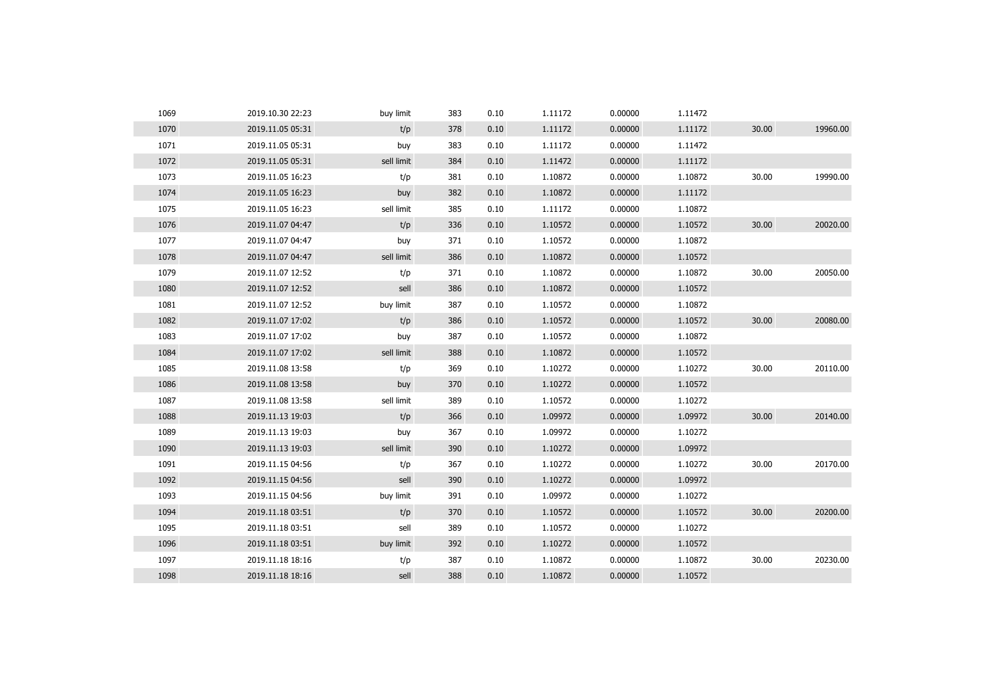| 1069 | 2019.10.30 22:23 | buy limit  | 383 | 0.10 | 1.11172 | 0.00000 | 1.11472 |       |          |
|------|------------------|------------|-----|------|---------|---------|---------|-------|----------|
| 1070 | 2019.11.05 05:31 | t/p        | 378 | 0.10 | 1.11172 | 0.00000 | 1.11172 | 30.00 | 19960.00 |
| 1071 | 2019.11.05 05:31 | buy        | 383 | 0.10 | 1.11172 | 0.00000 | 1.11472 |       |          |
| 1072 | 2019.11.05 05:31 | sell limit | 384 | 0.10 | 1.11472 | 0.00000 | 1.11172 |       |          |
| 1073 | 2019.11.05 16:23 | t/p        | 381 | 0.10 | 1.10872 | 0.00000 | 1.10872 | 30.00 | 19990.00 |
| 1074 | 2019.11.05 16:23 | buy        | 382 | 0.10 | 1.10872 | 0.00000 | 1.11172 |       |          |
| 1075 | 2019.11.05 16:23 | sell limit | 385 | 0.10 | 1.11172 | 0.00000 | 1.10872 |       |          |
| 1076 | 2019.11.07 04:47 | t/p        | 336 | 0.10 | 1.10572 | 0.00000 | 1.10572 | 30.00 | 20020.00 |
| 1077 | 2019.11.07 04:47 | buy        | 371 | 0.10 | 1.10572 | 0.00000 | 1.10872 |       |          |
| 1078 | 2019.11.07 04:47 | sell limit | 386 | 0.10 | 1.10872 | 0.00000 | 1.10572 |       |          |
| 1079 | 2019.11.07 12:52 | t/p        | 371 | 0.10 | 1.10872 | 0.00000 | 1.10872 | 30.00 | 20050.00 |
| 1080 | 2019.11.07 12:52 | sell       | 386 | 0.10 | 1.10872 | 0.00000 | 1.10572 |       |          |
| 1081 | 2019.11.07 12:52 | buy limit  | 387 | 0.10 | 1.10572 | 0.00000 | 1.10872 |       |          |
| 1082 | 2019.11.07 17:02 | t/p        | 386 | 0.10 | 1.10572 | 0.00000 | 1.10572 | 30.00 | 20080.00 |
| 1083 | 2019.11.07 17:02 | buy        | 387 | 0.10 | 1.10572 | 0.00000 | 1.10872 |       |          |
| 1084 | 2019.11.07 17:02 | sell limit | 388 | 0.10 | 1.10872 | 0.00000 | 1.10572 |       |          |
| 1085 | 2019.11.08 13:58 | t/p        | 369 | 0.10 | 1.10272 | 0.00000 | 1.10272 | 30.00 | 20110.00 |
| 1086 | 2019.11.08 13:58 | buy        | 370 | 0.10 | 1.10272 | 0.00000 | 1.10572 |       |          |
| 1087 | 2019.11.08 13:58 | sell limit | 389 | 0.10 | 1.10572 | 0.00000 | 1.10272 |       |          |
| 1088 | 2019.11.13 19:03 | t/p        | 366 | 0.10 | 1.09972 | 0.00000 | 1.09972 | 30.00 | 20140.00 |
| 1089 | 2019.11.13 19:03 | buy        | 367 | 0.10 | 1.09972 | 0.00000 | 1.10272 |       |          |
| 1090 | 2019.11.13 19:03 | sell limit | 390 | 0.10 | 1.10272 | 0.00000 | 1.09972 |       |          |
| 1091 | 2019.11.15 04:56 | t/p        | 367 | 0.10 | 1.10272 | 0.00000 | 1.10272 | 30.00 | 20170.00 |
| 1092 | 2019.11.15 04:56 | sell       | 390 | 0.10 | 1.10272 | 0.00000 | 1.09972 |       |          |
| 1093 | 2019.11.15 04:56 | buy limit  | 391 | 0.10 | 1.09972 | 0.00000 | 1.10272 |       |          |
| 1094 | 2019.11.18 03:51 | t/p        | 370 | 0.10 | 1.10572 | 0.00000 | 1.10572 | 30.00 | 20200.00 |
| 1095 | 2019.11.18 03:51 | sell       | 389 | 0.10 | 1.10572 | 0.00000 | 1.10272 |       |          |
| 1096 | 2019.11.18 03:51 | buy limit  | 392 | 0.10 | 1.10272 | 0.00000 | 1.10572 |       |          |
| 1097 | 2019.11.18 18:16 | t/p        | 387 | 0.10 | 1.10872 | 0.00000 | 1.10872 | 30.00 | 20230.00 |
| 1098 | 2019.11.18 18:16 | sell       | 388 | 0.10 | 1.10872 | 0.00000 | 1.10572 |       |          |
|      |                  |            |     |      |         |         |         |       |          |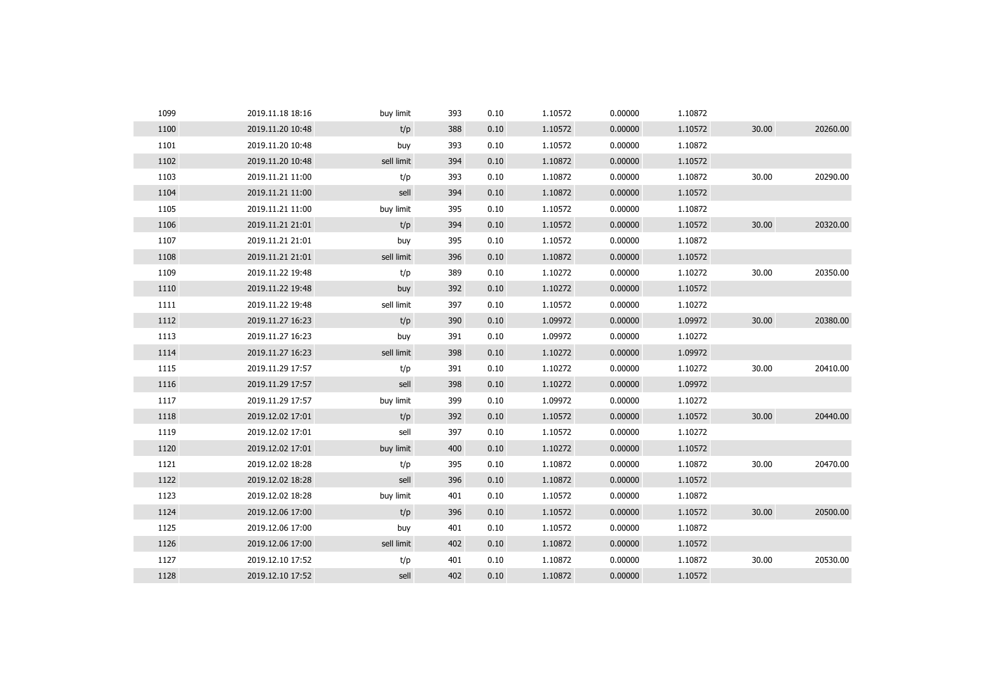| 1099 | 2019.11.18 18:16 | buy limit  | 393 | 0.10 | 1.10572 | 0.00000 | 1.10872 |       |          |
|------|------------------|------------|-----|------|---------|---------|---------|-------|----------|
| 1100 | 2019.11.20 10:48 | t/p        | 388 | 0.10 | 1.10572 | 0.00000 | 1.10572 | 30.00 | 20260.00 |
| 1101 | 2019.11.20 10:48 | buy        | 393 | 0.10 | 1.10572 | 0.00000 | 1.10872 |       |          |
| 1102 | 2019.11.20 10:48 | sell limit | 394 | 0.10 | 1.10872 | 0.00000 | 1.10572 |       |          |
| 1103 | 2019.11.21 11:00 | t/p        | 393 | 0.10 | 1.10872 | 0.00000 | 1.10872 | 30.00 | 20290.00 |
| 1104 | 2019.11.21 11:00 | sell       | 394 | 0.10 | 1.10872 | 0.00000 | 1.10572 |       |          |
| 1105 | 2019.11.21 11:00 | buy limit  | 395 | 0.10 | 1.10572 | 0.00000 | 1.10872 |       |          |
| 1106 | 2019.11.21 21:01 | t/p        | 394 | 0.10 | 1.10572 | 0.00000 | 1.10572 | 30.00 | 20320.00 |
| 1107 | 2019.11.21 21:01 | buy        | 395 | 0.10 | 1.10572 | 0.00000 | 1.10872 |       |          |
| 1108 | 2019.11.21 21:01 | sell limit | 396 | 0.10 | 1.10872 | 0.00000 | 1.10572 |       |          |
| 1109 | 2019.11.22 19:48 | t/p        | 389 | 0.10 | 1.10272 | 0.00000 | 1.10272 | 30.00 | 20350.00 |
| 1110 | 2019.11.22 19:48 | buy        | 392 | 0.10 | 1.10272 | 0.00000 | 1.10572 |       |          |
| 1111 | 2019.11.22 19:48 | sell limit | 397 | 0.10 | 1.10572 | 0.00000 | 1.10272 |       |          |
| 1112 | 2019.11.27 16:23 | t/p        | 390 | 0.10 | 1.09972 | 0.00000 | 1.09972 | 30.00 | 20380.00 |
| 1113 | 2019.11.27 16:23 | buy        | 391 | 0.10 | 1.09972 | 0.00000 | 1.10272 |       |          |
| 1114 | 2019.11.27 16:23 | sell limit | 398 | 0.10 | 1.10272 | 0.00000 | 1.09972 |       |          |
| 1115 | 2019.11.29 17:57 | t/p        | 391 | 0.10 | 1.10272 | 0.00000 | 1.10272 | 30.00 | 20410.00 |
| 1116 | 2019.11.29 17:57 | sell       | 398 | 0.10 | 1.10272 | 0.00000 | 1.09972 |       |          |
| 1117 | 2019.11.29 17:57 | buy limit  | 399 | 0.10 | 1.09972 | 0.00000 | 1.10272 |       |          |
| 1118 | 2019.12.02 17:01 | t/p        | 392 | 0.10 | 1.10572 | 0.00000 | 1.10572 | 30.00 | 20440.00 |
| 1119 | 2019.12.02 17:01 | sell       | 397 | 0.10 | 1.10572 | 0.00000 | 1.10272 |       |          |
| 1120 | 2019.12.02 17:01 | buy limit  | 400 | 0.10 | 1.10272 | 0.00000 | 1.10572 |       |          |
| 1121 | 2019.12.02 18:28 | t/p        | 395 | 0.10 | 1.10872 | 0.00000 | 1.10872 | 30.00 | 20470.00 |
| 1122 | 2019.12.02 18:28 | sell       | 396 | 0.10 | 1.10872 | 0.00000 | 1.10572 |       |          |
| 1123 | 2019.12.02 18:28 | buy limit  | 401 | 0.10 | 1.10572 | 0.00000 | 1.10872 |       |          |
| 1124 | 2019.12.06 17:00 | t/p        | 396 | 0.10 | 1.10572 | 0.00000 | 1.10572 | 30.00 | 20500.00 |
| 1125 | 2019.12.06 17:00 | buy        | 401 | 0.10 | 1.10572 | 0.00000 | 1.10872 |       |          |
| 1126 | 2019.12.06 17:00 | sell limit | 402 | 0.10 | 1.10872 | 0.00000 | 1.10572 |       |          |
| 1127 | 2019.12.10 17:52 | t/p        | 401 | 0.10 | 1.10872 | 0.00000 | 1.10872 | 30.00 | 20530.00 |
| 1128 | 2019.12.10 17:52 | sell       | 402 | 0.10 | 1.10872 | 0.00000 | 1.10572 |       |          |
|      |                  |            |     |      |         |         |         |       |          |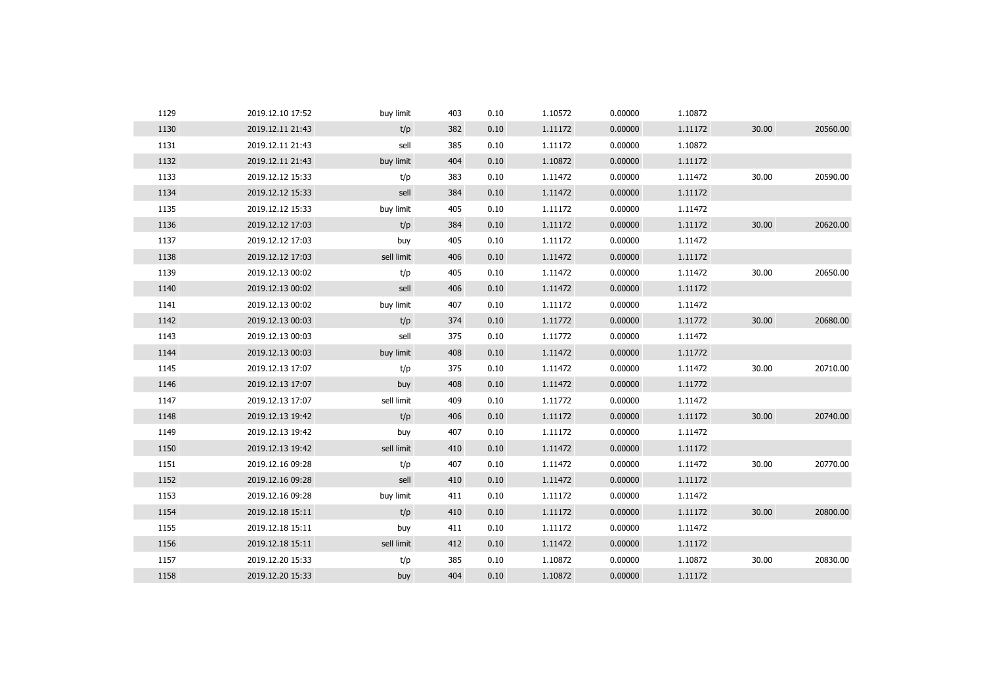| 1129 | 2019.12.10 17:52 | buy limit  | 403 | 0.10 | 1.10572 | 0.00000 | 1.10872 |       |          |
|------|------------------|------------|-----|------|---------|---------|---------|-------|----------|
| 1130 | 2019.12.11 21:43 | t/p        | 382 | 0.10 | 1.11172 | 0.00000 | 1.11172 | 30.00 | 20560.00 |
| 1131 | 2019.12.11 21:43 | sell       | 385 | 0.10 | 1.11172 | 0.00000 | 1.10872 |       |          |
| 1132 | 2019.12.11 21:43 | buy limit  | 404 | 0.10 | 1.10872 | 0.00000 | 1.11172 |       |          |
| 1133 | 2019.12.12 15:33 | t/p        | 383 | 0.10 | 1.11472 | 0.00000 | 1.11472 | 30.00 | 20590.00 |
| 1134 | 2019.12.12 15:33 | sell       | 384 | 0.10 | 1.11472 | 0.00000 | 1.11172 |       |          |
| 1135 | 2019.12.12 15:33 | buy limit  | 405 | 0.10 | 1.11172 | 0.00000 | 1.11472 |       |          |
| 1136 | 2019.12.12 17:03 | t/p        | 384 | 0.10 | 1.11172 | 0.00000 | 1.11172 | 30.00 | 20620.00 |
| 1137 | 2019.12.12 17:03 | buy        | 405 | 0.10 | 1.11172 | 0.00000 | 1.11472 |       |          |
| 1138 | 2019.12.12 17:03 | sell limit | 406 | 0.10 | 1.11472 | 0.00000 | 1.11172 |       |          |
| 1139 | 2019.12.13 00:02 | t/p        | 405 | 0.10 | 1.11472 | 0.00000 | 1.11472 | 30.00 | 20650.00 |
| 1140 | 2019.12.13 00:02 | sell       | 406 | 0.10 | 1.11472 | 0.00000 | 1.11172 |       |          |
| 1141 | 2019.12.13 00:02 | buy limit  | 407 | 0.10 | 1.11172 | 0.00000 | 1.11472 |       |          |
| 1142 | 2019.12.13 00:03 | t/p        | 374 | 0.10 | 1.11772 | 0.00000 | 1.11772 | 30.00 | 20680.00 |
| 1143 | 2019.12.13 00:03 | sell       | 375 | 0.10 | 1.11772 | 0.00000 | 1.11472 |       |          |
| 1144 | 2019.12.13 00:03 | buy limit  | 408 | 0.10 | 1.11472 | 0.00000 | 1.11772 |       |          |
| 1145 | 2019.12.13 17:07 | t/p        | 375 | 0.10 | 1.11472 | 0.00000 | 1.11472 | 30.00 | 20710.00 |
| 1146 | 2019.12.13 17:07 | buy        | 408 | 0.10 | 1.11472 | 0.00000 | 1.11772 |       |          |
| 1147 | 2019.12.13 17:07 | sell limit | 409 | 0.10 | 1.11772 | 0.00000 | 1.11472 |       |          |
| 1148 | 2019.12.13 19:42 | t/p        | 406 | 0.10 | 1.11172 | 0.00000 | 1.11172 | 30.00 | 20740.00 |
| 1149 | 2019.12.13 19:42 | buy        | 407 | 0.10 | 1.11172 | 0.00000 | 1.11472 |       |          |
| 1150 | 2019.12.13 19:42 | sell limit | 410 | 0.10 | 1.11472 | 0.00000 | 1.11172 |       |          |
| 1151 | 2019.12.16 09:28 | t/p        | 407 | 0.10 | 1.11472 | 0.00000 | 1.11472 | 30.00 | 20770.00 |
| 1152 | 2019.12.16 09:28 | sell       | 410 | 0.10 | 1.11472 | 0.00000 | 1.11172 |       |          |
| 1153 | 2019.12.16 09:28 | buy limit  | 411 | 0.10 | 1.11172 | 0.00000 | 1.11472 |       |          |
| 1154 | 2019.12.18 15:11 | t/p        | 410 | 0.10 | 1.11172 | 0.00000 | 1.11172 | 30.00 | 20800.00 |
| 1155 | 2019.12.18 15:11 | buy        | 411 | 0.10 | 1.11172 | 0.00000 | 1.11472 |       |          |
| 1156 | 2019.12.18 15:11 | sell limit | 412 | 0.10 | 1.11472 | 0.00000 | 1.11172 |       |          |
| 1157 | 2019.12.20 15:33 | t/p        | 385 | 0.10 | 1.10872 | 0.00000 | 1.10872 | 30.00 | 20830.00 |
| 1158 | 2019.12.20 15:33 | buy        | 404 | 0.10 | 1.10872 | 0.00000 | 1.11172 |       |          |
|      |                  |            |     |      |         |         |         |       |          |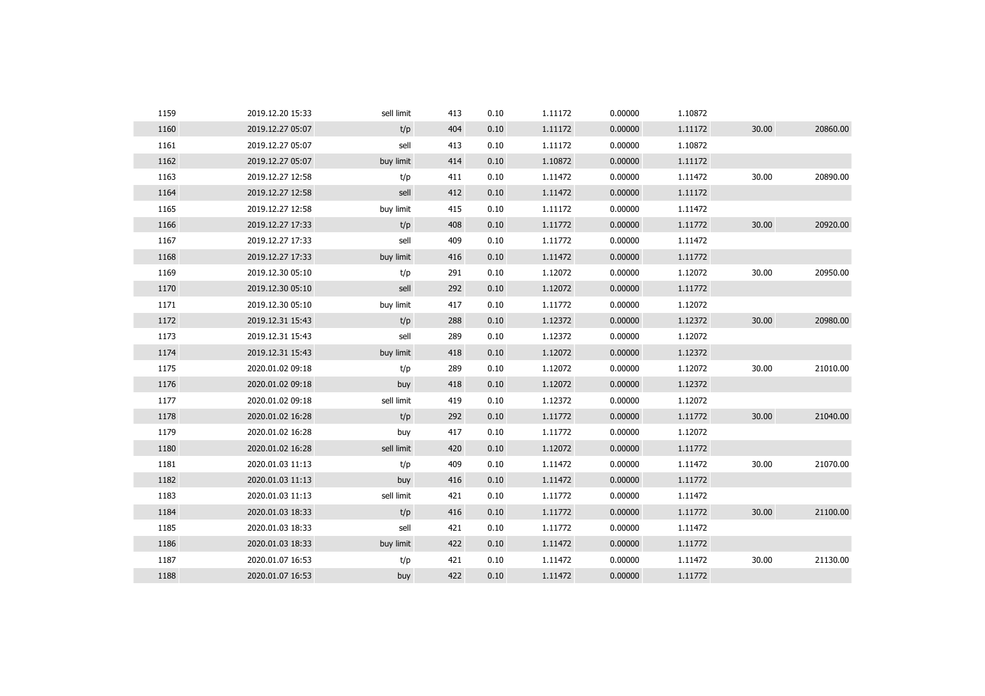| 1159 | 2019.12.20 15:33 | sell limit | 413 | 0.10 | 1.11172 | 0.00000 | 1.10872 |       |          |
|------|------------------|------------|-----|------|---------|---------|---------|-------|----------|
| 1160 | 2019.12.27 05:07 | t/p        | 404 | 0.10 | 1.11172 | 0.00000 | 1.11172 | 30.00 | 20860.00 |
| 1161 | 2019.12.27 05:07 | sell       | 413 | 0.10 | 1.11172 | 0.00000 | 1.10872 |       |          |
| 1162 | 2019.12.27 05:07 | buy limit  | 414 | 0.10 | 1.10872 | 0.00000 | 1.11172 |       |          |
| 1163 | 2019.12.27 12:58 | t/p        | 411 | 0.10 | 1.11472 | 0.00000 | 1.11472 | 30.00 | 20890.00 |
| 1164 | 2019.12.27 12:58 | sell       | 412 | 0.10 | 1.11472 | 0.00000 | 1.11172 |       |          |
| 1165 | 2019.12.27 12:58 | buy limit  | 415 | 0.10 | 1.11172 | 0.00000 | 1.11472 |       |          |
| 1166 | 2019.12.27 17:33 | t/p        | 408 | 0.10 | 1.11772 | 0.00000 | 1.11772 | 30.00 | 20920.00 |
| 1167 | 2019.12.27 17:33 | sell       | 409 | 0.10 | 1.11772 | 0.00000 | 1.11472 |       |          |
| 1168 | 2019.12.27 17:33 | buy limit  | 416 | 0.10 | 1.11472 | 0.00000 | 1.11772 |       |          |
| 1169 | 2019.12.30 05:10 | t/p        | 291 | 0.10 | 1.12072 | 0.00000 | 1.12072 | 30.00 | 20950.00 |
| 1170 | 2019.12.30 05:10 | sell       | 292 | 0.10 | 1.12072 | 0.00000 | 1.11772 |       |          |
| 1171 | 2019.12.30 05:10 | buy limit  | 417 | 0.10 | 1.11772 | 0.00000 | 1.12072 |       |          |
| 1172 | 2019.12.31 15:43 | t/p        | 288 | 0.10 | 1.12372 | 0.00000 | 1.12372 | 30.00 | 20980.00 |
| 1173 | 2019.12.31 15:43 | sell       | 289 | 0.10 | 1.12372 | 0.00000 | 1.12072 |       |          |
| 1174 | 2019.12.31 15:43 | buy limit  | 418 | 0.10 | 1.12072 | 0.00000 | 1.12372 |       |          |
| 1175 | 2020.01.02 09:18 | t/p        | 289 | 0.10 | 1.12072 | 0.00000 | 1.12072 | 30.00 | 21010.00 |
| 1176 | 2020.01.02 09:18 | buy        | 418 | 0.10 | 1.12072 | 0.00000 | 1.12372 |       |          |
| 1177 | 2020.01.02 09:18 | sell limit | 419 | 0.10 | 1.12372 | 0.00000 | 1.12072 |       |          |
| 1178 | 2020.01.02 16:28 | t/p        | 292 | 0.10 | 1.11772 | 0.00000 | 1.11772 | 30.00 | 21040.00 |
| 1179 | 2020.01.02 16:28 | buy        | 417 | 0.10 | 1.11772 | 0.00000 | 1.12072 |       |          |
| 1180 | 2020.01.02 16:28 | sell limit | 420 | 0.10 | 1.12072 | 0.00000 | 1.11772 |       |          |
| 1181 | 2020.01.03 11:13 | t/p        | 409 | 0.10 | 1.11472 | 0.00000 | 1.11472 | 30.00 | 21070.00 |
| 1182 | 2020.01.03 11:13 | buy        | 416 | 0.10 | 1.11472 | 0.00000 | 1.11772 |       |          |
| 1183 | 2020.01.03 11:13 | sell limit | 421 | 0.10 | 1.11772 | 0.00000 | 1.11472 |       |          |
| 1184 | 2020.01.03 18:33 | t/p        | 416 | 0.10 | 1.11772 | 0.00000 | 1.11772 | 30.00 | 21100.00 |
| 1185 | 2020.01.03 18:33 | sell       | 421 | 0.10 | 1.11772 | 0.00000 | 1.11472 |       |          |
| 1186 | 2020.01.03 18:33 | buy limit  | 422 | 0.10 | 1.11472 | 0.00000 | 1.11772 |       |          |
| 1187 | 2020.01.07 16:53 | t/p        | 421 | 0.10 | 1.11472 | 0.00000 | 1.11472 | 30.00 | 21130.00 |
| 1188 | 2020.01.07 16:53 | buy        | 422 | 0.10 | 1.11472 | 0.00000 | 1.11772 |       |          |
|      |                  |            |     |      |         |         |         |       |          |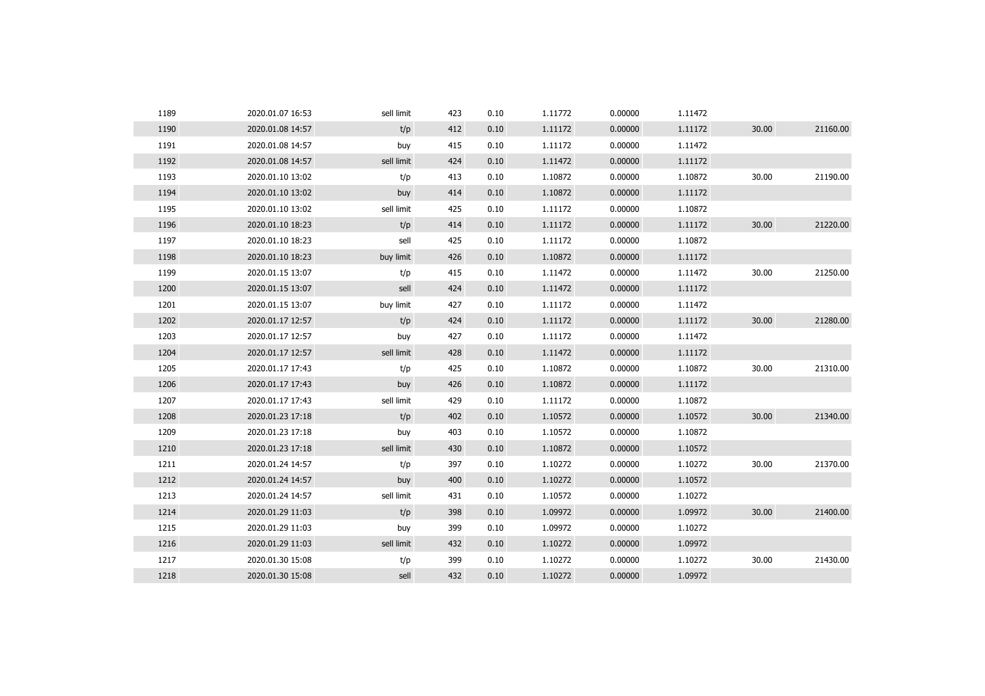| 1189 | 2020.01.07 16:53 | sell limit | 423 | 0.10 | 1.11772 | 0.00000 | 1.11472 |       |          |
|------|------------------|------------|-----|------|---------|---------|---------|-------|----------|
| 1190 | 2020.01.08 14:57 | t/p        | 412 | 0.10 | 1.11172 | 0.00000 | 1.11172 | 30.00 | 21160.00 |
| 1191 | 2020.01.08 14:57 | buy        | 415 | 0.10 | 1.11172 | 0.00000 | 1.11472 |       |          |
| 1192 | 2020.01.08 14:57 | sell limit | 424 | 0.10 | 1.11472 | 0.00000 | 1.11172 |       |          |
| 1193 | 2020.01.10 13:02 | t/p        | 413 | 0.10 | 1.10872 | 0.00000 | 1.10872 | 30.00 | 21190.00 |
| 1194 | 2020.01.10 13:02 | buy        | 414 | 0.10 | 1.10872 | 0.00000 | 1.11172 |       |          |
| 1195 | 2020.01.10 13:02 | sell limit | 425 | 0.10 | 1.11172 | 0.00000 | 1.10872 |       |          |
| 1196 | 2020.01.10 18:23 | t/p        | 414 | 0.10 | 1.11172 | 0.00000 | 1.11172 | 30.00 | 21220.00 |
| 1197 | 2020.01.10 18:23 | sell       | 425 | 0.10 | 1.11172 | 0.00000 | 1.10872 |       |          |
| 1198 | 2020.01.10 18:23 | buy limit  | 426 | 0.10 | 1.10872 | 0.00000 | 1.11172 |       |          |
| 1199 | 2020.01.15 13:07 | t/p        | 415 | 0.10 | 1.11472 | 0.00000 | 1.11472 | 30.00 | 21250.00 |
| 1200 | 2020.01.15 13:07 | sell       | 424 | 0.10 | 1.11472 | 0.00000 | 1.11172 |       |          |
| 1201 | 2020.01.15 13:07 | buy limit  | 427 | 0.10 | 1.11172 | 0.00000 | 1.11472 |       |          |
| 1202 | 2020.01.17 12:57 | t/p        | 424 | 0.10 | 1.11172 | 0.00000 | 1.11172 | 30.00 | 21280.00 |
| 1203 | 2020.01.17 12:57 | buy        | 427 | 0.10 | 1.11172 | 0.00000 | 1.11472 |       |          |
| 1204 | 2020.01.17 12:57 | sell limit | 428 | 0.10 | 1.11472 | 0.00000 | 1.11172 |       |          |
| 1205 | 2020.01.17 17:43 | t/p        | 425 | 0.10 | 1.10872 | 0.00000 | 1.10872 | 30.00 | 21310.00 |
| 1206 | 2020.01.17 17:43 | buy        | 426 | 0.10 | 1.10872 | 0.00000 | 1.11172 |       |          |
| 1207 | 2020.01.17 17:43 | sell limit | 429 | 0.10 | 1.11172 | 0.00000 | 1.10872 |       |          |
| 1208 | 2020.01.23 17:18 | t/p        | 402 | 0.10 | 1.10572 | 0.00000 | 1.10572 | 30.00 | 21340.00 |
| 1209 | 2020.01.23 17:18 | buy        | 403 | 0.10 | 1.10572 | 0.00000 | 1.10872 |       |          |
| 1210 | 2020.01.23 17:18 | sell limit | 430 | 0.10 | 1.10872 | 0.00000 | 1.10572 |       |          |
| 1211 | 2020.01.24 14:57 | t/p        | 397 | 0.10 | 1.10272 | 0.00000 | 1.10272 | 30.00 | 21370.00 |
| 1212 | 2020.01.24 14:57 | buy        | 400 | 0.10 | 1.10272 | 0.00000 | 1.10572 |       |          |
| 1213 | 2020.01.24 14:57 | sell limit | 431 | 0.10 | 1.10572 | 0.00000 | 1.10272 |       |          |
| 1214 | 2020.01.29 11:03 | t/p        | 398 | 0.10 | 1.09972 | 0.00000 | 1.09972 | 30.00 | 21400.00 |
| 1215 | 2020.01.29 11:03 | buy        | 399 | 0.10 | 1.09972 | 0.00000 | 1.10272 |       |          |
| 1216 | 2020.01.29 11:03 | sell limit | 432 | 0.10 | 1.10272 | 0.00000 | 1.09972 |       |          |
| 1217 | 2020.01.30 15:08 | t/p        | 399 | 0.10 | 1.10272 | 0.00000 | 1.10272 | 30.00 | 21430.00 |
| 1218 | 2020.01.30 15:08 | sell       | 432 | 0.10 | 1.10272 | 0.00000 | 1.09972 |       |          |
|      |                  |            |     |      |         |         |         |       |          |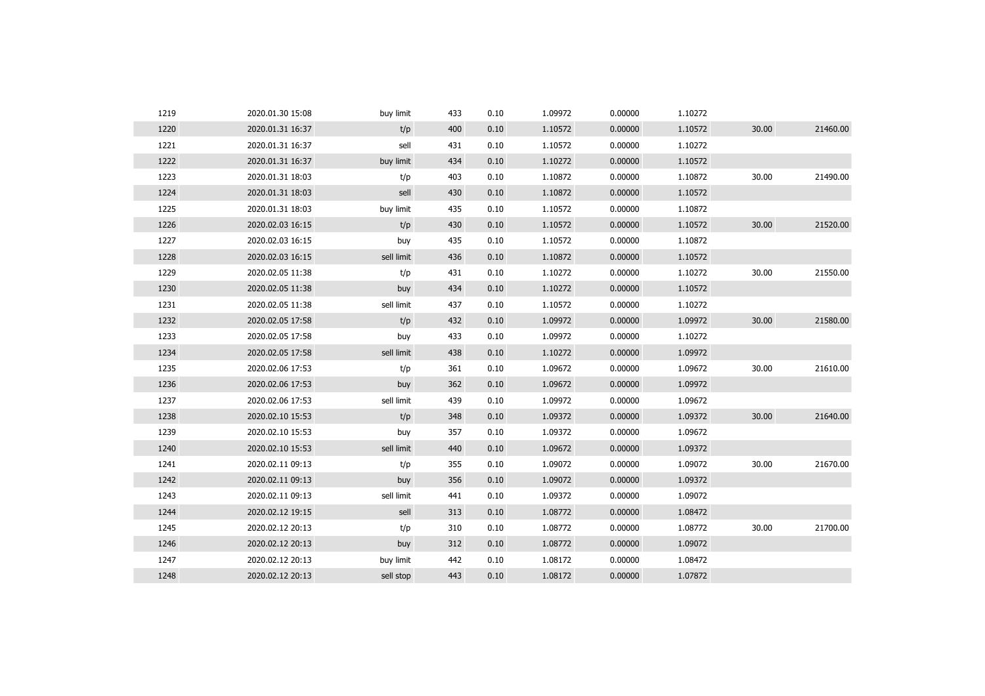| 1219 | 2020.01.30 15:08 | buy limit  | 433 | 0.10 | 1.09972 | 0.00000 | 1.10272 |       |          |
|------|------------------|------------|-----|------|---------|---------|---------|-------|----------|
| 1220 | 2020.01.31 16:37 | t/p        | 400 | 0.10 | 1.10572 | 0.00000 | 1.10572 | 30.00 | 21460.00 |
| 1221 | 2020.01.31 16:37 | sell       | 431 | 0.10 | 1.10572 | 0.00000 | 1.10272 |       |          |
| 1222 | 2020.01.31 16:37 | buy limit  | 434 | 0.10 | 1.10272 | 0.00000 | 1.10572 |       |          |
| 1223 | 2020.01.31 18:03 | t/p        | 403 | 0.10 | 1.10872 | 0.00000 | 1.10872 | 30.00 | 21490.00 |
| 1224 | 2020.01.31 18:03 | sell       | 430 | 0.10 | 1.10872 | 0.00000 | 1.10572 |       |          |
| 1225 | 2020.01.31 18:03 | buy limit  | 435 | 0.10 | 1.10572 | 0.00000 | 1.10872 |       |          |
| 1226 | 2020.02.03 16:15 | t/p        | 430 | 0.10 | 1.10572 | 0.00000 | 1.10572 | 30.00 | 21520.00 |
| 1227 | 2020.02.03 16:15 | buy        | 435 | 0.10 | 1.10572 | 0.00000 | 1.10872 |       |          |
| 1228 | 2020.02.03 16:15 | sell limit | 436 | 0.10 | 1.10872 | 0.00000 | 1.10572 |       |          |
| 1229 | 2020.02.05 11:38 | t/p        | 431 | 0.10 | 1.10272 | 0.00000 | 1.10272 | 30.00 | 21550.00 |
| 1230 | 2020.02.05 11:38 | buy        | 434 | 0.10 | 1.10272 | 0.00000 | 1.10572 |       |          |
| 1231 | 2020.02.05 11:38 | sell limit | 437 | 0.10 | 1.10572 | 0.00000 | 1.10272 |       |          |
| 1232 | 2020.02.05 17:58 | t/p        | 432 | 0.10 | 1.09972 | 0.00000 | 1.09972 | 30.00 | 21580.00 |
| 1233 | 2020.02.05 17:58 | buy        | 433 | 0.10 | 1.09972 | 0.00000 | 1.10272 |       |          |
| 1234 | 2020.02.05 17:58 | sell limit | 438 | 0.10 | 1.10272 | 0.00000 | 1.09972 |       |          |
| 1235 | 2020.02.06 17:53 | t/p        | 361 | 0.10 | 1.09672 | 0.00000 | 1.09672 | 30.00 | 21610.00 |
| 1236 | 2020.02.06 17:53 | buy        | 362 | 0.10 | 1.09672 | 0.00000 | 1.09972 |       |          |
| 1237 | 2020.02.06 17:53 | sell limit | 439 | 0.10 | 1.09972 | 0.00000 | 1.09672 |       |          |
| 1238 | 2020.02.10 15:53 | t/p        | 348 | 0.10 | 1.09372 | 0.00000 | 1.09372 | 30.00 | 21640.00 |
| 1239 | 2020.02.10 15:53 | buy        | 357 | 0.10 | 1.09372 | 0.00000 | 1.09672 |       |          |
| 1240 | 2020.02.10 15:53 | sell limit | 440 | 0.10 | 1.09672 | 0.00000 | 1.09372 |       |          |
| 1241 | 2020.02.11 09:13 | t/p        | 355 | 0.10 | 1.09072 | 0.00000 | 1.09072 | 30.00 | 21670.00 |
| 1242 | 2020.02.11 09:13 | buy        | 356 | 0.10 | 1.09072 | 0.00000 | 1.09372 |       |          |
| 1243 | 2020.02.11 09:13 | sell limit | 441 | 0.10 | 1.09372 | 0.00000 | 1.09072 |       |          |
| 1244 | 2020.02.12 19:15 | sell       | 313 | 0.10 | 1.08772 | 0.00000 | 1.08472 |       |          |
| 1245 | 2020.02.12 20:13 | t/p        | 310 | 0.10 | 1.08772 | 0.00000 | 1.08772 | 30.00 | 21700.00 |
| 1246 | 2020.02.12 20:13 | buy        | 312 | 0.10 | 1.08772 | 0.00000 | 1.09072 |       |          |
| 1247 | 2020.02.12 20:13 | buy limit  | 442 | 0.10 | 1.08172 | 0.00000 | 1.08472 |       |          |
| 1248 | 2020.02.12 20:13 | sell stop  | 443 | 0.10 | 1.08172 | 0.00000 | 1.07872 |       |          |
|      |                  |            |     |      |         |         |         |       |          |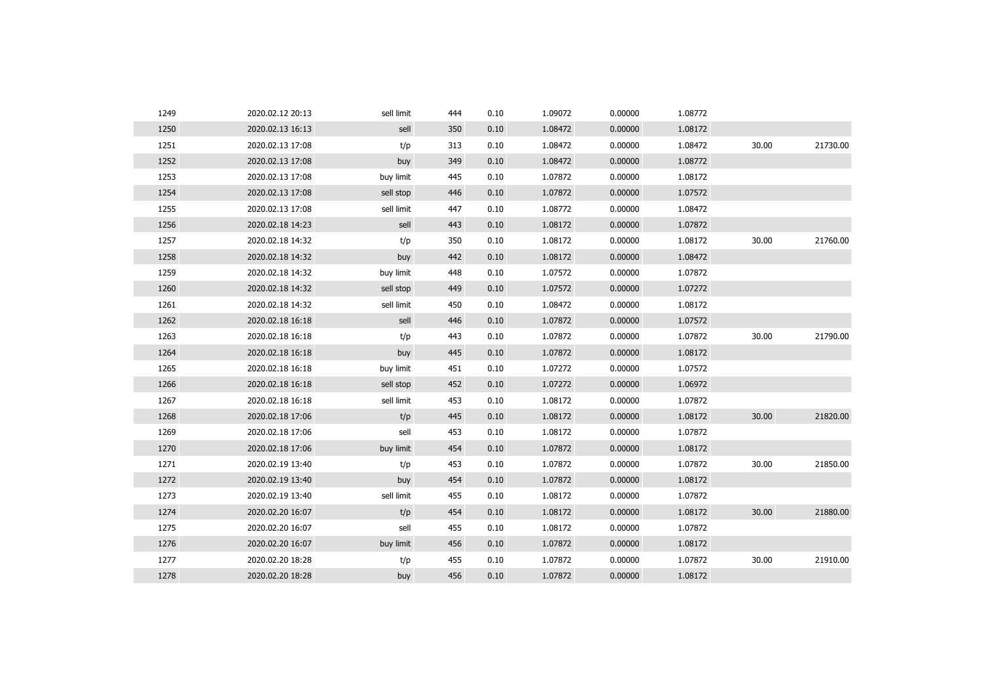| 1249 | 2020.02.12 20:13 | sell limit | 444 | 0.10 | 1.09072 | 0.00000 | 1.08772 |       |          |
|------|------------------|------------|-----|------|---------|---------|---------|-------|----------|
| 1250 | 2020.02.13 16:13 | sell       | 350 | 0.10 | 1.08472 | 0.00000 | 1.08172 |       |          |
| 1251 | 2020.02.13 17:08 | t/p        | 313 | 0.10 | 1.08472 | 0.00000 | 1.08472 | 30.00 | 21730.00 |
| 1252 | 2020.02.13 17:08 | buy        | 349 | 0.10 | 1.08472 | 0.00000 | 1.08772 |       |          |
| 1253 | 2020.02.13 17:08 | buy limit  | 445 | 0.10 | 1.07872 | 0.00000 | 1.08172 |       |          |
| 1254 | 2020.02.13 17:08 | sell stop  | 446 | 0.10 | 1.07872 | 0.00000 | 1.07572 |       |          |
| 1255 | 2020.02.13 17:08 | sell limit | 447 | 0.10 | 1.08772 | 0.00000 | 1.08472 |       |          |
| 1256 | 2020.02.18 14:23 | sell       | 443 | 0.10 | 1.08172 | 0.00000 | 1.07872 |       |          |
| 1257 | 2020.02.18 14:32 | t/p        | 350 | 0.10 | 1.08172 | 0.00000 | 1.08172 | 30.00 | 21760.00 |
| 1258 | 2020.02.18 14:32 | buy        | 442 | 0.10 | 1.08172 | 0.00000 | 1.08472 |       |          |
| 1259 | 2020.02.18 14:32 | buy limit  | 448 | 0.10 | 1.07572 | 0.00000 | 1.07872 |       |          |
| 1260 | 2020.02.18 14:32 | sell stop  | 449 | 0.10 | 1.07572 | 0.00000 | 1.07272 |       |          |
| 1261 | 2020.02.18 14:32 | sell limit | 450 | 0.10 | 1.08472 | 0.00000 | 1.08172 |       |          |
| 1262 | 2020.02.18 16:18 | sell       | 446 | 0.10 | 1.07872 | 0.00000 | 1.07572 |       |          |
| 1263 | 2020.02.18 16:18 | t/p        | 443 | 0.10 | 1.07872 | 0.00000 | 1.07872 | 30.00 | 21790.00 |
| 1264 | 2020.02.18 16:18 | buy        | 445 | 0.10 | 1.07872 | 0.00000 | 1.08172 |       |          |
| 1265 | 2020.02.18 16:18 | buy limit  | 451 | 0.10 | 1.07272 | 0.00000 | 1.07572 |       |          |
| 1266 | 2020.02.18 16:18 | sell stop  | 452 | 0.10 | 1.07272 | 0.00000 | 1.06972 |       |          |
| 1267 | 2020.02.18 16:18 | sell limit | 453 | 0.10 | 1.08172 | 0.00000 | 1.07872 |       |          |
| 1268 | 2020.02.18 17:06 | t/p        | 445 | 0.10 | 1.08172 | 0.00000 | 1.08172 | 30.00 | 21820.00 |
| 1269 | 2020.02.18 17:06 | sell       | 453 | 0.10 | 1.08172 | 0.00000 | 1.07872 |       |          |
| 1270 | 2020.02.18 17:06 | buy limit  | 454 | 0.10 | 1.07872 | 0.00000 | 1.08172 |       |          |
| 1271 | 2020.02.19 13:40 | t/p        | 453 | 0.10 | 1.07872 | 0.00000 | 1.07872 | 30.00 | 21850.00 |
| 1272 | 2020.02.19 13:40 | buy        | 454 | 0.10 | 1.07872 | 0.00000 | 1.08172 |       |          |
| 1273 | 2020.02.19 13:40 | sell limit | 455 | 0.10 | 1.08172 | 0.00000 | 1.07872 |       |          |
| 1274 | 2020.02.20 16:07 | t/p        | 454 | 0.10 | 1.08172 | 0.00000 | 1.08172 | 30.00 | 21880.00 |
| 1275 | 2020.02.20 16:07 | sell       | 455 | 0.10 | 1.08172 | 0.00000 | 1.07872 |       |          |
| 1276 | 2020.02.20 16:07 | buy limit  | 456 | 0.10 | 1.07872 | 0.00000 | 1.08172 |       |          |
| 1277 | 2020.02.20 18:28 | t/p        | 455 | 0.10 | 1.07872 | 0.00000 | 1.07872 | 30.00 | 21910.00 |
| 1278 | 2020.02.20 18:28 | buy        | 456 | 0.10 | 1.07872 | 0.00000 | 1.08172 |       |          |
|      |                  |            |     |      |         |         |         |       |          |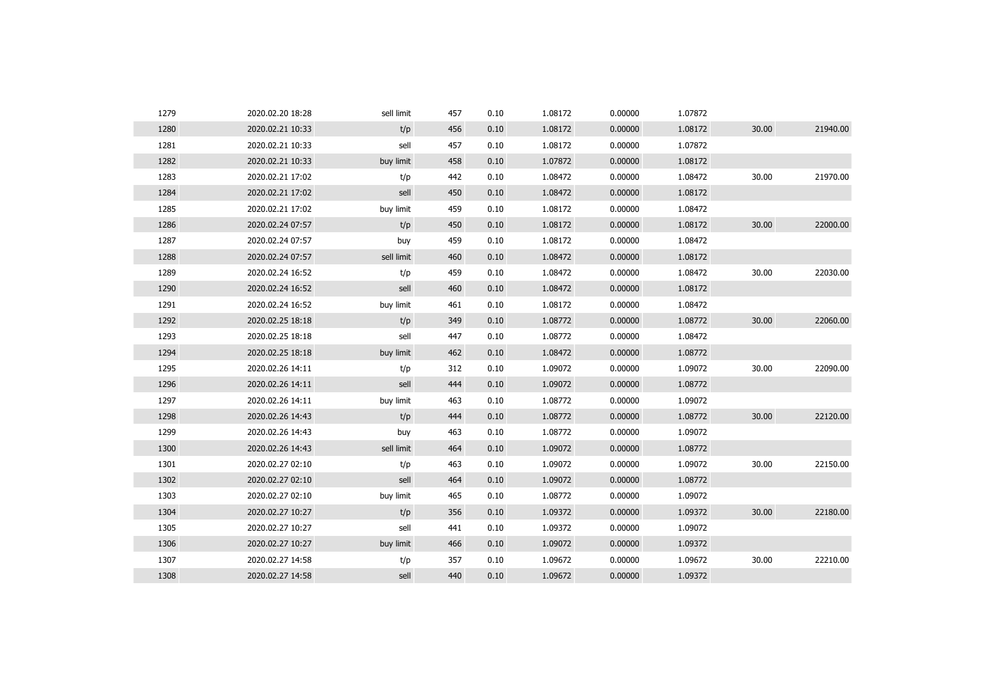| 1279 | 2020.02.20 18:28 | sell limit | 457 | 0.10 | 1.08172 | 0.00000 | 1.07872 |       |          |
|------|------------------|------------|-----|------|---------|---------|---------|-------|----------|
| 1280 | 2020.02.21 10:33 | t/p        | 456 | 0.10 | 1.08172 | 0.00000 | 1.08172 | 30.00 | 21940.00 |
| 1281 | 2020.02.21 10:33 | sell       | 457 | 0.10 | 1.08172 | 0.00000 | 1.07872 |       |          |
| 1282 | 2020.02.21 10:33 | buy limit  | 458 | 0.10 | 1.07872 | 0.00000 | 1.08172 |       |          |
| 1283 | 2020.02.21 17:02 | t/p        | 442 | 0.10 | 1.08472 | 0.00000 | 1.08472 | 30.00 | 21970.00 |
| 1284 | 2020.02.21 17:02 | sell       | 450 | 0.10 | 1.08472 | 0.00000 | 1.08172 |       |          |
| 1285 | 2020.02.21 17:02 | buy limit  | 459 | 0.10 | 1.08172 | 0.00000 | 1.08472 |       |          |
| 1286 | 2020.02.24 07:57 | t/p        | 450 | 0.10 | 1.08172 | 0.00000 | 1.08172 | 30.00 | 22000.00 |
| 1287 | 2020.02.24 07:57 | buy        | 459 | 0.10 | 1.08172 | 0.00000 | 1.08472 |       |          |
| 1288 | 2020.02.24 07:57 | sell limit | 460 | 0.10 | 1.08472 | 0.00000 | 1.08172 |       |          |
| 1289 | 2020.02.24 16:52 | t/p        | 459 | 0.10 | 1.08472 | 0.00000 | 1.08472 | 30.00 | 22030.00 |
| 1290 | 2020.02.24 16:52 | sell       | 460 | 0.10 | 1.08472 | 0.00000 | 1.08172 |       |          |
| 1291 | 2020.02.24 16:52 | buy limit  | 461 | 0.10 | 1.08172 | 0.00000 | 1.08472 |       |          |
| 1292 | 2020.02.25 18:18 | t/p        | 349 | 0.10 | 1.08772 | 0.00000 | 1.08772 | 30.00 | 22060.00 |
| 1293 | 2020.02.25 18:18 | sell       | 447 | 0.10 | 1.08772 | 0.00000 | 1.08472 |       |          |
| 1294 | 2020.02.25 18:18 | buy limit  | 462 | 0.10 | 1.08472 | 0.00000 | 1.08772 |       |          |
| 1295 | 2020.02.26 14:11 | t/p        | 312 | 0.10 | 1.09072 | 0.00000 | 1.09072 | 30.00 | 22090.00 |
| 1296 | 2020.02.26 14:11 | sell       | 444 | 0.10 | 1.09072 | 0.00000 | 1.08772 |       |          |
| 1297 | 2020.02.26 14:11 | buy limit  | 463 | 0.10 | 1.08772 | 0.00000 | 1.09072 |       |          |
| 1298 | 2020.02.26 14:43 | t/p        | 444 | 0.10 | 1.08772 | 0.00000 | 1.08772 | 30.00 | 22120.00 |
| 1299 | 2020.02.26 14:43 | buy        | 463 | 0.10 | 1.08772 | 0.00000 | 1.09072 |       |          |
| 1300 | 2020.02.26 14:43 | sell limit | 464 | 0.10 | 1.09072 | 0.00000 | 1.08772 |       |          |
| 1301 | 2020.02.27 02:10 | t/p        | 463 | 0.10 | 1.09072 | 0.00000 | 1.09072 | 30.00 | 22150.00 |
| 1302 | 2020.02.27 02:10 | sell       | 464 | 0.10 | 1.09072 | 0.00000 | 1.08772 |       |          |
| 1303 | 2020.02.27 02:10 | buy limit  | 465 | 0.10 | 1.08772 | 0.00000 | 1.09072 |       |          |
| 1304 | 2020.02.27 10:27 | t/p        | 356 | 0.10 | 1.09372 | 0.00000 | 1.09372 | 30.00 | 22180.00 |
| 1305 | 2020.02.27 10:27 | sell       | 441 | 0.10 | 1.09372 | 0.00000 | 1.09072 |       |          |
| 1306 | 2020.02.27 10:27 | buy limit  | 466 | 0.10 | 1.09072 | 0.00000 | 1.09372 |       |          |
| 1307 | 2020.02.27 14:58 | t/p        | 357 | 0.10 | 1.09672 | 0.00000 | 1.09672 | 30.00 | 22210.00 |
| 1308 | 2020.02.27 14:58 | sell       | 440 | 0.10 | 1.09672 | 0.00000 | 1.09372 |       |          |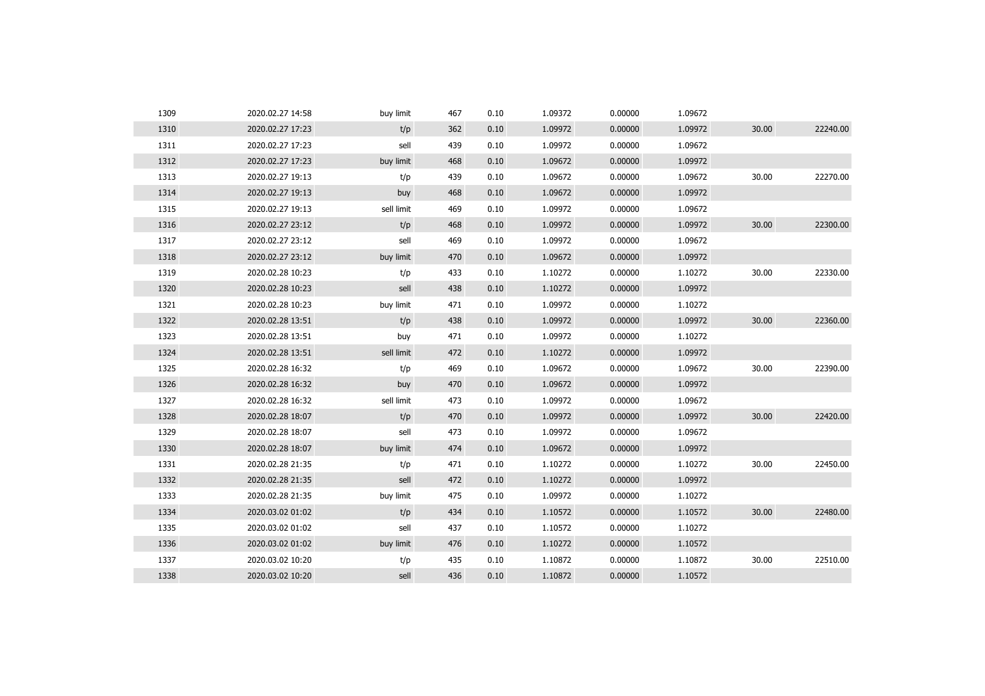| 1309 | 2020.02.27 14:58 | buy limit  | 467 | 0.10 | 1.09372 | 0.00000 | 1.09672 |       |          |
|------|------------------|------------|-----|------|---------|---------|---------|-------|----------|
| 1310 | 2020.02.27 17:23 | t/p        | 362 | 0.10 | 1.09972 | 0.00000 | 1.09972 | 30.00 | 22240.00 |
| 1311 | 2020.02.27 17:23 | sell       | 439 | 0.10 | 1.09972 | 0.00000 | 1.09672 |       |          |
| 1312 | 2020.02.27 17:23 | buy limit  | 468 | 0.10 | 1.09672 | 0.00000 | 1.09972 |       |          |
| 1313 | 2020.02.27 19:13 | t/p        | 439 | 0.10 | 1.09672 | 0.00000 | 1.09672 | 30.00 | 22270.00 |
| 1314 | 2020.02.27 19:13 | buy        | 468 | 0.10 | 1.09672 | 0.00000 | 1.09972 |       |          |
| 1315 | 2020.02.27 19:13 | sell limit | 469 | 0.10 | 1.09972 | 0.00000 | 1.09672 |       |          |
| 1316 | 2020.02.27 23:12 | t/p        | 468 | 0.10 | 1.09972 | 0.00000 | 1.09972 | 30.00 | 22300.00 |
| 1317 | 2020.02.27 23:12 | sell       | 469 | 0.10 | 1.09972 | 0.00000 | 1.09672 |       |          |
| 1318 | 2020.02.27 23:12 | buy limit  | 470 | 0.10 | 1.09672 | 0.00000 | 1.09972 |       |          |
| 1319 | 2020.02.28 10:23 | t/p        | 433 | 0.10 | 1.10272 | 0.00000 | 1.10272 | 30.00 | 22330.00 |
| 1320 | 2020.02.28 10:23 | sell       | 438 | 0.10 | 1.10272 | 0.00000 | 1.09972 |       |          |
| 1321 | 2020.02.28 10:23 | buy limit  | 471 | 0.10 | 1.09972 | 0.00000 | 1.10272 |       |          |
| 1322 | 2020.02.28 13:51 | t/p        | 438 | 0.10 | 1.09972 | 0.00000 | 1.09972 | 30.00 | 22360.00 |
| 1323 | 2020.02.28 13:51 | buy        | 471 | 0.10 | 1.09972 | 0.00000 | 1.10272 |       |          |
| 1324 | 2020.02.28 13:51 | sell limit | 472 | 0.10 | 1.10272 | 0.00000 | 1.09972 |       |          |
| 1325 | 2020.02.28 16:32 | t/p        | 469 | 0.10 | 1.09672 | 0.00000 | 1.09672 | 30.00 | 22390.00 |
| 1326 | 2020.02.28 16:32 | buy        | 470 | 0.10 | 1.09672 | 0.00000 | 1.09972 |       |          |
| 1327 | 2020.02.28 16:32 | sell limit | 473 | 0.10 | 1.09972 | 0.00000 | 1.09672 |       |          |
| 1328 | 2020.02.28 18:07 | t/p        | 470 | 0.10 | 1.09972 | 0.00000 | 1.09972 | 30.00 | 22420.00 |
| 1329 | 2020.02.28 18:07 | sell       | 473 | 0.10 | 1.09972 | 0.00000 | 1.09672 |       |          |
| 1330 | 2020.02.28 18:07 | buy limit  | 474 | 0.10 | 1.09672 | 0.00000 | 1.09972 |       |          |
| 1331 | 2020.02.28 21:35 | t/p        | 471 | 0.10 | 1.10272 | 0.00000 | 1.10272 | 30.00 | 22450.00 |
| 1332 | 2020.02.28 21:35 | sell       | 472 | 0.10 | 1.10272 | 0.00000 | 1.09972 |       |          |
| 1333 | 2020.02.28 21:35 | buy limit  | 475 | 0.10 | 1.09972 | 0.00000 | 1.10272 |       |          |
| 1334 | 2020.03.02 01:02 | t/p        | 434 | 0.10 | 1.10572 | 0.00000 | 1.10572 | 30.00 | 22480.00 |
| 1335 | 2020.03.02 01:02 | sell       | 437 | 0.10 | 1.10572 | 0.00000 | 1.10272 |       |          |
| 1336 | 2020.03.02 01:02 | buy limit  | 476 | 0.10 | 1.10272 | 0.00000 | 1.10572 |       |          |
| 1337 | 2020.03.02 10:20 | t/p        | 435 | 0.10 | 1.10872 | 0.00000 | 1.10872 | 30.00 | 22510.00 |
| 1338 | 2020.03.02 10:20 | sell       | 436 | 0.10 | 1.10872 | 0.00000 | 1.10572 |       |          |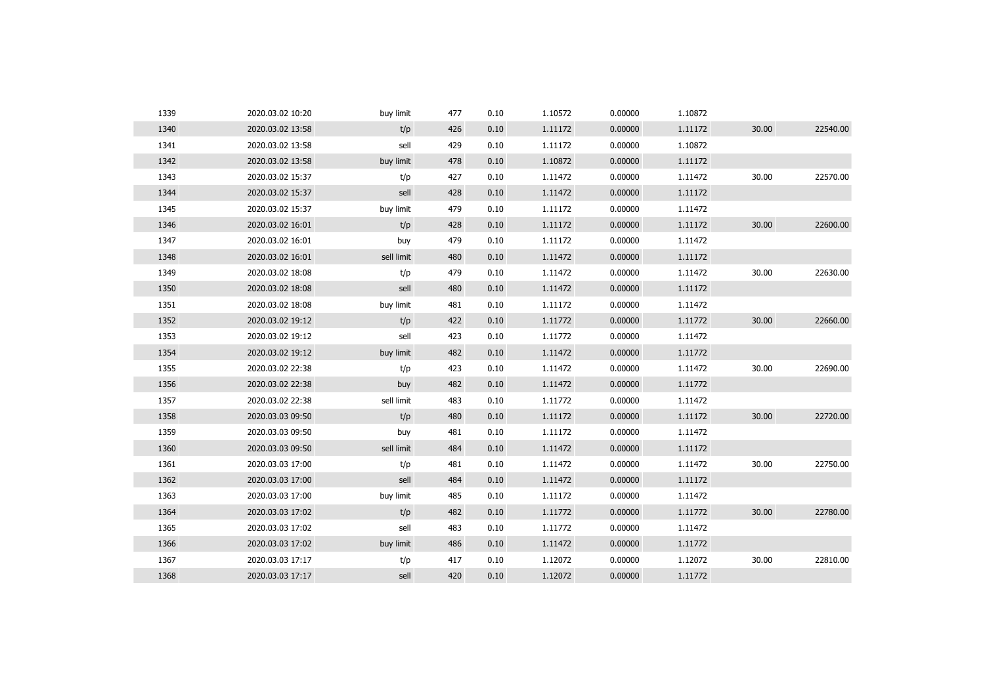| 1340<br>t/p<br>0.00000<br>1.11172<br>30.00<br>2020.03.02 13:58<br>426<br>0.10<br>1.11172<br>1341<br>429<br>1.10872<br>2020.03.02 13:58<br>sell<br>0.10<br>1.11172<br>0.00000<br>1342<br>buy limit<br>0.10<br>1.10872<br>0.00000<br>1.11172<br>2020.03.02 13:58<br>478<br>1343<br>30.00<br>427<br>1.11472<br>0.00000<br>1.11472<br>2020.03.02 15:37<br>t/p<br>0.10<br>1344<br>1.11472<br>0.00000<br>1.11172<br>2020.03.02 15:37<br>sell<br>428<br>0.10<br>1345<br>buy limit<br>479<br>1.11172<br>0.00000<br>1.11472<br>2020.03.02 15:37<br>0.10<br>1346<br>0.00000<br>30.00<br>2020.03.02 16:01<br>t/p<br>428<br>0.10<br>1.11172<br>1.11172<br>1347<br>1.11172<br>0.00000<br>1.11472<br>2020.03.02 16:01<br>buy<br>479<br>0.10<br>1348<br>sell limit<br>0.10<br>1.11472<br>0.00000<br>1.11172<br>2020.03.02 16:01<br>480<br>1349<br>2020.03.02 18:08<br>t/p<br>479<br>0.10<br>1.11472<br>0.00000<br>1.11472<br>30.00<br>1350<br>0.10<br>1.11472<br>0.00000<br>1.11172<br>2020.03.02 18:08<br>sell<br>480<br>1351<br>buy limit<br>1.11172<br>0.00000<br>1.11472<br>2020.03.02 18:08<br>481<br>0.10<br>1352<br>t/p<br>1.11772<br>0.00000<br>1.11772<br>30.00<br>2020.03.02 19:12<br>422<br>0.10<br>1353<br>sell<br>1.11772<br>1.11472<br>2020.03.02 19:12<br>423<br>0.10<br>0.00000<br>1354<br>2020.03.02 19:12<br>buy limit<br>482<br>0.10<br>1.11472<br>0.00000<br>1.11772<br>1355<br>30.00<br>2020.03.02 22:38<br>t/p<br>423<br>0.10<br>1.11472<br>0.00000<br>1.11472<br>1356<br>482<br>0.10<br>1.11472<br>0.00000<br>1.11772<br>2020.03.02 22:38<br>buy<br>1357<br>sell limit<br>2020.03.02 22:38<br>483<br>0.10<br>1.11772<br>0.00000<br>1.11472<br>30.00<br>1358<br>t/p<br>0.10<br>1.11172<br>0.00000<br>1.11172<br>2020.03.03 09:50<br>480<br>1359<br>0.10<br>1.11172<br>0.00000<br>1.11472<br>2020.03.03 09:50<br>buy<br>481<br>1360<br>0.00000<br>2020.03.03 09:50<br>sell limit<br>484<br>0.10<br>1.11472<br>1.11172<br>1361<br>0.10<br>1.11472<br>0.00000<br>1.11472<br>30.00<br>2020.03.03 17:00<br>t/p<br>481<br>1362<br>2020.03.03 17:00<br>sell<br>484<br>0.10<br>1.11472<br>0.00000<br>1.11172<br>1363<br>1.11472<br>buy limit<br>485<br>0.10<br>1.11172<br>0.00000<br>2020.03.03 17:00<br>1364<br>30.00<br>t/p<br>482<br>0.10<br>1.11772<br>0.00000<br>1.11772<br>2020.03.03 17:02<br>1365<br>sell<br>483<br>0.10<br>1.11772<br>0.00000<br>1.11472<br>2020.03.03 17:02<br>1366<br>0.10<br>1.11472<br>0.00000<br>1.11772<br>2020.03.03 17:02<br>buy limit<br>486<br>1367<br>0.10<br>1.12072<br>0.00000<br>1.12072<br>30.00<br>2020.03.03 17:17<br>t/p<br>417<br>1368<br>420<br>0.10<br>0.00000<br>1.11772<br>2020.03.03 17:17<br>sell<br>1.12072 | 1339 | 2020.03.02 10:20 | buy limit | 477 | 0.10 | 1.10572 | 0.00000 | 1.10872 |          |
|---------------------------------------------------------------------------------------------------------------------------------------------------------------------------------------------------------------------------------------------------------------------------------------------------------------------------------------------------------------------------------------------------------------------------------------------------------------------------------------------------------------------------------------------------------------------------------------------------------------------------------------------------------------------------------------------------------------------------------------------------------------------------------------------------------------------------------------------------------------------------------------------------------------------------------------------------------------------------------------------------------------------------------------------------------------------------------------------------------------------------------------------------------------------------------------------------------------------------------------------------------------------------------------------------------------------------------------------------------------------------------------------------------------------------------------------------------------------------------------------------------------------------------------------------------------------------------------------------------------------------------------------------------------------------------------------------------------------------------------------------------------------------------------------------------------------------------------------------------------------------------------------------------------------------------------------------------------------------------------------------------------------------------------------------------------------------------------------------------------------------------------------------------------------------------------------------------------------------------------------------------------------------------------------------------------------------------------------------------------------------------------------------------------------------------------------------------------------------------------------------------------------------------------------------------------------------------------------------------------------------------------------------------------|------|------------------|-----------|-----|------|---------|---------|---------|----------|
|                                                                                                                                                                                                                                                                                                                                                                                                                                                                                                                                                                                                                                                                                                                                                                                                                                                                                                                                                                                                                                                                                                                                                                                                                                                                                                                                                                                                                                                                                                                                                                                                                                                                                                                                                                                                                                                                                                                                                                                                                                                                                                                                                                                                                                                                                                                                                                                                                                                                                                                                                                                                                                                               |      |                  |           |     |      |         |         |         | 22540.00 |
|                                                                                                                                                                                                                                                                                                                                                                                                                                                                                                                                                                                                                                                                                                                                                                                                                                                                                                                                                                                                                                                                                                                                                                                                                                                                                                                                                                                                                                                                                                                                                                                                                                                                                                                                                                                                                                                                                                                                                                                                                                                                                                                                                                                                                                                                                                                                                                                                                                                                                                                                                                                                                                                               |      |                  |           |     |      |         |         |         |          |
|                                                                                                                                                                                                                                                                                                                                                                                                                                                                                                                                                                                                                                                                                                                                                                                                                                                                                                                                                                                                                                                                                                                                                                                                                                                                                                                                                                                                                                                                                                                                                                                                                                                                                                                                                                                                                                                                                                                                                                                                                                                                                                                                                                                                                                                                                                                                                                                                                                                                                                                                                                                                                                                               |      |                  |           |     |      |         |         |         |          |
|                                                                                                                                                                                                                                                                                                                                                                                                                                                                                                                                                                                                                                                                                                                                                                                                                                                                                                                                                                                                                                                                                                                                                                                                                                                                                                                                                                                                                                                                                                                                                                                                                                                                                                                                                                                                                                                                                                                                                                                                                                                                                                                                                                                                                                                                                                                                                                                                                                                                                                                                                                                                                                                               |      |                  |           |     |      |         |         |         | 22570.00 |
|                                                                                                                                                                                                                                                                                                                                                                                                                                                                                                                                                                                                                                                                                                                                                                                                                                                                                                                                                                                                                                                                                                                                                                                                                                                                                                                                                                                                                                                                                                                                                                                                                                                                                                                                                                                                                                                                                                                                                                                                                                                                                                                                                                                                                                                                                                                                                                                                                                                                                                                                                                                                                                                               |      |                  |           |     |      |         |         |         |          |
|                                                                                                                                                                                                                                                                                                                                                                                                                                                                                                                                                                                                                                                                                                                                                                                                                                                                                                                                                                                                                                                                                                                                                                                                                                                                                                                                                                                                                                                                                                                                                                                                                                                                                                                                                                                                                                                                                                                                                                                                                                                                                                                                                                                                                                                                                                                                                                                                                                                                                                                                                                                                                                                               |      |                  |           |     |      |         |         |         |          |
|                                                                                                                                                                                                                                                                                                                                                                                                                                                                                                                                                                                                                                                                                                                                                                                                                                                                                                                                                                                                                                                                                                                                                                                                                                                                                                                                                                                                                                                                                                                                                                                                                                                                                                                                                                                                                                                                                                                                                                                                                                                                                                                                                                                                                                                                                                                                                                                                                                                                                                                                                                                                                                                               |      |                  |           |     |      |         |         |         | 22600.00 |
|                                                                                                                                                                                                                                                                                                                                                                                                                                                                                                                                                                                                                                                                                                                                                                                                                                                                                                                                                                                                                                                                                                                                                                                                                                                                                                                                                                                                                                                                                                                                                                                                                                                                                                                                                                                                                                                                                                                                                                                                                                                                                                                                                                                                                                                                                                                                                                                                                                                                                                                                                                                                                                                               |      |                  |           |     |      |         |         |         |          |
|                                                                                                                                                                                                                                                                                                                                                                                                                                                                                                                                                                                                                                                                                                                                                                                                                                                                                                                                                                                                                                                                                                                                                                                                                                                                                                                                                                                                                                                                                                                                                                                                                                                                                                                                                                                                                                                                                                                                                                                                                                                                                                                                                                                                                                                                                                                                                                                                                                                                                                                                                                                                                                                               |      |                  |           |     |      |         |         |         |          |
|                                                                                                                                                                                                                                                                                                                                                                                                                                                                                                                                                                                                                                                                                                                                                                                                                                                                                                                                                                                                                                                                                                                                                                                                                                                                                                                                                                                                                                                                                                                                                                                                                                                                                                                                                                                                                                                                                                                                                                                                                                                                                                                                                                                                                                                                                                                                                                                                                                                                                                                                                                                                                                                               |      |                  |           |     |      |         |         |         | 22630.00 |
|                                                                                                                                                                                                                                                                                                                                                                                                                                                                                                                                                                                                                                                                                                                                                                                                                                                                                                                                                                                                                                                                                                                                                                                                                                                                                                                                                                                                                                                                                                                                                                                                                                                                                                                                                                                                                                                                                                                                                                                                                                                                                                                                                                                                                                                                                                                                                                                                                                                                                                                                                                                                                                                               |      |                  |           |     |      |         |         |         |          |
|                                                                                                                                                                                                                                                                                                                                                                                                                                                                                                                                                                                                                                                                                                                                                                                                                                                                                                                                                                                                                                                                                                                                                                                                                                                                                                                                                                                                                                                                                                                                                                                                                                                                                                                                                                                                                                                                                                                                                                                                                                                                                                                                                                                                                                                                                                                                                                                                                                                                                                                                                                                                                                                               |      |                  |           |     |      |         |         |         |          |
|                                                                                                                                                                                                                                                                                                                                                                                                                                                                                                                                                                                                                                                                                                                                                                                                                                                                                                                                                                                                                                                                                                                                                                                                                                                                                                                                                                                                                                                                                                                                                                                                                                                                                                                                                                                                                                                                                                                                                                                                                                                                                                                                                                                                                                                                                                                                                                                                                                                                                                                                                                                                                                                               |      |                  |           |     |      |         |         |         | 22660.00 |
|                                                                                                                                                                                                                                                                                                                                                                                                                                                                                                                                                                                                                                                                                                                                                                                                                                                                                                                                                                                                                                                                                                                                                                                                                                                                                                                                                                                                                                                                                                                                                                                                                                                                                                                                                                                                                                                                                                                                                                                                                                                                                                                                                                                                                                                                                                                                                                                                                                                                                                                                                                                                                                                               |      |                  |           |     |      |         |         |         |          |
|                                                                                                                                                                                                                                                                                                                                                                                                                                                                                                                                                                                                                                                                                                                                                                                                                                                                                                                                                                                                                                                                                                                                                                                                                                                                                                                                                                                                                                                                                                                                                                                                                                                                                                                                                                                                                                                                                                                                                                                                                                                                                                                                                                                                                                                                                                                                                                                                                                                                                                                                                                                                                                                               |      |                  |           |     |      |         |         |         |          |
|                                                                                                                                                                                                                                                                                                                                                                                                                                                                                                                                                                                                                                                                                                                                                                                                                                                                                                                                                                                                                                                                                                                                                                                                                                                                                                                                                                                                                                                                                                                                                                                                                                                                                                                                                                                                                                                                                                                                                                                                                                                                                                                                                                                                                                                                                                                                                                                                                                                                                                                                                                                                                                                               |      |                  |           |     |      |         |         |         | 22690.00 |
|                                                                                                                                                                                                                                                                                                                                                                                                                                                                                                                                                                                                                                                                                                                                                                                                                                                                                                                                                                                                                                                                                                                                                                                                                                                                                                                                                                                                                                                                                                                                                                                                                                                                                                                                                                                                                                                                                                                                                                                                                                                                                                                                                                                                                                                                                                                                                                                                                                                                                                                                                                                                                                                               |      |                  |           |     |      |         |         |         |          |
|                                                                                                                                                                                                                                                                                                                                                                                                                                                                                                                                                                                                                                                                                                                                                                                                                                                                                                                                                                                                                                                                                                                                                                                                                                                                                                                                                                                                                                                                                                                                                                                                                                                                                                                                                                                                                                                                                                                                                                                                                                                                                                                                                                                                                                                                                                                                                                                                                                                                                                                                                                                                                                                               |      |                  |           |     |      |         |         |         |          |
|                                                                                                                                                                                                                                                                                                                                                                                                                                                                                                                                                                                                                                                                                                                                                                                                                                                                                                                                                                                                                                                                                                                                                                                                                                                                                                                                                                                                                                                                                                                                                                                                                                                                                                                                                                                                                                                                                                                                                                                                                                                                                                                                                                                                                                                                                                                                                                                                                                                                                                                                                                                                                                                               |      |                  |           |     |      |         |         |         | 22720.00 |
|                                                                                                                                                                                                                                                                                                                                                                                                                                                                                                                                                                                                                                                                                                                                                                                                                                                                                                                                                                                                                                                                                                                                                                                                                                                                                                                                                                                                                                                                                                                                                                                                                                                                                                                                                                                                                                                                                                                                                                                                                                                                                                                                                                                                                                                                                                                                                                                                                                                                                                                                                                                                                                                               |      |                  |           |     |      |         |         |         |          |
|                                                                                                                                                                                                                                                                                                                                                                                                                                                                                                                                                                                                                                                                                                                                                                                                                                                                                                                                                                                                                                                                                                                                                                                                                                                                                                                                                                                                                                                                                                                                                                                                                                                                                                                                                                                                                                                                                                                                                                                                                                                                                                                                                                                                                                                                                                                                                                                                                                                                                                                                                                                                                                                               |      |                  |           |     |      |         |         |         |          |
|                                                                                                                                                                                                                                                                                                                                                                                                                                                                                                                                                                                                                                                                                                                                                                                                                                                                                                                                                                                                                                                                                                                                                                                                                                                                                                                                                                                                                                                                                                                                                                                                                                                                                                                                                                                                                                                                                                                                                                                                                                                                                                                                                                                                                                                                                                                                                                                                                                                                                                                                                                                                                                                               |      |                  |           |     |      |         |         |         | 22750.00 |
|                                                                                                                                                                                                                                                                                                                                                                                                                                                                                                                                                                                                                                                                                                                                                                                                                                                                                                                                                                                                                                                                                                                                                                                                                                                                                                                                                                                                                                                                                                                                                                                                                                                                                                                                                                                                                                                                                                                                                                                                                                                                                                                                                                                                                                                                                                                                                                                                                                                                                                                                                                                                                                                               |      |                  |           |     |      |         |         |         |          |
|                                                                                                                                                                                                                                                                                                                                                                                                                                                                                                                                                                                                                                                                                                                                                                                                                                                                                                                                                                                                                                                                                                                                                                                                                                                                                                                                                                                                                                                                                                                                                                                                                                                                                                                                                                                                                                                                                                                                                                                                                                                                                                                                                                                                                                                                                                                                                                                                                                                                                                                                                                                                                                                               |      |                  |           |     |      |         |         |         |          |
|                                                                                                                                                                                                                                                                                                                                                                                                                                                                                                                                                                                                                                                                                                                                                                                                                                                                                                                                                                                                                                                                                                                                                                                                                                                                                                                                                                                                                                                                                                                                                                                                                                                                                                                                                                                                                                                                                                                                                                                                                                                                                                                                                                                                                                                                                                                                                                                                                                                                                                                                                                                                                                                               |      |                  |           |     |      |         |         |         | 22780.00 |
|                                                                                                                                                                                                                                                                                                                                                                                                                                                                                                                                                                                                                                                                                                                                                                                                                                                                                                                                                                                                                                                                                                                                                                                                                                                                                                                                                                                                                                                                                                                                                                                                                                                                                                                                                                                                                                                                                                                                                                                                                                                                                                                                                                                                                                                                                                                                                                                                                                                                                                                                                                                                                                                               |      |                  |           |     |      |         |         |         |          |
|                                                                                                                                                                                                                                                                                                                                                                                                                                                                                                                                                                                                                                                                                                                                                                                                                                                                                                                                                                                                                                                                                                                                                                                                                                                                                                                                                                                                                                                                                                                                                                                                                                                                                                                                                                                                                                                                                                                                                                                                                                                                                                                                                                                                                                                                                                                                                                                                                                                                                                                                                                                                                                                               |      |                  |           |     |      |         |         |         |          |
|                                                                                                                                                                                                                                                                                                                                                                                                                                                                                                                                                                                                                                                                                                                                                                                                                                                                                                                                                                                                                                                                                                                                                                                                                                                                                                                                                                                                                                                                                                                                                                                                                                                                                                                                                                                                                                                                                                                                                                                                                                                                                                                                                                                                                                                                                                                                                                                                                                                                                                                                                                                                                                                               |      |                  |           |     |      |         |         |         | 22810.00 |
|                                                                                                                                                                                                                                                                                                                                                                                                                                                                                                                                                                                                                                                                                                                                                                                                                                                                                                                                                                                                                                                                                                                                                                                                                                                                                                                                                                                                                                                                                                                                                                                                                                                                                                                                                                                                                                                                                                                                                                                                                                                                                                                                                                                                                                                                                                                                                                                                                                                                                                                                                                                                                                                               |      |                  |           |     |      |         |         |         |          |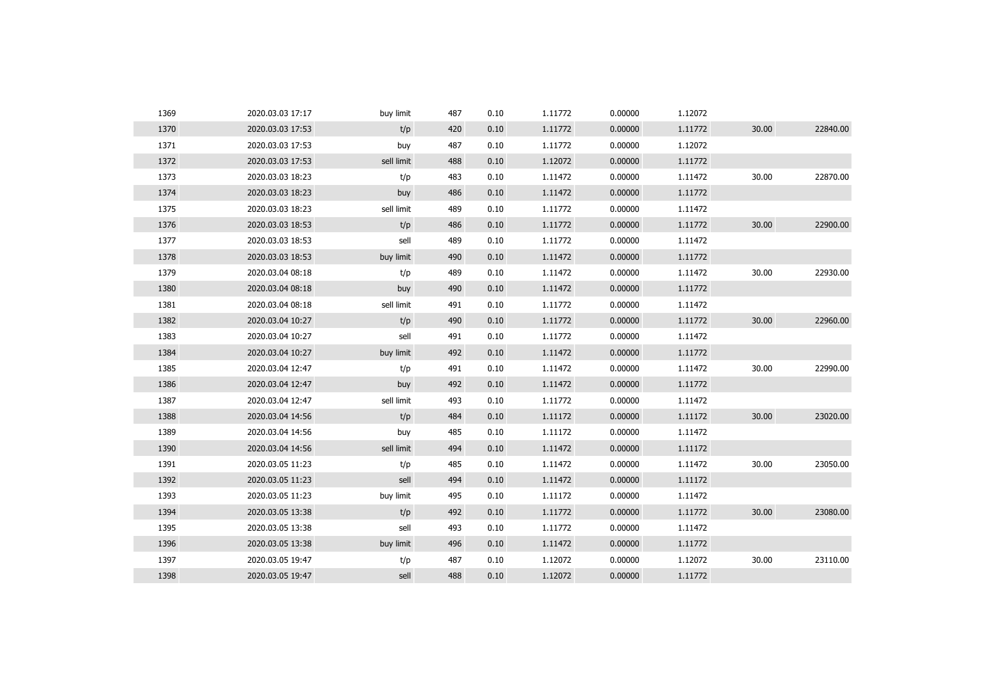| 1369 | 2020.03.03 17:17 | buy limit  | 487 | 0.10 | 1.11772 | 0.00000 | 1.12072 |       |          |
|------|------------------|------------|-----|------|---------|---------|---------|-------|----------|
| 1370 | 2020.03.03 17:53 | t/p        | 420 | 0.10 | 1.11772 | 0.00000 | 1.11772 | 30.00 | 22840.00 |
| 1371 | 2020.03.03 17:53 | buy        | 487 | 0.10 | 1.11772 | 0.00000 | 1.12072 |       |          |
| 1372 | 2020.03.03 17:53 | sell limit | 488 | 0.10 | 1.12072 | 0.00000 | 1.11772 |       |          |
| 1373 | 2020.03.03 18:23 | t/p        | 483 | 0.10 | 1.11472 | 0.00000 | 1.11472 | 30.00 | 22870.00 |
| 1374 | 2020.03.03 18:23 | buy        | 486 | 0.10 | 1.11472 | 0.00000 | 1.11772 |       |          |
| 1375 | 2020.03.03 18:23 | sell limit | 489 | 0.10 | 1.11772 | 0.00000 | 1.11472 |       |          |
| 1376 | 2020.03.03 18:53 | t/p        | 486 | 0.10 | 1.11772 | 0.00000 | 1.11772 | 30.00 | 22900.00 |
| 1377 | 2020.03.03 18:53 | sell       | 489 | 0.10 | 1.11772 | 0.00000 | 1.11472 |       |          |
| 1378 | 2020.03.03 18:53 | buy limit  | 490 | 0.10 | 1.11472 | 0.00000 | 1.11772 |       |          |
| 1379 | 2020.03.04 08:18 | t/p        | 489 | 0.10 | 1.11472 | 0.00000 | 1.11472 | 30.00 | 22930.00 |
| 1380 | 2020.03.04 08:18 | buy        | 490 | 0.10 | 1.11472 | 0.00000 | 1.11772 |       |          |
| 1381 | 2020.03.04 08:18 | sell limit | 491 | 0.10 | 1.11772 | 0.00000 | 1.11472 |       |          |
| 1382 | 2020.03.04 10:27 | t/p        | 490 | 0.10 | 1.11772 | 0.00000 | 1.11772 | 30.00 | 22960.00 |
| 1383 | 2020.03.04 10:27 | sell       | 491 | 0.10 | 1.11772 | 0.00000 | 1.11472 |       |          |
| 1384 | 2020.03.04 10:27 | buy limit  | 492 | 0.10 | 1.11472 | 0.00000 | 1.11772 |       |          |
| 1385 | 2020.03.04 12:47 | t/p        | 491 | 0.10 | 1.11472 | 0.00000 | 1.11472 | 30.00 | 22990.00 |
| 1386 | 2020.03.04 12:47 | buy        | 492 | 0.10 | 1.11472 | 0.00000 | 1.11772 |       |          |
| 1387 | 2020.03.04 12:47 | sell limit | 493 | 0.10 | 1.11772 | 0.00000 | 1.11472 |       |          |
| 1388 | 2020.03.04 14:56 | t/p        | 484 | 0.10 | 1.11172 | 0.00000 | 1.11172 | 30.00 | 23020.00 |
| 1389 | 2020.03.04 14:56 | buy        | 485 | 0.10 | 1.11172 | 0.00000 | 1.11472 |       |          |
| 1390 | 2020.03.04 14:56 | sell limit | 494 | 0.10 | 1.11472 | 0.00000 | 1.11172 |       |          |
| 1391 | 2020.03.05 11:23 | t/p        | 485 | 0.10 | 1.11472 | 0.00000 | 1.11472 | 30.00 | 23050.00 |
| 1392 | 2020.03.05 11:23 | sell       | 494 | 0.10 | 1.11472 | 0.00000 | 1.11172 |       |          |
| 1393 | 2020.03.05 11:23 | buy limit  | 495 | 0.10 | 1.11172 | 0.00000 | 1.11472 |       |          |
| 1394 | 2020.03.05 13:38 | t/p        | 492 | 0.10 | 1.11772 | 0.00000 | 1.11772 | 30.00 | 23080.00 |
| 1395 | 2020.03.05 13:38 | sell       | 493 | 0.10 | 1.11772 | 0.00000 | 1.11472 |       |          |
| 1396 | 2020.03.05 13:38 | buy limit  | 496 | 0.10 | 1.11472 | 0.00000 | 1.11772 |       |          |
| 1397 | 2020.03.05 19:47 | t/p        | 487 | 0.10 | 1.12072 | 0.00000 | 1.12072 | 30.00 | 23110.00 |
| 1398 | 2020.03.05 19:47 | sell       | 488 | 0.10 | 1.12072 | 0.00000 | 1.11772 |       |          |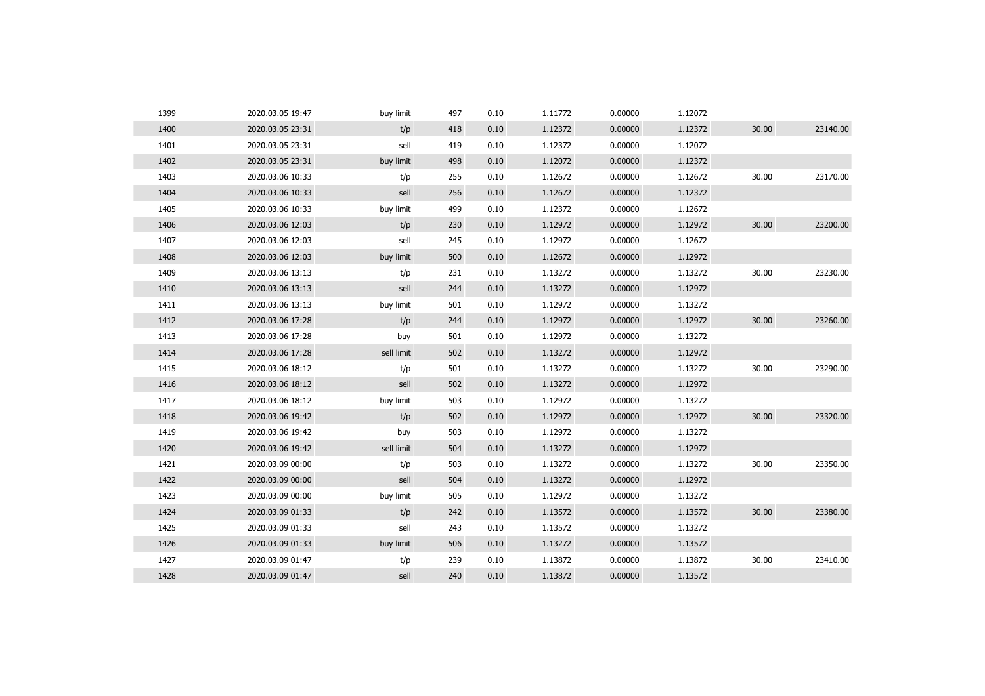| 1399 | 2020.03.05 19:47 | buy limit  | 497 | 0.10 | 1.11772 | 0.00000 | 1.12072 |       |          |
|------|------------------|------------|-----|------|---------|---------|---------|-------|----------|
| 1400 | 2020.03.05 23:31 | t/p        | 418 | 0.10 | 1.12372 | 0.00000 | 1.12372 | 30.00 | 23140.00 |
| 1401 | 2020.03.05 23:31 | sell       | 419 | 0.10 | 1.12372 | 0.00000 | 1.12072 |       |          |
| 1402 | 2020.03.05 23:31 | buy limit  | 498 | 0.10 | 1.12072 | 0.00000 | 1.12372 |       |          |
| 1403 | 2020.03.06 10:33 | t/p        | 255 | 0.10 | 1.12672 | 0.00000 | 1.12672 | 30.00 | 23170.00 |
| 1404 | 2020.03.06 10:33 | sell       | 256 | 0.10 | 1.12672 | 0.00000 | 1.12372 |       |          |
| 1405 | 2020.03.06 10:33 | buy limit  | 499 | 0.10 | 1.12372 | 0.00000 | 1.12672 |       |          |
| 1406 | 2020.03.06 12:03 | t/p        | 230 | 0.10 | 1.12972 | 0.00000 | 1.12972 | 30.00 | 23200.00 |
| 1407 | 2020.03.06 12:03 | sell       | 245 | 0.10 | 1.12972 | 0.00000 | 1.12672 |       |          |
| 1408 | 2020.03.06 12:03 | buy limit  | 500 | 0.10 | 1.12672 | 0.00000 | 1.12972 |       |          |
| 1409 | 2020.03.06 13:13 | t/p        | 231 | 0.10 | 1.13272 | 0.00000 | 1.13272 | 30.00 | 23230.00 |
| 1410 | 2020.03.06 13:13 | sell       | 244 | 0.10 | 1.13272 | 0.00000 | 1.12972 |       |          |
| 1411 | 2020.03.06 13:13 | buy limit  | 501 | 0.10 | 1.12972 | 0.00000 | 1.13272 |       |          |
| 1412 | 2020.03.06 17:28 | t/p        | 244 | 0.10 | 1.12972 | 0.00000 | 1.12972 | 30.00 | 23260.00 |
| 1413 | 2020.03.06 17:28 | buy        | 501 | 0.10 | 1.12972 | 0.00000 | 1.13272 |       |          |
| 1414 | 2020.03.06 17:28 | sell limit | 502 | 0.10 | 1.13272 | 0.00000 | 1.12972 |       |          |
| 1415 | 2020.03.06 18:12 | t/p        | 501 | 0.10 | 1.13272 | 0.00000 | 1.13272 | 30.00 | 23290.00 |
| 1416 | 2020.03.06 18:12 | sell       | 502 | 0.10 | 1.13272 | 0.00000 | 1.12972 |       |          |
| 1417 | 2020.03.06 18:12 | buy limit  | 503 | 0.10 | 1.12972 | 0.00000 | 1.13272 |       |          |
| 1418 | 2020.03.06 19:42 | t/p        | 502 | 0.10 | 1.12972 | 0.00000 | 1.12972 | 30.00 | 23320.00 |
| 1419 | 2020.03.06 19:42 | buy        | 503 | 0.10 | 1.12972 | 0.00000 | 1.13272 |       |          |
| 1420 | 2020.03.06 19:42 | sell limit | 504 | 0.10 | 1.13272 | 0.00000 | 1.12972 |       |          |
| 1421 | 2020.03.09 00:00 | t/p        | 503 | 0.10 | 1.13272 | 0.00000 | 1.13272 | 30.00 | 23350.00 |
| 1422 | 2020.03.09 00:00 | sell       | 504 | 0.10 | 1.13272 | 0.00000 | 1.12972 |       |          |
| 1423 | 2020.03.09 00:00 | buy limit  | 505 | 0.10 | 1.12972 | 0.00000 | 1.13272 |       |          |
| 1424 | 2020.03.09 01:33 | t/p        | 242 | 0.10 | 1.13572 | 0.00000 | 1.13572 | 30.00 | 23380.00 |
| 1425 | 2020.03.09 01:33 | sell       | 243 | 0.10 | 1.13572 | 0.00000 | 1.13272 |       |          |
| 1426 | 2020.03.09 01:33 | buy limit  | 506 | 0.10 | 1.13272 | 0.00000 | 1.13572 |       |          |
| 1427 | 2020.03.09 01:47 | t/p        | 239 | 0.10 | 1.13872 | 0.00000 | 1.13872 | 30.00 | 23410.00 |
| 1428 | 2020.03.09 01:47 | sell       | 240 | 0.10 | 1.13872 | 0.00000 | 1.13572 |       |          |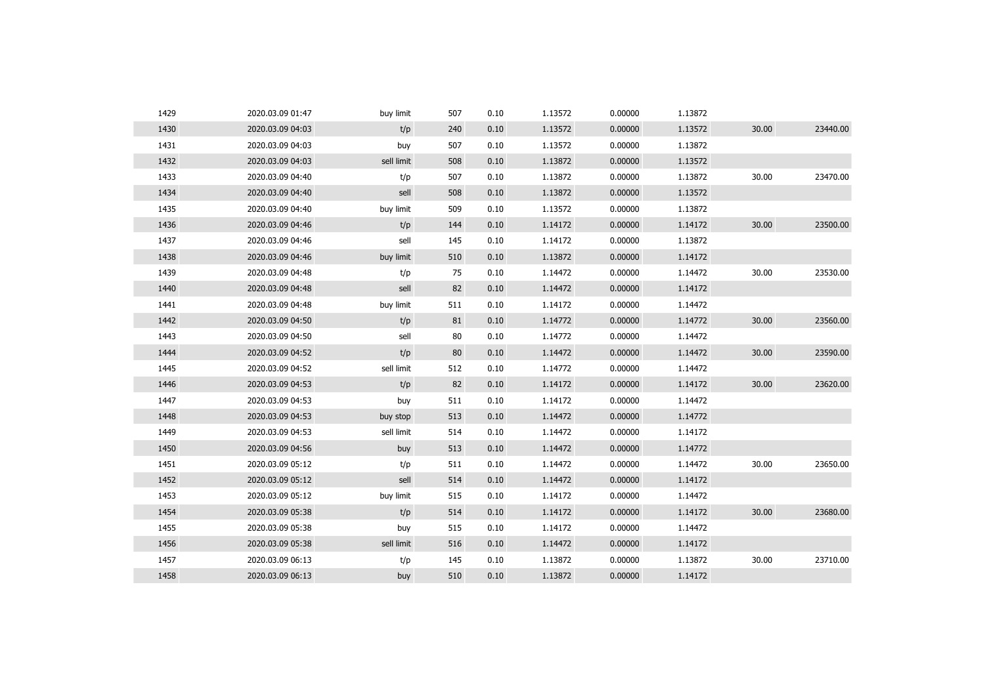| 1429 | 2020.03.09 01:47 | buy limit  | 507 | 0.10 | 1.13572 | 0.00000 | 1.13872 |       |          |
|------|------------------|------------|-----|------|---------|---------|---------|-------|----------|
| 1430 | 2020.03.09 04:03 | t/p        | 240 | 0.10 | 1.13572 | 0.00000 | 1.13572 | 30.00 | 23440.00 |
| 1431 | 2020.03.09 04:03 | buy        | 507 | 0.10 | 1.13572 | 0.00000 | 1.13872 |       |          |
| 1432 | 2020.03.09 04:03 | sell limit | 508 | 0.10 | 1.13872 | 0.00000 | 1.13572 |       |          |
| 1433 | 2020.03.09 04:40 | t/p        | 507 | 0.10 | 1.13872 | 0.00000 | 1.13872 | 30.00 | 23470.00 |
| 1434 | 2020.03.09 04:40 | sell       | 508 | 0.10 | 1.13872 | 0.00000 | 1.13572 |       |          |
| 1435 | 2020.03.09 04:40 | buy limit  | 509 | 0.10 | 1.13572 | 0.00000 | 1.13872 |       |          |
| 1436 | 2020.03.09 04:46 | t/p        | 144 | 0.10 | 1.14172 | 0.00000 | 1.14172 | 30.00 | 23500.00 |
| 1437 | 2020.03.09 04:46 | sell       | 145 | 0.10 | 1.14172 | 0.00000 | 1.13872 |       |          |
| 1438 | 2020.03.09 04:46 | buy limit  | 510 | 0.10 | 1.13872 | 0.00000 | 1.14172 |       |          |
| 1439 | 2020.03.09 04:48 | t/p        | 75  | 0.10 | 1.14472 | 0.00000 | 1.14472 | 30.00 | 23530.00 |
| 1440 | 2020.03.09 04:48 | sell       | 82  | 0.10 | 1.14472 | 0.00000 | 1.14172 |       |          |
| 1441 | 2020.03.09 04:48 | buy limit  | 511 | 0.10 | 1.14172 | 0.00000 | 1.14472 |       |          |
| 1442 | 2020.03.09 04:50 | t/p        | 81  | 0.10 | 1.14772 | 0.00000 | 1.14772 | 30.00 | 23560.00 |
| 1443 | 2020.03.09 04:50 | sell       | 80  | 0.10 | 1.14772 | 0.00000 | 1.14472 |       |          |
| 1444 | 2020.03.09 04:52 | t/p        | 80  | 0.10 | 1.14472 | 0.00000 | 1.14472 | 30.00 | 23590.00 |
| 1445 | 2020.03.09 04:52 | sell limit | 512 | 0.10 | 1.14772 | 0.00000 | 1.14472 |       |          |
| 1446 | 2020.03.09 04:53 | t/p        | 82  | 0.10 | 1.14172 | 0.00000 | 1.14172 | 30.00 | 23620.00 |
| 1447 | 2020.03.09 04:53 | buy        | 511 | 0.10 | 1.14172 | 0.00000 | 1.14472 |       |          |
| 1448 | 2020.03.09 04:53 | buy stop   | 513 | 0.10 | 1.14472 | 0.00000 | 1.14772 |       |          |
| 1449 | 2020.03.09 04:53 | sell limit | 514 | 0.10 | 1.14472 | 0.00000 | 1.14172 |       |          |
| 1450 | 2020.03.09 04:56 | buy        | 513 | 0.10 | 1.14472 | 0.00000 | 1.14772 |       |          |
| 1451 | 2020.03.09 05:12 | t/p        | 511 | 0.10 | 1.14472 | 0.00000 | 1.14472 | 30.00 | 23650.00 |
| 1452 | 2020.03.09 05:12 | sell       | 514 | 0.10 | 1.14472 | 0.00000 | 1.14172 |       |          |
| 1453 | 2020.03.09 05:12 | buy limit  | 515 | 0.10 | 1.14172 | 0.00000 | 1.14472 |       |          |
| 1454 | 2020.03.09 05:38 | t/p        | 514 | 0.10 | 1.14172 | 0.00000 | 1.14172 | 30.00 | 23680.00 |
| 1455 | 2020.03.09 05:38 | buy        | 515 | 0.10 | 1.14172 | 0.00000 | 1.14472 |       |          |
| 1456 | 2020.03.09 05:38 | sell limit | 516 | 0.10 | 1.14472 | 0.00000 | 1.14172 |       |          |
| 1457 | 2020.03.09 06:13 | t/p        | 145 | 0.10 | 1.13872 | 0.00000 | 1.13872 | 30.00 | 23710.00 |
| 1458 | 2020.03.09 06:13 | buy        | 510 | 0.10 | 1.13872 | 0.00000 | 1.14172 |       |          |
|      |                  |            |     |      |         |         |         |       |          |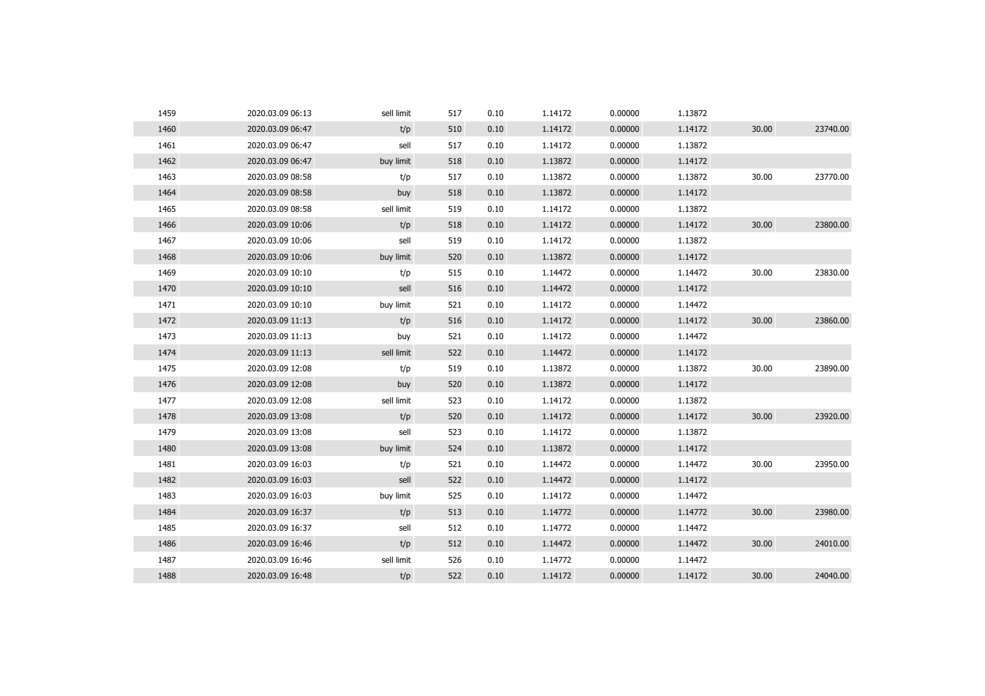| 1459 | 2020.03.09 06:13 | sell limit | 517 | 0.10 | 1.14172 | 0.00000 | 1.13872 |       |          |
|------|------------------|------------|-----|------|---------|---------|---------|-------|----------|
| 1460 | 2020.03.09 06:47 | t/p        | 510 | 0.10 | 1.14172 | 0.00000 | 1.14172 | 30.00 | 23740.00 |
| 1461 | 2020.03.09 06:47 | sell       | 517 | 0.10 | 1.14172 | 0.00000 | 1.13872 |       |          |
| 1462 | 2020.03.09 06:47 | buy limit  | 518 | 0.10 | 1.13872 | 0.00000 | 1.14172 |       |          |
| 1463 | 2020.03.09 08:58 | t/p        | 517 | 0.10 | 1.13872 | 0.00000 | 1.13872 | 30.00 | 23770.00 |
| 1464 | 2020.03.09 08:58 | buy        | 518 | 0.10 | 1.13872 | 0.00000 | 1.14172 |       |          |
| 1465 | 2020.03.09 08:58 | sell limit | 519 | 0.10 | 1.14172 | 0.00000 | 1.13872 |       |          |
| 1466 | 2020.03.09 10:06 | t/p        | 518 | 0.10 | 1.14172 | 0.00000 | 1.14172 | 30.00 | 23800.00 |
| 1467 | 2020.03.09 10:06 | sell       | 519 | 0.10 | 1.14172 | 0.00000 | 1.13872 |       |          |
| 1468 | 2020.03.09 10:06 | buy limit  | 520 | 0.10 | 1.13872 | 0.00000 | 1.14172 |       |          |
| 1469 | 2020.03.09 10:10 | t/p        | 515 | 0.10 | 1.14472 | 0.00000 | 1.14472 | 30.00 | 23830.00 |
| 1470 | 2020.03.09 10:10 | sell       | 516 | 0.10 | 1.14472 | 0.00000 | 1.14172 |       |          |
| 1471 | 2020.03.09 10:10 | buy limit  | 521 | 0.10 | 1.14172 | 0.00000 | 1.14472 |       |          |
| 1472 | 2020.03.09 11:13 | t/p        | 516 | 0.10 | 1.14172 | 0.00000 | 1.14172 | 30.00 | 23860.00 |
| 1473 | 2020.03.09 11:13 | buy        | 521 | 0.10 | 1.14172 | 0.00000 | 1.14472 |       |          |
| 1474 | 2020.03.09 11:13 | sell limit | 522 | 0.10 | 1.14472 | 0.00000 | 1.14172 |       |          |
| 1475 | 2020.03.09 12:08 | t/p        | 519 | 0.10 | 1.13872 | 0.00000 | 1.13872 | 30.00 | 23890.00 |
| 1476 | 2020.03.09 12:08 | buy        | 520 | 0.10 | 1.13872 | 0.00000 | 1.14172 |       |          |
| 1477 | 2020.03.09 12:08 | sell limit | 523 | 0.10 | 1.14172 | 0.00000 | 1.13872 |       |          |
| 1478 | 2020.03.09 13:08 | t/p        | 520 | 0.10 | 1.14172 | 0.00000 | 1.14172 | 30.00 | 23920.00 |
| 1479 | 2020.03.09 13:08 | sell       | 523 | 0.10 | 1.14172 | 0.00000 | 1.13872 |       |          |
| 1480 | 2020.03.09 13:08 | buy limit  | 524 | 0.10 | 1.13872 | 0.00000 | 1.14172 |       |          |
| 1481 | 2020.03.09 16:03 | t/p        | 521 | 0.10 | 1.14472 | 0.00000 | 1.14472 | 30.00 | 23950.00 |
| 1482 | 2020.03.09 16:03 | sell       | 522 | 0.10 | 1.14472 | 0.00000 | 1.14172 |       |          |
| 1483 | 2020.03.09 16:03 | buy limit  | 525 | 0.10 | 1.14172 | 0.00000 | 1.14472 |       |          |
| 1484 | 2020.03.09 16:37 | t/p        | 513 | 0.10 | 1.14772 | 0.00000 | 1.14772 | 30.00 | 23980.00 |
| 1485 | 2020.03.09 16:37 | sell       | 512 | 0.10 | 1.14772 | 0.00000 | 1.14472 |       |          |
| 1486 | 2020.03.09 16:46 | t/p        | 512 | 0.10 | 1.14472 | 0.00000 | 1.14472 | 30.00 | 24010.00 |
| 1487 | 2020.03.09 16:46 | sell limit | 526 | 0.10 | 1.14772 | 0.00000 | 1.14472 |       |          |
| 1488 | 2020.03.09 16:48 | t/p        | 522 | 0.10 | 1.14172 | 0.00000 | 1.14172 | 30.00 | 24040.00 |
|      |                  |            |     |      |         |         |         |       |          |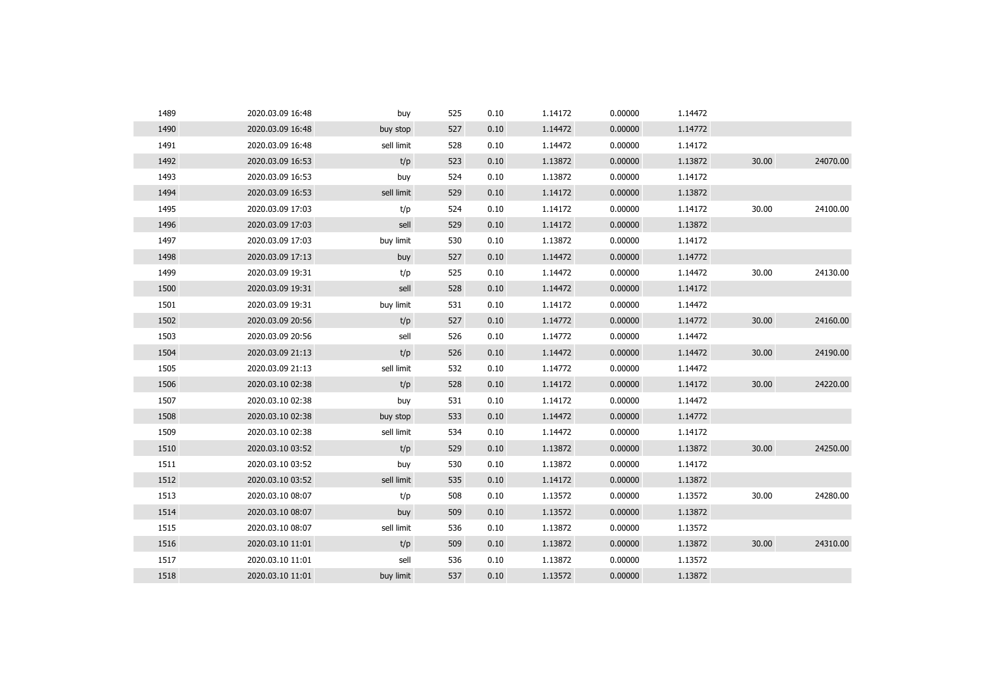| 1489 | 2020.03.09 16:48 | buy        | 525 | 0.10 | 1.14172 | 0.00000 | 1.14472 |       |          |
|------|------------------|------------|-----|------|---------|---------|---------|-------|----------|
| 1490 | 2020.03.09 16:48 | buy stop   | 527 | 0.10 | 1.14472 | 0.00000 | 1.14772 |       |          |
| 1491 | 2020.03.09 16:48 | sell limit | 528 | 0.10 | 1.14472 | 0.00000 | 1.14172 |       |          |
| 1492 | 2020.03.09 16:53 | t/p        | 523 | 0.10 | 1.13872 | 0.00000 | 1.13872 | 30.00 | 24070.00 |
| 1493 | 2020.03.09 16:53 | buy        | 524 | 0.10 | 1.13872 | 0.00000 | 1.14172 |       |          |
| 1494 | 2020.03.09 16:53 | sell limit | 529 | 0.10 | 1.14172 | 0.00000 | 1.13872 |       |          |
| 1495 | 2020.03.09 17:03 | t/p        | 524 | 0.10 | 1.14172 | 0.00000 | 1.14172 | 30.00 | 24100.00 |
| 1496 | 2020.03.09 17:03 | sell       | 529 | 0.10 | 1.14172 | 0.00000 | 1.13872 |       |          |
| 1497 | 2020.03.09 17:03 | buy limit  | 530 | 0.10 | 1.13872 | 0.00000 | 1.14172 |       |          |
| 1498 | 2020.03.09 17:13 | buy        | 527 | 0.10 | 1.14472 | 0.00000 | 1.14772 |       |          |
| 1499 | 2020.03.09 19:31 | t/p        | 525 | 0.10 | 1.14472 | 0.00000 | 1.14472 | 30.00 | 24130.00 |
| 1500 | 2020.03.09 19:31 | sell       | 528 | 0.10 | 1.14472 | 0.00000 | 1.14172 |       |          |
| 1501 | 2020.03.09 19:31 | buy limit  | 531 | 0.10 | 1.14172 | 0.00000 | 1.14472 |       |          |
| 1502 | 2020.03.09 20:56 | t/p        | 527 | 0.10 | 1.14772 | 0.00000 | 1.14772 | 30.00 | 24160.00 |
| 1503 | 2020.03.09 20:56 | sell       | 526 | 0.10 | 1.14772 | 0.00000 | 1.14472 |       |          |
| 1504 | 2020.03.09 21:13 | t/p        | 526 | 0.10 | 1.14472 | 0.00000 | 1.14472 | 30.00 | 24190.00 |
| 1505 | 2020.03.09 21:13 | sell limit | 532 | 0.10 | 1.14772 | 0.00000 | 1.14472 |       |          |
| 1506 | 2020.03.10 02:38 | t/p        | 528 | 0.10 | 1.14172 | 0.00000 | 1.14172 | 30.00 | 24220.00 |
| 1507 | 2020.03.10 02:38 | buy        | 531 | 0.10 | 1.14172 | 0.00000 | 1.14472 |       |          |
| 1508 | 2020.03.10 02:38 | buy stop   | 533 | 0.10 | 1.14472 | 0.00000 | 1.14772 |       |          |
| 1509 | 2020.03.10 02:38 | sell limit | 534 | 0.10 | 1.14472 | 0.00000 | 1.14172 |       |          |
| 1510 | 2020.03.10 03:52 | t/p        | 529 | 0.10 | 1.13872 | 0.00000 | 1.13872 | 30.00 | 24250.00 |
| 1511 | 2020.03.10 03:52 | buy        | 530 | 0.10 | 1.13872 | 0.00000 | 1.14172 |       |          |
| 1512 | 2020.03.10 03:52 | sell limit | 535 | 0.10 | 1.14172 | 0.00000 | 1.13872 |       |          |
| 1513 | 2020.03.10 08:07 | t/p        | 508 | 0.10 | 1.13572 | 0.00000 | 1.13572 | 30.00 | 24280.00 |
| 1514 | 2020.03.10 08:07 | buy        | 509 | 0.10 | 1.13572 | 0.00000 | 1.13872 |       |          |
| 1515 | 2020.03.10 08:07 | sell limit | 536 | 0.10 | 1.13872 | 0.00000 | 1.13572 |       |          |
| 1516 | 2020.03.10 11:01 | t/p        | 509 | 0.10 | 1.13872 | 0.00000 | 1.13872 | 30.00 | 24310.00 |
| 1517 | 2020.03.10 11:01 | sell       | 536 | 0.10 | 1.13872 | 0.00000 | 1.13572 |       |          |
| 1518 | 2020.03.10 11:01 | buy limit  | 537 | 0.10 | 1.13572 | 0.00000 | 1.13872 |       |          |
|      |                  |            |     |      |         |         |         |       |          |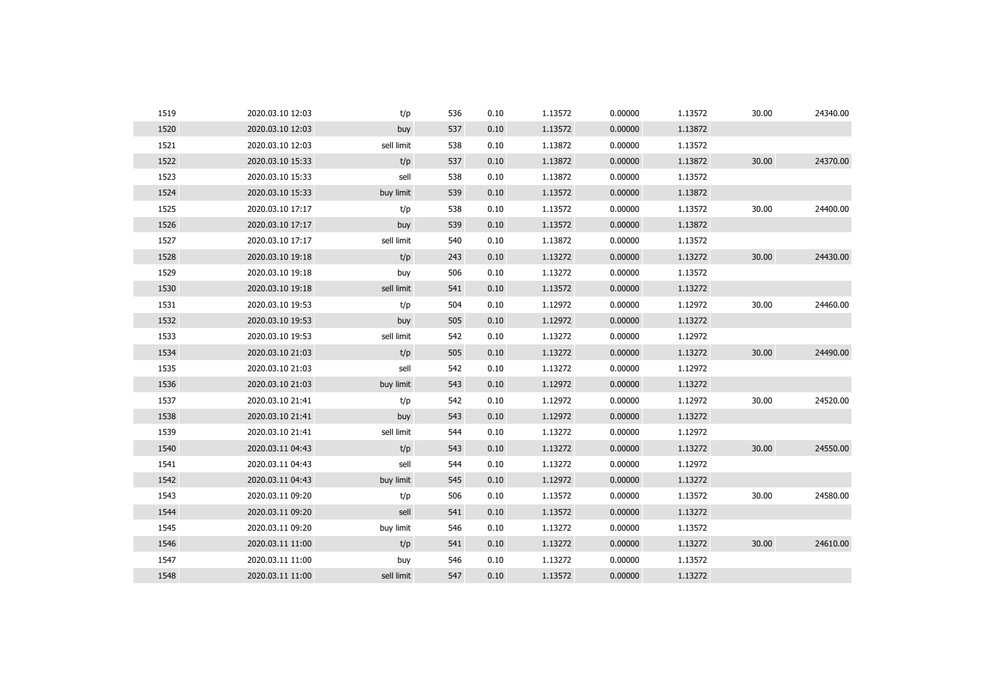| 1519 | 2020.03.10 12:03 | t/p        | 536 | 0.10 | 1.13572 | 0.00000 | 1.13572 | 30.00 | 24340.00 |
|------|------------------|------------|-----|------|---------|---------|---------|-------|----------|
| 1520 | 2020.03.10 12:03 | buy        | 537 | 0.10 | 1.13572 | 0.00000 | 1.13872 |       |          |
| 1521 | 2020.03.10 12:03 | sell limit | 538 | 0.10 | 1.13872 | 0.00000 | 1.13572 |       |          |
| 1522 | 2020.03.10 15:33 | t/p        | 537 | 0.10 | 1.13872 | 0.00000 | 1.13872 | 30.00 | 24370.00 |
| 1523 | 2020.03.10 15:33 | sell       | 538 | 0.10 | 1.13872 | 0.00000 | 1.13572 |       |          |
| 1524 | 2020.03.10 15:33 | buy limit  | 539 | 0.10 | 1.13572 | 0.00000 | 1.13872 |       |          |
| 1525 | 2020.03.10 17:17 | t/p        | 538 | 0.10 | 1.13572 | 0.00000 | 1.13572 | 30.00 | 24400.00 |
| 1526 | 2020.03.10 17:17 | buy        | 539 | 0.10 | 1.13572 | 0.00000 | 1.13872 |       |          |
| 1527 | 2020.03.10 17:17 | sell limit | 540 | 0.10 | 1.13872 | 0.00000 | 1.13572 |       |          |
| 1528 | 2020.03.10 19:18 | t/p        | 243 | 0.10 | 1.13272 | 0.00000 | 1.13272 | 30.00 | 24430.00 |
| 1529 | 2020.03.10 19:18 | buy        | 506 | 0.10 | 1.13272 | 0.00000 | 1.13572 |       |          |
| 1530 | 2020.03.10 19:18 | sell limit | 541 | 0.10 | 1.13572 | 0.00000 | 1.13272 |       |          |
| 1531 | 2020.03.10 19:53 | t/p        | 504 | 0.10 | 1.12972 | 0.00000 | 1.12972 | 30.00 | 24460.00 |
| 1532 | 2020.03.10 19:53 | buy        | 505 | 0.10 | 1.12972 | 0.00000 | 1.13272 |       |          |
| 1533 | 2020.03.10 19:53 | sell limit | 542 | 0.10 | 1.13272 | 0.00000 | 1.12972 |       |          |
| 1534 | 2020.03.10 21:03 | t/p        | 505 | 0.10 | 1.13272 | 0.00000 | 1.13272 | 30.00 | 24490.00 |
| 1535 | 2020.03.10 21:03 | sell       | 542 | 0.10 | 1.13272 | 0.00000 | 1.12972 |       |          |
| 1536 | 2020.03.10 21:03 | buy limit  | 543 | 0.10 | 1.12972 | 0.00000 | 1.13272 |       |          |
| 1537 | 2020.03.10 21:41 | t/p        | 542 | 0.10 | 1.12972 | 0.00000 | 1.12972 | 30.00 | 24520.00 |
| 1538 | 2020.03.10 21:41 | buy        | 543 | 0.10 | 1.12972 | 0.00000 | 1.13272 |       |          |
| 1539 | 2020.03.10 21:41 | sell limit | 544 | 0.10 | 1.13272 | 0.00000 | 1.12972 |       |          |
| 1540 | 2020.03.11 04:43 | t/p        | 543 | 0.10 | 1.13272 | 0.00000 | 1.13272 | 30.00 | 24550.00 |
| 1541 | 2020.03.11 04:43 | sell       | 544 | 0.10 | 1.13272 | 0.00000 | 1.12972 |       |          |
| 1542 | 2020.03.11 04:43 | buy limit  | 545 | 0.10 | 1.12972 | 0.00000 | 1.13272 |       |          |
| 1543 | 2020.03.11 09:20 | t/p        | 506 | 0.10 | 1.13572 | 0.00000 | 1.13572 | 30.00 | 24580.00 |
| 1544 | 2020.03.11 09:20 | sell       | 541 | 0.10 | 1.13572 | 0.00000 | 1.13272 |       |          |
| 1545 | 2020.03.11 09:20 | buy limit  | 546 | 0.10 | 1.13272 | 0.00000 | 1.13572 |       |          |
| 1546 | 2020.03.11 11:00 | t/p        | 541 | 0.10 | 1.13272 | 0.00000 | 1.13272 | 30.00 | 24610.00 |
| 1547 | 2020.03.11 11:00 | buy        | 546 | 0.10 | 1.13272 | 0.00000 | 1.13572 |       |          |
| 1548 | 2020.03.11 11:00 | sell limit | 547 | 0.10 | 1.13572 | 0.00000 | 1.13272 |       |          |
|      |                  |            |     |      |         |         |         |       |          |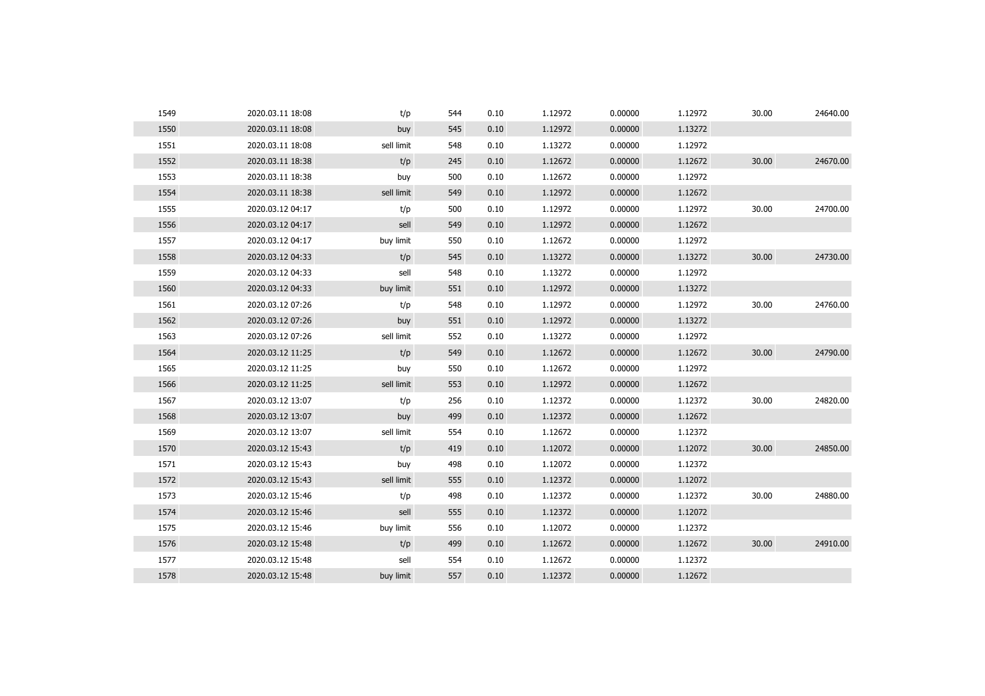| 1549 | 2020.03.11 18:08 | t/p        | 544 | 0.10 | 1.12972 | 0.00000 | 1.12972 | 30.00 | 24640.00 |
|------|------------------|------------|-----|------|---------|---------|---------|-------|----------|
| 1550 | 2020.03.11 18:08 | buy        | 545 | 0.10 | 1.12972 | 0.00000 | 1.13272 |       |          |
| 1551 | 2020.03.11 18:08 | sell limit | 548 | 0.10 | 1.13272 | 0.00000 | 1.12972 |       |          |
| 1552 | 2020.03.11 18:38 | t/p        | 245 | 0.10 | 1.12672 | 0.00000 | 1.12672 | 30.00 | 24670.00 |
| 1553 | 2020.03.11 18:38 | buy        | 500 | 0.10 | 1.12672 | 0.00000 | 1.12972 |       |          |
| 1554 | 2020.03.11 18:38 | sell limit | 549 | 0.10 | 1.12972 | 0.00000 | 1.12672 |       |          |
| 1555 | 2020.03.12 04:17 | t/p        | 500 | 0.10 | 1.12972 | 0.00000 | 1.12972 | 30.00 | 24700.00 |
| 1556 | 2020.03.12 04:17 | sell       | 549 | 0.10 | 1.12972 | 0.00000 | 1.12672 |       |          |
| 1557 | 2020.03.12 04:17 | buy limit  | 550 | 0.10 | 1.12672 | 0.00000 | 1.12972 |       |          |
| 1558 | 2020.03.12 04:33 | t/p        | 545 | 0.10 | 1.13272 | 0.00000 | 1.13272 | 30.00 | 24730.00 |
| 1559 | 2020.03.12 04:33 | sell       | 548 | 0.10 | 1.13272 | 0.00000 | 1.12972 |       |          |
| 1560 | 2020.03.12 04:33 | buy limit  | 551 | 0.10 | 1.12972 | 0.00000 | 1.13272 |       |          |
| 1561 | 2020.03.12 07:26 | t/p        | 548 | 0.10 | 1.12972 | 0.00000 | 1.12972 | 30.00 | 24760.00 |
| 1562 | 2020.03.12 07:26 | buy        | 551 | 0.10 | 1.12972 | 0.00000 | 1.13272 |       |          |
| 1563 | 2020.03.12 07:26 | sell limit | 552 | 0.10 | 1.13272 | 0.00000 | 1.12972 |       |          |
| 1564 | 2020.03.12 11:25 | t/p        | 549 | 0.10 | 1.12672 | 0.00000 | 1.12672 | 30.00 | 24790.00 |
| 1565 | 2020.03.12 11:25 | buy        | 550 | 0.10 | 1.12672 | 0.00000 | 1.12972 |       |          |
| 1566 | 2020.03.12 11:25 | sell limit | 553 | 0.10 | 1.12972 | 0.00000 | 1.12672 |       |          |
| 1567 | 2020.03.12 13:07 | t/p        | 256 | 0.10 | 1.12372 | 0.00000 | 1.12372 | 30.00 | 24820.00 |
| 1568 | 2020.03.12 13:07 | buy        | 499 | 0.10 | 1.12372 | 0.00000 | 1.12672 |       |          |
| 1569 | 2020.03.12 13:07 | sell limit | 554 | 0.10 | 1.12672 | 0.00000 | 1.12372 |       |          |
| 1570 | 2020.03.12 15:43 | t/p        | 419 | 0.10 | 1.12072 | 0.00000 | 1.12072 | 30.00 | 24850.00 |
| 1571 | 2020.03.12 15:43 | buy        | 498 | 0.10 | 1.12072 | 0.00000 | 1.12372 |       |          |
| 1572 | 2020.03.12 15:43 | sell limit | 555 | 0.10 | 1.12372 | 0.00000 | 1.12072 |       |          |
| 1573 | 2020.03.12 15:46 | t/p        | 498 | 0.10 | 1.12372 | 0.00000 | 1.12372 | 30.00 | 24880.00 |
| 1574 | 2020.03.12 15:46 | sell       | 555 | 0.10 | 1.12372 | 0.00000 | 1.12072 |       |          |
| 1575 | 2020.03.12 15:46 | buy limit  | 556 | 0.10 | 1.12072 | 0.00000 | 1.12372 |       |          |
| 1576 | 2020.03.12 15:48 | t/p        | 499 | 0.10 | 1.12672 | 0.00000 | 1.12672 | 30.00 | 24910.00 |
| 1577 | 2020.03.12 15:48 | sell       | 554 | 0.10 | 1.12672 | 0.00000 | 1.12372 |       |          |
| 1578 | 2020.03.12 15:48 | buy limit  | 557 | 0.10 | 1.12372 | 0.00000 | 1.12672 |       |          |
|      |                  |            |     |      |         |         |         |       |          |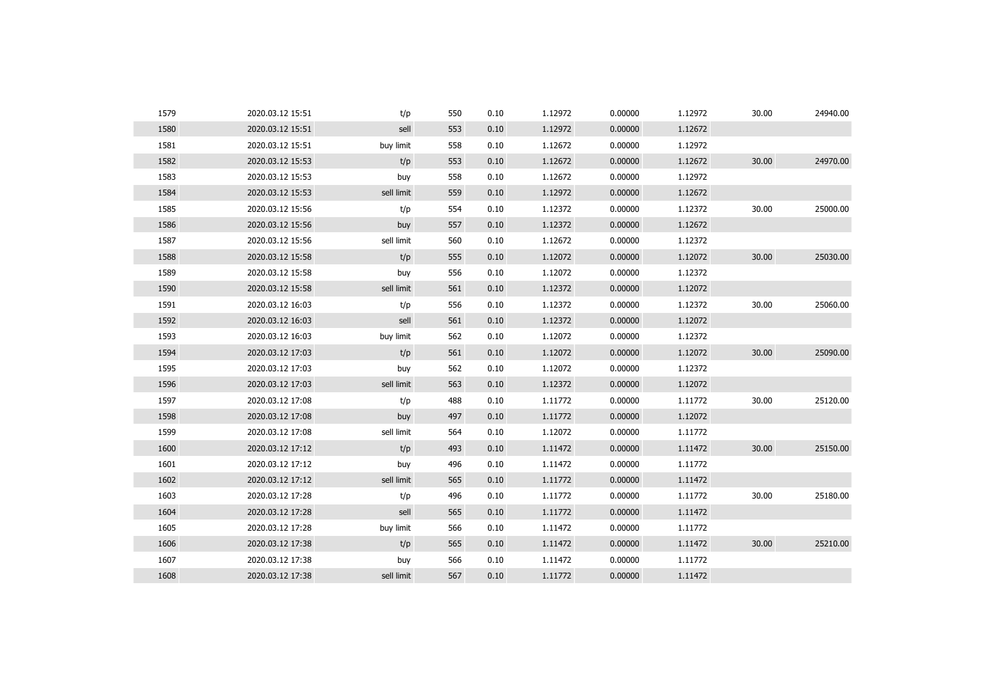| 1579 | 2020.03.12 15:51 | t/p        | 550 | 0.10 | 1.12972 | 0.00000 | 1.12972 | 30.00 | 24940.00 |
|------|------------------|------------|-----|------|---------|---------|---------|-------|----------|
| 1580 | 2020.03.12 15:51 | sell       | 553 | 0.10 | 1.12972 | 0.00000 | 1.12672 |       |          |
| 1581 | 2020.03.12 15:51 | buy limit  | 558 | 0.10 | 1.12672 | 0.00000 | 1.12972 |       |          |
| 1582 | 2020.03.12 15:53 | t/p        | 553 | 0.10 | 1.12672 | 0.00000 | 1.12672 | 30.00 | 24970.00 |
| 1583 | 2020.03.12 15:53 | buy        | 558 | 0.10 | 1.12672 | 0.00000 | 1.12972 |       |          |
| 1584 | 2020.03.12 15:53 | sell limit | 559 | 0.10 | 1.12972 | 0.00000 | 1.12672 |       |          |
| 1585 | 2020.03.12 15:56 | t/p        | 554 | 0.10 | 1.12372 | 0.00000 | 1.12372 | 30.00 | 25000.00 |
| 1586 | 2020.03.12 15:56 | buy        | 557 | 0.10 | 1.12372 | 0.00000 | 1.12672 |       |          |
| 1587 | 2020.03.12 15:56 | sell limit | 560 | 0.10 | 1.12672 | 0.00000 | 1.12372 |       |          |
| 1588 | 2020.03.12 15:58 | t/p        | 555 | 0.10 | 1.12072 | 0.00000 | 1.12072 | 30.00 | 25030.00 |
| 1589 | 2020.03.12 15:58 | buy        | 556 | 0.10 | 1.12072 | 0.00000 | 1.12372 |       |          |
| 1590 | 2020.03.12 15:58 | sell limit | 561 | 0.10 | 1.12372 | 0.00000 | 1.12072 |       |          |
| 1591 | 2020.03.12 16:03 | t/p        | 556 | 0.10 | 1.12372 | 0.00000 | 1.12372 | 30.00 | 25060.00 |
| 1592 | 2020.03.12 16:03 | sell       | 561 | 0.10 | 1.12372 | 0.00000 | 1.12072 |       |          |
| 1593 | 2020.03.12 16:03 | buy limit  | 562 | 0.10 | 1.12072 | 0.00000 | 1.12372 |       |          |
| 1594 | 2020.03.12 17:03 | t/p        | 561 | 0.10 | 1.12072 | 0.00000 | 1.12072 | 30.00 | 25090.00 |
| 1595 | 2020.03.12 17:03 | buy        | 562 | 0.10 | 1.12072 | 0.00000 | 1.12372 |       |          |
| 1596 | 2020.03.12 17:03 | sell limit | 563 | 0.10 | 1.12372 | 0.00000 | 1.12072 |       |          |
| 1597 | 2020.03.12 17:08 | t/p        | 488 | 0.10 | 1.11772 | 0.00000 | 1.11772 | 30.00 | 25120.00 |
| 1598 | 2020.03.12 17:08 | buy        | 497 | 0.10 | 1.11772 | 0.00000 | 1.12072 |       |          |
| 1599 | 2020.03.12 17:08 | sell limit | 564 | 0.10 | 1.12072 | 0.00000 | 1.11772 |       |          |
| 1600 | 2020.03.12 17:12 | t/p        | 493 | 0.10 | 1.11472 | 0.00000 | 1.11472 | 30.00 | 25150.00 |
| 1601 | 2020.03.12 17:12 | buy        | 496 | 0.10 | 1.11472 | 0.00000 | 1.11772 |       |          |
| 1602 | 2020.03.12 17:12 | sell limit | 565 | 0.10 | 1.11772 | 0.00000 | 1.11472 |       |          |
| 1603 | 2020.03.12 17:28 | t/p        | 496 | 0.10 | 1.11772 | 0.00000 | 1.11772 | 30.00 | 25180.00 |
| 1604 | 2020.03.12 17:28 | sell       | 565 | 0.10 | 1.11772 | 0.00000 | 1.11472 |       |          |
| 1605 | 2020.03.12 17:28 | buy limit  | 566 | 0.10 | 1.11472 | 0.00000 | 1.11772 |       |          |
| 1606 | 2020.03.12 17:38 | t/p        | 565 | 0.10 | 1.11472 | 0.00000 | 1.11472 | 30.00 | 25210.00 |
| 1607 | 2020.03.12 17:38 | buy        | 566 | 0.10 | 1.11472 | 0.00000 | 1.11772 |       |          |
| 1608 | 2020.03.12 17:38 | sell limit | 567 | 0.10 | 1.11772 | 0.00000 | 1.11472 |       |          |
|      |                  |            |     |      |         |         |         |       |          |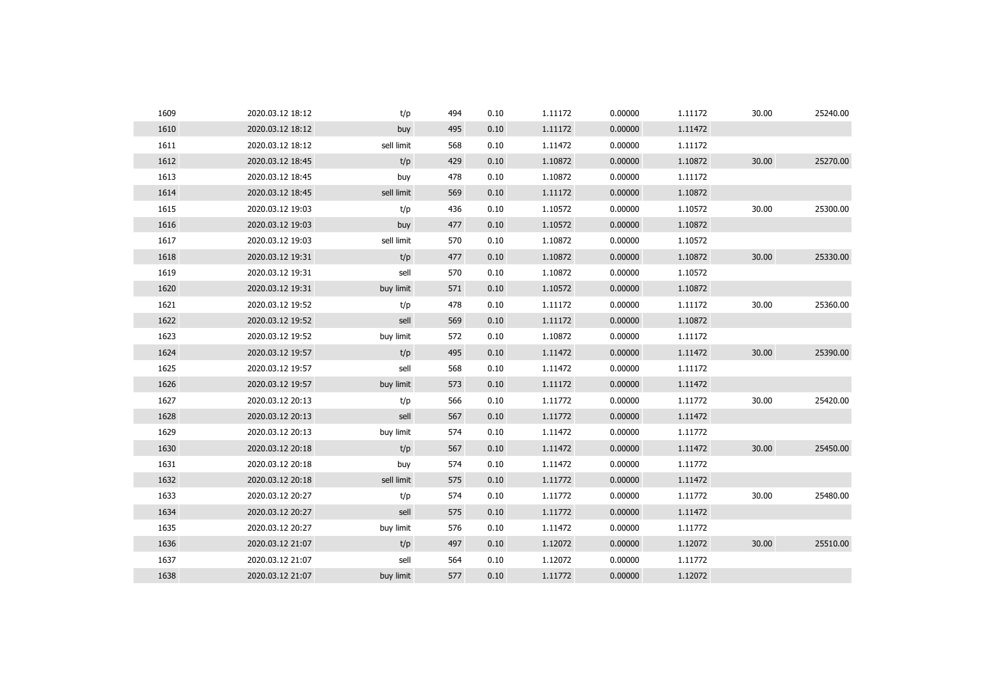| 1609 | 2020.03.12 18:12 | t/p        | 494 | 0.10 | 1.11172 | 0.00000 | 1.11172 | 30.00 | 25240.00 |
|------|------------------|------------|-----|------|---------|---------|---------|-------|----------|
| 1610 | 2020.03.12 18:12 | buy        | 495 | 0.10 | 1.11172 | 0.00000 | 1.11472 |       |          |
| 1611 | 2020.03.12 18:12 | sell limit | 568 | 0.10 | 1.11472 | 0.00000 | 1.11172 |       |          |
| 1612 | 2020.03.12 18:45 | t/p        | 429 | 0.10 | 1.10872 | 0.00000 | 1.10872 | 30.00 | 25270.00 |
| 1613 | 2020.03.12 18:45 | buy        | 478 | 0.10 | 1.10872 | 0.00000 | 1.11172 |       |          |
| 1614 | 2020.03.12 18:45 | sell limit | 569 | 0.10 | 1.11172 | 0.00000 | 1.10872 |       |          |
| 1615 | 2020.03.12 19:03 | t/p        | 436 | 0.10 | 1.10572 | 0.00000 | 1.10572 | 30.00 | 25300.00 |
| 1616 | 2020.03.12 19:03 | buy        | 477 | 0.10 | 1.10572 | 0.00000 | 1.10872 |       |          |
| 1617 | 2020.03.12 19:03 | sell limit | 570 | 0.10 | 1.10872 | 0.00000 | 1.10572 |       |          |
| 1618 | 2020.03.12 19:31 | t/p        | 477 | 0.10 | 1.10872 | 0.00000 | 1.10872 | 30.00 | 25330.00 |
| 1619 | 2020.03.12 19:31 | sell       | 570 | 0.10 | 1.10872 | 0.00000 | 1.10572 |       |          |
| 1620 | 2020.03.12 19:31 | buy limit  | 571 | 0.10 | 1.10572 | 0.00000 | 1.10872 |       |          |
| 1621 | 2020.03.12 19:52 | t/p        | 478 | 0.10 | 1.11172 | 0.00000 | 1.11172 | 30.00 | 25360.00 |
| 1622 | 2020.03.12 19:52 | sell       | 569 | 0.10 | 1.11172 | 0.00000 | 1.10872 |       |          |
| 1623 | 2020.03.12 19:52 | buy limit  | 572 | 0.10 | 1.10872 | 0.00000 | 1.11172 |       |          |
| 1624 | 2020.03.12 19:57 | t/p        | 495 | 0.10 | 1.11472 | 0.00000 | 1.11472 | 30.00 | 25390.00 |
| 1625 | 2020.03.12 19:57 | sell       | 568 | 0.10 | 1.11472 | 0.00000 | 1.11172 |       |          |
| 1626 | 2020.03.12 19:57 | buy limit  | 573 | 0.10 | 1.11172 | 0.00000 | 1.11472 |       |          |
| 1627 | 2020.03.12 20:13 | t/p        | 566 | 0.10 | 1.11772 | 0.00000 | 1.11772 | 30.00 | 25420.00 |
| 1628 | 2020.03.12 20:13 | sell       | 567 | 0.10 | 1.11772 | 0.00000 | 1.11472 |       |          |
| 1629 | 2020.03.12 20:13 | buy limit  | 574 | 0.10 | 1.11472 | 0.00000 | 1.11772 |       |          |
| 1630 | 2020.03.12 20:18 | t/p        | 567 | 0.10 | 1.11472 | 0.00000 | 1.11472 | 30.00 | 25450.00 |
| 1631 | 2020.03.12 20:18 | buy        | 574 | 0.10 | 1.11472 | 0.00000 | 1.11772 |       |          |
| 1632 | 2020.03.12 20:18 | sell limit | 575 | 0.10 | 1.11772 | 0.00000 | 1.11472 |       |          |
| 1633 | 2020.03.12 20:27 | t/p        | 574 | 0.10 | 1.11772 | 0.00000 | 1.11772 | 30.00 | 25480.00 |
| 1634 | 2020.03.12 20:27 | sell       | 575 | 0.10 | 1.11772 | 0.00000 | 1.11472 |       |          |
| 1635 | 2020.03.12 20:27 | buy limit  | 576 | 0.10 | 1.11472 | 0.00000 | 1.11772 |       |          |
| 1636 | 2020.03.12 21:07 | t/p        | 497 | 0.10 | 1.12072 | 0.00000 | 1.12072 | 30.00 | 25510.00 |
| 1637 | 2020.03.12 21:07 | sell       | 564 | 0.10 | 1.12072 | 0.00000 | 1.11772 |       |          |
| 1638 | 2020.03.12 21:07 | buy limit  | 577 | 0.10 | 1.11772 | 0.00000 | 1.12072 |       |          |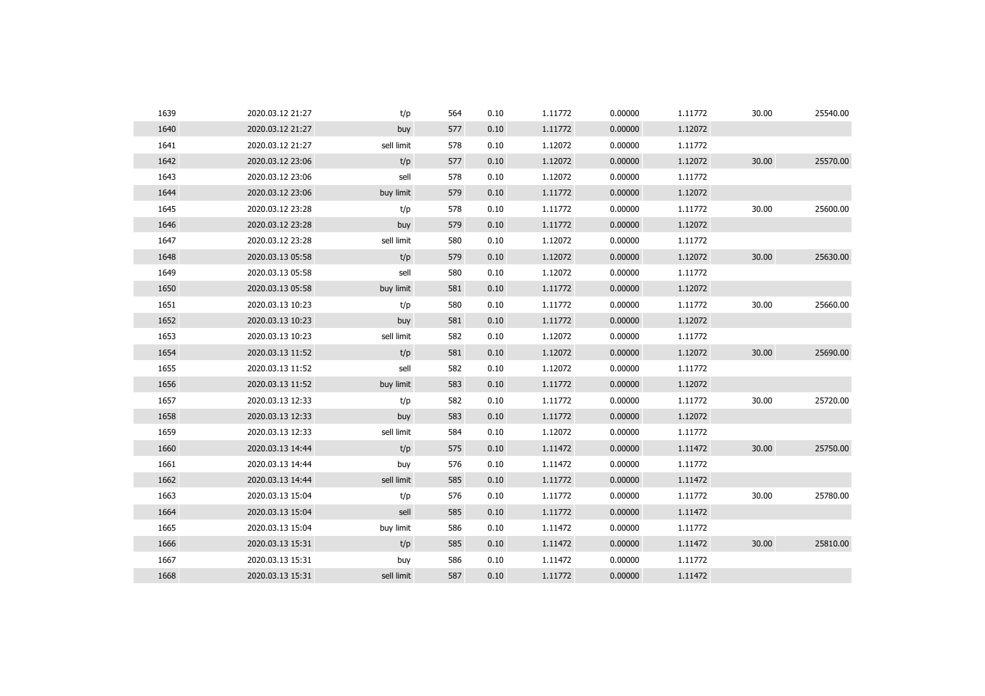| 1639 | 2020.03.12 21:27 | t/p        | 564 | 0.10 | 1.11772 | 0.00000 | 1.11772 | 30.00 | 25540.00 |
|------|------------------|------------|-----|------|---------|---------|---------|-------|----------|
| 1640 | 2020.03.12 21:27 | buy        | 577 | 0.10 | 1.11772 | 0.00000 | 1.12072 |       |          |
| 1641 | 2020.03.12 21:27 | sell limit | 578 | 0.10 | 1.12072 | 0.00000 | 1.11772 |       |          |
| 1642 | 2020.03.12 23:06 | t/p        | 577 | 0.10 | 1.12072 | 0.00000 | 1.12072 | 30.00 | 25570.00 |
| 1643 | 2020.03.12 23:06 | sell       | 578 | 0.10 | 1.12072 | 0.00000 | 1.11772 |       |          |
| 1644 | 2020.03.12 23:06 | buy limit  | 579 | 0.10 | 1.11772 | 0.00000 | 1.12072 |       |          |
| 1645 | 2020.03.12 23:28 | t/p        | 578 | 0.10 | 1.11772 | 0.00000 | 1.11772 | 30.00 | 25600.00 |
| 1646 | 2020.03.12 23:28 | buy        | 579 | 0.10 | 1.11772 | 0.00000 | 1.12072 |       |          |
| 1647 | 2020.03.12 23:28 | sell limit | 580 | 0.10 | 1.12072 | 0.00000 | 1.11772 |       |          |
| 1648 | 2020.03.13 05:58 | t/p        | 579 | 0.10 | 1.12072 | 0.00000 | 1.12072 | 30.00 | 25630.00 |
| 1649 | 2020.03.13 05:58 | sell       | 580 | 0.10 | 1.12072 | 0.00000 | 1.11772 |       |          |
| 1650 | 2020.03.13 05:58 | buy limit  | 581 | 0.10 | 1.11772 | 0.00000 | 1.12072 |       |          |
| 1651 | 2020.03.13 10:23 | t/p        | 580 | 0.10 | 1.11772 | 0.00000 | 1.11772 | 30.00 | 25660.00 |
| 1652 | 2020.03.13 10:23 | buy        | 581 | 0.10 | 1.11772 | 0.00000 | 1.12072 |       |          |
| 1653 | 2020.03.13 10:23 | sell limit | 582 | 0.10 | 1.12072 | 0.00000 | 1.11772 |       |          |
| 1654 | 2020.03.13 11:52 | t/p        | 581 | 0.10 | 1.12072 | 0.00000 | 1.12072 | 30.00 | 25690.00 |
| 1655 | 2020.03.13 11:52 | sell       | 582 | 0.10 | 1.12072 | 0.00000 | 1.11772 |       |          |
| 1656 | 2020.03.13 11:52 | buy limit  | 583 | 0.10 | 1.11772 | 0.00000 | 1.12072 |       |          |
| 1657 | 2020.03.13 12:33 | t/p        | 582 | 0.10 | 1.11772 | 0.00000 | 1.11772 | 30.00 | 25720.00 |
| 1658 | 2020.03.13 12:33 | buy        | 583 | 0.10 | 1.11772 | 0.00000 | 1.12072 |       |          |
| 1659 | 2020.03.13 12:33 | sell limit | 584 | 0.10 | 1.12072 | 0.00000 | 1.11772 |       |          |
| 1660 | 2020.03.13 14:44 | t/p        | 575 | 0.10 | 1.11472 | 0.00000 | 1.11472 | 30.00 | 25750.00 |
| 1661 | 2020.03.13 14:44 | buy        | 576 | 0.10 | 1.11472 | 0.00000 | 1.11772 |       |          |
| 1662 | 2020.03.13 14:44 | sell limit | 585 | 0.10 | 1.11772 | 0.00000 | 1.11472 |       |          |
| 1663 | 2020.03.13 15:04 | t/p        | 576 | 0.10 | 1.11772 | 0.00000 | 1.11772 | 30.00 | 25780.00 |
| 1664 | 2020.03.13 15:04 | sell       | 585 | 0.10 | 1.11772 | 0.00000 | 1.11472 |       |          |
| 1665 | 2020.03.13 15:04 | buy limit  | 586 | 0.10 | 1.11472 | 0.00000 | 1.11772 |       |          |
| 1666 | 2020.03.13 15:31 | t/p        | 585 | 0.10 | 1.11472 | 0.00000 | 1.11472 | 30.00 | 25810.00 |
| 1667 | 2020.03.13 15:31 | buy        | 586 | 0.10 | 1.11472 | 0.00000 | 1.11772 |       |          |
| 1668 | 2020.03.13 15:31 | sell limit | 587 | 0.10 | 1.11772 | 0.00000 | 1.11472 |       |          |
|      |                  |            |     |      |         |         |         |       |          |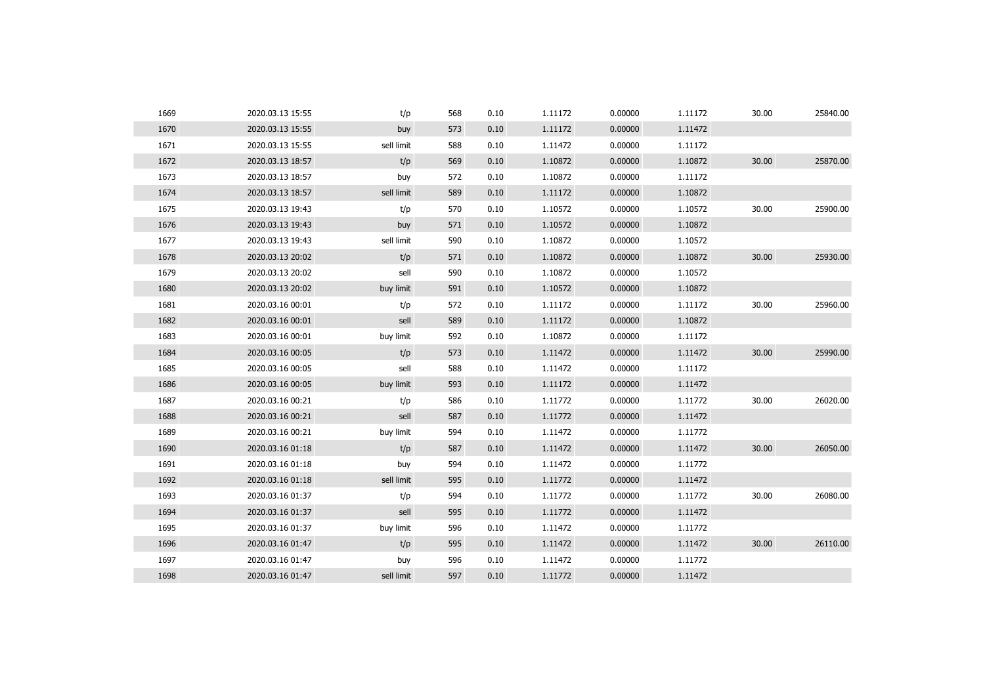| 1669 | 2020.03.13 15:55 | t/p        | 568 | 0.10 | 1.11172 | 0.00000 | 1.11172 | 30.00 | 25840.00 |
|------|------------------|------------|-----|------|---------|---------|---------|-------|----------|
| 1670 | 2020.03.13 15:55 | buy        | 573 | 0.10 | 1.11172 | 0.00000 | 1.11472 |       |          |
| 1671 | 2020.03.13 15:55 | sell limit | 588 | 0.10 | 1.11472 | 0.00000 | 1.11172 |       |          |
| 1672 | 2020.03.13 18:57 | t/p        | 569 | 0.10 | 1.10872 | 0.00000 | 1.10872 | 30.00 | 25870.00 |
| 1673 | 2020.03.13 18:57 | buy        | 572 | 0.10 | 1.10872 | 0.00000 | 1.11172 |       |          |
| 1674 | 2020.03.13 18:57 | sell limit | 589 | 0.10 | 1.11172 | 0.00000 | 1.10872 |       |          |
| 1675 | 2020.03.13 19:43 | t/p        | 570 | 0.10 | 1.10572 | 0.00000 | 1.10572 | 30.00 | 25900.00 |
| 1676 | 2020.03.13 19:43 | buy        | 571 | 0.10 | 1.10572 | 0.00000 | 1.10872 |       |          |
| 1677 | 2020.03.13 19:43 | sell limit | 590 | 0.10 | 1.10872 | 0.00000 | 1.10572 |       |          |
| 1678 | 2020.03.13 20:02 | t/p        | 571 | 0.10 | 1.10872 | 0.00000 | 1.10872 | 30.00 | 25930.00 |
| 1679 | 2020.03.13 20:02 | sell       | 590 | 0.10 | 1.10872 | 0.00000 | 1.10572 |       |          |
| 1680 | 2020.03.13 20:02 | buy limit  | 591 | 0.10 | 1.10572 | 0.00000 | 1.10872 |       |          |
| 1681 | 2020.03.16 00:01 | t/p        | 572 | 0.10 | 1.11172 | 0.00000 | 1.11172 | 30.00 | 25960.00 |
| 1682 | 2020.03.16 00:01 | sell       | 589 | 0.10 | 1.11172 | 0.00000 | 1.10872 |       |          |
| 1683 | 2020.03.16 00:01 | buy limit  | 592 | 0.10 | 1.10872 | 0.00000 | 1.11172 |       |          |
| 1684 | 2020.03.16 00:05 | t/p        | 573 | 0.10 | 1.11472 | 0.00000 | 1.11472 | 30.00 | 25990.00 |
| 1685 | 2020.03.16 00:05 | sell       | 588 | 0.10 | 1.11472 | 0.00000 | 1.11172 |       |          |
| 1686 | 2020.03.16 00:05 | buy limit  | 593 | 0.10 | 1.11172 | 0.00000 | 1.11472 |       |          |
| 1687 | 2020.03.16 00:21 | t/p        | 586 | 0.10 | 1.11772 | 0.00000 | 1.11772 | 30.00 | 26020.00 |
| 1688 | 2020.03.16 00:21 | sell       | 587 | 0.10 | 1.11772 | 0.00000 | 1.11472 |       |          |
| 1689 | 2020.03.16 00:21 | buy limit  | 594 | 0.10 | 1.11472 | 0.00000 | 1.11772 |       |          |
| 1690 | 2020.03.16 01:18 | t/p        | 587 | 0.10 | 1.11472 | 0.00000 | 1.11472 | 30.00 | 26050.00 |
| 1691 | 2020.03.16 01:18 | buy        | 594 | 0.10 | 1.11472 | 0.00000 | 1.11772 |       |          |
| 1692 | 2020.03.16 01:18 | sell limit | 595 | 0.10 | 1.11772 | 0.00000 | 1.11472 |       |          |
| 1693 | 2020.03.16 01:37 | t/p        | 594 | 0.10 | 1.11772 | 0.00000 | 1.11772 | 30.00 | 26080.00 |
| 1694 | 2020.03.16 01:37 | sell       | 595 | 0.10 | 1.11772 | 0.00000 | 1.11472 |       |          |
| 1695 | 2020.03.16 01:37 | buy limit  | 596 | 0.10 | 1.11472 | 0.00000 | 1.11772 |       |          |
| 1696 | 2020.03.16 01:47 | t/p        | 595 | 0.10 | 1.11472 | 0.00000 | 1.11472 | 30.00 | 26110.00 |
| 1697 | 2020.03.16 01:47 | buy        | 596 | 0.10 | 1.11472 | 0.00000 | 1.11772 |       |          |
| 1698 | 2020.03.16 01:47 | sell limit | 597 | 0.10 | 1.11772 | 0.00000 | 1.11472 |       |          |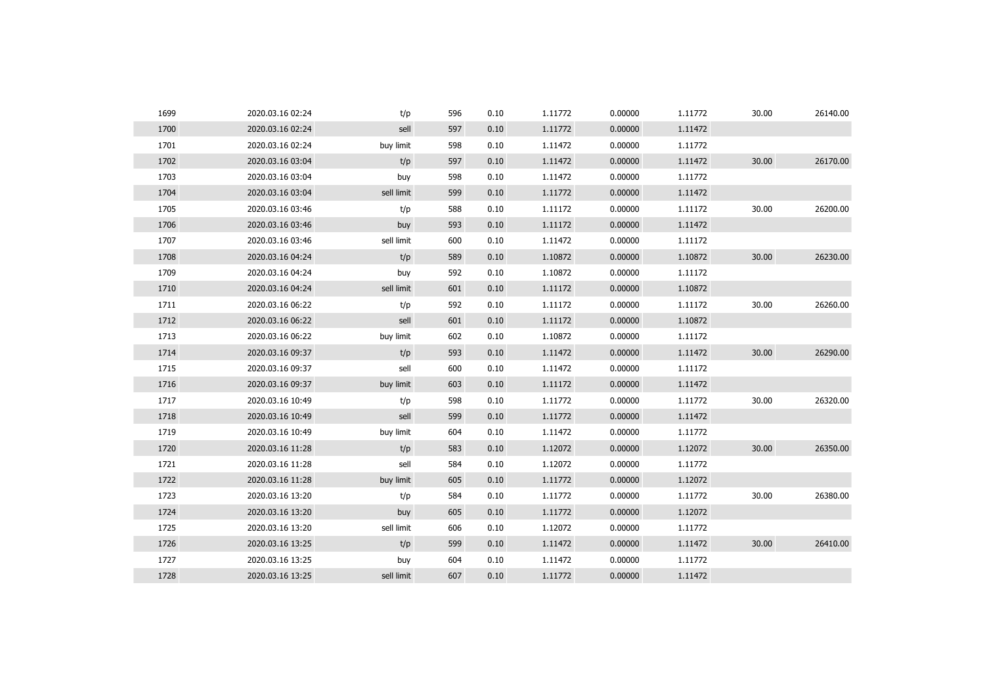| 1699 | 2020.03.16 02:24 | t/p        | 596 | 0.10 | 1.11772 | 0.00000 | 1.11772 | 30.00 | 26140.00 |
|------|------------------|------------|-----|------|---------|---------|---------|-------|----------|
| 1700 | 2020.03.16 02:24 | sell       | 597 | 0.10 | 1.11772 | 0.00000 | 1.11472 |       |          |
| 1701 | 2020.03.16 02:24 | buy limit  | 598 | 0.10 | 1.11472 | 0.00000 | 1.11772 |       |          |
| 1702 | 2020.03.16 03:04 | t/p        | 597 | 0.10 | 1.11472 | 0.00000 | 1.11472 | 30.00 | 26170.00 |
| 1703 | 2020.03.16 03:04 | buy        | 598 | 0.10 | 1.11472 | 0.00000 | 1.11772 |       |          |
| 1704 | 2020.03.16 03:04 | sell limit | 599 | 0.10 | 1.11772 | 0.00000 | 1.11472 |       |          |
| 1705 | 2020.03.16 03:46 | t/p        | 588 | 0.10 | 1.11172 | 0.00000 | 1.11172 | 30.00 | 26200.00 |
| 1706 | 2020.03.16 03:46 | buy        | 593 | 0.10 | 1.11172 | 0.00000 | 1.11472 |       |          |
| 1707 | 2020.03.16 03:46 | sell limit | 600 | 0.10 | 1.11472 | 0.00000 | 1.11172 |       |          |
| 1708 | 2020.03.16 04:24 | t/p        | 589 | 0.10 | 1.10872 | 0.00000 | 1.10872 | 30.00 | 26230.00 |
| 1709 | 2020.03.16 04:24 | buy        | 592 | 0.10 | 1.10872 | 0.00000 | 1.11172 |       |          |
| 1710 | 2020.03.16 04:24 | sell limit | 601 | 0.10 | 1.11172 | 0.00000 | 1.10872 |       |          |
| 1711 | 2020.03.16 06:22 | t/p        | 592 | 0.10 | 1.11172 | 0.00000 | 1.11172 | 30.00 | 26260.00 |
| 1712 | 2020.03.16 06:22 | sell       | 601 | 0.10 | 1.11172 | 0.00000 | 1.10872 |       |          |
| 1713 | 2020.03.16 06:22 | buy limit  | 602 | 0.10 | 1.10872 | 0.00000 | 1.11172 |       |          |
| 1714 | 2020.03.16 09:37 | t/p        | 593 | 0.10 | 1.11472 | 0.00000 | 1.11472 | 30.00 | 26290.00 |
| 1715 | 2020.03.16 09:37 | sell       | 600 | 0.10 | 1.11472 | 0.00000 | 1.11172 |       |          |
| 1716 | 2020.03.16 09:37 | buy limit  | 603 | 0.10 | 1.11172 | 0.00000 | 1.11472 |       |          |
| 1717 | 2020.03.16 10:49 | t/p        | 598 | 0.10 | 1.11772 | 0.00000 | 1.11772 | 30.00 | 26320.00 |
| 1718 | 2020.03.16 10:49 | sell       | 599 | 0.10 | 1.11772 | 0.00000 | 1.11472 |       |          |
| 1719 | 2020.03.16 10:49 | buy limit  | 604 | 0.10 | 1.11472 | 0.00000 | 1.11772 |       |          |
| 1720 | 2020.03.16 11:28 | t/p        | 583 | 0.10 | 1.12072 | 0.00000 | 1.12072 | 30.00 | 26350.00 |
| 1721 | 2020.03.16 11:28 | sell       | 584 | 0.10 | 1.12072 | 0.00000 | 1.11772 |       |          |
| 1722 | 2020.03.16 11:28 | buy limit  | 605 | 0.10 | 1.11772 | 0.00000 | 1.12072 |       |          |
| 1723 | 2020.03.16 13:20 | t/p        | 584 | 0.10 | 1.11772 | 0.00000 | 1.11772 | 30.00 | 26380.00 |
| 1724 | 2020.03.16 13:20 | buy        | 605 | 0.10 | 1.11772 | 0.00000 | 1.12072 |       |          |
| 1725 | 2020.03.16 13:20 | sell limit | 606 | 0.10 | 1.12072 | 0.00000 | 1.11772 |       |          |
| 1726 | 2020.03.16 13:25 | t/p        | 599 | 0.10 | 1.11472 | 0.00000 | 1.11472 | 30.00 | 26410.00 |
| 1727 | 2020.03.16 13:25 | buy        | 604 | 0.10 | 1.11472 | 0.00000 | 1.11772 |       |          |
| 1728 | 2020.03.16 13:25 | sell limit | 607 | 0.10 | 1.11772 | 0.00000 | 1.11472 |       |          |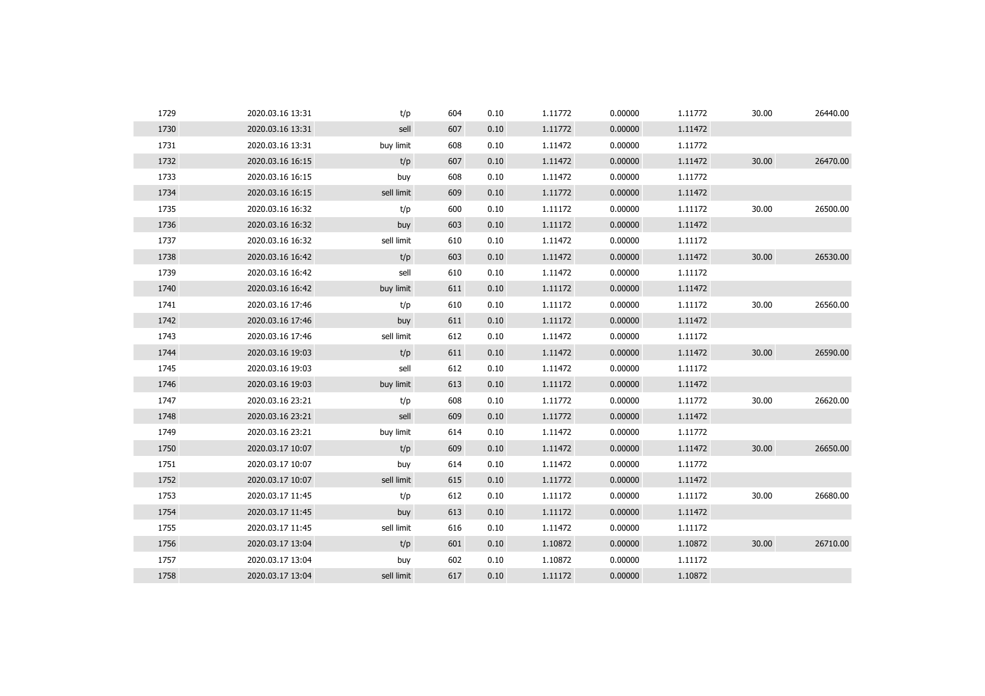| 1729 | 2020.03.16 13:31 | t/p        | 604 | 0.10 | 1.11772 | 0.00000 | 1.11772 | 30.00 | 26440.00 |
|------|------------------|------------|-----|------|---------|---------|---------|-------|----------|
| 1730 | 2020.03.16 13:31 | sell       | 607 | 0.10 | 1.11772 | 0.00000 | 1.11472 |       |          |
| 1731 | 2020.03.16 13:31 | buy limit  | 608 | 0.10 | 1.11472 | 0.00000 | 1.11772 |       |          |
| 1732 | 2020.03.16 16:15 | t/p        | 607 | 0.10 | 1.11472 | 0.00000 | 1.11472 | 30.00 | 26470.00 |
| 1733 | 2020.03.16 16:15 | buy        | 608 | 0.10 | 1.11472 | 0.00000 | 1.11772 |       |          |
| 1734 | 2020.03.16 16:15 | sell limit | 609 | 0.10 | 1.11772 | 0.00000 | 1.11472 |       |          |
| 1735 | 2020.03.16 16:32 | t/p        | 600 | 0.10 | 1.11172 | 0.00000 | 1.11172 | 30.00 | 26500.00 |
| 1736 | 2020.03.16 16:32 | buy        | 603 | 0.10 | 1.11172 | 0.00000 | 1.11472 |       |          |
| 1737 | 2020.03.16 16:32 | sell limit | 610 | 0.10 | 1.11472 | 0.00000 | 1.11172 |       |          |
| 1738 | 2020.03.16 16:42 | t/p        | 603 | 0.10 | 1.11472 | 0.00000 | 1.11472 | 30.00 | 26530.00 |
| 1739 | 2020.03.16 16:42 | sell       | 610 | 0.10 | 1.11472 | 0.00000 | 1.11172 |       |          |
| 1740 | 2020.03.16 16:42 | buy limit  | 611 | 0.10 | 1.11172 | 0.00000 | 1.11472 |       |          |
| 1741 | 2020.03.16 17:46 | t/p        | 610 | 0.10 | 1.11172 | 0.00000 | 1.11172 | 30.00 | 26560.00 |
| 1742 | 2020.03.16 17:46 | buy        | 611 | 0.10 | 1.11172 | 0.00000 | 1.11472 |       |          |
| 1743 | 2020.03.16 17:46 | sell limit | 612 | 0.10 | 1.11472 | 0.00000 | 1.11172 |       |          |
| 1744 | 2020.03.16 19:03 | t/p        | 611 | 0.10 | 1.11472 | 0.00000 | 1.11472 | 30.00 | 26590.00 |
| 1745 | 2020.03.16 19:03 | sell       | 612 | 0.10 | 1.11472 | 0.00000 | 1.11172 |       |          |
| 1746 | 2020.03.16 19:03 | buy limit  | 613 | 0.10 | 1.11172 | 0.00000 | 1.11472 |       |          |
| 1747 | 2020.03.16 23:21 | t/p        | 608 | 0.10 | 1.11772 | 0.00000 | 1.11772 | 30.00 | 26620.00 |
| 1748 | 2020.03.16 23:21 | sell       | 609 | 0.10 | 1.11772 | 0.00000 | 1.11472 |       |          |
| 1749 | 2020.03.16 23:21 | buy limit  | 614 | 0.10 | 1.11472 | 0.00000 | 1.11772 |       |          |
| 1750 | 2020.03.17 10:07 | t/p        | 609 | 0.10 | 1.11472 | 0.00000 | 1.11472 | 30.00 | 26650.00 |
| 1751 | 2020.03.17 10:07 | buy        | 614 | 0.10 | 1.11472 | 0.00000 | 1.11772 |       |          |
| 1752 | 2020.03.17 10:07 | sell limit | 615 | 0.10 | 1.11772 | 0.00000 | 1.11472 |       |          |
| 1753 | 2020.03.17 11:45 | t/p        | 612 | 0.10 | 1.11172 | 0.00000 | 1.11172 | 30.00 | 26680.00 |
| 1754 | 2020.03.17 11:45 | buy        | 613 | 0.10 | 1.11172 | 0.00000 | 1.11472 |       |          |
| 1755 | 2020.03.17 11:45 | sell limit | 616 | 0.10 | 1.11472 | 0.00000 | 1.11172 |       |          |
| 1756 | 2020.03.17 13:04 | t/p        | 601 | 0.10 | 1.10872 | 0.00000 | 1.10872 | 30.00 | 26710.00 |
| 1757 | 2020.03.17 13:04 | buy        | 602 | 0.10 | 1.10872 | 0.00000 | 1.11172 |       |          |
| 1758 | 2020.03.17 13:04 | sell limit | 617 | 0.10 | 1.11172 | 0.00000 | 1.10872 |       |          |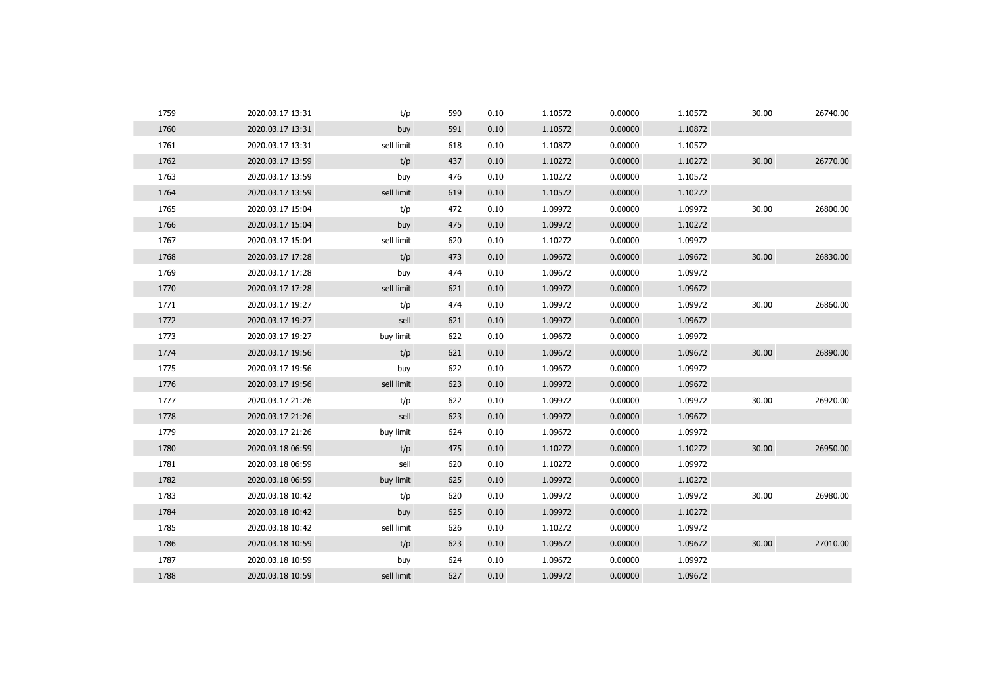| 1759 | 2020.03.17 13:31 | t/p        | 590 | 0.10 | 1.10572 | 0.00000 | 1.10572 | 30.00 | 26740.00 |
|------|------------------|------------|-----|------|---------|---------|---------|-------|----------|
| 1760 | 2020.03.17 13:31 | buy        | 591 | 0.10 | 1.10572 | 0.00000 | 1.10872 |       |          |
| 1761 | 2020.03.17 13:31 | sell limit | 618 | 0.10 | 1.10872 | 0.00000 | 1.10572 |       |          |
| 1762 | 2020.03.17 13:59 | t/p        | 437 | 0.10 | 1.10272 | 0.00000 | 1.10272 | 30.00 | 26770.00 |
| 1763 | 2020.03.17 13:59 | buy        | 476 | 0.10 | 1.10272 | 0.00000 | 1.10572 |       |          |
| 1764 | 2020.03.17 13:59 | sell limit | 619 | 0.10 | 1.10572 | 0.00000 | 1.10272 |       |          |
| 1765 | 2020.03.17 15:04 | t/p        | 472 | 0.10 | 1.09972 | 0.00000 | 1.09972 | 30.00 | 26800.00 |
| 1766 | 2020.03.17 15:04 | buy        | 475 | 0.10 | 1.09972 | 0.00000 | 1.10272 |       |          |
| 1767 | 2020.03.17 15:04 | sell limit | 620 | 0.10 | 1.10272 | 0.00000 | 1.09972 |       |          |
| 1768 | 2020.03.17 17:28 | t/p        | 473 | 0.10 | 1.09672 | 0.00000 | 1.09672 | 30.00 | 26830.00 |
| 1769 | 2020.03.17 17:28 | buy        | 474 | 0.10 | 1.09672 | 0.00000 | 1.09972 |       |          |
| 1770 | 2020.03.17 17:28 | sell limit | 621 | 0.10 | 1.09972 | 0.00000 | 1.09672 |       |          |
| 1771 | 2020.03.17 19:27 | t/p        | 474 | 0.10 | 1.09972 | 0.00000 | 1.09972 | 30.00 | 26860.00 |
| 1772 | 2020.03.17 19:27 | sell       | 621 | 0.10 | 1.09972 | 0.00000 | 1.09672 |       |          |
| 1773 | 2020.03.17 19:27 | buy limit  | 622 | 0.10 | 1.09672 | 0.00000 | 1.09972 |       |          |
| 1774 | 2020.03.17 19:56 | t/p        | 621 | 0.10 | 1.09672 | 0.00000 | 1.09672 | 30.00 | 26890.00 |
| 1775 | 2020.03.17 19:56 | buy        | 622 | 0.10 | 1.09672 | 0.00000 | 1.09972 |       |          |
| 1776 | 2020.03.17 19:56 | sell limit | 623 | 0.10 | 1.09972 | 0.00000 | 1.09672 |       |          |
| 1777 | 2020.03.17 21:26 | t/p        | 622 | 0.10 | 1.09972 | 0.00000 | 1.09972 | 30.00 | 26920.00 |
| 1778 | 2020.03.17 21:26 | sell       | 623 | 0.10 | 1.09972 | 0.00000 | 1.09672 |       |          |
| 1779 | 2020.03.17 21:26 | buy limit  | 624 | 0.10 | 1.09672 | 0.00000 | 1.09972 |       |          |
| 1780 | 2020.03.18 06:59 | t/p        | 475 | 0.10 | 1.10272 | 0.00000 | 1.10272 | 30.00 | 26950.00 |
| 1781 | 2020.03.18 06:59 | sell       | 620 | 0.10 | 1.10272 | 0.00000 | 1.09972 |       |          |
| 1782 | 2020.03.18 06:59 | buy limit  | 625 | 0.10 | 1.09972 | 0.00000 | 1.10272 |       |          |
| 1783 | 2020.03.18 10:42 | t/p        | 620 | 0.10 | 1.09972 | 0.00000 | 1.09972 | 30.00 | 26980.00 |
| 1784 | 2020.03.18 10:42 | buy        | 625 | 0.10 | 1.09972 | 0.00000 | 1.10272 |       |          |
| 1785 | 2020.03.18 10:42 | sell limit | 626 | 0.10 | 1.10272 | 0.00000 | 1.09972 |       |          |
| 1786 | 2020.03.18 10:59 | t/p        | 623 | 0.10 | 1.09672 | 0.00000 | 1.09672 | 30.00 | 27010.00 |
| 1787 | 2020.03.18 10:59 | buy        | 624 | 0.10 | 1.09672 | 0.00000 | 1.09972 |       |          |
| 1788 | 2020.03.18 10:59 | sell limit | 627 | 0.10 | 1.09972 | 0.00000 | 1.09672 |       |          |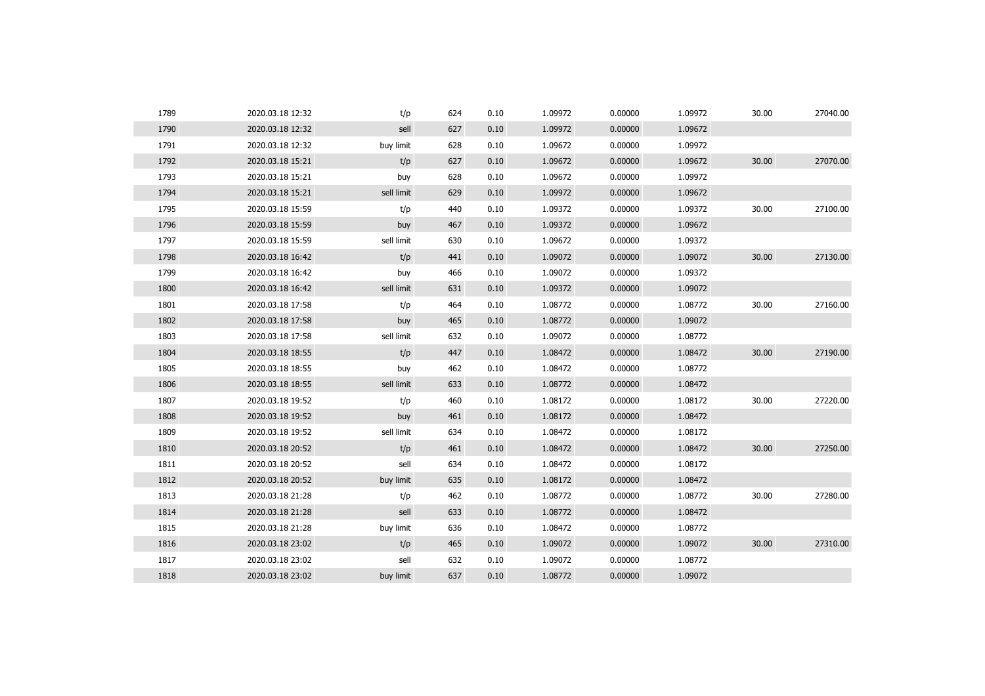| 1789 | 2020.03.18 12:32 | t/p        | 624 | 0.10 | 1.09972 | 0.00000 | 1.09972 | 30.00 | 27040.00 |
|------|------------------|------------|-----|------|---------|---------|---------|-------|----------|
| 1790 | 2020.03.18 12:32 | sell       | 627 | 0.10 | 1.09972 | 0.00000 | 1.09672 |       |          |
| 1791 | 2020.03.18 12:32 | buy limit  | 628 | 0.10 | 1.09672 | 0.00000 | 1.09972 |       |          |
| 1792 | 2020.03.18 15:21 | t/p        | 627 | 0.10 | 1.09672 | 0.00000 | 1.09672 | 30.00 | 27070.00 |
| 1793 | 2020.03.18 15:21 | buy        | 628 | 0.10 | 1.09672 | 0.00000 | 1.09972 |       |          |
| 1794 | 2020.03.18 15:21 | sell limit | 629 | 0.10 | 1.09972 | 0.00000 | 1.09672 |       |          |
| 1795 | 2020.03.18 15:59 | t/p        | 440 | 0.10 | 1.09372 | 0.00000 | 1.09372 | 30.00 | 27100.00 |
| 1796 | 2020.03.18 15:59 | buy        | 467 | 0.10 | 1.09372 | 0.00000 | 1.09672 |       |          |
| 1797 | 2020.03.18 15:59 | sell limit | 630 | 0.10 | 1.09672 | 0.00000 | 1.09372 |       |          |
| 1798 | 2020.03.18 16:42 | t/p        | 441 | 0.10 | 1.09072 | 0.00000 | 1.09072 | 30.00 | 27130.00 |
| 1799 | 2020.03.18 16:42 | buy        | 466 | 0.10 | 1.09072 | 0.00000 | 1.09372 |       |          |
| 1800 | 2020.03.18 16:42 | sell limit | 631 | 0.10 | 1.09372 | 0.00000 | 1.09072 |       |          |
| 1801 | 2020.03.18 17:58 | t/p        | 464 | 0.10 | 1.08772 | 0.00000 | 1.08772 | 30.00 | 27160.00 |
| 1802 | 2020.03.18 17:58 | buy        | 465 | 0.10 | 1.08772 | 0.00000 | 1.09072 |       |          |
| 1803 | 2020.03.18 17:58 | sell limit | 632 | 0.10 | 1.09072 | 0.00000 | 1.08772 |       |          |
| 1804 | 2020.03.18 18:55 | t/p        | 447 | 0.10 | 1.08472 | 0.00000 | 1.08472 | 30.00 | 27190.00 |
| 1805 | 2020.03.18 18:55 | buy        | 462 | 0.10 | 1.08472 | 0.00000 | 1.08772 |       |          |
| 1806 | 2020.03.18 18:55 | sell limit | 633 | 0.10 | 1.08772 | 0.00000 | 1.08472 |       |          |
| 1807 | 2020.03.18 19:52 | t/p        | 460 | 0.10 | 1.08172 | 0.00000 | 1.08172 | 30.00 | 27220.00 |
| 1808 | 2020.03.18 19:52 | buy        | 461 | 0.10 | 1.08172 | 0.00000 | 1.08472 |       |          |
| 1809 | 2020.03.18 19:52 | sell limit | 634 | 0.10 | 1.08472 | 0.00000 | 1.08172 |       |          |
| 1810 | 2020.03.18 20:52 | t/p        | 461 | 0.10 | 1.08472 | 0.00000 | 1.08472 | 30.00 | 27250.00 |
| 1811 | 2020.03.18 20:52 | sell       | 634 | 0.10 | 1.08472 | 0.00000 | 1.08172 |       |          |
| 1812 | 2020.03.18 20:52 | buy limit  | 635 | 0.10 | 1.08172 | 0.00000 | 1.08472 |       |          |
| 1813 | 2020.03.18 21:28 | t/p        | 462 | 0.10 | 1.08772 | 0.00000 | 1.08772 | 30.00 | 27280.00 |
| 1814 | 2020.03.18 21:28 | sell       | 633 | 0.10 | 1.08772 | 0.00000 | 1.08472 |       |          |
| 1815 | 2020.03.18 21:28 | buy limit  | 636 | 0.10 | 1.08472 | 0.00000 | 1.08772 |       |          |
| 1816 | 2020.03.18 23:02 | t/p        | 465 | 0.10 | 1.09072 | 0.00000 | 1.09072 | 30.00 | 27310.00 |
| 1817 | 2020.03.18 23:02 | sell       | 632 | 0.10 | 1.09072 | 0.00000 | 1.08772 |       |          |
| 1818 | 2020.03.18 23:02 | buy limit  | 637 | 0.10 | 1.08772 | 0.00000 | 1.09072 |       |          |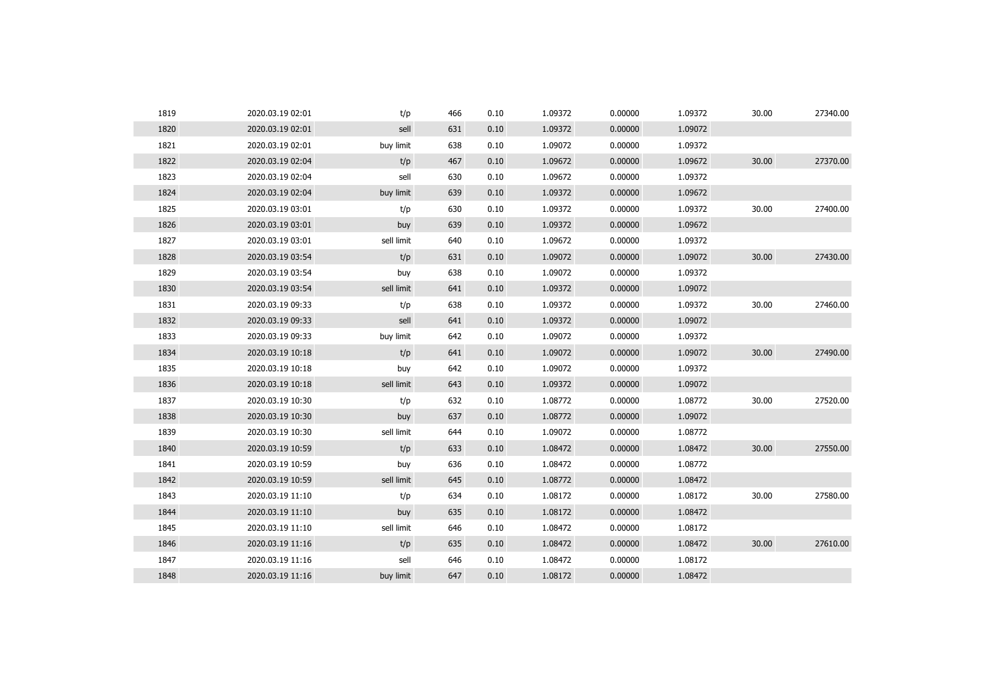| 1819 | 2020.03.19 02:01 | t/p        | 466 | 0.10 | 1.09372 | 0.00000 | 1.09372 | 30.00 | 27340.00 |
|------|------------------|------------|-----|------|---------|---------|---------|-------|----------|
| 1820 | 2020.03.19 02:01 | sell       | 631 | 0.10 | 1.09372 | 0.00000 | 1.09072 |       |          |
| 1821 | 2020.03.19 02:01 | buy limit  | 638 | 0.10 | 1.09072 | 0.00000 | 1.09372 |       |          |
| 1822 | 2020.03.19 02:04 | t/p        | 467 | 0.10 | 1.09672 | 0.00000 | 1.09672 | 30.00 | 27370.00 |
| 1823 | 2020.03.19 02:04 | sell       | 630 | 0.10 | 1.09672 | 0.00000 | 1.09372 |       |          |
| 1824 | 2020.03.19 02:04 | buy limit  | 639 | 0.10 | 1.09372 | 0.00000 | 1.09672 |       |          |
| 1825 | 2020.03.19 03:01 | t/p        | 630 | 0.10 | 1.09372 | 0.00000 | 1.09372 | 30.00 | 27400.00 |
| 1826 | 2020.03.19 03:01 | buy        | 639 | 0.10 | 1.09372 | 0.00000 | 1.09672 |       |          |
| 1827 | 2020.03.19 03:01 | sell limit | 640 | 0.10 | 1.09672 | 0.00000 | 1.09372 |       |          |
| 1828 | 2020.03.19 03:54 | t/p        | 631 | 0.10 | 1.09072 | 0.00000 | 1.09072 | 30.00 | 27430.00 |
| 1829 | 2020.03.19 03:54 | buy        | 638 | 0.10 | 1.09072 | 0.00000 | 1.09372 |       |          |
| 1830 | 2020.03.19 03:54 | sell limit | 641 | 0.10 | 1.09372 | 0.00000 | 1.09072 |       |          |
| 1831 | 2020.03.19 09:33 | t/p        | 638 | 0.10 | 1.09372 | 0.00000 | 1.09372 | 30.00 | 27460.00 |
| 1832 | 2020.03.19 09:33 | sell       | 641 | 0.10 | 1.09372 | 0.00000 | 1.09072 |       |          |
| 1833 | 2020.03.19 09:33 | buy limit  | 642 | 0.10 | 1.09072 | 0.00000 | 1.09372 |       |          |
| 1834 | 2020.03.19 10:18 | t/p        | 641 | 0.10 | 1.09072 | 0.00000 | 1.09072 | 30.00 | 27490.00 |
| 1835 | 2020.03.19 10:18 | buy        | 642 | 0.10 | 1.09072 | 0.00000 | 1.09372 |       |          |
| 1836 | 2020.03.19 10:18 | sell limit | 643 | 0.10 | 1.09372 | 0.00000 | 1.09072 |       |          |
| 1837 | 2020.03.19 10:30 | t/p        | 632 | 0.10 | 1.08772 | 0.00000 | 1.08772 | 30.00 | 27520.00 |
| 1838 | 2020.03.19 10:30 | buy        | 637 | 0.10 | 1.08772 | 0.00000 | 1.09072 |       |          |
| 1839 | 2020.03.19 10:30 | sell limit | 644 | 0.10 | 1.09072 | 0.00000 | 1.08772 |       |          |
| 1840 | 2020.03.19 10:59 | t/p        | 633 | 0.10 | 1.08472 | 0.00000 | 1.08472 | 30.00 | 27550.00 |
| 1841 | 2020.03.19 10:59 | buy        | 636 | 0.10 | 1.08472 | 0.00000 | 1.08772 |       |          |
| 1842 | 2020.03.19 10:59 | sell limit | 645 | 0.10 | 1.08772 | 0.00000 | 1.08472 |       |          |
| 1843 | 2020.03.19 11:10 | t/p        | 634 | 0.10 | 1.08172 | 0.00000 | 1.08172 | 30.00 | 27580.00 |
| 1844 | 2020.03.19 11:10 | buy        | 635 | 0.10 | 1.08172 | 0.00000 | 1.08472 |       |          |
| 1845 | 2020.03.19 11:10 | sell limit | 646 | 0.10 | 1.08472 | 0.00000 | 1.08172 |       |          |
| 1846 | 2020.03.19 11:16 | t/p        | 635 | 0.10 | 1.08472 | 0.00000 | 1.08472 | 30.00 | 27610.00 |
| 1847 | 2020.03.19 11:16 | sell       | 646 | 0.10 | 1.08472 | 0.00000 | 1.08172 |       |          |
| 1848 | 2020.03.19 11:16 | buy limit  | 647 | 0.10 | 1.08172 | 0.00000 | 1.08472 |       |          |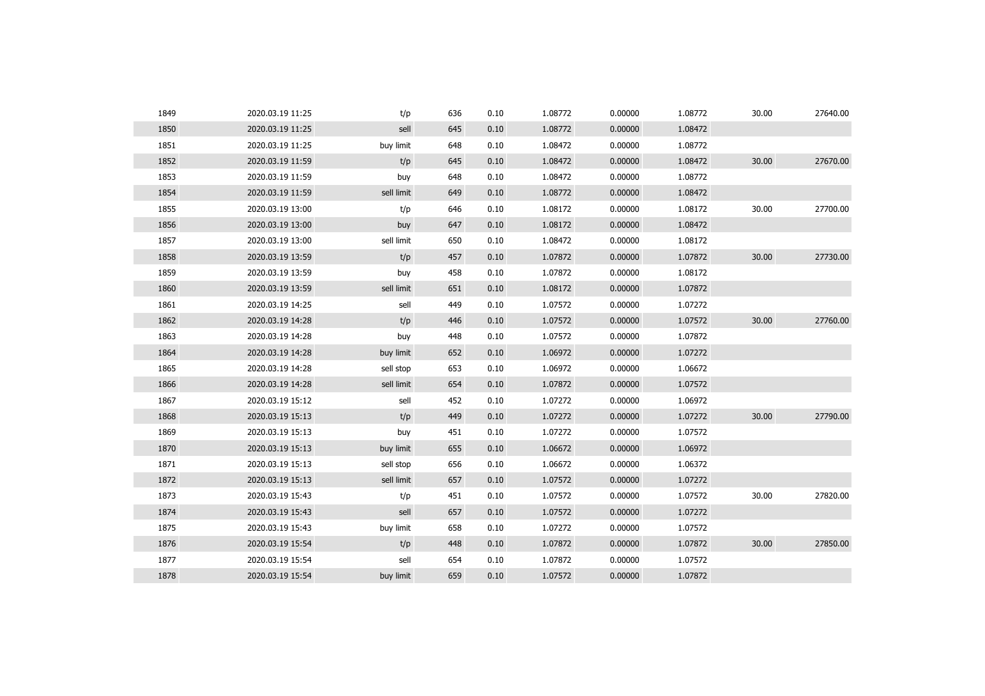| 1849 | 2020.03.19 11:25 | t/p        | 636 | 0.10 | 1.08772 | 0.00000 | 1.08772 | 30.00 | 27640.00 |
|------|------------------|------------|-----|------|---------|---------|---------|-------|----------|
| 1850 | 2020.03.19 11:25 | sell       | 645 | 0.10 | 1.08772 | 0.00000 | 1.08472 |       |          |
| 1851 | 2020.03.19 11:25 | buy limit  | 648 | 0.10 | 1.08472 | 0.00000 | 1.08772 |       |          |
| 1852 | 2020.03.19 11:59 | t/p        | 645 | 0.10 | 1.08472 | 0.00000 | 1.08472 | 30.00 | 27670.00 |
| 1853 | 2020.03.19 11:59 | buy        | 648 | 0.10 | 1.08472 | 0.00000 | 1.08772 |       |          |
| 1854 | 2020.03.19 11:59 | sell limit | 649 | 0.10 | 1.08772 | 0.00000 | 1.08472 |       |          |
| 1855 | 2020.03.19 13:00 | t/p        | 646 | 0.10 | 1.08172 | 0.00000 | 1.08172 | 30.00 | 27700.00 |
| 1856 | 2020.03.19 13:00 | buy        | 647 | 0.10 | 1.08172 | 0.00000 | 1.08472 |       |          |
| 1857 | 2020.03.19 13:00 | sell limit | 650 | 0.10 | 1.08472 | 0.00000 | 1.08172 |       |          |
| 1858 | 2020.03.19 13:59 | t/p        | 457 | 0.10 | 1.07872 | 0.00000 | 1.07872 | 30.00 | 27730.00 |
| 1859 | 2020.03.19 13:59 | buy        | 458 | 0.10 | 1.07872 | 0.00000 | 1.08172 |       |          |
| 1860 | 2020.03.19 13:59 | sell limit | 651 | 0.10 | 1.08172 | 0.00000 | 1.07872 |       |          |
| 1861 | 2020.03.19 14:25 | sell       | 449 | 0.10 | 1.07572 | 0.00000 | 1.07272 |       |          |
| 1862 | 2020.03.19 14:28 | t/p        | 446 | 0.10 | 1.07572 | 0.00000 | 1.07572 | 30.00 | 27760.00 |
| 1863 | 2020.03.19 14:28 | buy        | 448 | 0.10 | 1.07572 | 0.00000 | 1.07872 |       |          |
| 1864 | 2020.03.19 14:28 | buy limit  | 652 | 0.10 | 1.06972 | 0.00000 | 1.07272 |       |          |
| 1865 | 2020.03.19 14:28 | sell stop  | 653 | 0.10 | 1.06972 | 0.00000 | 1.06672 |       |          |
| 1866 | 2020.03.19 14:28 | sell limit | 654 | 0.10 | 1.07872 | 0.00000 | 1.07572 |       |          |
| 1867 | 2020.03.19 15:12 | sell       | 452 | 0.10 | 1.07272 | 0.00000 | 1.06972 |       |          |
| 1868 | 2020.03.19 15:13 | t/p        | 449 | 0.10 | 1.07272 | 0.00000 | 1.07272 | 30.00 | 27790.00 |
| 1869 | 2020.03.19 15:13 | buy        | 451 | 0.10 | 1.07272 | 0.00000 | 1.07572 |       |          |
| 1870 | 2020.03.19 15:13 | buy limit  | 655 | 0.10 | 1.06672 | 0.00000 | 1.06972 |       |          |
| 1871 | 2020.03.19 15:13 | sell stop  | 656 | 0.10 | 1.06672 | 0.00000 | 1.06372 |       |          |
| 1872 | 2020.03.19 15:13 | sell limit | 657 | 0.10 | 1.07572 | 0.00000 | 1.07272 |       |          |
| 1873 | 2020.03.19 15:43 | t/p        | 451 | 0.10 | 1.07572 | 0.00000 | 1.07572 | 30.00 | 27820.00 |
| 1874 | 2020.03.19 15:43 | sell       | 657 | 0.10 | 1.07572 | 0.00000 | 1.07272 |       |          |
| 1875 | 2020.03.19 15:43 | buy limit  | 658 | 0.10 | 1.07272 | 0.00000 | 1.07572 |       |          |
| 1876 | 2020.03.19 15:54 | t/p        | 448 | 0.10 | 1.07872 | 0.00000 | 1.07872 | 30.00 | 27850.00 |
| 1877 | 2020.03.19 15:54 | sell       | 654 | 0.10 | 1.07872 | 0.00000 | 1.07572 |       |          |
| 1878 | 2020.03.19 15:54 | buy limit  | 659 | 0.10 | 1.07572 | 0.00000 | 1.07872 |       |          |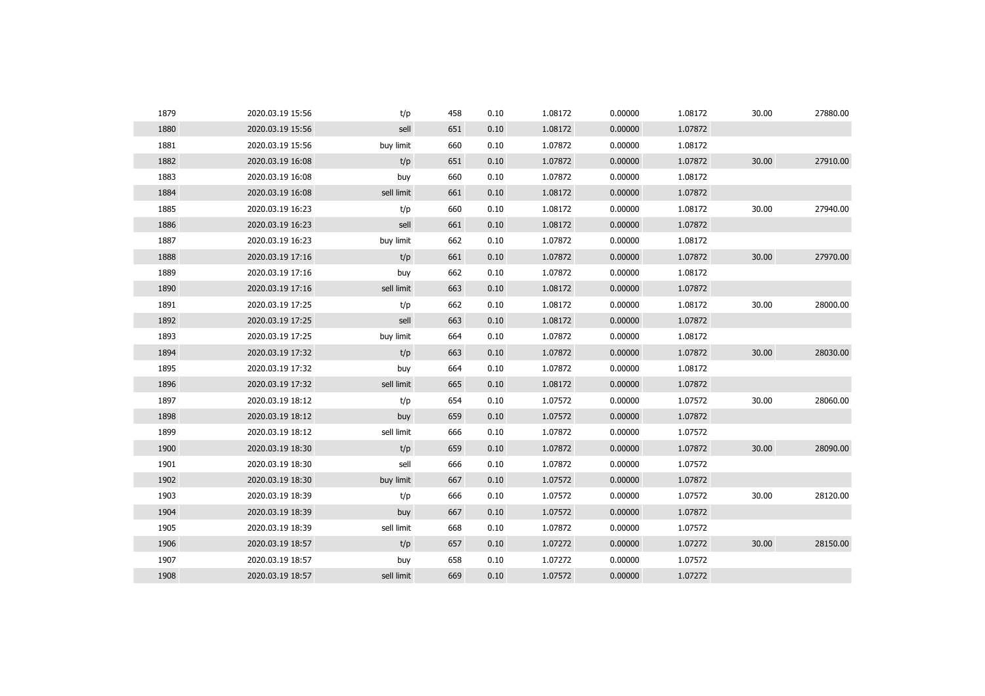| 1879 | 2020.03.19 15:56 | t/p        | 458 | 0.10 | 1.08172 | 0.00000 | 1.08172 | 30.00 | 27880.00 |
|------|------------------|------------|-----|------|---------|---------|---------|-------|----------|
| 1880 | 2020.03.19 15:56 | sell       | 651 | 0.10 | 1.08172 | 0.00000 | 1.07872 |       |          |
| 1881 | 2020.03.19 15:56 | buy limit  | 660 | 0.10 | 1.07872 | 0.00000 | 1.08172 |       |          |
| 1882 | 2020.03.19 16:08 | t/p        | 651 | 0.10 | 1.07872 | 0.00000 | 1.07872 | 30.00 | 27910.00 |
| 1883 | 2020.03.19 16:08 | buy        | 660 | 0.10 | 1.07872 | 0.00000 | 1.08172 |       |          |
| 1884 | 2020.03.19 16:08 | sell limit | 661 | 0.10 | 1.08172 | 0.00000 | 1.07872 |       |          |
| 1885 | 2020.03.19 16:23 | t/p        | 660 | 0.10 | 1.08172 | 0.00000 | 1.08172 | 30.00 | 27940.00 |
| 1886 | 2020.03.19 16:23 | sell       | 661 | 0.10 | 1.08172 | 0.00000 | 1.07872 |       |          |
| 1887 | 2020.03.19 16:23 | buy limit  | 662 | 0.10 | 1.07872 | 0.00000 | 1.08172 |       |          |
| 1888 | 2020.03.19 17:16 | t/p        | 661 | 0.10 | 1.07872 | 0.00000 | 1.07872 | 30.00 | 27970.00 |
| 1889 | 2020.03.19 17:16 | buy        | 662 | 0.10 | 1.07872 | 0.00000 | 1.08172 |       |          |
| 1890 | 2020.03.19 17:16 | sell limit | 663 | 0.10 | 1.08172 | 0.00000 | 1.07872 |       |          |
| 1891 | 2020.03.19 17:25 | t/p        | 662 | 0.10 | 1.08172 | 0.00000 | 1.08172 | 30.00 | 28000.00 |
| 1892 | 2020.03.19 17:25 | sell       | 663 | 0.10 | 1.08172 | 0.00000 | 1.07872 |       |          |
| 1893 | 2020.03.19 17:25 | buy limit  | 664 | 0.10 | 1.07872 | 0.00000 | 1.08172 |       |          |
| 1894 | 2020.03.19 17:32 | t/p        | 663 | 0.10 | 1.07872 | 0.00000 | 1.07872 | 30.00 | 28030.00 |
| 1895 | 2020.03.19 17:32 | buy        | 664 | 0.10 | 1.07872 | 0.00000 | 1.08172 |       |          |
| 1896 | 2020.03.19 17:32 | sell limit | 665 | 0.10 | 1.08172 | 0.00000 | 1.07872 |       |          |
| 1897 | 2020.03.19 18:12 | t/p        | 654 | 0.10 | 1.07572 | 0.00000 | 1.07572 | 30.00 | 28060.00 |
| 1898 | 2020.03.19 18:12 | buy        | 659 | 0.10 | 1.07572 | 0.00000 | 1.07872 |       |          |
| 1899 | 2020.03.19 18:12 | sell limit | 666 | 0.10 | 1.07872 | 0.00000 | 1.07572 |       |          |
| 1900 | 2020.03.19 18:30 | t/p        | 659 | 0.10 | 1.07872 | 0.00000 | 1.07872 | 30.00 | 28090.00 |
| 1901 | 2020.03.19 18:30 | sell       | 666 | 0.10 | 1.07872 | 0.00000 | 1.07572 |       |          |
| 1902 | 2020.03.19 18:30 | buy limit  | 667 | 0.10 | 1.07572 | 0.00000 | 1.07872 |       |          |
| 1903 | 2020.03.19 18:39 | t/p        | 666 | 0.10 | 1.07572 | 0.00000 | 1.07572 | 30.00 | 28120.00 |
| 1904 | 2020.03.19 18:39 | buy        | 667 | 0.10 | 1.07572 | 0.00000 | 1.07872 |       |          |
| 1905 | 2020.03.19 18:39 | sell limit | 668 | 0.10 | 1.07872 | 0.00000 | 1.07572 |       |          |
| 1906 | 2020.03.19 18:57 | t/p        | 657 | 0.10 | 1.07272 | 0.00000 | 1.07272 | 30.00 | 28150.00 |
| 1907 | 2020.03.19 18:57 | buy        | 658 | 0.10 | 1.07272 | 0.00000 | 1.07572 |       |          |
| 1908 | 2020.03.19 18:57 | sell limit | 669 | 0.10 | 1.07572 | 0.00000 | 1.07272 |       |          |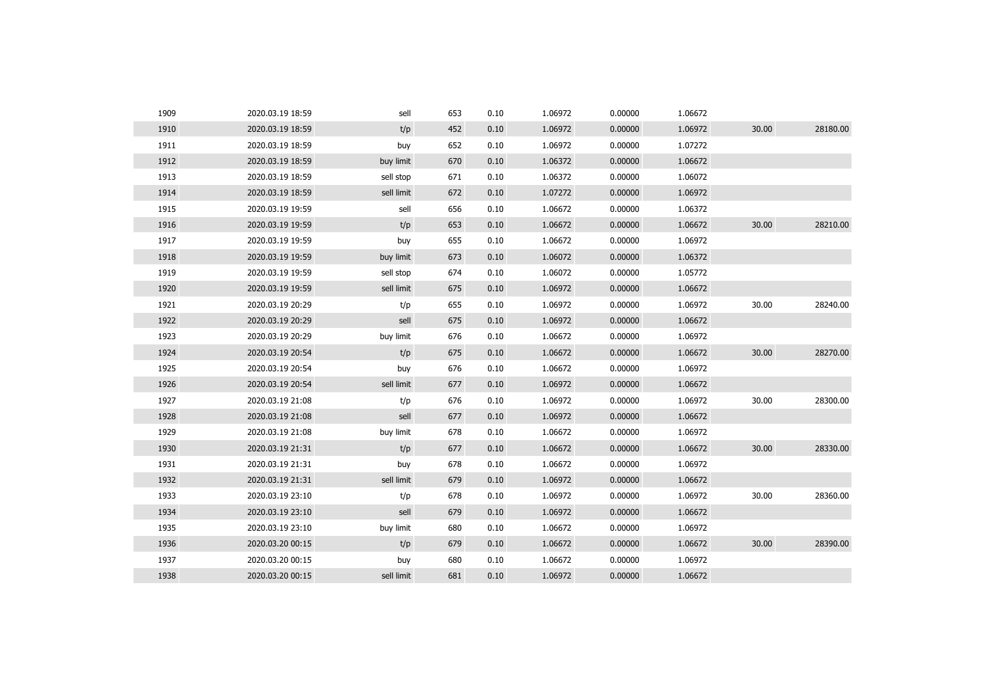| 1909 | 2020.03.19 18:59 | sell       | 653 | 0.10 | 1.06972 | 0.00000 | 1.06672 |       |          |
|------|------------------|------------|-----|------|---------|---------|---------|-------|----------|
| 1910 | 2020.03.19 18:59 | t/p        | 452 | 0.10 | 1.06972 | 0.00000 | 1.06972 | 30.00 | 28180.00 |
| 1911 | 2020.03.19 18:59 | buy        | 652 | 0.10 | 1.06972 | 0.00000 | 1.07272 |       |          |
| 1912 | 2020.03.19 18:59 | buy limit  | 670 | 0.10 | 1.06372 | 0.00000 | 1.06672 |       |          |
| 1913 | 2020.03.19 18:59 | sell stop  | 671 | 0.10 | 1.06372 | 0.00000 | 1.06072 |       |          |
| 1914 | 2020.03.19 18:59 | sell limit | 672 | 0.10 | 1.07272 | 0.00000 | 1.06972 |       |          |
| 1915 | 2020.03.19 19:59 | sell       | 656 | 0.10 | 1.06672 | 0.00000 | 1.06372 |       |          |
| 1916 | 2020.03.19 19:59 | t/p        | 653 | 0.10 | 1.06672 | 0.00000 | 1.06672 | 30.00 | 28210.00 |
| 1917 | 2020.03.19 19:59 | buy        | 655 | 0.10 | 1.06672 | 0.00000 | 1.06972 |       |          |
| 1918 | 2020.03.19 19:59 | buy limit  | 673 | 0.10 | 1.06072 | 0.00000 | 1.06372 |       |          |
| 1919 | 2020.03.19 19:59 | sell stop  | 674 | 0.10 | 1.06072 | 0.00000 | 1.05772 |       |          |
| 1920 | 2020.03.19 19:59 | sell limit | 675 | 0.10 | 1.06972 | 0.00000 | 1.06672 |       |          |
| 1921 | 2020.03.19 20:29 | t/p        | 655 | 0.10 | 1.06972 | 0.00000 | 1.06972 | 30.00 | 28240.00 |
| 1922 | 2020.03.19 20:29 | sell       | 675 | 0.10 | 1.06972 | 0.00000 | 1.06672 |       |          |
| 1923 | 2020.03.19 20:29 | buy limit  | 676 | 0.10 | 1.06672 | 0.00000 | 1.06972 |       |          |
| 1924 | 2020.03.19 20:54 | t/p        | 675 | 0.10 | 1.06672 | 0.00000 | 1.06672 | 30.00 | 28270.00 |
| 1925 | 2020.03.19 20:54 | buy        | 676 | 0.10 | 1.06672 | 0.00000 | 1.06972 |       |          |
| 1926 | 2020.03.19 20:54 | sell limit | 677 | 0.10 | 1.06972 | 0.00000 | 1.06672 |       |          |
| 1927 | 2020.03.19 21:08 | t/p        | 676 | 0.10 | 1.06972 | 0.00000 | 1.06972 | 30.00 | 28300.00 |
| 1928 | 2020.03.19 21:08 | sell       | 677 | 0.10 | 1.06972 | 0.00000 | 1.06672 |       |          |
| 1929 | 2020.03.19 21:08 | buy limit  | 678 | 0.10 | 1.06672 | 0.00000 | 1.06972 |       |          |
| 1930 | 2020.03.19 21:31 | t/p        | 677 | 0.10 | 1.06672 | 0.00000 | 1.06672 | 30.00 | 28330.00 |
| 1931 | 2020.03.19 21:31 | buy        | 678 | 0.10 | 1.06672 | 0.00000 | 1.06972 |       |          |
| 1932 | 2020.03.19 21:31 | sell limit | 679 | 0.10 | 1.06972 | 0.00000 | 1.06672 |       |          |
| 1933 | 2020.03.19 23:10 | t/p        | 678 | 0.10 | 1.06972 | 0.00000 | 1.06972 | 30.00 | 28360.00 |
| 1934 | 2020.03.19 23:10 | sell       | 679 | 0.10 | 1.06972 | 0.00000 | 1.06672 |       |          |
| 1935 | 2020.03.19 23:10 | buy limit  | 680 | 0.10 | 1.06672 | 0.00000 | 1.06972 |       |          |
| 1936 | 2020.03.20 00:15 | t/p        | 679 | 0.10 | 1.06672 | 0.00000 | 1.06672 | 30.00 | 28390.00 |
| 1937 | 2020.03.20 00:15 | buy        | 680 | 0.10 | 1.06672 | 0.00000 | 1.06972 |       |          |
| 1938 | 2020.03.20 00:15 | sell limit | 681 | 0.10 | 1.06972 | 0.00000 | 1.06672 |       |          |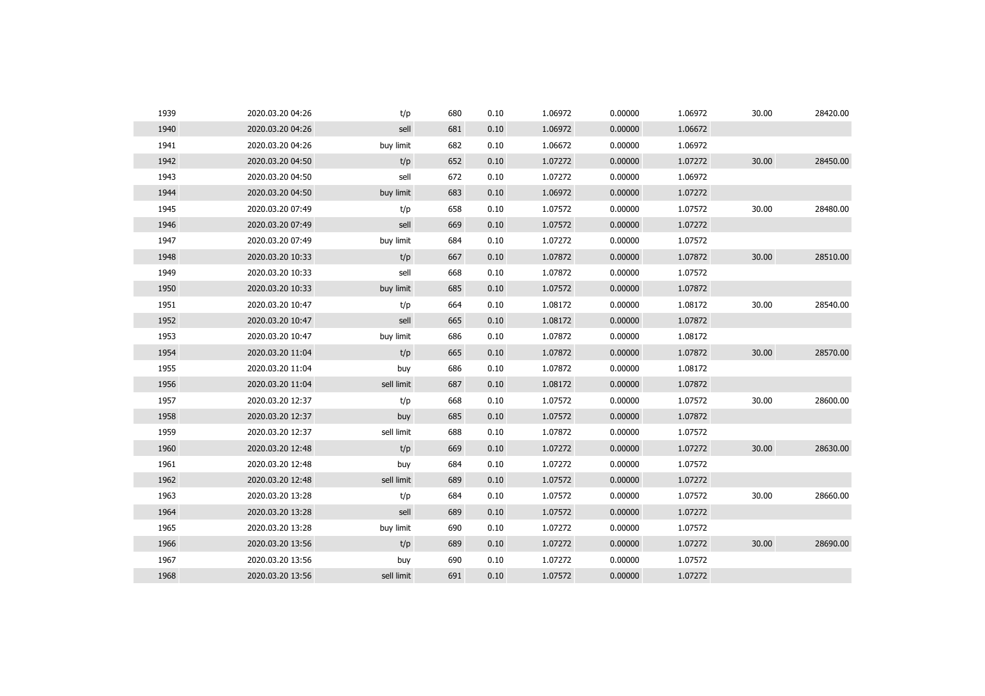| 1939 | 2020.03.20 04:26 | t/p        | 680 | 0.10 | 1.06972 | 0.00000 | 1.06972 | 30.00 | 28420.00 |
|------|------------------|------------|-----|------|---------|---------|---------|-------|----------|
| 1940 | 2020.03.20 04:26 | sell       | 681 | 0.10 | 1.06972 | 0.00000 | 1.06672 |       |          |
| 1941 | 2020.03.20 04:26 | buy limit  | 682 | 0.10 | 1.06672 | 0.00000 | 1.06972 |       |          |
| 1942 | 2020.03.20 04:50 | t/p        | 652 | 0.10 | 1.07272 | 0.00000 | 1.07272 | 30.00 | 28450.00 |
| 1943 | 2020.03.20 04:50 | sell       | 672 | 0.10 | 1.07272 | 0.00000 | 1.06972 |       |          |
| 1944 | 2020.03.20 04:50 | buy limit  | 683 | 0.10 | 1.06972 | 0.00000 | 1.07272 |       |          |
| 1945 | 2020.03.20 07:49 | t/p        | 658 | 0.10 | 1.07572 | 0.00000 | 1.07572 | 30.00 | 28480.00 |
| 1946 | 2020.03.20 07:49 | sell       | 669 | 0.10 | 1.07572 | 0.00000 | 1.07272 |       |          |
| 1947 | 2020.03.20 07:49 | buy limit  | 684 | 0.10 | 1.07272 | 0.00000 | 1.07572 |       |          |
| 1948 | 2020.03.20 10:33 | t/p        | 667 | 0.10 | 1.07872 | 0.00000 | 1.07872 | 30.00 | 28510.00 |
| 1949 | 2020.03.20 10:33 | sell       | 668 | 0.10 | 1.07872 | 0.00000 | 1.07572 |       |          |
| 1950 | 2020.03.20 10:33 | buy limit  | 685 | 0.10 | 1.07572 | 0.00000 | 1.07872 |       |          |
| 1951 | 2020.03.20 10:47 | t/p        | 664 | 0.10 | 1.08172 | 0.00000 | 1.08172 | 30.00 | 28540.00 |
| 1952 | 2020.03.20 10:47 | sell       | 665 | 0.10 | 1.08172 | 0.00000 | 1.07872 |       |          |
| 1953 | 2020.03.20 10:47 | buy limit  | 686 | 0.10 | 1.07872 | 0.00000 | 1.08172 |       |          |
| 1954 | 2020.03.20 11:04 | t/p        | 665 | 0.10 | 1.07872 | 0.00000 | 1.07872 | 30.00 | 28570.00 |
| 1955 | 2020.03.20 11:04 | buy        | 686 | 0.10 | 1.07872 | 0.00000 | 1.08172 |       |          |
| 1956 | 2020.03.20 11:04 | sell limit | 687 | 0.10 | 1.08172 | 0.00000 | 1.07872 |       |          |
| 1957 | 2020.03.20 12:37 | t/p        | 668 | 0.10 | 1.07572 | 0.00000 | 1.07572 | 30.00 | 28600.00 |
| 1958 | 2020.03.20 12:37 | buy        | 685 | 0.10 | 1.07572 | 0.00000 | 1.07872 |       |          |
| 1959 | 2020.03.20 12:37 | sell limit | 688 | 0.10 | 1.07872 | 0.00000 | 1.07572 |       |          |
| 1960 | 2020.03.20 12:48 | t/p        | 669 | 0.10 | 1.07272 | 0.00000 | 1.07272 | 30.00 | 28630.00 |
| 1961 | 2020.03.20 12:48 | buy        | 684 | 0.10 | 1.07272 | 0.00000 | 1.07572 |       |          |
| 1962 | 2020.03.20 12:48 | sell limit | 689 | 0.10 | 1.07572 | 0.00000 | 1.07272 |       |          |
| 1963 | 2020.03.20 13:28 | t/p        | 684 | 0.10 | 1.07572 | 0.00000 | 1.07572 | 30.00 | 28660.00 |
| 1964 | 2020.03.20 13:28 | sell       | 689 | 0.10 | 1.07572 | 0.00000 | 1.07272 |       |          |
| 1965 | 2020.03.20 13:28 | buy limit  | 690 | 0.10 | 1.07272 | 0.00000 | 1.07572 |       |          |
| 1966 | 2020.03.20 13:56 | t/p        | 689 | 0.10 | 1.07272 | 0.00000 | 1.07272 | 30.00 | 28690.00 |
| 1967 | 2020.03.20 13:56 | buy        | 690 | 0.10 | 1.07272 | 0.00000 | 1.07572 |       |          |
| 1968 | 2020.03.20 13:56 | sell limit | 691 | 0.10 | 1.07572 | 0.00000 | 1.07272 |       |          |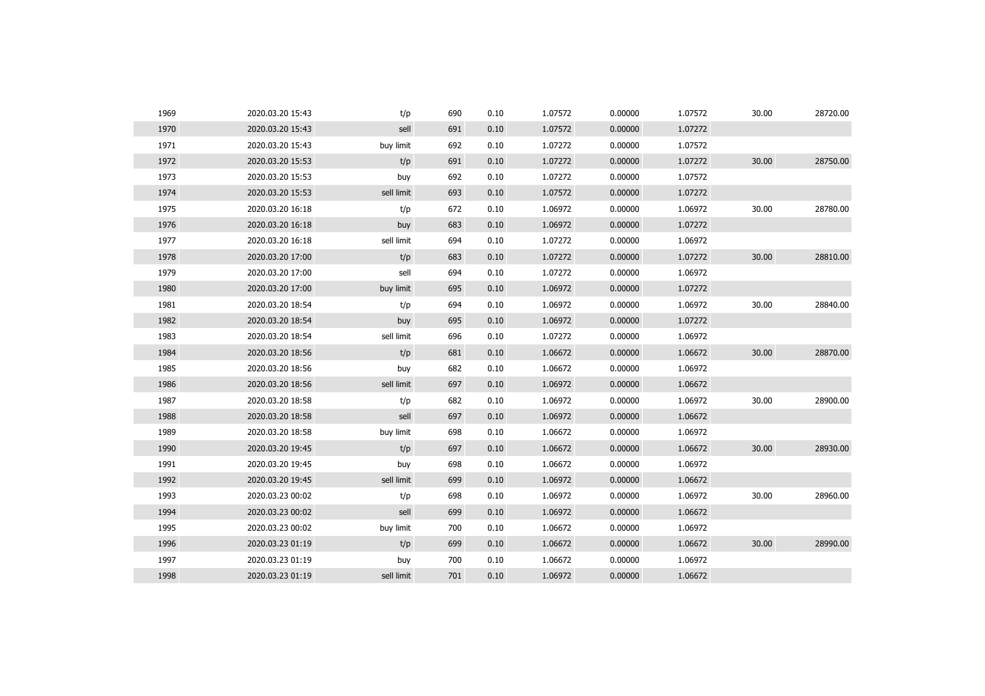| 1969 | 2020.03.20 15:43 | t/p        | 690 | 0.10 | 1.07572 | 0.00000 | 1.07572 | 30.00 | 28720.00 |
|------|------------------|------------|-----|------|---------|---------|---------|-------|----------|
| 1970 | 2020.03.20 15:43 | sell       | 691 | 0.10 | 1.07572 | 0.00000 | 1.07272 |       |          |
| 1971 | 2020.03.20 15:43 | buy limit  | 692 | 0.10 | 1.07272 | 0.00000 | 1.07572 |       |          |
| 1972 | 2020.03.20 15:53 | t/p        | 691 | 0.10 | 1.07272 | 0.00000 | 1.07272 | 30.00 | 28750.00 |
| 1973 | 2020.03.20 15:53 | buy        | 692 | 0.10 | 1.07272 | 0.00000 | 1.07572 |       |          |
| 1974 | 2020.03.20 15:53 | sell limit | 693 | 0.10 | 1.07572 | 0.00000 | 1.07272 |       |          |
| 1975 | 2020.03.20 16:18 | t/p        | 672 | 0.10 | 1.06972 | 0.00000 | 1.06972 | 30.00 | 28780.00 |
| 1976 | 2020.03.20 16:18 | buy        | 683 | 0.10 | 1.06972 | 0.00000 | 1.07272 |       |          |
| 1977 | 2020.03.20 16:18 | sell limit | 694 | 0.10 | 1.07272 | 0.00000 | 1.06972 |       |          |
| 1978 | 2020.03.20 17:00 | t/p        | 683 | 0.10 | 1.07272 | 0.00000 | 1.07272 | 30.00 | 28810.00 |
| 1979 | 2020.03.20 17:00 | sell       | 694 | 0.10 | 1.07272 | 0.00000 | 1.06972 |       |          |
| 1980 | 2020.03.20 17:00 | buy limit  | 695 | 0.10 | 1.06972 | 0.00000 | 1.07272 |       |          |
| 1981 | 2020.03.20 18:54 | t/p        | 694 | 0.10 | 1.06972 | 0.00000 | 1.06972 | 30.00 | 28840.00 |
| 1982 | 2020.03.20 18:54 | buy        | 695 | 0.10 | 1.06972 | 0.00000 | 1.07272 |       |          |
| 1983 | 2020.03.20 18:54 | sell limit | 696 | 0.10 | 1.07272 | 0.00000 | 1.06972 |       |          |
| 1984 | 2020.03.20 18:56 | t/p        | 681 | 0.10 | 1.06672 | 0.00000 | 1.06672 | 30.00 | 28870.00 |
| 1985 | 2020.03.20 18:56 | buy        | 682 | 0.10 | 1.06672 | 0.00000 | 1.06972 |       |          |
| 1986 | 2020.03.20 18:56 | sell limit | 697 | 0.10 | 1.06972 | 0.00000 | 1.06672 |       |          |
| 1987 | 2020.03.20 18:58 | t/p        | 682 | 0.10 | 1.06972 | 0.00000 | 1.06972 | 30.00 | 28900.00 |
| 1988 | 2020.03.20 18:58 | sell       | 697 | 0.10 | 1.06972 | 0.00000 | 1.06672 |       |          |
| 1989 | 2020.03.20 18:58 | buy limit  | 698 | 0.10 | 1.06672 | 0.00000 | 1.06972 |       |          |
| 1990 | 2020.03.20 19:45 | t/p        | 697 | 0.10 | 1.06672 | 0.00000 | 1.06672 | 30.00 | 28930.00 |
| 1991 | 2020.03.20 19:45 | buy        | 698 | 0.10 | 1.06672 | 0.00000 | 1.06972 |       |          |
| 1992 | 2020.03.20 19:45 | sell limit | 699 | 0.10 | 1.06972 | 0.00000 | 1.06672 |       |          |
| 1993 | 2020.03.23 00:02 | t/p        | 698 | 0.10 | 1.06972 | 0.00000 | 1.06972 | 30.00 | 28960.00 |
| 1994 | 2020.03.23 00:02 | sell       | 699 | 0.10 | 1.06972 | 0.00000 | 1.06672 |       |          |
| 1995 | 2020.03.23 00:02 | buy limit  | 700 | 0.10 | 1.06672 | 0.00000 | 1.06972 |       |          |
| 1996 | 2020.03.23 01:19 | t/p        | 699 | 0.10 | 1.06672 | 0.00000 | 1.06672 | 30.00 | 28990.00 |
| 1997 | 2020.03.23 01:19 | buy        | 700 | 0.10 | 1.06672 | 0.00000 | 1.06972 |       |          |
| 1998 | 2020.03.23 01:19 | sell limit | 701 | 0.10 | 1.06972 | 0.00000 | 1.06672 |       |          |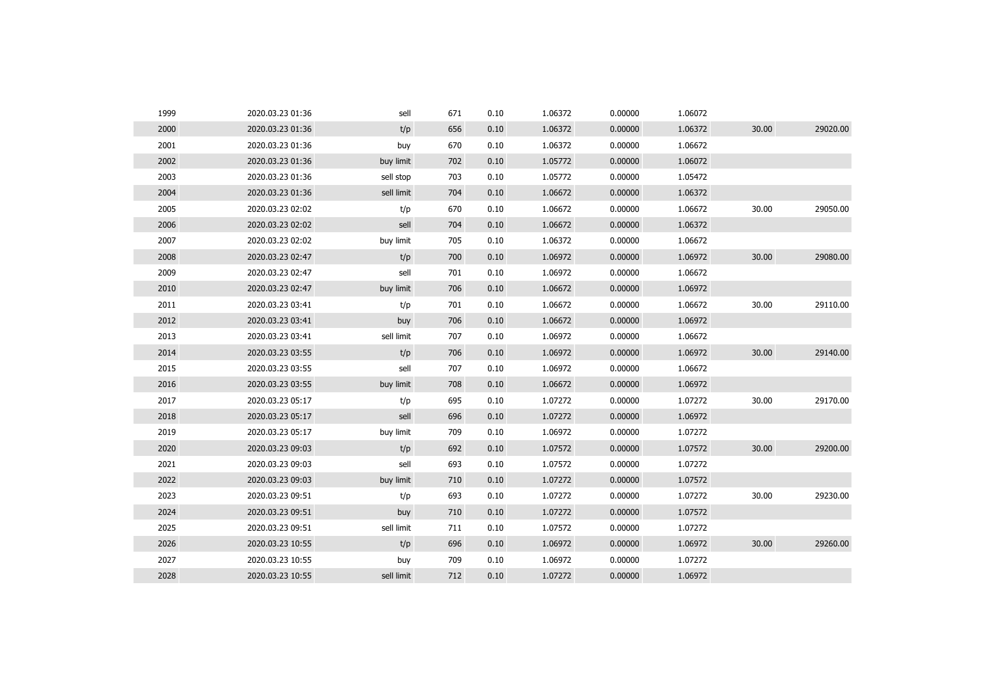| 1999 | 2020.03.23 01:36 | sell       | 671 | 0.10 | 1.06372 | 0.00000 | 1.06072 |       |          |
|------|------------------|------------|-----|------|---------|---------|---------|-------|----------|
| 2000 | 2020.03.23 01:36 | t/p        | 656 | 0.10 | 1.06372 | 0.00000 | 1.06372 | 30.00 | 29020.00 |
| 2001 | 2020.03.23 01:36 | buy        | 670 | 0.10 | 1.06372 | 0.00000 | 1.06672 |       |          |
| 2002 | 2020.03.23 01:36 | buy limit  | 702 | 0.10 | 1.05772 | 0.00000 | 1.06072 |       |          |
| 2003 | 2020.03.23 01:36 | sell stop  | 703 | 0.10 | 1.05772 | 0.00000 | 1.05472 |       |          |
| 2004 | 2020.03.23 01:36 | sell limit | 704 | 0.10 | 1.06672 | 0.00000 | 1.06372 |       |          |
| 2005 | 2020.03.23 02:02 | t/p        | 670 | 0.10 | 1.06672 | 0.00000 | 1.06672 | 30.00 | 29050.00 |
| 2006 | 2020.03.23 02:02 | sell       | 704 | 0.10 | 1.06672 | 0.00000 | 1.06372 |       |          |
| 2007 | 2020.03.23 02:02 | buy limit  | 705 | 0.10 | 1.06372 | 0.00000 | 1.06672 |       |          |
| 2008 | 2020.03.23 02:47 | t/p        | 700 | 0.10 | 1.06972 | 0.00000 | 1.06972 | 30.00 | 29080.00 |
| 2009 | 2020.03.23 02:47 | sell       | 701 | 0.10 | 1.06972 | 0.00000 | 1.06672 |       |          |
| 2010 | 2020.03.23 02:47 | buy limit  | 706 | 0.10 | 1.06672 | 0.00000 | 1.06972 |       |          |
| 2011 | 2020.03.23 03:41 | t/p        | 701 | 0.10 | 1.06672 | 0.00000 | 1.06672 | 30.00 | 29110.00 |
| 2012 | 2020.03.23 03:41 | buy        | 706 | 0.10 | 1.06672 | 0.00000 | 1.06972 |       |          |
| 2013 | 2020.03.23 03:41 | sell limit | 707 | 0.10 | 1.06972 | 0.00000 | 1.06672 |       |          |
| 2014 | 2020.03.23 03:55 | t/p        | 706 | 0.10 | 1.06972 | 0.00000 | 1.06972 | 30.00 | 29140.00 |
| 2015 | 2020.03.23 03:55 | sell       | 707 | 0.10 | 1.06972 | 0.00000 | 1.06672 |       |          |
| 2016 | 2020.03.23 03:55 | buy limit  | 708 | 0.10 | 1.06672 | 0.00000 | 1.06972 |       |          |
| 2017 | 2020.03.23 05:17 | t/p        | 695 | 0.10 | 1.07272 | 0.00000 | 1.07272 | 30.00 | 29170.00 |
| 2018 | 2020.03.23 05:17 | sell       | 696 | 0.10 | 1.07272 | 0.00000 | 1.06972 |       |          |
| 2019 | 2020.03.23 05:17 | buy limit  | 709 | 0.10 | 1.06972 | 0.00000 | 1.07272 |       |          |
| 2020 | 2020.03.23 09:03 | t/p        | 692 | 0.10 | 1.07572 | 0.00000 | 1.07572 | 30.00 | 29200.00 |
| 2021 | 2020.03.23 09:03 | sell       | 693 | 0.10 | 1.07572 | 0.00000 | 1.07272 |       |          |
| 2022 | 2020.03.23 09:03 | buy limit  | 710 | 0.10 | 1.07272 | 0.00000 | 1.07572 |       |          |
| 2023 | 2020.03.23 09:51 | t/p        | 693 | 0.10 | 1.07272 | 0.00000 | 1.07272 | 30.00 | 29230.00 |
| 2024 | 2020.03.23 09:51 | buy        | 710 | 0.10 | 1.07272 | 0.00000 | 1.07572 |       |          |
| 2025 | 2020.03.23 09:51 | sell limit | 711 | 0.10 | 1.07572 | 0.00000 | 1.07272 |       |          |
| 2026 | 2020.03.23 10:55 | t/p        | 696 | 0.10 | 1.06972 | 0.00000 | 1.06972 | 30.00 | 29260.00 |
| 2027 | 2020.03.23 10:55 | buy        | 709 | 0.10 | 1.06972 | 0.00000 | 1.07272 |       |          |
| 2028 | 2020.03.23 10:55 | sell limit | 712 | 0.10 | 1.07272 | 0.00000 | 1.06972 |       |          |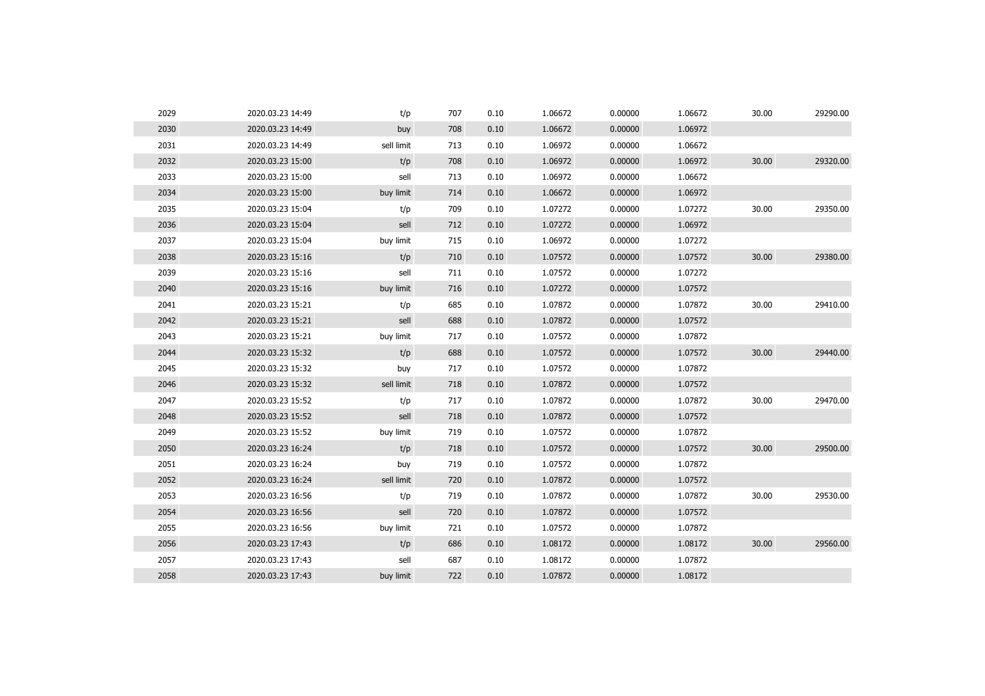| 2029 | 2020.03.23 14:49 | t/p        | 707 | 0.10 | 1.06672 | 0.00000 | 1.06672 | 30.00 | 29290.00 |
|------|------------------|------------|-----|------|---------|---------|---------|-------|----------|
| 2030 | 2020.03.23 14:49 | buy        | 708 | 0.10 | 1.06672 | 0.00000 | 1.06972 |       |          |
| 2031 | 2020.03.23 14:49 | sell limit | 713 | 0.10 | 1.06972 | 0.00000 | 1.06672 |       |          |
| 2032 | 2020.03.23 15:00 | t/p        | 708 | 0.10 | 1.06972 | 0.00000 | 1.06972 | 30.00 | 29320.00 |
| 2033 | 2020.03.23 15:00 | sell       | 713 | 0.10 | 1.06972 | 0.00000 | 1.06672 |       |          |
| 2034 | 2020.03.23 15:00 | buy limit  | 714 | 0.10 | 1.06672 | 0.00000 | 1.06972 |       |          |
| 2035 | 2020.03.23 15:04 | t/p        | 709 | 0.10 | 1.07272 | 0.00000 | 1.07272 | 30.00 | 29350.00 |
| 2036 | 2020.03.23 15:04 | sell       | 712 | 0.10 | 1.07272 | 0.00000 | 1.06972 |       |          |
| 2037 | 2020.03.23 15:04 | buy limit  | 715 | 0.10 | 1.06972 | 0.00000 | 1.07272 |       |          |
| 2038 | 2020.03.23 15:16 | t/p        | 710 | 0.10 | 1.07572 | 0.00000 | 1.07572 | 30.00 | 29380.00 |
| 2039 | 2020.03.23 15:16 | sell       | 711 | 0.10 | 1.07572 | 0.00000 | 1.07272 |       |          |
| 2040 | 2020.03.23 15:16 | buy limit  | 716 | 0.10 | 1.07272 | 0.00000 | 1.07572 |       |          |
| 2041 | 2020.03.23 15:21 | t/p        | 685 | 0.10 | 1.07872 | 0.00000 | 1.07872 | 30.00 | 29410.00 |
| 2042 | 2020.03.23 15:21 | sell       | 688 | 0.10 | 1.07872 | 0.00000 | 1.07572 |       |          |
| 2043 | 2020.03.23 15:21 | buy limit  | 717 | 0.10 | 1.07572 | 0.00000 | 1.07872 |       |          |
| 2044 | 2020.03.23 15:32 | t/p        | 688 | 0.10 | 1.07572 | 0.00000 | 1.07572 | 30.00 | 29440.00 |
| 2045 | 2020.03.23 15:32 | buy        | 717 | 0.10 | 1.07572 | 0.00000 | 1.07872 |       |          |
| 2046 | 2020.03.23 15:32 | sell limit | 718 | 0.10 | 1.07872 | 0.00000 | 1.07572 |       |          |
| 2047 | 2020.03.23 15:52 | t/p        | 717 | 0.10 | 1.07872 | 0.00000 | 1.07872 | 30.00 | 29470.00 |
| 2048 | 2020.03.23 15:52 | sell       | 718 | 0.10 | 1.07872 | 0.00000 | 1.07572 |       |          |
| 2049 | 2020.03.23 15:52 | buy limit  | 719 | 0.10 | 1.07572 | 0.00000 | 1.07872 |       |          |
| 2050 | 2020.03.23 16:24 | t/p        | 718 | 0.10 | 1.07572 | 0.00000 | 1.07572 | 30.00 | 29500.00 |
| 2051 | 2020.03.23 16:24 | buy        | 719 | 0.10 | 1.07572 | 0.00000 | 1.07872 |       |          |
| 2052 | 2020.03.23 16:24 | sell limit | 720 | 0.10 | 1.07872 | 0.00000 | 1.07572 |       |          |
| 2053 | 2020.03.23 16:56 | t/p        | 719 | 0.10 | 1.07872 | 0.00000 | 1.07872 | 30.00 | 29530.00 |
| 2054 | 2020.03.23 16:56 | sell       | 720 | 0.10 | 1.07872 | 0.00000 | 1.07572 |       |          |
| 2055 | 2020.03.23 16:56 | buy limit  | 721 | 0.10 | 1.07572 | 0.00000 | 1.07872 |       |          |
| 2056 | 2020.03.23 17:43 | t/p        | 686 | 0.10 | 1.08172 | 0.00000 | 1.08172 | 30.00 | 29560.00 |
| 2057 | 2020.03.23 17:43 | sell       | 687 | 0.10 | 1.08172 | 0.00000 | 1.07872 |       |          |
| 2058 | 2020.03.23 17:43 | buy limit  | 722 | 0.10 | 1.07872 | 0.00000 | 1.08172 |       |          |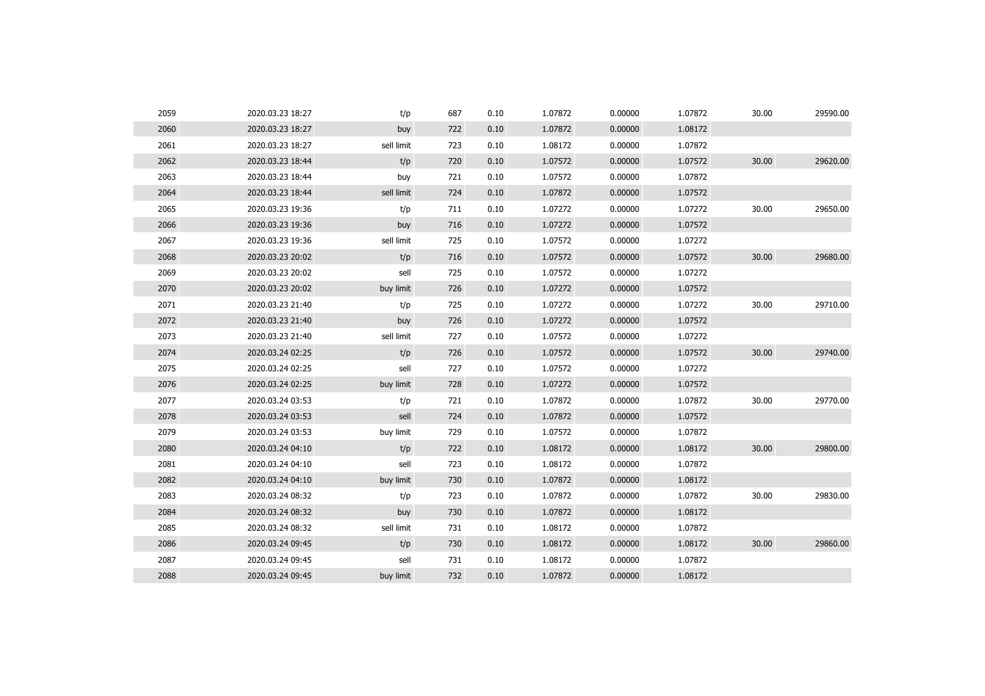| 2059 | 2020.03.23 18:27 | t/p        | 687 | 0.10 | 1.07872 | 0.00000 | 1.07872 | 30.00 | 29590.00 |
|------|------------------|------------|-----|------|---------|---------|---------|-------|----------|
| 2060 | 2020.03.23 18:27 | buy        | 722 | 0.10 | 1.07872 | 0.00000 | 1.08172 |       |          |
| 2061 | 2020.03.23 18:27 | sell limit | 723 | 0.10 | 1.08172 | 0.00000 | 1.07872 |       |          |
| 2062 | 2020.03.23 18:44 | t/p        | 720 | 0.10 | 1.07572 | 0.00000 | 1.07572 | 30.00 | 29620.00 |
| 2063 | 2020.03.23 18:44 | buy        | 721 | 0.10 | 1.07572 | 0.00000 | 1.07872 |       |          |
| 2064 | 2020.03.23 18:44 | sell limit | 724 | 0.10 | 1.07872 | 0.00000 | 1.07572 |       |          |
| 2065 | 2020.03.23 19:36 | t/p        | 711 | 0.10 | 1.07272 | 0.00000 | 1.07272 | 30.00 | 29650.00 |
| 2066 | 2020.03.23 19:36 | buy        | 716 | 0.10 | 1.07272 | 0.00000 | 1.07572 |       |          |
| 2067 | 2020.03.23 19:36 | sell limit | 725 | 0.10 | 1.07572 | 0.00000 | 1.07272 |       |          |
| 2068 | 2020.03.23 20:02 | t/p        | 716 | 0.10 | 1.07572 | 0.00000 | 1.07572 | 30.00 | 29680.00 |
| 2069 | 2020.03.23 20:02 | sell       | 725 | 0.10 | 1.07572 | 0.00000 | 1.07272 |       |          |
| 2070 | 2020.03.23 20:02 | buy limit  | 726 | 0.10 | 1.07272 | 0.00000 | 1.07572 |       |          |
| 2071 | 2020.03.23 21:40 | t/p        | 725 | 0.10 | 1.07272 | 0.00000 | 1.07272 | 30.00 | 29710.00 |
| 2072 | 2020.03.23 21:40 | buy        | 726 | 0.10 | 1.07272 | 0.00000 | 1.07572 |       |          |
| 2073 | 2020.03.23 21:40 | sell limit | 727 | 0.10 | 1.07572 | 0.00000 | 1.07272 |       |          |
| 2074 | 2020.03.24 02:25 | t/p        | 726 | 0.10 | 1.07572 | 0.00000 | 1.07572 | 30.00 | 29740.00 |
| 2075 | 2020.03.24 02:25 | sell       | 727 | 0.10 | 1.07572 | 0.00000 | 1.07272 |       |          |
| 2076 | 2020.03.24 02:25 | buy limit  | 728 | 0.10 | 1.07272 | 0.00000 | 1.07572 |       |          |
| 2077 | 2020.03.24 03:53 | t/p        | 721 | 0.10 | 1.07872 | 0.00000 | 1.07872 | 30.00 | 29770.00 |
| 2078 | 2020.03.24 03:53 | sell       | 724 | 0.10 | 1.07872 | 0.00000 | 1.07572 |       |          |
| 2079 | 2020.03.24 03:53 | buy limit  | 729 | 0.10 | 1.07572 | 0.00000 | 1.07872 |       |          |
| 2080 | 2020.03.24 04:10 | t/p        | 722 | 0.10 | 1.08172 | 0.00000 | 1.08172 | 30.00 | 29800.00 |
| 2081 | 2020.03.24 04:10 | sell       | 723 | 0.10 | 1.08172 | 0.00000 | 1.07872 |       |          |
| 2082 | 2020.03.24 04:10 | buy limit  | 730 | 0.10 | 1.07872 | 0.00000 | 1.08172 |       |          |
| 2083 | 2020.03.24 08:32 | t/p        | 723 | 0.10 | 1.07872 | 0.00000 | 1.07872 | 30.00 | 29830.00 |
| 2084 | 2020.03.24 08:32 | buy        | 730 | 0.10 | 1.07872 | 0.00000 | 1.08172 |       |          |
| 2085 | 2020.03.24 08:32 | sell limit | 731 | 0.10 | 1.08172 | 0.00000 | 1.07872 |       |          |
| 2086 | 2020.03.24 09:45 | t/p        | 730 | 0.10 | 1.08172 | 0.00000 | 1.08172 | 30.00 | 29860.00 |
| 2087 | 2020.03.24 09:45 | sell       | 731 | 0.10 | 1.08172 | 0.00000 | 1.07872 |       |          |
| 2088 | 2020.03.24 09:45 | buy limit  | 732 | 0.10 | 1.07872 | 0.00000 | 1.08172 |       |          |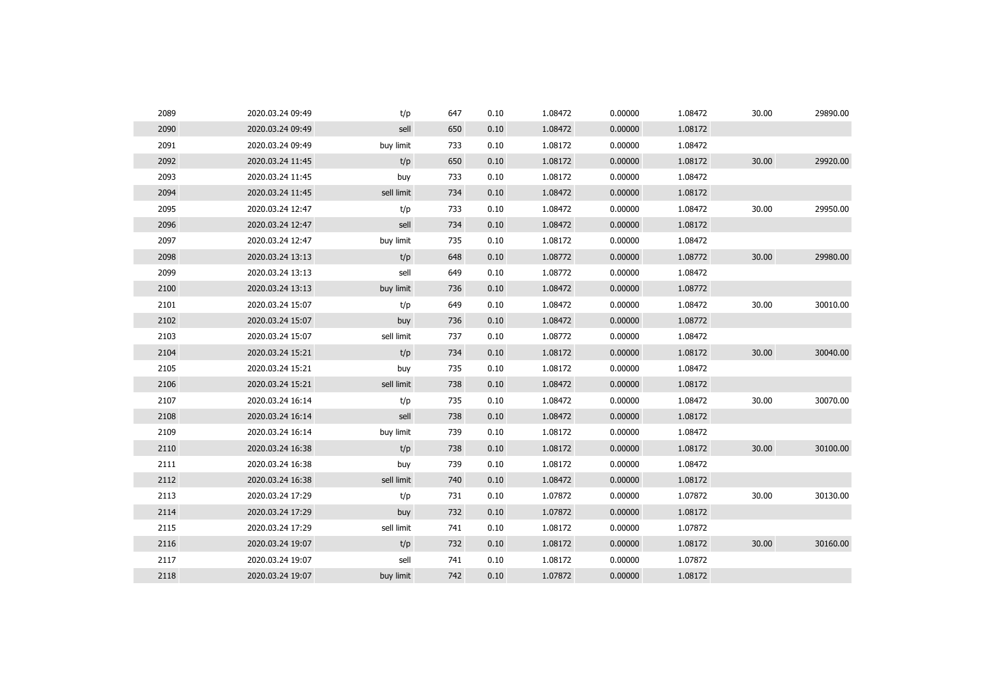| 2089 | 2020.03.24 09:49 | t/p        | 647 | 0.10 | 1.08472 | 0.00000 | 1.08472 | 30.00 | 29890.00 |
|------|------------------|------------|-----|------|---------|---------|---------|-------|----------|
| 2090 | 2020.03.24 09:49 | sell       | 650 | 0.10 | 1.08472 | 0.00000 | 1.08172 |       |          |
| 2091 | 2020.03.24 09:49 | buy limit  | 733 | 0.10 | 1.08172 | 0.00000 | 1.08472 |       |          |
| 2092 | 2020.03.24 11:45 | t/p        | 650 | 0.10 | 1.08172 | 0.00000 | 1.08172 | 30.00 | 29920.00 |
| 2093 | 2020.03.24 11:45 | buy        | 733 | 0.10 | 1.08172 | 0.00000 | 1.08472 |       |          |
| 2094 | 2020.03.24 11:45 | sell limit | 734 | 0.10 | 1.08472 | 0.00000 | 1.08172 |       |          |
| 2095 | 2020.03.24 12:47 | t/p        | 733 | 0.10 | 1.08472 | 0.00000 | 1.08472 | 30.00 | 29950.00 |
| 2096 | 2020.03.24 12:47 | sell       | 734 | 0.10 | 1.08472 | 0.00000 | 1.08172 |       |          |
| 2097 | 2020.03.24 12:47 | buy limit  | 735 | 0.10 | 1.08172 | 0.00000 | 1.08472 |       |          |
| 2098 | 2020.03.24 13:13 | t/p        | 648 | 0.10 | 1.08772 | 0.00000 | 1.08772 | 30.00 | 29980.00 |
| 2099 | 2020.03.24 13:13 | sell       | 649 | 0.10 | 1.08772 | 0.00000 | 1.08472 |       |          |
| 2100 | 2020.03.24 13:13 | buy limit  | 736 | 0.10 | 1.08472 | 0.00000 | 1.08772 |       |          |
| 2101 | 2020.03.24 15:07 | t/p        | 649 | 0.10 | 1.08472 | 0.00000 | 1.08472 | 30.00 | 30010.00 |
| 2102 | 2020.03.24 15:07 | buy        | 736 | 0.10 | 1.08472 | 0.00000 | 1.08772 |       |          |
| 2103 | 2020.03.24 15:07 | sell limit | 737 | 0.10 | 1.08772 | 0.00000 | 1.08472 |       |          |
| 2104 | 2020.03.24 15:21 | t/p        | 734 | 0.10 | 1.08172 | 0.00000 | 1.08172 | 30.00 | 30040.00 |
| 2105 | 2020.03.24 15:21 | buy        | 735 | 0.10 | 1.08172 | 0.00000 | 1.08472 |       |          |
| 2106 | 2020.03.24 15:21 | sell limit | 738 | 0.10 | 1.08472 | 0.00000 | 1.08172 |       |          |
| 2107 | 2020.03.24 16:14 | t/p        | 735 | 0.10 | 1.08472 | 0.00000 | 1.08472 | 30.00 | 30070.00 |
| 2108 | 2020.03.24 16:14 | sell       | 738 | 0.10 | 1.08472 | 0.00000 | 1.08172 |       |          |
| 2109 | 2020.03.24 16:14 | buy limit  | 739 | 0.10 | 1.08172 | 0.00000 | 1.08472 |       |          |
| 2110 | 2020.03.24 16:38 | t/p        | 738 | 0.10 | 1.08172 | 0.00000 | 1.08172 | 30.00 | 30100.00 |
| 2111 | 2020.03.24 16:38 | buy        | 739 | 0.10 | 1.08172 | 0.00000 | 1.08472 |       |          |
| 2112 | 2020.03.24 16:38 | sell limit | 740 | 0.10 | 1.08472 | 0.00000 | 1.08172 |       |          |
| 2113 | 2020.03.24 17:29 | t/p        | 731 | 0.10 | 1.07872 | 0.00000 | 1.07872 | 30.00 | 30130.00 |
| 2114 | 2020.03.24 17:29 | buy        | 732 | 0.10 | 1.07872 | 0.00000 | 1.08172 |       |          |
| 2115 | 2020.03.24 17:29 | sell limit | 741 | 0.10 | 1.08172 | 0.00000 | 1.07872 |       |          |
| 2116 | 2020.03.24 19:07 | t/p        | 732 | 0.10 | 1.08172 | 0.00000 | 1.08172 | 30.00 | 30160.00 |
| 2117 | 2020.03.24 19:07 | sell       | 741 | 0.10 | 1.08172 | 0.00000 | 1.07872 |       |          |
| 2118 | 2020.03.24 19:07 | buy limit  | 742 | 0.10 | 1.07872 | 0.00000 | 1.08172 |       |          |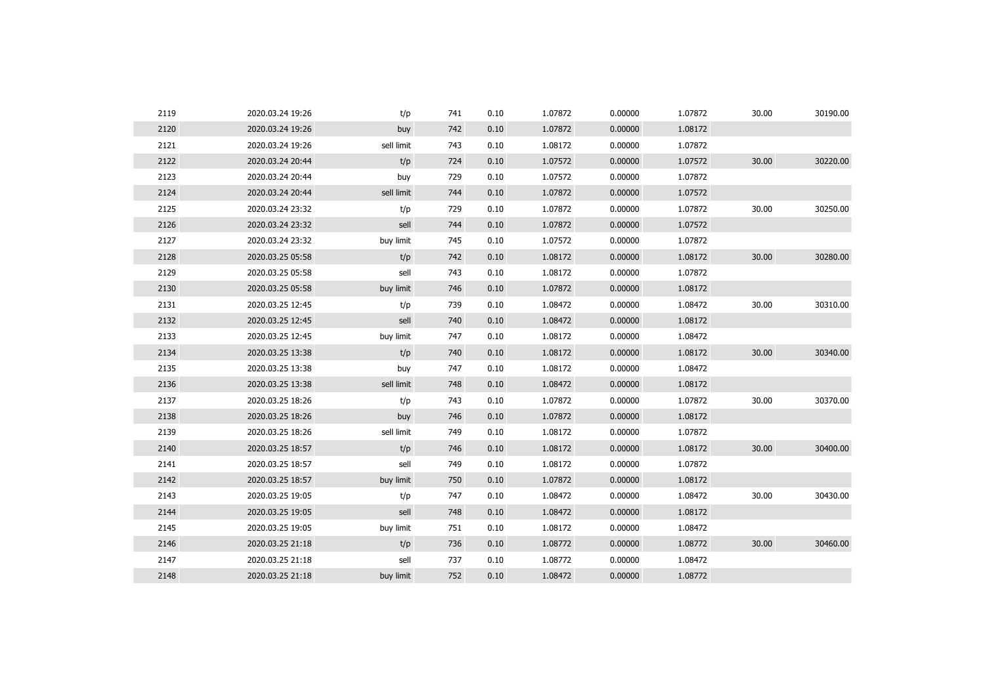| 2119 | 2020.03.24 19:26 | t/p        | 741 | 0.10 | 1.07872 | 0.00000 | 1.07872 | 30.00 | 30190.00 |
|------|------------------|------------|-----|------|---------|---------|---------|-------|----------|
| 2120 | 2020.03.24 19:26 | buy        | 742 | 0.10 | 1.07872 | 0.00000 | 1.08172 |       |          |
| 2121 | 2020.03.24 19:26 | sell limit | 743 | 0.10 | 1.08172 | 0.00000 | 1.07872 |       |          |
| 2122 | 2020.03.24 20:44 | t/p        | 724 | 0.10 | 1.07572 | 0.00000 | 1.07572 | 30.00 | 30220.00 |
| 2123 | 2020.03.24 20:44 | buy        | 729 | 0.10 | 1.07572 | 0.00000 | 1.07872 |       |          |
| 2124 | 2020.03.24 20:44 | sell limit | 744 | 0.10 | 1.07872 | 0.00000 | 1.07572 |       |          |
| 2125 | 2020.03.24 23:32 | t/p        | 729 | 0.10 | 1.07872 | 0.00000 | 1.07872 | 30.00 | 30250.00 |
| 2126 | 2020.03.24 23:32 | sell       | 744 | 0.10 | 1.07872 | 0.00000 | 1.07572 |       |          |
| 2127 | 2020.03.24 23:32 | buy limit  | 745 | 0.10 | 1.07572 | 0.00000 | 1.07872 |       |          |
| 2128 | 2020.03.25 05:58 | t/p        | 742 | 0.10 | 1.08172 | 0.00000 | 1.08172 | 30.00 | 30280.00 |
| 2129 | 2020.03.25 05:58 | sell       | 743 | 0.10 | 1.08172 | 0.00000 | 1.07872 |       |          |
| 2130 | 2020.03.25 05:58 | buy limit  | 746 | 0.10 | 1.07872 | 0.00000 | 1.08172 |       |          |
| 2131 | 2020.03.25 12:45 | t/p        | 739 | 0.10 | 1.08472 | 0.00000 | 1.08472 | 30.00 | 30310.00 |
| 2132 | 2020.03.25 12:45 | sell       | 740 | 0.10 | 1.08472 | 0.00000 | 1.08172 |       |          |
| 2133 | 2020.03.25 12:45 | buy limit  | 747 | 0.10 | 1.08172 | 0.00000 | 1.08472 |       |          |
| 2134 | 2020.03.25 13:38 | t/p        | 740 | 0.10 | 1.08172 | 0.00000 | 1.08172 | 30.00 | 30340.00 |
| 2135 | 2020.03.25 13:38 | buy        | 747 | 0.10 | 1.08172 | 0.00000 | 1.08472 |       |          |
| 2136 | 2020.03.25 13:38 | sell limit | 748 | 0.10 | 1.08472 | 0.00000 | 1.08172 |       |          |
| 2137 | 2020.03.25 18:26 | t/p        | 743 | 0.10 | 1.07872 | 0.00000 | 1.07872 | 30.00 | 30370.00 |
| 2138 | 2020.03.25 18:26 | buy        | 746 | 0.10 | 1.07872 | 0.00000 | 1.08172 |       |          |
| 2139 | 2020.03.25 18:26 | sell limit | 749 | 0.10 | 1.08172 | 0.00000 | 1.07872 |       |          |
| 2140 | 2020.03.25 18:57 | t/p        | 746 | 0.10 | 1.08172 | 0.00000 | 1.08172 | 30.00 | 30400.00 |
| 2141 | 2020.03.25 18:57 | sell       | 749 | 0.10 | 1.08172 | 0.00000 | 1.07872 |       |          |
| 2142 | 2020.03.25 18:57 | buy limit  | 750 | 0.10 | 1.07872 | 0.00000 | 1.08172 |       |          |
| 2143 | 2020.03.25 19:05 | t/p        | 747 | 0.10 | 1.08472 | 0.00000 | 1.08472 | 30.00 | 30430.00 |
| 2144 | 2020.03.25 19:05 | sell       | 748 | 0.10 | 1.08472 | 0.00000 | 1.08172 |       |          |
| 2145 | 2020.03.25 19:05 | buy limit  | 751 | 0.10 | 1.08172 | 0.00000 | 1.08472 |       |          |
| 2146 | 2020.03.25 21:18 | t/p        | 736 | 0.10 | 1.08772 | 0.00000 | 1.08772 | 30.00 | 30460.00 |
| 2147 | 2020.03.25 21:18 | sell       | 737 | 0.10 | 1.08772 | 0.00000 | 1.08472 |       |          |
| 2148 | 2020.03.25 21:18 | buy limit  | 752 | 0.10 | 1.08472 | 0.00000 | 1.08772 |       |          |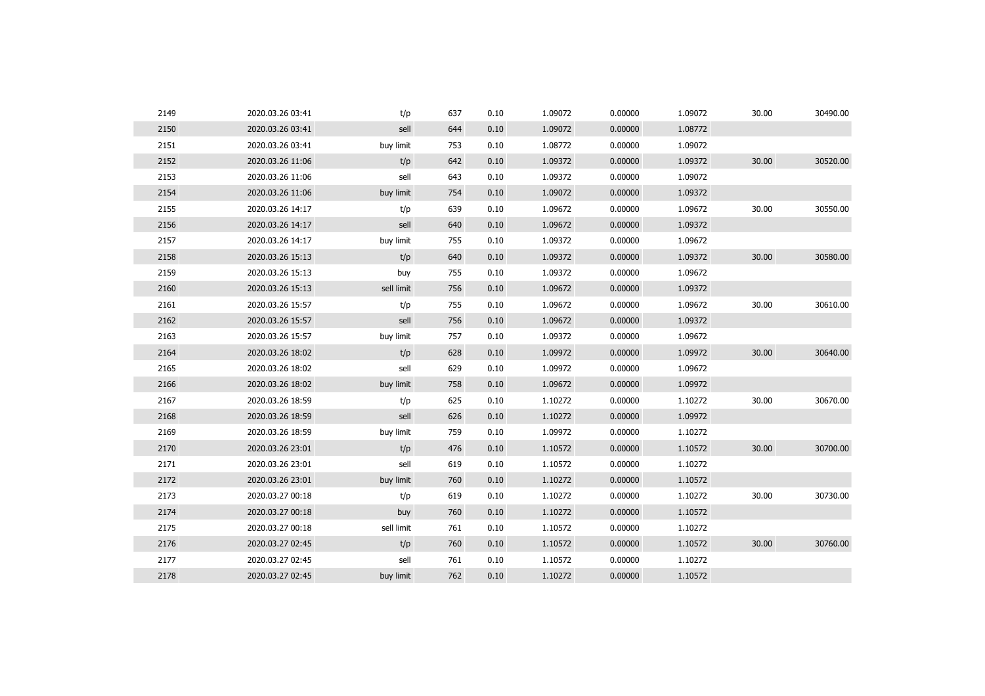| 2149 | 2020.03.26 03:41 | t/p        | 637 | 0.10 | 1.09072 | 0.00000 | 1.09072 | 30.00 | 30490.00 |
|------|------------------|------------|-----|------|---------|---------|---------|-------|----------|
| 2150 | 2020.03.26 03:41 | sell       | 644 | 0.10 | 1.09072 | 0.00000 | 1.08772 |       |          |
| 2151 | 2020.03.26 03:41 | buy limit  | 753 | 0.10 | 1.08772 | 0.00000 | 1.09072 |       |          |
| 2152 | 2020.03.26 11:06 | t/p        | 642 | 0.10 | 1.09372 | 0.00000 | 1.09372 | 30.00 | 30520.00 |
| 2153 | 2020.03.26 11:06 | sell       | 643 | 0.10 | 1.09372 | 0.00000 | 1.09072 |       |          |
| 2154 | 2020.03.26 11:06 | buy limit  | 754 | 0.10 | 1.09072 | 0.00000 | 1.09372 |       |          |
| 2155 | 2020.03.26 14:17 | t/p        | 639 | 0.10 | 1.09672 | 0.00000 | 1.09672 | 30.00 | 30550.00 |
| 2156 | 2020.03.26 14:17 | sell       | 640 | 0.10 | 1.09672 | 0.00000 | 1.09372 |       |          |
| 2157 | 2020.03.26 14:17 | buy limit  | 755 | 0.10 | 1.09372 | 0.00000 | 1.09672 |       |          |
| 2158 | 2020.03.26 15:13 | t/p        | 640 | 0.10 | 1.09372 | 0.00000 | 1.09372 | 30.00 | 30580.00 |
| 2159 | 2020.03.26 15:13 | buy        | 755 | 0.10 | 1.09372 | 0.00000 | 1.09672 |       |          |
| 2160 | 2020.03.26 15:13 | sell limit | 756 | 0.10 | 1.09672 | 0.00000 | 1.09372 |       |          |
| 2161 | 2020.03.26 15:57 | t/p        | 755 | 0.10 | 1.09672 | 0.00000 | 1.09672 | 30.00 | 30610.00 |
| 2162 | 2020.03.26 15:57 | sell       | 756 | 0.10 | 1.09672 | 0.00000 | 1.09372 |       |          |
| 2163 | 2020.03.26 15:57 | buy limit  | 757 | 0.10 | 1.09372 | 0.00000 | 1.09672 |       |          |
| 2164 | 2020.03.26 18:02 | t/p        | 628 | 0.10 | 1.09972 | 0.00000 | 1.09972 | 30.00 | 30640.00 |
| 2165 | 2020.03.26 18:02 | sell       | 629 | 0.10 | 1.09972 | 0.00000 | 1.09672 |       |          |
| 2166 | 2020.03.26 18:02 | buy limit  | 758 | 0.10 | 1.09672 | 0.00000 | 1.09972 |       |          |
| 2167 | 2020.03.26 18:59 | t/p        | 625 | 0.10 | 1.10272 | 0.00000 | 1.10272 | 30.00 | 30670.00 |
| 2168 | 2020.03.26 18:59 | sell       | 626 | 0.10 | 1.10272 | 0.00000 | 1.09972 |       |          |
| 2169 | 2020.03.26 18:59 | buy limit  | 759 | 0.10 | 1.09972 | 0.00000 | 1.10272 |       |          |
| 2170 | 2020.03.26 23:01 | t/p        | 476 | 0.10 | 1.10572 | 0.00000 | 1.10572 | 30.00 | 30700.00 |
| 2171 | 2020.03.26 23:01 | sell       | 619 | 0.10 | 1.10572 | 0.00000 | 1.10272 |       |          |
| 2172 | 2020.03.26 23:01 | buy limit  | 760 | 0.10 | 1.10272 | 0.00000 | 1.10572 |       |          |
| 2173 | 2020.03.27 00:18 | t/p        | 619 | 0.10 | 1.10272 | 0.00000 | 1.10272 | 30.00 | 30730.00 |
| 2174 | 2020.03.27 00:18 | buy        | 760 | 0.10 | 1.10272 | 0.00000 | 1.10572 |       |          |
| 2175 | 2020.03.27 00:18 | sell limit | 761 | 0.10 | 1.10572 | 0.00000 | 1.10272 |       |          |
| 2176 | 2020.03.27 02:45 | t/p        | 760 | 0.10 | 1.10572 | 0.00000 | 1.10572 | 30.00 | 30760.00 |
| 2177 | 2020.03.27 02:45 | sell       | 761 | 0.10 | 1.10572 | 0.00000 | 1.10272 |       |          |
| 2178 | 2020.03.27 02:45 | buy limit  | 762 | 0.10 | 1.10272 | 0.00000 | 1.10572 |       |          |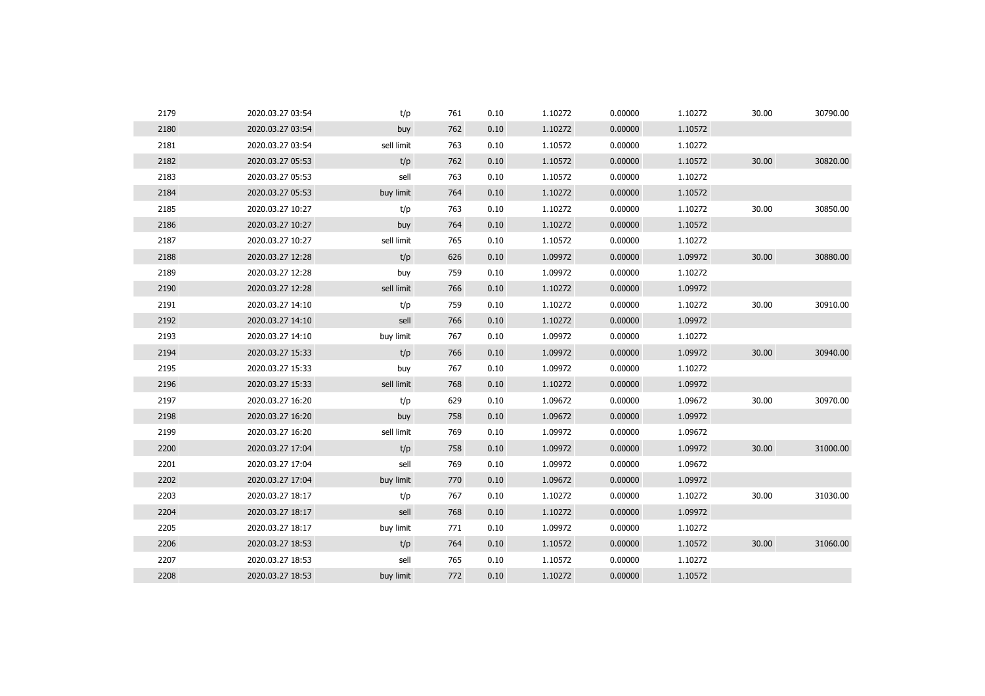| 2179 | 2020.03.27 03:54 | t/p        | 761 | 0.10 | 1.10272 | 0.00000 | 1.10272 | 30.00 | 30790.00 |
|------|------------------|------------|-----|------|---------|---------|---------|-------|----------|
| 2180 | 2020.03.27 03:54 | buy        | 762 | 0.10 | 1.10272 | 0.00000 | 1.10572 |       |          |
| 2181 | 2020.03.27 03:54 | sell limit | 763 | 0.10 | 1.10572 | 0.00000 | 1.10272 |       |          |
| 2182 | 2020.03.27 05:53 | t/p        | 762 | 0.10 | 1.10572 | 0.00000 | 1.10572 | 30.00 | 30820.00 |
| 2183 | 2020.03.27 05:53 | sell       | 763 | 0.10 | 1.10572 | 0.00000 | 1.10272 |       |          |
| 2184 | 2020.03.27 05:53 | buy limit  | 764 | 0.10 | 1.10272 | 0.00000 | 1.10572 |       |          |
| 2185 | 2020.03.27 10:27 | t/p        | 763 | 0.10 | 1.10272 | 0.00000 | 1.10272 | 30.00 | 30850.00 |
| 2186 | 2020.03.27 10:27 | buy        | 764 | 0.10 | 1.10272 | 0.00000 | 1.10572 |       |          |
| 2187 | 2020.03.27 10:27 | sell limit | 765 | 0.10 | 1.10572 | 0.00000 | 1.10272 |       |          |
| 2188 | 2020.03.27 12:28 | t/p        | 626 | 0.10 | 1.09972 | 0.00000 | 1.09972 | 30.00 | 30880.00 |
| 2189 | 2020.03.27 12:28 | buy        | 759 | 0.10 | 1.09972 | 0.00000 | 1.10272 |       |          |
| 2190 | 2020.03.27 12:28 | sell limit | 766 | 0.10 | 1.10272 | 0.00000 | 1.09972 |       |          |
| 2191 | 2020.03.27 14:10 | t/p        | 759 | 0.10 | 1.10272 | 0.00000 | 1.10272 | 30.00 | 30910.00 |
| 2192 | 2020.03.27 14:10 | sell       | 766 | 0.10 | 1.10272 | 0.00000 | 1.09972 |       |          |
| 2193 | 2020.03.27 14:10 | buy limit  | 767 | 0.10 | 1.09972 | 0.00000 | 1.10272 |       |          |
| 2194 | 2020.03.27 15:33 | t/p        | 766 | 0.10 | 1.09972 | 0.00000 | 1.09972 | 30.00 | 30940.00 |
| 2195 | 2020.03.27 15:33 | buy        | 767 | 0.10 | 1.09972 | 0.00000 | 1.10272 |       |          |
| 2196 | 2020.03.27 15:33 | sell limit | 768 | 0.10 | 1.10272 | 0.00000 | 1.09972 |       |          |
| 2197 | 2020.03.27 16:20 | t/p        | 629 | 0.10 | 1.09672 | 0.00000 | 1.09672 | 30.00 | 30970.00 |
| 2198 | 2020.03.27 16:20 | buy        | 758 | 0.10 | 1.09672 | 0.00000 | 1.09972 |       |          |
| 2199 | 2020.03.27 16:20 | sell limit | 769 | 0.10 | 1.09972 | 0.00000 | 1.09672 |       |          |
| 2200 | 2020.03.27 17:04 | t/p        | 758 | 0.10 | 1.09972 | 0.00000 | 1.09972 | 30.00 | 31000.00 |
| 2201 | 2020.03.27 17:04 | sell       | 769 | 0.10 | 1.09972 | 0.00000 | 1.09672 |       |          |
| 2202 | 2020.03.27 17:04 | buy limit  | 770 | 0.10 | 1.09672 | 0.00000 | 1.09972 |       |          |
| 2203 | 2020.03.27 18:17 | t/p        | 767 | 0.10 | 1.10272 | 0.00000 | 1.10272 | 30.00 | 31030.00 |
| 2204 | 2020.03.27 18:17 | sell       | 768 | 0.10 | 1.10272 | 0.00000 | 1.09972 |       |          |
| 2205 | 2020.03.27 18:17 | buy limit  | 771 | 0.10 | 1.09972 | 0.00000 | 1.10272 |       |          |
| 2206 | 2020.03.27 18:53 | t/p        | 764 | 0.10 | 1.10572 | 0.00000 | 1.10572 | 30.00 | 31060.00 |
| 2207 | 2020.03.27 18:53 | sell       | 765 | 0.10 | 1.10572 | 0.00000 | 1.10272 |       |          |
| 2208 | 2020.03.27 18:53 | buy limit  | 772 | 0.10 | 1.10272 | 0.00000 | 1.10572 |       |          |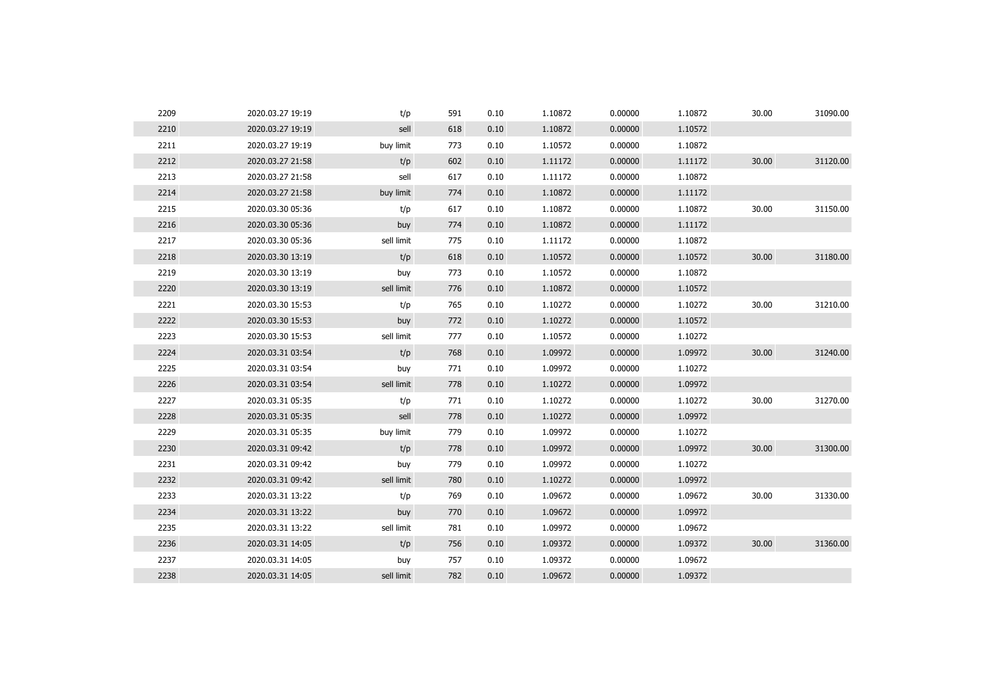| 2209 | 2020.03.27 19:19 | t/p        | 591 | 0.10 | 1.10872 | 0.00000 | 1.10872 | 30.00 | 31090.00 |
|------|------------------|------------|-----|------|---------|---------|---------|-------|----------|
| 2210 | 2020.03.27 19:19 | sell       | 618 | 0.10 | 1.10872 | 0.00000 | 1.10572 |       |          |
| 2211 | 2020.03.27 19:19 | buy limit  | 773 | 0.10 | 1.10572 | 0.00000 | 1.10872 |       |          |
| 2212 | 2020.03.27 21:58 | t/p        | 602 | 0.10 | 1.11172 | 0.00000 | 1.11172 | 30.00 | 31120.00 |
| 2213 | 2020.03.27 21:58 | sell       | 617 | 0.10 | 1.11172 | 0.00000 | 1.10872 |       |          |
| 2214 | 2020.03.27 21:58 | buy limit  | 774 | 0.10 | 1.10872 | 0.00000 | 1.11172 |       |          |
| 2215 | 2020.03.30 05:36 | t/p        | 617 | 0.10 | 1.10872 | 0.00000 | 1.10872 | 30.00 | 31150.00 |
| 2216 | 2020.03.30 05:36 | buy        | 774 | 0.10 | 1.10872 | 0.00000 | 1.11172 |       |          |
| 2217 | 2020.03.30 05:36 | sell limit | 775 | 0.10 | 1.11172 | 0.00000 | 1.10872 |       |          |
| 2218 | 2020.03.30 13:19 | t/p        | 618 | 0.10 | 1.10572 | 0.00000 | 1.10572 | 30.00 | 31180.00 |
| 2219 | 2020.03.30 13:19 | buy        | 773 | 0.10 | 1.10572 | 0.00000 | 1.10872 |       |          |
| 2220 | 2020.03.30 13:19 | sell limit | 776 | 0.10 | 1.10872 | 0.00000 | 1.10572 |       |          |
| 2221 | 2020.03.30 15:53 | t/p        | 765 | 0.10 | 1.10272 | 0.00000 | 1.10272 | 30.00 | 31210.00 |
| 2222 | 2020.03.30 15:53 | buy        | 772 | 0.10 | 1.10272 | 0.00000 | 1.10572 |       |          |
| 2223 | 2020.03.30 15:53 | sell limit | 777 | 0.10 | 1.10572 | 0.00000 | 1.10272 |       |          |
| 2224 | 2020.03.31 03:54 | t/p        | 768 | 0.10 | 1.09972 | 0.00000 | 1.09972 | 30.00 | 31240.00 |
| 2225 | 2020.03.31 03:54 | buy        | 771 | 0.10 | 1.09972 | 0.00000 | 1.10272 |       |          |
| 2226 | 2020.03.31 03:54 | sell limit | 778 | 0.10 | 1.10272 | 0.00000 | 1.09972 |       |          |
| 2227 | 2020.03.31 05:35 | t/p        | 771 | 0.10 | 1.10272 | 0.00000 | 1.10272 | 30.00 | 31270.00 |
| 2228 | 2020.03.31 05:35 | sell       | 778 | 0.10 | 1.10272 | 0.00000 | 1.09972 |       |          |
| 2229 | 2020.03.31 05:35 | buy limit  | 779 | 0.10 | 1.09972 | 0.00000 | 1.10272 |       |          |
| 2230 | 2020.03.31 09:42 | t/p        | 778 | 0.10 | 1.09972 | 0.00000 | 1.09972 | 30.00 | 31300.00 |
| 2231 | 2020.03.31 09:42 | buy        | 779 | 0.10 | 1.09972 | 0.00000 | 1.10272 |       |          |
| 2232 | 2020.03.31 09:42 | sell limit | 780 | 0.10 | 1.10272 | 0.00000 | 1.09972 |       |          |
| 2233 | 2020.03.31 13:22 | t/p        | 769 | 0.10 | 1.09672 | 0.00000 | 1.09672 | 30.00 | 31330.00 |
| 2234 | 2020.03.31 13:22 | buy        | 770 | 0.10 | 1.09672 | 0.00000 | 1.09972 |       |          |
| 2235 | 2020.03.31 13:22 | sell limit | 781 | 0.10 | 1.09972 | 0.00000 | 1.09672 |       |          |
| 2236 | 2020.03.31 14:05 | t/p        | 756 | 0.10 | 1.09372 | 0.00000 | 1.09372 | 30.00 | 31360.00 |
| 2237 | 2020.03.31 14:05 | buy        | 757 | 0.10 | 1.09372 | 0.00000 | 1.09672 |       |          |
| 2238 | 2020.03.31 14:05 | sell limit | 782 | 0.10 | 1.09672 | 0.00000 | 1.09372 |       |          |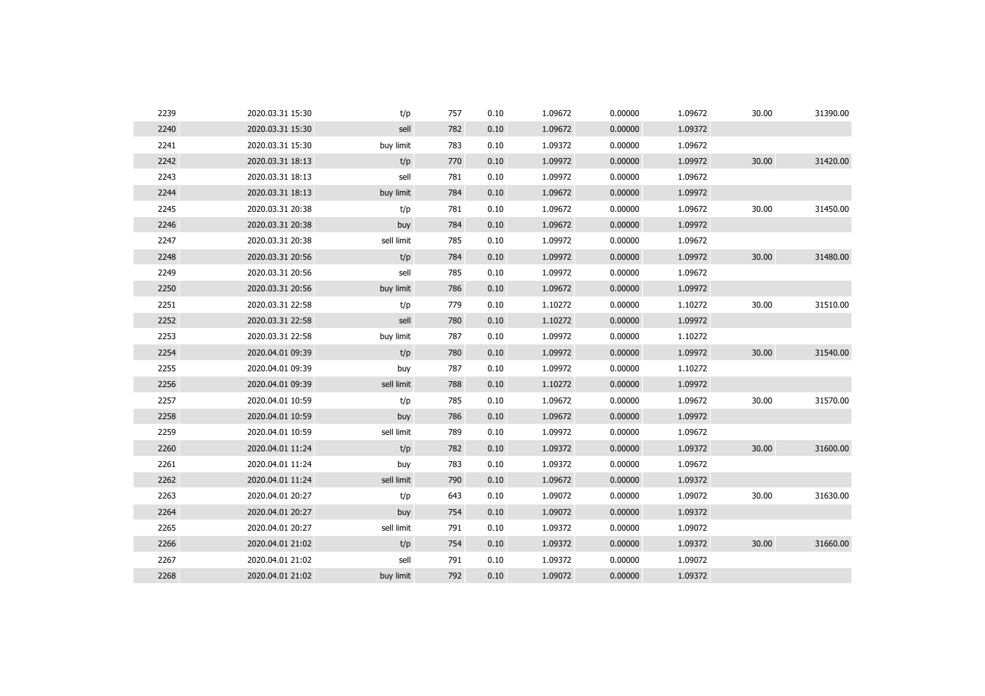| 2239 | 2020.03.31 15:30 | t/p        | 757 | 0.10 | 1.09672 | 0.00000 | 1.09672 | 30.00 | 31390.00 |
|------|------------------|------------|-----|------|---------|---------|---------|-------|----------|
| 2240 | 2020.03.31 15:30 | sell       | 782 | 0.10 | 1.09672 | 0.00000 | 1.09372 |       |          |
| 2241 | 2020.03.31 15:30 | buy limit  | 783 | 0.10 | 1.09372 | 0.00000 | 1.09672 |       |          |
| 2242 | 2020.03.31 18:13 | t/p        | 770 | 0.10 | 1.09972 | 0.00000 | 1.09972 | 30.00 | 31420.00 |
| 2243 | 2020.03.31 18:13 | sell       | 781 | 0.10 | 1.09972 | 0.00000 | 1.09672 |       |          |
| 2244 | 2020.03.31 18:13 | buy limit  | 784 | 0.10 | 1.09672 | 0.00000 | 1.09972 |       |          |
| 2245 | 2020.03.31 20:38 | t/p        | 781 | 0.10 | 1.09672 | 0.00000 | 1.09672 | 30.00 | 31450.00 |
| 2246 | 2020.03.31 20:38 | buy        | 784 | 0.10 | 1.09672 | 0.00000 | 1.09972 |       |          |
| 2247 | 2020.03.31 20:38 | sell limit | 785 | 0.10 | 1.09972 | 0.00000 | 1.09672 |       |          |
| 2248 | 2020.03.31 20:56 | t/p        | 784 | 0.10 | 1.09972 | 0.00000 | 1.09972 | 30.00 | 31480.00 |
| 2249 | 2020.03.31 20:56 | sell       | 785 | 0.10 | 1.09972 | 0.00000 | 1.09672 |       |          |
| 2250 | 2020.03.31 20:56 | buy limit  | 786 | 0.10 | 1.09672 | 0.00000 | 1.09972 |       |          |
| 2251 | 2020.03.31 22:58 | t/p        | 779 | 0.10 | 1.10272 | 0.00000 | 1.10272 | 30.00 | 31510.00 |
| 2252 | 2020.03.31 22:58 | sell       | 780 | 0.10 | 1.10272 | 0.00000 | 1.09972 |       |          |
| 2253 | 2020.03.31 22:58 | buy limit  | 787 | 0.10 | 1.09972 | 0.00000 | 1.10272 |       |          |
| 2254 | 2020.04.01 09:39 | t/p        | 780 | 0.10 | 1.09972 | 0.00000 | 1.09972 | 30.00 | 31540.00 |
| 2255 | 2020.04.01 09:39 | buy        | 787 | 0.10 | 1.09972 | 0.00000 | 1.10272 |       |          |
| 2256 | 2020.04.01 09:39 | sell limit | 788 | 0.10 | 1.10272 | 0.00000 | 1.09972 |       |          |
| 2257 | 2020.04.01 10:59 | t/p        | 785 | 0.10 | 1.09672 | 0.00000 | 1.09672 | 30.00 | 31570.00 |
| 2258 | 2020.04.01 10:59 | buy        | 786 | 0.10 | 1.09672 | 0.00000 | 1.09972 |       |          |
| 2259 | 2020.04.01 10:59 | sell limit | 789 | 0.10 | 1.09972 | 0.00000 | 1.09672 |       |          |
| 2260 | 2020.04.01 11:24 | t/p        | 782 | 0.10 | 1.09372 | 0.00000 | 1.09372 | 30.00 | 31600.00 |
| 2261 | 2020.04.01 11:24 | buy        | 783 | 0.10 | 1.09372 | 0.00000 | 1.09672 |       |          |
| 2262 | 2020.04.01 11:24 | sell limit | 790 | 0.10 | 1.09672 | 0.00000 | 1.09372 |       |          |
| 2263 | 2020.04.01 20:27 | t/p        | 643 | 0.10 | 1.09072 | 0.00000 | 1.09072 | 30.00 | 31630.00 |
| 2264 | 2020.04.01 20:27 | buy        | 754 | 0.10 | 1.09072 | 0.00000 | 1.09372 |       |          |
| 2265 | 2020.04.01 20:27 | sell limit | 791 | 0.10 | 1.09372 | 0.00000 | 1.09072 |       |          |
| 2266 | 2020.04.01 21:02 | t/p        | 754 | 0.10 | 1.09372 | 0.00000 | 1.09372 | 30.00 | 31660.00 |
| 2267 | 2020.04.01 21:02 | sell       | 791 | 0.10 | 1.09372 | 0.00000 | 1.09072 |       |          |
| 2268 | 2020.04.01 21:02 | buy limit  | 792 | 0.10 | 1.09072 | 0.00000 | 1.09372 |       |          |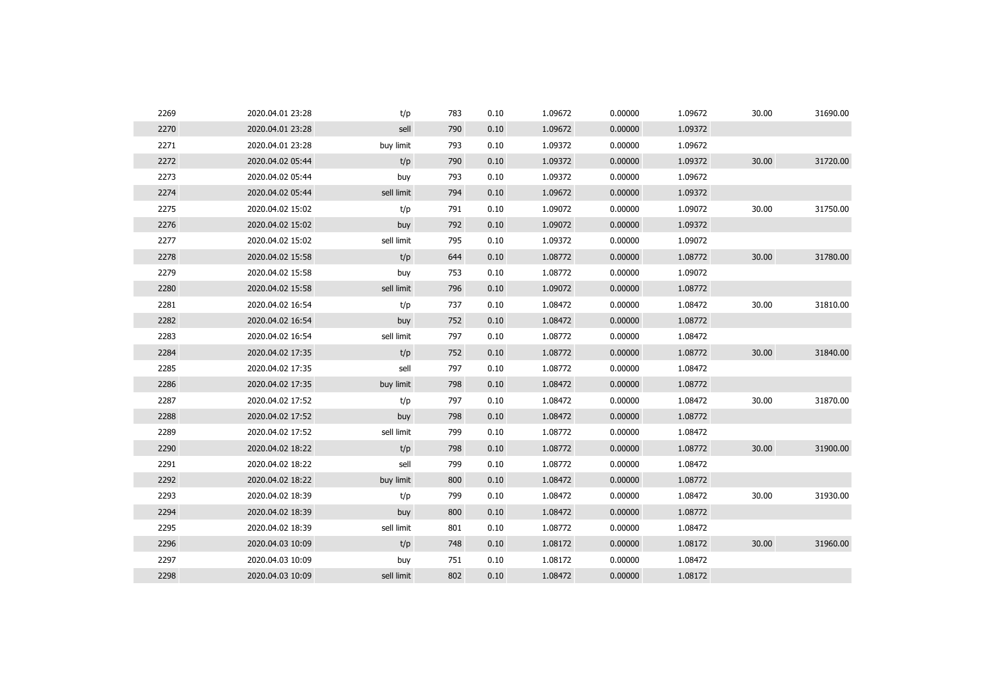| 2269 | 2020.04.01 23:28 | t/p        | 783 | 0.10 | 1.09672 | 0.00000 | 1.09672 | 30.00 | 31690.00 |
|------|------------------|------------|-----|------|---------|---------|---------|-------|----------|
| 2270 | 2020.04.01 23:28 | sell       | 790 | 0.10 | 1.09672 | 0.00000 | 1.09372 |       |          |
| 2271 | 2020.04.01 23:28 | buy limit  | 793 | 0.10 | 1.09372 | 0.00000 | 1.09672 |       |          |
| 2272 | 2020.04.02 05:44 | t/p        | 790 | 0.10 | 1.09372 | 0.00000 | 1.09372 | 30.00 | 31720.00 |
| 2273 | 2020.04.02 05:44 | buy        | 793 | 0.10 | 1.09372 | 0.00000 | 1.09672 |       |          |
| 2274 | 2020.04.02 05:44 | sell limit | 794 | 0.10 | 1.09672 | 0.00000 | 1.09372 |       |          |
| 2275 | 2020.04.02 15:02 | t/p        | 791 | 0.10 | 1.09072 | 0.00000 | 1.09072 | 30.00 | 31750.00 |
| 2276 | 2020.04.02 15:02 | buy        | 792 | 0.10 | 1.09072 | 0.00000 | 1.09372 |       |          |
| 2277 | 2020.04.02 15:02 | sell limit | 795 | 0.10 | 1.09372 | 0.00000 | 1.09072 |       |          |
| 2278 | 2020.04.02 15:58 | t/p        | 644 | 0.10 | 1.08772 | 0.00000 | 1.08772 | 30.00 | 31780.00 |
| 2279 | 2020.04.02 15:58 | buy        | 753 | 0.10 | 1.08772 | 0.00000 | 1.09072 |       |          |
| 2280 | 2020.04.02 15:58 | sell limit | 796 | 0.10 | 1.09072 | 0.00000 | 1.08772 |       |          |
| 2281 | 2020.04.02 16:54 | t/p        | 737 | 0.10 | 1.08472 | 0.00000 | 1.08472 | 30.00 | 31810.00 |
| 2282 | 2020.04.02 16:54 | buy        | 752 | 0.10 | 1.08472 | 0.00000 | 1.08772 |       |          |
| 2283 | 2020.04.02 16:54 | sell limit | 797 | 0.10 | 1.08772 | 0.00000 | 1.08472 |       |          |
| 2284 | 2020.04.02 17:35 | t/p        | 752 | 0.10 | 1.08772 | 0.00000 | 1.08772 | 30.00 | 31840.00 |
| 2285 | 2020.04.02 17:35 | sell       | 797 | 0.10 | 1.08772 | 0.00000 | 1.08472 |       |          |
| 2286 | 2020.04.02 17:35 | buy limit  | 798 | 0.10 | 1.08472 | 0.00000 | 1.08772 |       |          |
| 2287 | 2020.04.02 17:52 | t/p        | 797 | 0.10 | 1.08472 | 0.00000 | 1.08472 | 30.00 | 31870.00 |
| 2288 | 2020.04.02 17:52 | buy        | 798 | 0.10 | 1.08472 | 0.00000 | 1.08772 |       |          |
| 2289 | 2020.04.02 17:52 | sell limit | 799 | 0.10 | 1.08772 | 0.00000 | 1.08472 |       |          |
| 2290 | 2020.04.02 18:22 | t/p        | 798 | 0.10 | 1.08772 | 0.00000 | 1.08772 | 30.00 | 31900.00 |
| 2291 | 2020.04.02 18:22 | sell       | 799 | 0.10 | 1.08772 | 0.00000 | 1.08472 |       |          |
| 2292 | 2020.04.02 18:22 | buy limit  | 800 | 0.10 | 1.08472 | 0.00000 | 1.08772 |       |          |
| 2293 | 2020.04.02 18:39 | t/p        | 799 | 0.10 | 1.08472 | 0.00000 | 1.08472 | 30.00 | 31930.00 |
| 2294 | 2020.04.02 18:39 | buy        | 800 | 0.10 | 1.08472 | 0.00000 | 1.08772 |       |          |
| 2295 | 2020.04.02 18:39 | sell limit | 801 | 0.10 | 1.08772 | 0.00000 | 1.08472 |       |          |
| 2296 | 2020.04.03 10:09 | t/p        | 748 | 0.10 | 1.08172 | 0.00000 | 1.08172 | 30.00 | 31960.00 |
| 2297 | 2020.04.03 10:09 | buy        | 751 | 0.10 | 1.08172 | 0.00000 | 1.08472 |       |          |
| 2298 | 2020.04.03 10:09 | sell limit | 802 | 0.10 | 1.08472 | 0.00000 | 1.08172 |       |          |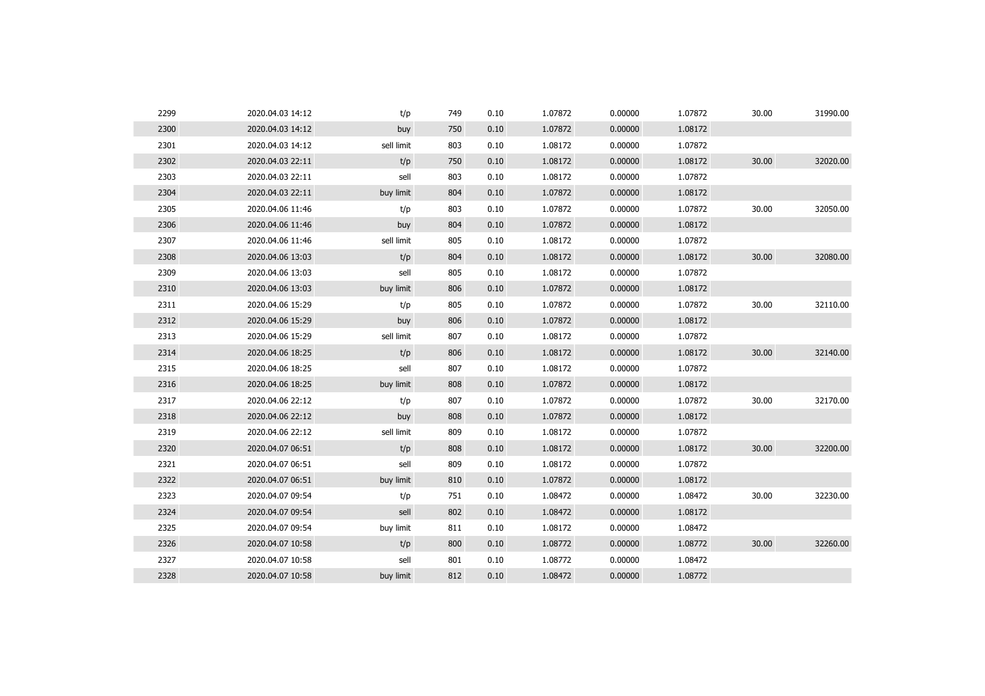| 2299 | 2020.04.03 14:12 | t/p        | 749 | 0.10 | 1.07872 | 0.00000 | 1.07872 | 30.00 | 31990.00 |
|------|------------------|------------|-----|------|---------|---------|---------|-------|----------|
| 2300 | 2020.04.03 14:12 | buy        | 750 | 0.10 | 1.07872 | 0.00000 | 1.08172 |       |          |
| 2301 | 2020.04.03 14:12 | sell limit | 803 | 0.10 | 1.08172 | 0.00000 | 1.07872 |       |          |
| 2302 | 2020.04.03 22:11 | t/p        | 750 | 0.10 | 1.08172 | 0.00000 | 1.08172 | 30.00 | 32020.00 |
| 2303 | 2020.04.03 22:11 | sell       | 803 | 0.10 | 1.08172 | 0.00000 | 1.07872 |       |          |
| 2304 | 2020.04.03 22:11 | buy limit  | 804 | 0.10 | 1.07872 | 0.00000 | 1.08172 |       |          |
| 2305 | 2020.04.06 11:46 | t/p        | 803 | 0.10 | 1.07872 | 0.00000 | 1.07872 | 30.00 | 32050.00 |
| 2306 | 2020.04.06 11:46 | buy        | 804 | 0.10 | 1.07872 | 0.00000 | 1.08172 |       |          |
| 2307 | 2020.04.06 11:46 | sell limit | 805 | 0.10 | 1.08172 | 0.00000 | 1.07872 |       |          |
| 2308 | 2020.04.06 13:03 | t/p        | 804 | 0.10 | 1.08172 | 0.00000 | 1.08172 | 30.00 | 32080.00 |
| 2309 | 2020.04.06 13:03 | sell       | 805 | 0.10 | 1.08172 | 0.00000 | 1.07872 |       |          |
| 2310 | 2020.04.06 13:03 | buy limit  | 806 | 0.10 | 1.07872 | 0.00000 | 1.08172 |       |          |
| 2311 | 2020.04.06 15:29 | t/p        | 805 | 0.10 | 1.07872 | 0.00000 | 1.07872 | 30.00 | 32110.00 |
| 2312 | 2020.04.06 15:29 | buy        | 806 | 0.10 | 1.07872 | 0.00000 | 1.08172 |       |          |
| 2313 | 2020.04.06 15:29 | sell limit | 807 | 0.10 | 1.08172 | 0.00000 | 1.07872 |       |          |
| 2314 | 2020.04.06 18:25 | t/p        | 806 | 0.10 | 1.08172 | 0.00000 | 1.08172 | 30.00 | 32140.00 |
| 2315 | 2020.04.06 18:25 | sell       | 807 | 0.10 | 1.08172 | 0.00000 | 1.07872 |       |          |
| 2316 | 2020.04.06 18:25 | buy limit  | 808 | 0.10 | 1.07872 | 0.00000 | 1.08172 |       |          |
| 2317 | 2020.04.06 22:12 | t/p        | 807 | 0.10 | 1.07872 | 0.00000 | 1.07872 | 30.00 | 32170.00 |
| 2318 | 2020.04.06 22:12 | buy        | 808 | 0.10 | 1.07872 | 0.00000 | 1.08172 |       |          |
| 2319 | 2020.04.06 22:12 | sell limit | 809 | 0.10 | 1.08172 | 0.00000 | 1.07872 |       |          |
| 2320 | 2020.04.07 06:51 | t/p        | 808 | 0.10 | 1.08172 | 0.00000 | 1.08172 | 30.00 | 32200.00 |
| 2321 | 2020.04.07 06:51 | sell       | 809 | 0.10 | 1.08172 | 0.00000 | 1.07872 |       |          |
| 2322 | 2020.04.07 06:51 | buy limit  | 810 | 0.10 | 1.07872 | 0.00000 | 1.08172 |       |          |
| 2323 | 2020.04.07 09:54 | t/p        | 751 | 0.10 | 1.08472 | 0.00000 | 1.08472 | 30.00 | 32230.00 |
| 2324 | 2020.04.07 09:54 | sell       | 802 | 0.10 | 1.08472 | 0.00000 | 1.08172 |       |          |
| 2325 | 2020.04.07 09:54 | buy limit  | 811 | 0.10 | 1.08172 | 0.00000 | 1.08472 |       |          |
| 2326 | 2020.04.07 10:58 | t/p        | 800 | 0.10 | 1.08772 | 0.00000 | 1.08772 | 30.00 | 32260.00 |
| 2327 | 2020.04.07 10:58 | sell       | 801 | 0.10 | 1.08772 | 0.00000 | 1.08472 |       |          |
| 2328 | 2020.04.07 10:58 | buy limit  | 812 | 0.10 | 1.08472 | 0.00000 | 1.08772 |       |          |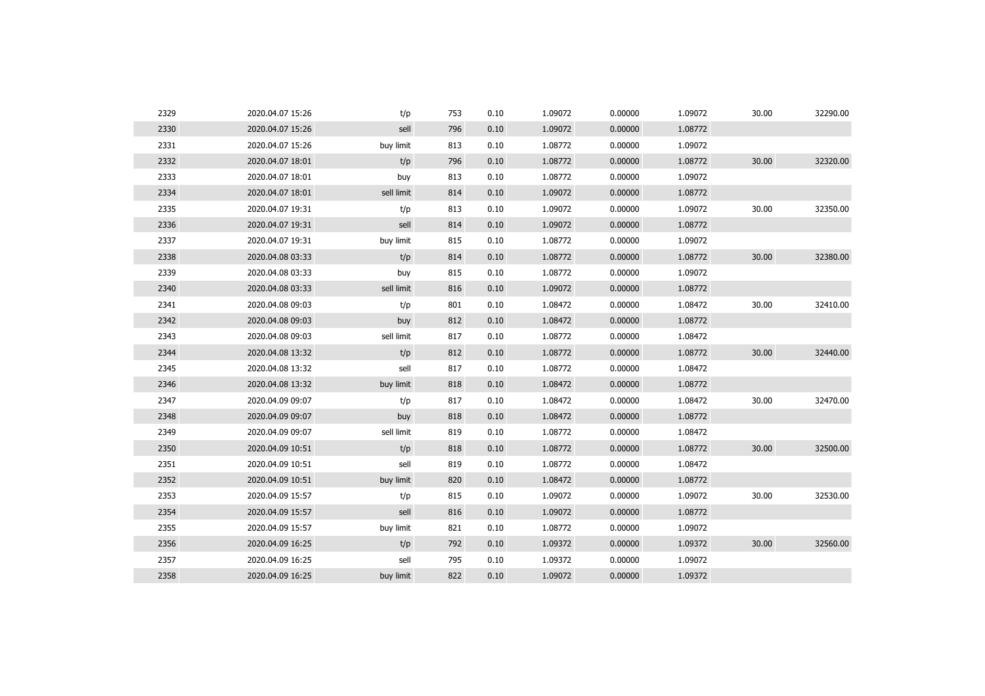| 2329 | 2020.04.07 15:26 | t/p        | 753 | 0.10 | 1.09072 | 0.00000 | 1.09072 | 30.00 | 32290.00 |
|------|------------------|------------|-----|------|---------|---------|---------|-------|----------|
| 2330 | 2020.04.07 15:26 | sell       | 796 | 0.10 | 1.09072 | 0.00000 | 1.08772 |       |          |
| 2331 | 2020.04.07 15:26 | buy limit  | 813 | 0.10 | 1.08772 | 0.00000 | 1.09072 |       |          |
| 2332 | 2020.04.07 18:01 | t/p        | 796 | 0.10 | 1.08772 | 0.00000 | 1.08772 | 30.00 | 32320.00 |
| 2333 | 2020.04.07 18:01 | buy        | 813 | 0.10 | 1.08772 | 0.00000 | 1.09072 |       |          |
| 2334 | 2020.04.07 18:01 | sell limit | 814 | 0.10 | 1.09072 | 0.00000 | 1.08772 |       |          |
| 2335 | 2020.04.07 19:31 | t/p        | 813 | 0.10 | 1.09072 | 0.00000 | 1.09072 | 30.00 | 32350.00 |
| 2336 | 2020.04.07 19:31 | sell       | 814 | 0.10 | 1.09072 | 0.00000 | 1.08772 |       |          |
| 2337 | 2020.04.07 19:31 | buy limit  | 815 | 0.10 | 1.08772 | 0.00000 | 1.09072 |       |          |
| 2338 | 2020.04.08 03:33 | t/p        | 814 | 0.10 | 1.08772 | 0.00000 | 1.08772 | 30.00 | 32380.00 |
| 2339 | 2020.04.08 03:33 | buy        | 815 | 0.10 | 1.08772 | 0.00000 | 1.09072 |       |          |
| 2340 | 2020.04.08 03:33 | sell limit | 816 | 0.10 | 1.09072 | 0.00000 | 1.08772 |       |          |
| 2341 | 2020.04.08 09:03 | t/p        | 801 | 0.10 | 1.08472 | 0.00000 | 1.08472 | 30.00 | 32410.00 |
| 2342 | 2020.04.08 09:03 | buy        | 812 | 0.10 | 1.08472 | 0.00000 | 1.08772 |       |          |
| 2343 | 2020.04.08 09:03 | sell limit | 817 | 0.10 | 1.08772 | 0.00000 | 1.08472 |       |          |
| 2344 | 2020.04.08 13:32 | t/p        | 812 | 0.10 | 1.08772 | 0.00000 | 1.08772 | 30.00 | 32440.00 |
| 2345 | 2020.04.08 13:32 | sell       | 817 | 0.10 | 1.08772 | 0.00000 | 1.08472 |       |          |
| 2346 | 2020.04.08 13:32 | buy limit  | 818 | 0.10 | 1.08472 | 0.00000 | 1.08772 |       |          |
| 2347 | 2020.04.09 09:07 | t/p        | 817 | 0.10 | 1.08472 | 0.00000 | 1.08472 | 30.00 | 32470.00 |
| 2348 | 2020.04.09 09:07 | buy        | 818 | 0.10 | 1.08472 | 0.00000 | 1.08772 |       |          |
| 2349 | 2020.04.09 09:07 | sell limit | 819 | 0.10 | 1.08772 | 0.00000 | 1.08472 |       |          |
| 2350 | 2020.04.09 10:51 | t/p        | 818 | 0.10 | 1.08772 | 0.00000 | 1.08772 | 30.00 | 32500.00 |
| 2351 | 2020.04.09 10:51 | sell       | 819 | 0.10 | 1.08772 | 0.00000 | 1.08472 |       |          |
| 2352 | 2020.04.09 10:51 | buy limit  | 820 | 0.10 | 1.08472 | 0.00000 | 1.08772 |       |          |
| 2353 | 2020.04.09 15:57 | t/p        | 815 | 0.10 | 1.09072 | 0.00000 | 1.09072 | 30.00 | 32530.00 |
| 2354 | 2020.04.09 15:57 | sell       | 816 | 0.10 | 1.09072 | 0.00000 | 1.08772 |       |          |
| 2355 | 2020.04.09 15:57 | buy limit  | 821 | 0.10 | 1.08772 | 0.00000 | 1.09072 |       |          |
| 2356 | 2020.04.09 16:25 | t/p        | 792 | 0.10 | 1.09372 | 0.00000 | 1.09372 | 30.00 | 32560.00 |
| 2357 | 2020.04.09 16:25 | sell       | 795 | 0.10 | 1.09372 | 0.00000 | 1.09072 |       |          |
| 2358 | 2020.04.09 16:25 | buy limit  | 822 | 0.10 | 1.09072 | 0.00000 | 1.09372 |       |          |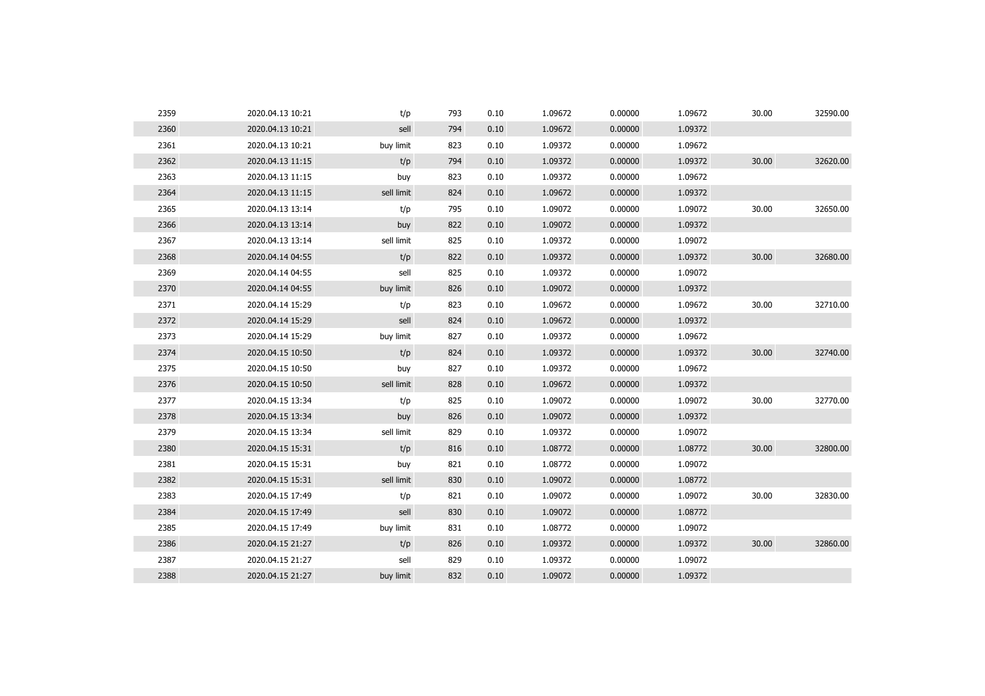| 2359 | 2020.04.13 10:21 | t/p        | 793 | 0.10 | 1.09672 | 0.00000 | 1.09672 | 30.00 | 32590.00 |
|------|------------------|------------|-----|------|---------|---------|---------|-------|----------|
| 2360 | 2020.04.13 10:21 | sell       | 794 | 0.10 | 1.09672 | 0.00000 | 1.09372 |       |          |
| 2361 | 2020.04.13 10:21 | buy limit  | 823 | 0.10 | 1.09372 | 0.00000 | 1.09672 |       |          |
| 2362 | 2020.04.13 11:15 | t/p        | 794 | 0.10 | 1.09372 | 0.00000 | 1.09372 | 30.00 | 32620.00 |
| 2363 | 2020.04.13 11:15 | buy        | 823 | 0.10 | 1.09372 | 0.00000 | 1.09672 |       |          |
| 2364 | 2020.04.13 11:15 | sell limit | 824 | 0.10 | 1.09672 | 0.00000 | 1.09372 |       |          |
| 2365 | 2020.04.13 13:14 | t/p        | 795 | 0.10 | 1.09072 | 0.00000 | 1.09072 | 30.00 | 32650.00 |
| 2366 | 2020.04.13 13:14 | buy        | 822 | 0.10 | 1.09072 | 0.00000 | 1.09372 |       |          |
| 2367 | 2020.04.13 13:14 | sell limit | 825 | 0.10 | 1.09372 | 0.00000 | 1.09072 |       |          |
| 2368 | 2020.04.14 04:55 | t/p        | 822 | 0.10 | 1.09372 | 0.00000 | 1.09372 | 30.00 | 32680.00 |
| 2369 | 2020.04.14 04:55 | sell       | 825 | 0.10 | 1.09372 | 0.00000 | 1.09072 |       |          |
| 2370 | 2020.04.14 04:55 | buy limit  | 826 | 0.10 | 1.09072 | 0.00000 | 1.09372 |       |          |
| 2371 | 2020.04.14 15:29 | t/p        | 823 | 0.10 | 1.09672 | 0.00000 | 1.09672 | 30.00 | 32710.00 |
| 2372 | 2020.04.14 15:29 | sell       | 824 | 0.10 | 1.09672 | 0.00000 | 1.09372 |       |          |
| 2373 | 2020.04.14 15:29 | buy limit  | 827 | 0.10 | 1.09372 | 0.00000 | 1.09672 |       |          |
| 2374 | 2020.04.15 10:50 | t/p        | 824 | 0.10 | 1.09372 | 0.00000 | 1.09372 | 30.00 | 32740.00 |
| 2375 | 2020.04.15 10:50 | buy        | 827 | 0.10 | 1.09372 | 0.00000 | 1.09672 |       |          |
| 2376 | 2020.04.15 10:50 | sell limit | 828 | 0.10 | 1.09672 | 0.00000 | 1.09372 |       |          |
| 2377 | 2020.04.15 13:34 | t/p        | 825 | 0.10 | 1.09072 | 0.00000 | 1.09072 | 30.00 | 32770.00 |
| 2378 | 2020.04.15 13:34 | buy        | 826 | 0.10 | 1.09072 | 0.00000 | 1.09372 |       |          |
| 2379 | 2020.04.15 13:34 | sell limit | 829 | 0.10 | 1.09372 | 0.00000 | 1.09072 |       |          |
| 2380 | 2020.04.15 15:31 | t/p        | 816 | 0.10 | 1.08772 | 0.00000 | 1.08772 | 30.00 | 32800.00 |
| 2381 | 2020.04.15 15:31 | buy        | 821 | 0.10 | 1.08772 | 0.00000 | 1.09072 |       |          |
| 2382 | 2020.04.15 15:31 | sell limit | 830 | 0.10 | 1.09072 | 0.00000 | 1.08772 |       |          |
| 2383 | 2020.04.15 17:49 | t/p        | 821 | 0.10 | 1.09072 | 0.00000 | 1.09072 | 30.00 | 32830.00 |
| 2384 | 2020.04.15 17:49 | sell       | 830 | 0.10 | 1.09072 | 0.00000 | 1.08772 |       |          |
| 2385 | 2020.04.15 17:49 | buy limit  | 831 | 0.10 | 1.08772 | 0.00000 | 1.09072 |       |          |
| 2386 | 2020.04.15 21:27 | t/p        | 826 | 0.10 | 1.09372 | 0.00000 | 1.09372 | 30.00 | 32860.00 |
| 2387 | 2020.04.15 21:27 | sell       | 829 | 0.10 | 1.09372 | 0.00000 | 1.09072 |       |          |
| 2388 | 2020.04.15 21:27 | buy limit  | 832 | 0.10 | 1.09072 | 0.00000 | 1.09372 |       |          |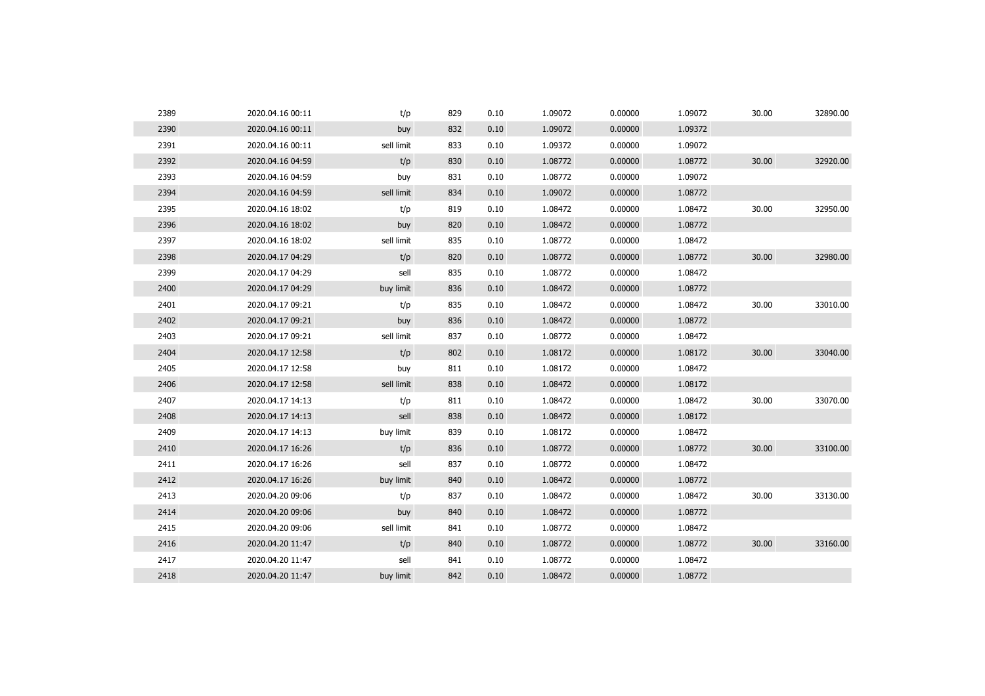| 2389 | 2020.04.16 00:11 | t/p        | 829 | 0.10 | 1.09072 | 0.00000 | 1.09072 | 30.00 | 32890.00 |
|------|------------------|------------|-----|------|---------|---------|---------|-------|----------|
| 2390 | 2020.04.16 00:11 | buy        | 832 | 0.10 | 1.09072 | 0.00000 | 1.09372 |       |          |
| 2391 | 2020.04.16 00:11 | sell limit | 833 | 0.10 | 1.09372 | 0.00000 | 1.09072 |       |          |
| 2392 | 2020.04.16 04:59 | t/p        | 830 | 0.10 | 1.08772 | 0.00000 | 1.08772 | 30.00 | 32920.00 |
| 2393 | 2020.04.16 04:59 | buy        | 831 | 0.10 | 1.08772 | 0.00000 | 1.09072 |       |          |
| 2394 | 2020.04.16 04:59 | sell limit | 834 | 0.10 | 1.09072 | 0.00000 | 1.08772 |       |          |
| 2395 | 2020.04.16 18:02 | t/p        | 819 | 0.10 | 1.08472 | 0.00000 | 1.08472 | 30.00 | 32950.00 |
| 2396 | 2020.04.16 18:02 | buy        | 820 | 0.10 | 1.08472 | 0.00000 | 1.08772 |       |          |
| 2397 | 2020.04.16 18:02 | sell limit | 835 | 0.10 | 1.08772 | 0.00000 | 1.08472 |       |          |
| 2398 | 2020.04.17 04:29 | t/p        | 820 | 0.10 | 1.08772 | 0.00000 | 1.08772 | 30.00 | 32980.00 |
| 2399 | 2020.04.17 04:29 | sell       | 835 | 0.10 | 1.08772 | 0.00000 | 1.08472 |       |          |
| 2400 | 2020.04.17 04:29 | buy limit  | 836 | 0.10 | 1.08472 | 0.00000 | 1.08772 |       |          |
| 2401 | 2020.04.17 09:21 | t/p        | 835 | 0.10 | 1.08472 | 0.00000 | 1.08472 | 30.00 | 33010.00 |
| 2402 | 2020.04.17 09:21 | buy        | 836 | 0.10 | 1.08472 | 0.00000 | 1.08772 |       |          |
| 2403 | 2020.04.17 09:21 | sell limit | 837 | 0.10 | 1.08772 | 0.00000 | 1.08472 |       |          |
| 2404 | 2020.04.17 12:58 | t/p        | 802 | 0.10 | 1.08172 | 0.00000 | 1.08172 | 30.00 | 33040.00 |
| 2405 | 2020.04.17 12:58 | buy        | 811 | 0.10 | 1.08172 | 0.00000 | 1.08472 |       |          |
| 2406 | 2020.04.17 12:58 | sell limit | 838 | 0.10 | 1.08472 | 0.00000 | 1.08172 |       |          |
| 2407 | 2020.04.17 14:13 | t/p        | 811 | 0.10 | 1.08472 | 0.00000 | 1.08472 | 30.00 | 33070.00 |
| 2408 | 2020.04.17 14:13 | sell       | 838 | 0.10 | 1.08472 | 0.00000 | 1.08172 |       |          |
| 2409 | 2020.04.17 14:13 | buy limit  | 839 | 0.10 | 1.08172 | 0.00000 | 1.08472 |       |          |
| 2410 | 2020.04.17 16:26 | t/p        | 836 | 0.10 | 1.08772 | 0.00000 | 1.08772 | 30.00 | 33100.00 |
| 2411 | 2020.04.17 16:26 | sell       | 837 | 0.10 | 1.08772 | 0.00000 | 1.08472 |       |          |
| 2412 | 2020.04.17 16:26 | buy limit  | 840 | 0.10 | 1.08472 | 0.00000 | 1.08772 |       |          |
| 2413 | 2020.04.20 09:06 | t/p        | 837 | 0.10 | 1.08472 | 0.00000 | 1.08472 | 30.00 | 33130.00 |
| 2414 | 2020.04.20 09:06 | buy        | 840 | 0.10 | 1.08472 | 0.00000 | 1.08772 |       |          |
| 2415 | 2020.04.20 09:06 | sell limit | 841 | 0.10 | 1.08772 | 0.00000 | 1.08472 |       |          |
| 2416 | 2020.04.20 11:47 | t/p        | 840 | 0.10 | 1.08772 | 0.00000 | 1.08772 | 30.00 | 33160.00 |
| 2417 | 2020.04.20 11:47 | sell       | 841 | 0.10 | 1.08772 | 0.00000 | 1.08472 |       |          |
| 2418 | 2020.04.20 11:47 | buy limit  | 842 | 0.10 | 1.08472 | 0.00000 | 1.08772 |       |          |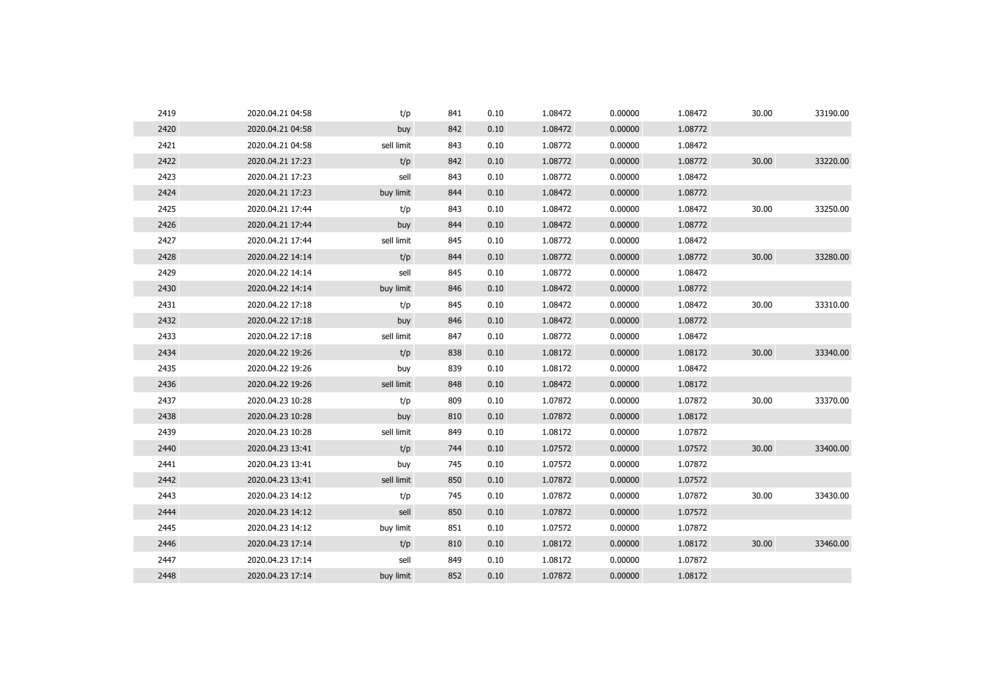| 2419 | 2020.04.21 04:58 | t/p        | 841 | 0.10 | 1.08472 | 0.00000 | 1.08472 | 30.00 | 33190.00 |
|------|------------------|------------|-----|------|---------|---------|---------|-------|----------|
| 2420 | 2020.04.21 04:58 | buy        | 842 | 0.10 | 1.08472 | 0.00000 | 1.08772 |       |          |
| 2421 | 2020.04.21 04:58 | sell limit | 843 | 0.10 | 1.08772 | 0.00000 | 1.08472 |       |          |
| 2422 | 2020.04.21 17:23 | t/p        | 842 | 0.10 | 1.08772 | 0.00000 | 1.08772 | 30.00 | 33220.00 |
| 2423 | 2020.04.21 17:23 | sell       | 843 | 0.10 | 1.08772 | 0.00000 | 1.08472 |       |          |
| 2424 | 2020.04.21 17:23 | buy limit  | 844 | 0.10 | 1.08472 | 0.00000 | 1.08772 |       |          |
| 2425 | 2020.04.21 17:44 | t/p        | 843 | 0.10 | 1.08472 | 0.00000 | 1.08472 | 30.00 | 33250.00 |
| 2426 | 2020.04.21 17:44 | buy        | 844 | 0.10 | 1.08472 | 0.00000 | 1.08772 |       |          |
| 2427 | 2020.04.21 17:44 | sell limit | 845 | 0.10 | 1.08772 | 0.00000 | 1.08472 |       |          |
| 2428 | 2020.04.22 14:14 | t/p        | 844 | 0.10 | 1.08772 | 0.00000 | 1.08772 | 30.00 | 33280.00 |
| 2429 | 2020.04.22 14:14 | sell       | 845 | 0.10 | 1.08772 | 0.00000 | 1.08472 |       |          |
| 2430 | 2020.04.22 14:14 | buy limit  | 846 | 0.10 | 1.08472 | 0.00000 | 1.08772 |       |          |
| 2431 | 2020.04.22 17:18 | t/p        | 845 | 0.10 | 1.08472 | 0.00000 | 1.08472 | 30.00 | 33310.00 |
| 2432 | 2020.04.22 17:18 | buy        | 846 | 0.10 | 1.08472 | 0.00000 | 1.08772 |       |          |
| 2433 | 2020.04.22 17:18 | sell limit | 847 | 0.10 | 1.08772 | 0.00000 | 1.08472 |       |          |
| 2434 | 2020.04.22 19:26 | t/p        | 838 | 0.10 | 1.08172 | 0.00000 | 1.08172 | 30.00 | 33340.00 |
| 2435 | 2020.04.22 19:26 | buy        | 839 | 0.10 | 1.08172 | 0.00000 | 1.08472 |       |          |
| 2436 | 2020.04.22 19:26 | sell limit | 848 | 0.10 | 1.08472 | 0.00000 | 1.08172 |       |          |
| 2437 | 2020.04.23 10:28 | t/p        | 809 | 0.10 | 1.07872 | 0.00000 | 1.07872 | 30.00 | 33370.00 |
| 2438 | 2020.04.23 10:28 | buy        | 810 | 0.10 | 1.07872 | 0.00000 | 1.08172 |       |          |
| 2439 | 2020.04.23 10:28 | sell limit | 849 | 0.10 | 1.08172 | 0.00000 | 1.07872 |       |          |
| 2440 | 2020.04.23 13:41 | t/p        | 744 | 0.10 | 1.07572 | 0.00000 | 1.07572 | 30.00 | 33400.00 |
| 2441 | 2020.04.23 13:41 | buy        | 745 | 0.10 | 1.07572 | 0.00000 | 1.07872 |       |          |
| 2442 | 2020.04.23 13:41 | sell limit | 850 | 0.10 | 1.07872 | 0.00000 | 1.07572 |       |          |
| 2443 | 2020.04.23 14:12 | t/p        | 745 | 0.10 | 1.07872 | 0.00000 | 1.07872 | 30.00 | 33430.00 |
| 2444 | 2020.04.23 14:12 | sell       | 850 | 0.10 | 1.07872 | 0.00000 | 1.07572 |       |          |
| 2445 | 2020.04.23 14:12 | buy limit  | 851 | 0.10 | 1.07572 | 0.00000 | 1.07872 |       |          |
| 2446 | 2020.04.23 17:14 | t/p        | 810 | 0.10 | 1.08172 | 0.00000 | 1.08172 | 30.00 | 33460.00 |
| 2447 | 2020.04.23 17:14 | sell       | 849 | 0.10 | 1.08172 | 0.00000 | 1.07872 |       |          |
| 2448 | 2020.04.23 17:14 | buy limit  | 852 | 0.10 | 1.07872 | 0.00000 | 1.08172 |       |          |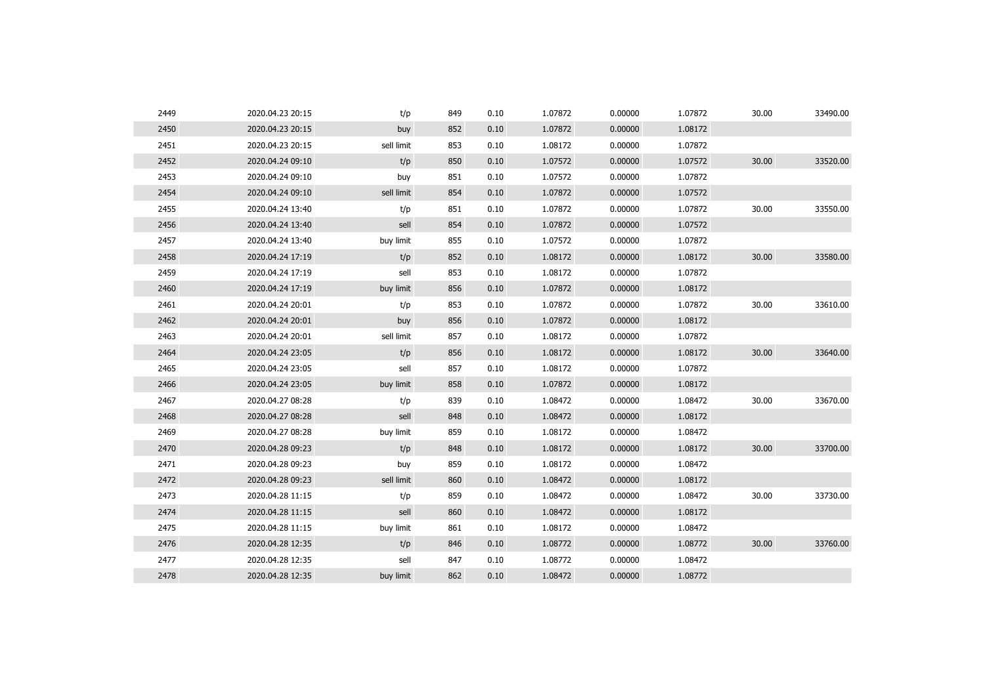| 2449 | 2020.04.23 20:15 | t/p        | 849 | 0.10 | 1.07872 | 0.00000 | 1.07872 | 30.00 | 33490.00 |
|------|------------------|------------|-----|------|---------|---------|---------|-------|----------|
| 2450 | 2020.04.23 20:15 | buy        | 852 | 0.10 | 1.07872 | 0.00000 | 1.08172 |       |          |
| 2451 | 2020.04.23 20:15 | sell limit | 853 | 0.10 | 1.08172 | 0.00000 | 1.07872 |       |          |
| 2452 | 2020.04.24 09:10 | t/p        | 850 | 0.10 | 1.07572 | 0.00000 | 1.07572 | 30.00 | 33520.00 |
| 2453 | 2020.04.24 09:10 | buy        | 851 | 0.10 | 1.07572 | 0.00000 | 1.07872 |       |          |
| 2454 | 2020.04.24 09:10 | sell limit | 854 | 0.10 | 1.07872 | 0.00000 | 1.07572 |       |          |
| 2455 | 2020.04.24 13:40 | t/p        | 851 | 0.10 | 1.07872 | 0.00000 | 1.07872 | 30.00 | 33550.00 |
| 2456 | 2020.04.24 13:40 | sell       | 854 | 0.10 | 1.07872 | 0.00000 | 1.07572 |       |          |
| 2457 | 2020.04.24 13:40 | buy limit  | 855 | 0.10 | 1.07572 | 0.00000 | 1.07872 |       |          |
| 2458 | 2020.04.24 17:19 | t/p        | 852 | 0.10 | 1.08172 | 0.00000 | 1.08172 | 30.00 | 33580.00 |
| 2459 | 2020.04.24 17:19 | sell       | 853 | 0.10 | 1.08172 | 0.00000 | 1.07872 |       |          |
| 2460 | 2020.04.24 17:19 | buy limit  | 856 | 0.10 | 1.07872 | 0.00000 | 1.08172 |       |          |
| 2461 | 2020.04.24 20:01 | t/p        | 853 | 0.10 | 1.07872 | 0.00000 | 1.07872 | 30.00 | 33610.00 |
| 2462 | 2020.04.24 20:01 | buy        | 856 | 0.10 | 1.07872 | 0.00000 | 1.08172 |       |          |
| 2463 | 2020.04.24 20:01 | sell limit | 857 | 0.10 | 1.08172 | 0.00000 | 1.07872 |       |          |
| 2464 | 2020.04.24 23:05 | t/p        | 856 | 0.10 | 1.08172 | 0.00000 | 1.08172 | 30.00 | 33640.00 |
| 2465 | 2020.04.24 23:05 | sell       | 857 | 0.10 | 1.08172 | 0.00000 | 1.07872 |       |          |
| 2466 | 2020.04.24 23:05 | buy limit  | 858 | 0.10 | 1.07872 | 0.00000 | 1.08172 |       |          |
| 2467 | 2020.04.27 08:28 | t/p        | 839 | 0.10 | 1.08472 | 0.00000 | 1.08472 | 30.00 | 33670.00 |
| 2468 | 2020.04.27 08:28 | sell       | 848 | 0.10 | 1.08472 | 0.00000 | 1.08172 |       |          |
| 2469 | 2020.04.27 08:28 | buy limit  | 859 | 0.10 | 1.08172 | 0.00000 | 1.08472 |       |          |
| 2470 | 2020.04.28 09:23 | t/p        | 848 | 0.10 | 1.08172 | 0.00000 | 1.08172 | 30.00 | 33700.00 |
| 2471 | 2020.04.28 09:23 | buy        | 859 | 0.10 | 1.08172 | 0.00000 | 1.08472 |       |          |
| 2472 | 2020.04.28 09:23 | sell limit | 860 | 0.10 | 1.08472 | 0.00000 | 1.08172 |       |          |
| 2473 | 2020.04.28 11:15 | t/p        | 859 | 0.10 | 1.08472 | 0.00000 | 1.08472 | 30.00 | 33730.00 |
| 2474 | 2020.04.28 11:15 | sell       | 860 | 0.10 | 1.08472 | 0.00000 | 1.08172 |       |          |
| 2475 | 2020.04.28 11:15 | buy limit  | 861 | 0.10 | 1.08172 | 0.00000 | 1.08472 |       |          |
| 2476 | 2020.04.28 12:35 | t/p        | 846 | 0.10 | 1.08772 | 0.00000 | 1.08772 | 30.00 | 33760.00 |
| 2477 | 2020.04.28 12:35 | sell       | 847 | 0.10 | 1.08772 | 0.00000 | 1.08472 |       |          |
| 2478 | 2020.04.28 12:35 | buy limit  | 862 | 0.10 | 1.08472 | 0.00000 | 1.08772 |       |          |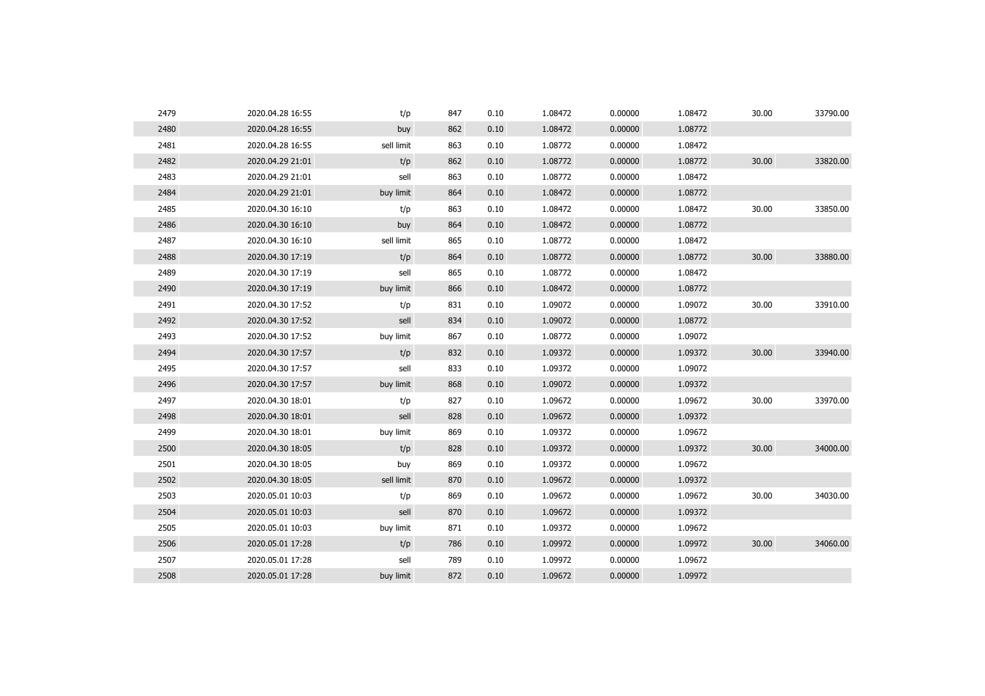| 2479 | 2020.04.28 16:55 | t/p        | 847 | 0.10 | 1.08472 | 0.00000 | 1.08472 | 30.00 | 33790.00 |
|------|------------------|------------|-----|------|---------|---------|---------|-------|----------|
| 2480 | 2020.04.28 16:55 | buy        | 862 | 0.10 | 1.08472 | 0.00000 | 1.08772 |       |          |
| 2481 | 2020.04.28 16:55 | sell limit | 863 | 0.10 | 1.08772 | 0.00000 | 1.08472 |       |          |
| 2482 | 2020.04.29 21:01 | t/p        | 862 | 0.10 | 1.08772 | 0.00000 | 1.08772 | 30.00 | 33820.00 |
| 2483 | 2020.04.29 21:01 | sell       | 863 | 0.10 | 1.08772 | 0.00000 | 1.08472 |       |          |
| 2484 | 2020.04.29 21:01 | buy limit  | 864 | 0.10 | 1.08472 | 0.00000 | 1.08772 |       |          |
| 2485 | 2020.04.30 16:10 | t/p        | 863 | 0.10 | 1.08472 | 0.00000 | 1.08472 | 30.00 | 33850.00 |
| 2486 | 2020.04.30 16:10 | buy        | 864 | 0.10 | 1.08472 | 0.00000 | 1.08772 |       |          |
| 2487 | 2020.04.30 16:10 | sell limit | 865 | 0.10 | 1.08772 | 0.00000 | 1.08472 |       |          |
| 2488 | 2020.04.30 17:19 | t/p        | 864 | 0.10 | 1.08772 | 0.00000 | 1.08772 | 30.00 | 33880.00 |
| 2489 | 2020.04.30 17:19 | sell       | 865 | 0.10 | 1.08772 | 0.00000 | 1.08472 |       |          |
| 2490 | 2020.04.30 17:19 | buy limit  | 866 | 0.10 | 1.08472 | 0.00000 | 1.08772 |       |          |
| 2491 | 2020.04.30 17:52 | t/p        | 831 | 0.10 | 1.09072 | 0.00000 | 1.09072 | 30.00 | 33910.00 |
| 2492 | 2020.04.30 17:52 | sell       | 834 | 0.10 | 1.09072 | 0.00000 | 1.08772 |       |          |
| 2493 | 2020.04.30 17:52 | buy limit  | 867 | 0.10 | 1.08772 | 0.00000 | 1.09072 |       |          |
| 2494 | 2020.04.30 17:57 | t/p        | 832 | 0.10 | 1.09372 | 0.00000 | 1.09372 | 30.00 | 33940.00 |
| 2495 | 2020.04.30 17:57 | sell       | 833 | 0.10 | 1.09372 | 0.00000 | 1.09072 |       |          |
| 2496 | 2020.04.30 17:57 | buy limit  | 868 | 0.10 | 1.09072 | 0.00000 | 1.09372 |       |          |
| 2497 | 2020.04.30 18:01 | t/p        | 827 | 0.10 | 1.09672 | 0.00000 | 1.09672 | 30.00 | 33970.00 |
| 2498 | 2020.04.30 18:01 | sell       | 828 | 0.10 | 1.09672 | 0.00000 | 1.09372 |       |          |
| 2499 | 2020.04.30 18:01 | buy limit  | 869 | 0.10 | 1.09372 | 0.00000 | 1.09672 |       |          |
| 2500 | 2020.04.30 18:05 | t/p        | 828 | 0.10 | 1.09372 | 0.00000 | 1.09372 | 30.00 | 34000.00 |
| 2501 | 2020.04.30 18:05 | buy        | 869 | 0.10 | 1.09372 | 0.00000 | 1.09672 |       |          |
| 2502 | 2020.04.30 18:05 | sell limit | 870 | 0.10 | 1.09672 | 0.00000 | 1.09372 |       |          |
| 2503 | 2020.05.01 10:03 | t/p        | 869 | 0.10 | 1.09672 | 0.00000 | 1.09672 | 30.00 | 34030.00 |
| 2504 | 2020.05.01 10:03 | sell       | 870 | 0.10 | 1.09672 | 0.00000 | 1.09372 |       |          |
| 2505 | 2020.05.01 10:03 | buy limit  | 871 | 0.10 | 1.09372 | 0.00000 | 1.09672 |       |          |
| 2506 | 2020.05.01 17:28 | t/p        | 786 | 0.10 | 1.09972 | 0.00000 | 1.09972 | 30.00 | 34060.00 |
| 2507 | 2020.05.01 17:28 | sell       | 789 | 0.10 | 1.09972 | 0.00000 | 1.09672 |       |          |
| 2508 | 2020.05.01 17:28 | buy limit  | 872 | 0.10 | 1.09672 | 0.00000 | 1.09972 |       |          |
|      |                  |            |     |      |         |         |         |       |          |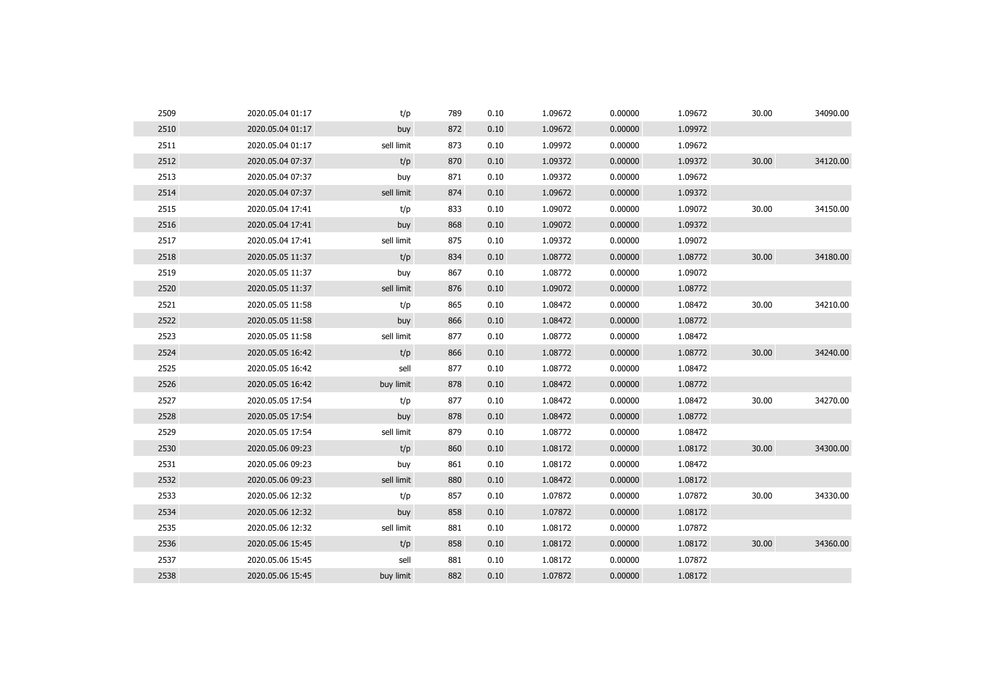| 2509 | 2020.05.04 01:17 | t/p        | 789 | 0.10 | 1.09672 | 0.00000 | 1.09672 | 30.00 | 34090.00 |
|------|------------------|------------|-----|------|---------|---------|---------|-------|----------|
| 2510 | 2020.05.04 01:17 | buy        | 872 | 0.10 | 1.09672 | 0.00000 | 1.09972 |       |          |
| 2511 | 2020.05.04 01:17 | sell limit | 873 | 0.10 | 1.09972 | 0.00000 | 1.09672 |       |          |
| 2512 | 2020.05.04 07:37 | t/p        | 870 | 0.10 | 1.09372 | 0.00000 | 1.09372 | 30.00 | 34120.00 |
| 2513 | 2020.05.04 07:37 | buy        | 871 | 0.10 | 1.09372 | 0.00000 | 1.09672 |       |          |
| 2514 | 2020.05.04 07:37 | sell limit | 874 | 0.10 | 1.09672 | 0.00000 | 1.09372 |       |          |
| 2515 | 2020.05.04 17:41 | t/p        | 833 | 0.10 | 1.09072 | 0.00000 | 1.09072 | 30.00 | 34150.00 |
| 2516 | 2020.05.04 17:41 | buy        | 868 | 0.10 | 1.09072 | 0.00000 | 1.09372 |       |          |
| 2517 | 2020.05.04 17:41 | sell limit | 875 | 0.10 | 1.09372 | 0.00000 | 1.09072 |       |          |
| 2518 | 2020.05.05 11:37 | t/p        | 834 | 0.10 | 1.08772 | 0.00000 | 1.08772 | 30.00 | 34180.00 |
| 2519 | 2020.05.05 11:37 | buy        | 867 | 0.10 | 1.08772 | 0.00000 | 1.09072 |       |          |
| 2520 | 2020.05.05 11:37 | sell limit | 876 | 0.10 | 1.09072 | 0.00000 | 1.08772 |       |          |
| 2521 | 2020.05.05 11:58 | t/p        | 865 | 0.10 | 1.08472 | 0.00000 | 1.08472 | 30.00 | 34210.00 |
| 2522 | 2020.05.05 11:58 | buy        | 866 | 0.10 | 1.08472 | 0.00000 | 1.08772 |       |          |
| 2523 | 2020.05.05 11:58 | sell limit | 877 | 0.10 | 1.08772 | 0.00000 | 1.08472 |       |          |
| 2524 | 2020.05.05 16:42 | t/p        | 866 | 0.10 | 1.08772 | 0.00000 | 1.08772 | 30.00 | 34240.00 |
| 2525 | 2020.05.05 16:42 | sell       | 877 | 0.10 | 1.08772 | 0.00000 | 1.08472 |       |          |
| 2526 | 2020.05.05 16:42 | buy limit  | 878 | 0.10 | 1.08472 | 0.00000 | 1.08772 |       |          |
| 2527 | 2020.05.05 17:54 | t/p        | 877 | 0.10 | 1.08472 | 0.00000 | 1.08472 | 30.00 | 34270.00 |
| 2528 | 2020.05.05 17:54 | buy        | 878 | 0.10 | 1.08472 | 0.00000 | 1.08772 |       |          |
| 2529 | 2020.05.05 17:54 | sell limit | 879 | 0.10 | 1.08772 | 0.00000 | 1.08472 |       |          |
| 2530 | 2020.05.06 09:23 | t/p        | 860 | 0.10 | 1.08172 | 0.00000 | 1.08172 | 30.00 | 34300.00 |
| 2531 | 2020.05.06 09:23 | buy        | 861 | 0.10 | 1.08172 | 0.00000 | 1.08472 |       |          |
| 2532 | 2020.05.06 09:23 | sell limit | 880 | 0.10 | 1.08472 | 0.00000 | 1.08172 |       |          |
| 2533 | 2020.05.06 12:32 | t/p        | 857 | 0.10 | 1.07872 | 0.00000 | 1.07872 | 30.00 | 34330.00 |
| 2534 | 2020.05.06 12:32 | buy        | 858 | 0.10 | 1.07872 | 0.00000 | 1.08172 |       |          |
| 2535 | 2020.05.06 12:32 | sell limit | 881 | 0.10 | 1.08172 | 0.00000 | 1.07872 |       |          |
| 2536 | 2020.05.06 15:45 | t/p        | 858 | 0.10 | 1.08172 | 0.00000 | 1.08172 | 30.00 | 34360.00 |
| 2537 | 2020.05.06 15:45 | sell       | 881 | 0.10 | 1.08172 | 0.00000 | 1.07872 |       |          |
| 2538 | 2020.05.06 15:45 | buy limit  | 882 | 0.10 | 1.07872 | 0.00000 | 1.08172 |       |          |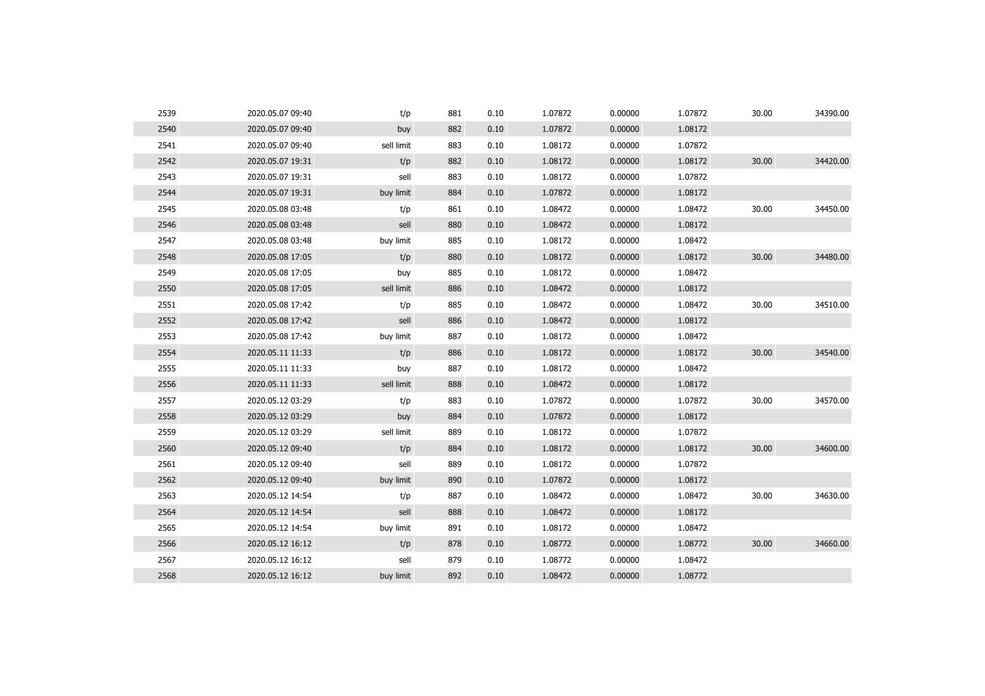| 2539 | 2020.05.07 09:40 | t/p        | 881 | 0.10 | 1.07872 | 0.00000 | 1.07872 | 30.00 | 34390.00 |
|------|------------------|------------|-----|------|---------|---------|---------|-------|----------|
| 2540 | 2020.05.07 09:40 | buy        | 882 | 0.10 | 1.07872 | 0.00000 | 1.08172 |       |          |
| 2541 | 2020.05.07 09:40 | sell limit | 883 | 0.10 | 1.08172 | 0.00000 | 1.07872 |       |          |
| 2542 | 2020.05.07 19:31 | t/p        | 882 | 0.10 | 1.08172 | 0.00000 | 1.08172 | 30.00 | 34420.00 |
| 2543 | 2020.05.07 19:31 | sell       | 883 | 0.10 | 1.08172 | 0.00000 | 1.07872 |       |          |
| 2544 | 2020.05.07 19:31 | buy limit  | 884 | 0.10 | 1.07872 | 0.00000 | 1.08172 |       |          |
| 2545 | 2020.05.08 03:48 | t/p        | 861 | 0.10 | 1.08472 | 0.00000 | 1.08472 | 30.00 | 34450.00 |
| 2546 | 2020.05.08 03:48 | sell       | 880 | 0.10 | 1.08472 | 0.00000 | 1.08172 |       |          |
| 2547 | 2020.05.08 03:48 | buy limit  | 885 | 0.10 | 1.08172 | 0.00000 | 1.08472 |       |          |
| 2548 | 2020.05.08 17:05 | t/p        | 880 | 0.10 | 1.08172 | 0.00000 | 1.08172 | 30.00 | 34480.00 |
| 2549 | 2020.05.08 17:05 | buy        | 885 | 0.10 | 1.08172 | 0.00000 | 1.08472 |       |          |
| 2550 | 2020.05.08 17:05 | sell limit | 886 | 0.10 | 1.08472 | 0.00000 | 1.08172 |       |          |
| 2551 | 2020.05.08 17:42 | t/p        | 885 | 0.10 | 1.08472 | 0.00000 | 1.08472 | 30.00 | 34510.00 |
| 2552 | 2020.05.08 17:42 | sell       | 886 | 0.10 | 1.08472 | 0.00000 | 1.08172 |       |          |
| 2553 | 2020.05.08 17:42 | buy limit  | 887 | 0.10 | 1.08172 | 0.00000 | 1.08472 |       |          |
| 2554 | 2020.05.11 11:33 | t/p        | 886 | 0.10 | 1.08172 | 0.00000 | 1.08172 | 30.00 | 34540.00 |
| 2555 | 2020.05.11 11:33 | buy        | 887 | 0.10 | 1.08172 | 0.00000 | 1.08472 |       |          |
| 2556 | 2020.05.11 11:33 | sell limit | 888 | 0.10 | 1.08472 | 0.00000 | 1.08172 |       |          |
| 2557 | 2020.05.12 03:29 | t/p        | 883 | 0.10 | 1.07872 | 0.00000 | 1.07872 | 30.00 | 34570.00 |
| 2558 | 2020.05.12 03:29 | buy        | 884 | 0.10 | 1.07872 | 0.00000 | 1.08172 |       |          |
| 2559 | 2020.05.12 03:29 | sell limit | 889 | 0.10 | 1.08172 | 0.00000 | 1.07872 |       |          |
| 2560 | 2020.05.12 09:40 | t/p        | 884 | 0.10 | 1.08172 | 0.00000 | 1.08172 | 30.00 | 34600.00 |
| 2561 | 2020.05.12 09:40 | sell       | 889 | 0.10 | 1.08172 | 0.00000 | 1.07872 |       |          |
| 2562 | 2020.05.12 09:40 | buy limit  | 890 | 0.10 | 1.07872 | 0.00000 | 1.08172 |       |          |
| 2563 | 2020.05.12 14:54 | t/p        | 887 | 0.10 | 1.08472 | 0.00000 | 1.08472 | 30.00 | 34630.00 |
| 2564 | 2020.05.12 14:54 | sell       | 888 | 0.10 | 1.08472 | 0.00000 | 1.08172 |       |          |
| 2565 | 2020.05.12 14:54 | buy limit  | 891 | 0.10 | 1.08172 | 0.00000 | 1.08472 |       |          |
| 2566 | 2020.05.12 16:12 | t/p        | 878 | 0.10 | 1.08772 | 0.00000 | 1.08772 | 30.00 | 34660.00 |
| 2567 | 2020.05.12 16:12 | sell       | 879 | 0.10 | 1.08772 | 0.00000 | 1.08472 |       |          |
| 2568 | 2020.05.12 16:12 | buy limit  | 892 | 0.10 | 1.08472 | 0.00000 | 1.08772 |       |          |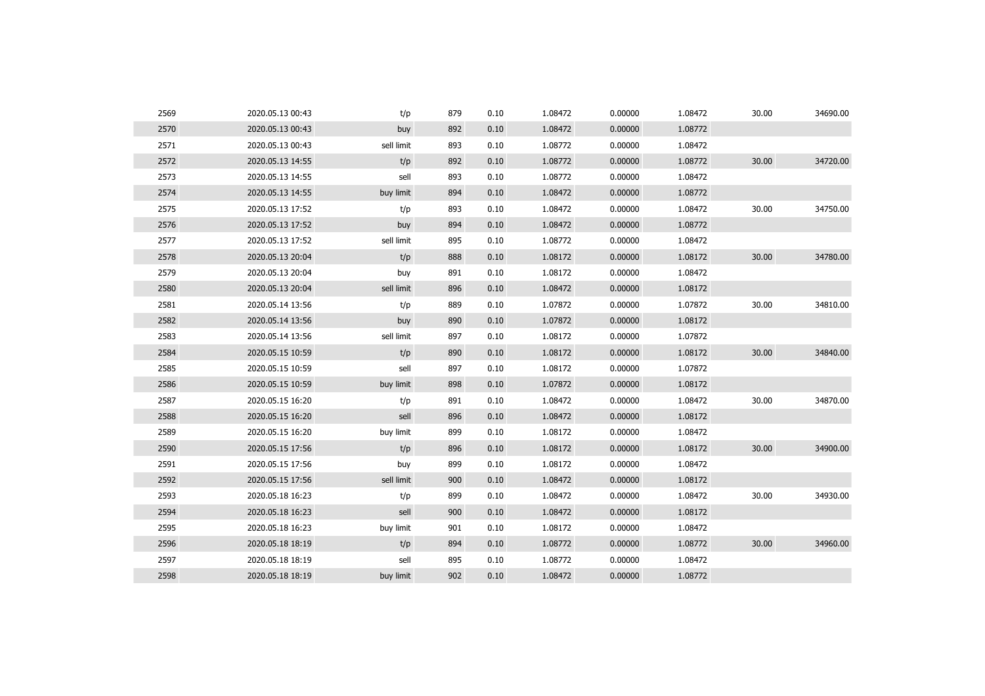| 2569 | 2020.05.13 00:43 | t/p        | 879 | 0.10 | 1.08472 | 0.00000 | 1.08472 | 30.00 | 34690.00 |
|------|------------------|------------|-----|------|---------|---------|---------|-------|----------|
| 2570 | 2020.05.13 00:43 | buy        | 892 | 0.10 | 1.08472 | 0.00000 | 1.08772 |       |          |
| 2571 | 2020.05.13 00:43 | sell limit | 893 | 0.10 | 1.08772 | 0.00000 | 1.08472 |       |          |
| 2572 | 2020.05.13 14:55 | t/p        | 892 | 0.10 | 1.08772 | 0.00000 | 1.08772 | 30.00 | 34720.00 |
| 2573 | 2020.05.13 14:55 | sell       | 893 | 0.10 | 1.08772 | 0.00000 | 1.08472 |       |          |
| 2574 | 2020.05.13 14:55 | buy limit  | 894 | 0.10 | 1.08472 | 0.00000 | 1.08772 |       |          |
| 2575 | 2020.05.13 17:52 | t/p        | 893 | 0.10 | 1.08472 | 0.00000 | 1.08472 | 30.00 | 34750.00 |
| 2576 | 2020.05.13 17:52 | buy        | 894 | 0.10 | 1.08472 | 0.00000 | 1.08772 |       |          |
| 2577 | 2020.05.13 17:52 | sell limit | 895 | 0.10 | 1.08772 | 0.00000 | 1.08472 |       |          |
| 2578 | 2020.05.13 20:04 | t/p        | 888 | 0.10 | 1.08172 | 0.00000 | 1.08172 | 30.00 | 34780.00 |
| 2579 | 2020.05.13 20:04 | buy        | 891 | 0.10 | 1.08172 | 0.00000 | 1.08472 |       |          |
| 2580 | 2020.05.13 20:04 | sell limit | 896 | 0.10 | 1.08472 | 0.00000 | 1.08172 |       |          |
| 2581 | 2020.05.14 13:56 | t/p        | 889 | 0.10 | 1.07872 | 0.00000 | 1.07872 | 30.00 | 34810.00 |
| 2582 | 2020.05.14 13:56 | buy        | 890 | 0.10 | 1.07872 | 0.00000 | 1.08172 |       |          |
| 2583 | 2020.05.14 13:56 | sell limit | 897 | 0.10 | 1.08172 | 0.00000 | 1.07872 |       |          |
| 2584 | 2020.05.15 10:59 | t/p        | 890 | 0.10 | 1.08172 | 0.00000 | 1.08172 | 30.00 | 34840.00 |
| 2585 | 2020.05.15 10:59 | sell       | 897 | 0.10 | 1.08172 | 0.00000 | 1.07872 |       |          |
| 2586 | 2020.05.15 10:59 | buy limit  | 898 | 0.10 | 1.07872 | 0.00000 | 1.08172 |       |          |
| 2587 | 2020.05.15 16:20 | t/p        | 891 | 0.10 | 1.08472 | 0.00000 | 1.08472 | 30.00 | 34870.00 |
| 2588 | 2020.05.15 16:20 | sell       | 896 | 0.10 | 1.08472 | 0.00000 | 1.08172 |       |          |
| 2589 | 2020.05.15 16:20 | buy limit  | 899 | 0.10 | 1.08172 | 0.00000 | 1.08472 |       |          |
| 2590 | 2020.05.15 17:56 | t/p        | 896 | 0.10 | 1.08172 | 0.00000 | 1.08172 | 30.00 | 34900.00 |
| 2591 | 2020.05.15 17:56 | buy        | 899 | 0.10 | 1.08172 | 0.00000 | 1.08472 |       |          |
| 2592 | 2020.05.15 17:56 | sell limit | 900 | 0.10 | 1.08472 | 0.00000 | 1.08172 |       |          |
| 2593 | 2020.05.18 16:23 | t/p        | 899 | 0.10 | 1.08472 | 0.00000 | 1.08472 | 30.00 | 34930.00 |
| 2594 | 2020.05.18 16:23 | sell       | 900 | 0.10 | 1.08472 | 0.00000 | 1.08172 |       |          |
| 2595 | 2020.05.18 16:23 | buy limit  | 901 | 0.10 | 1.08172 | 0.00000 | 1.08472 |       |          |
| 2596 | 2020.05.18 18:19 | t/p        | 894 | 0.10 | 1.08772 | 0.00000 | 1.08772 | 30.00 | 34960.00 |
| 2597 | 2020.05.18 18:19 | sell       | 895 | 0.10 | 1.08772 | 0.00000 | 1.08472 |       |          |
| 2598 | 2020.05.18 18:19 | buy limit  | 902 | 0.10 | 1.08472 | 0.00000 | 1.08772 |       |          |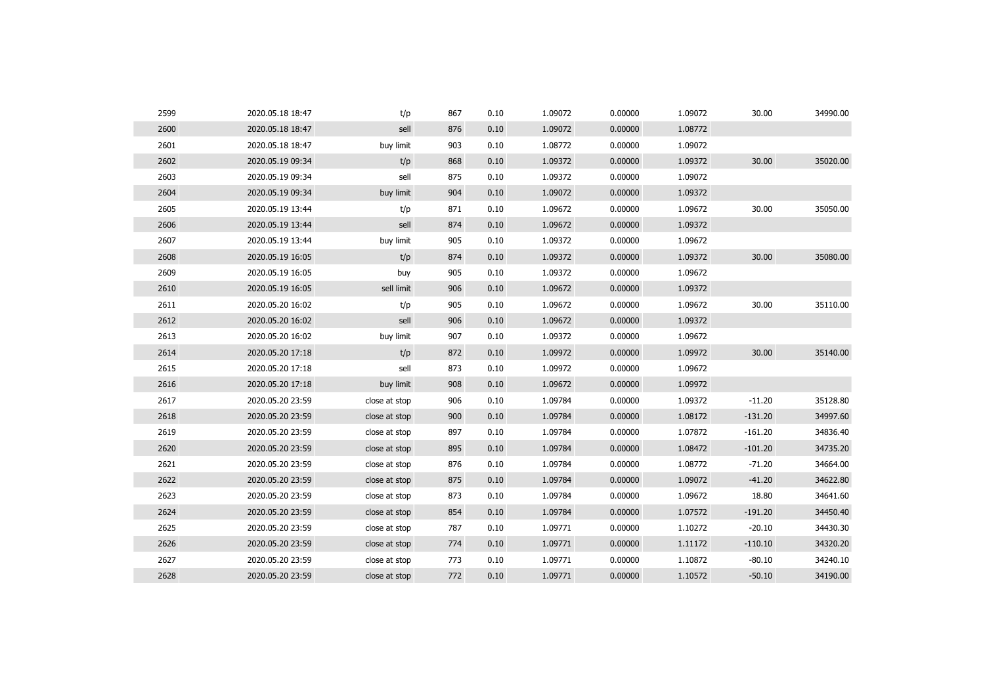| 2599 | 2020.05.18 18:47 | t/p           | 867 | 0.10 | 1.09072 | 0.00000 | 1.09072 | 30.00     | 34990.00 |
|------|------------------|---------------|-----|------|---------|---------|---------|-----------|----------|
| 2600 | 2020.05.18 18:47 | sell          | 876 | 0.10 | 1.09072 | 0.00000 | 1.08772 |           |          |
| 2601 | 2020.05.18 18:47 | buy limit     | 903 | 0.10 | 1.08772 | 0.00000 | 1.09072 |           |          |
| 2602 | 2020.05.19 09:34 | t/p           | 868 | 0.10 | 1.09372 | 0.00000 | 1.09372 | 30.00     | 35020.00 |
| 2603 | 2020.05.19 09:34 | sell          | 875 | 0.10 | 1.09372 | 0.00000 | 1.09072 |           |          |
| 2604 | 2020.05.19 09:34 | buy limit     | 904 | 0.10 | 1.09072 | 0.00000 | 1.09372 |           |          |
| 2605 | 2020.05.19 13:44 | t/p           | 871 | 0.10 | 1.09672 | 0.00000 | 1.09672 | 30.00     | 35050.00 |
| 2606 | 2020.05.19 13:44 | sell          | 874 | 0.10 | 1.09672 | 0.00000 | 1.09372 |           |          |
| 2607 | 2020.05.19 13:44 | buy limit     | 905 | 0.10 | 1.09372 | 0.00000 | 1.09672 |           |          |
| 2608 | 2020.05.19 16:05 | t/p           | 874 | 0.10 | 1.09372 | 0.00000 | 1.09372 | 30.00     | 35080.00 |
| 2609 | 2020.05.19 16:05 | buy           | 905 | 0.10 | 1.09372 | 0.00000 | 1.09672 |           |          |
| 2610 | 2020.05.19 16:05 | sell limit    | 906 | 0.10 | 1.09672 | 0.00000 | 1.09372 |           |          |
| 2611 | 2020.05.20 16:02 | t/p           | 905 | 0.10 | 1.09672 | 0.00000 | 1.09672 | 30.00     | 35110.00 |
| 2612 | 2020.05.20 16:02 | sell          | 906 | 0.10 | 1.09672 | 0.00000 | 1.09372 |           |          |
| 2613 | 2020.05.20 16:02 | buy limit     | 907 | 0.10 | 1.09372 | 0.00000 | 1.09672 |           |          |
| 2614 | 2020.05.20 17:18 | t/p           | 872 | 0.10 | 1.09972 | 0.00000 | 1.09972 | 30.00     | 35140.00 |
| 2615 | 2020.05.20 17:18 | sell          | 873 | 0.10 | 1.09972 | 0.00000 | 1.09672 |           |          |
| 2616 | 2020.05.20 17:18 | buy limit     | 908 | 0.10 | 1.09672 | 0.00000 | 1.09972 |           |          |
| 2617 | 2020.05.20 23:59 | close at stop | 906 | 0.10 | 1.09784 | 0.00000 | 1.09372 | $-11.20$  | 35128.80 |
| 2618 | 2020.05.20 23:59 | close at stop | 900 | 0.10 | 1.09784 | 0.00000 | 1.08172 | $-131.20$ | 34997.60 |
| 2619 | 2020.05.20 23:59 | close at stop | 897 | 0.10 | 1.09784 | 0.00000 | 1.07872 | $-161.20$ | 34836.40 |
| 2620 | 2020.05.20 23:59 | close at stop | 895 | 0.10 | 1.09784 | 0.00000 | 1.08472 | $-101.20$ | 34735.20 |
| 2621 | 2020.05.20 23:59 | close at stop | 876 | 0.10 | 1.09784 | 0.00000 | 1.08772 | $-71.20$  | 34664.00 |
| 2622 | 2020.05.20 23:59 | close at stop | 875 | 0.10 | 1.09784 | 0.00000 | 1.09072 | $-41.20$  | 34622.80 |
| 2623 | 2020.05.20 23:59 | close at stop | 873 | 0.10 | 1.09784 | 0.00000 | 1.09672 | 18.80     | 34641.60 |
| 2624 | 2020.05.20 23:59 | close at stop | 854 | 0.10 | 1.09784 | 0.00000 | 1.07572 | $-191.20$ | 34450.40 |
| 2625 | 2020.05.20 23:59 | close at stop | 787 | 0.10 | 1.09771 | 0.00000 | 1.10272 | $-20.10$  | 34430.30 |
| 2626 | 2020.05.20 23:59 | close at stop | 774 | 0.10 | 1.09771 | 0.00000 | 1.11172 | $-110.10$ | 34320.20 |
| 2627 | 2020.05.20 23:59 | close at stop | 773 | 0.10 | 1.09771 | 0.00000 | 1.10872 | $-80.10$  | 34240.10 |
| 2628 | 2020.05.20 23:59 | close at stop | 772 | 0.10 | 1.09771 | 0.00000 | 1.10572 | $-50.10$  | 34190.00 |